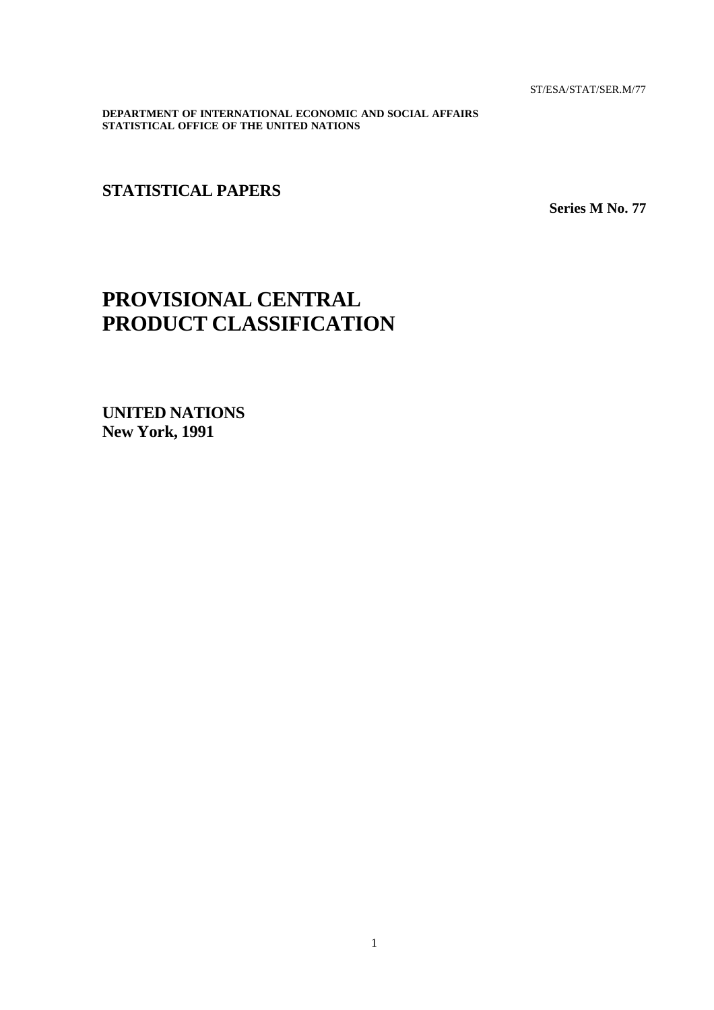ST/ESA/STAT/SER.M/77

**DEPARTMENT OF INTERNATIONAL ECONOMIC AND SOCIAL AFFAIRS STATISTICAL OFFICE OF THE UNITED NATIONS**

# **STATISTICAL PAPERS**

**Series M No. 77**

# **PROVISIONAL CENTRAL PRODUCT CLASSIFICATION**

**UNITED NATIONS New York, 1991**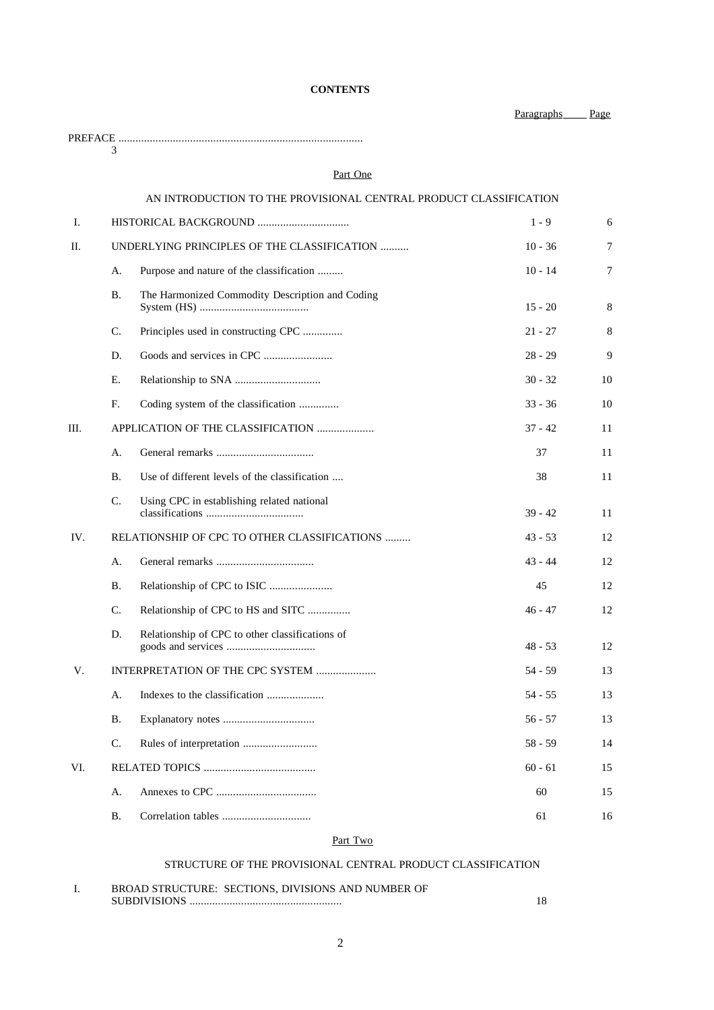# **CONTENTS**

|           |                                   |                                                                   | Paragraphs | Page |
|-----------|-----------------------------------|-------------------------------------------------------------------|------------|------|
| PREFACE . | 3                                 |                                                                   |            |      |
|           |                                   | Part One                                                          |            |      |
|           |                                   | AN INTRODUCTION TO THE PROVISIONAL CENTRAL PRODUCT CLASSIFICATION |            |      |
| Ι.        |                                   |                                                                   | $1 - 9$    | 6    |
| Н.        |                                   | UNDERLYING PRINCIPLES OF THE CLASSIFICATION                       |            | 7    |
|           | A.                                | Purpose and nature of the classification                          | $10 - 14$  | 7    |
|           | <b>B.</b>                         | The Harmonized Commodity Description and Coding                   | $15 - 20$  | 8    |
|           | C.                                | Principles used in constructing CPC                               | $21 - 27$  | 8    |
|           | D.                                |                                                                   | $28 - 29$  | 9    |
|           | Е.                                |                                                                   | $30 - 32$  | 10   |
|           | F.                                | Coding system of the classification                               | $33 - 36$  | 10   |
| III.      | APPLICATION OF THE CLASSIFICATION |                                                                   | $37 - 42$  | 11   |
|           | A.                                |                                                                   | 37         | 11   |
|           | Β.                                | Use of different levels of the classification                     | 38         | 11   |
|           | C.                                | Using CPC in establishing related national                        | $39 - 42$  | 11   |
| IV.       |                                   | RELATIONSHIP OF CPC TO OTHER CLASSIFICATIONS                      | $43 - 53$  | 12   |
|           | А.                                |                                                                   | $43 - 44$  | 12   |
|           | В.                                |                                                                   | 45         | 12   |
|           | C.                                | Relationship of CPC to HS and SITC                                | $46 - 47$  | 12   |
|           | D.                                | Relationship of CPC to other classifications of                   | 48 - 53    | 12   |
| V.        |                                   | INTERPRETATION OF THE CPC SYSTEM                                  | $54 - 59$  | 13   |
|           | А.                                | Indexes to the classification                                     | $54 - 55$  | 13   |
|           | В.                                |                                                                   | $56 - 57$  | 13   |
|           | C.                                | Rules of interpretation                                           | $58 - 59$  | 14   |
| VI.       |                                   |                                                                   | $60 - 61$  | 15   |
|           | А.                                |                                                                   | 60         | 15   |
|           | <b>B.</b>                         | Correlation tables                                                | 61         | 16   |
|           |                                   |                                                                   |            |      |

# Part Two

# STRUCTURE OF THE PROVISIONAL CENTRAL PRODUCT CLASSIFICATION

 I. BROAD STRUCTURE: SECTIONS, DIVISIONS AND NUMBER OF SUBDIVISIONS ..................................................... 18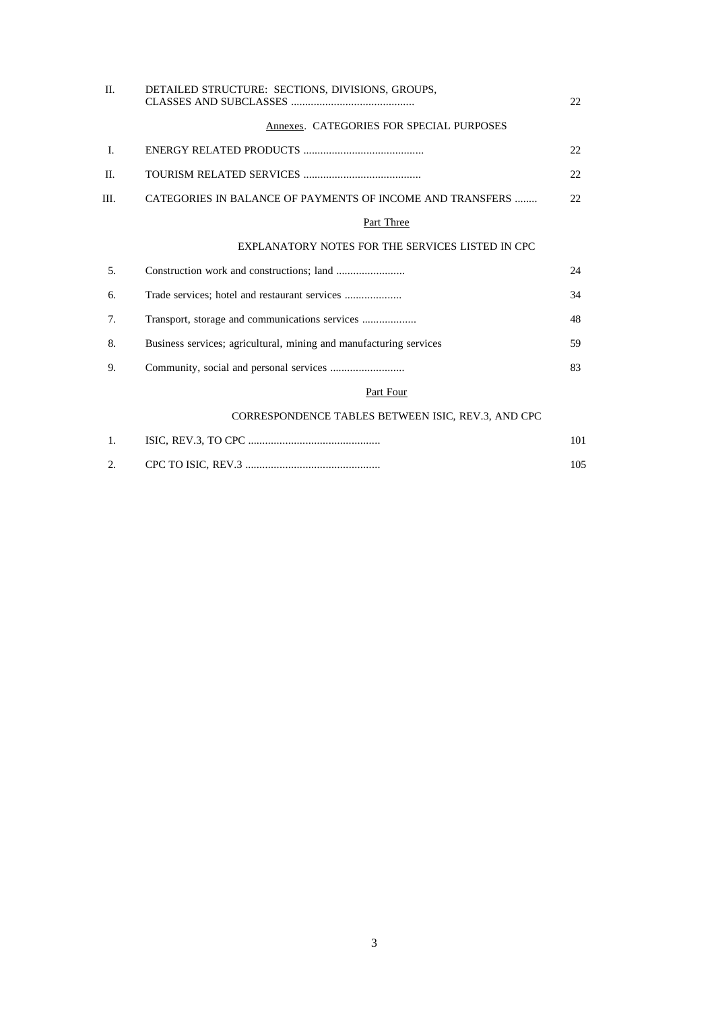| II.  | DETAILED STRUCTURE: SECTIONS, DIVISIONS, GROUPS,                   | 22  |
|------|--------------------------------------------------------------------|-----|
|      | Annexes. CATEGORIES FOR SPECIAL PURPOSES                           |     |
| I.   |                                                                    | 22  |
| H.   |                                                                    | 22  |
| III. | CATEGORIES IN BALANCE OF PAYMENTS OF INCOME AND TRANSFERS          | 22  |
|      | Part Three                                                         |     |
|      | <b>EXPLANATORY NOTES FOR THE SERVICES LISTED IN CPC</b>            |     |
| 5.   |                                                                    | 24  |
| 6.   | Trade services; hotel and restaurant services                      | 34  |
| 7.   | Transport, storage and communications services                     | 48  |
| 8.   | Business services; agricultural, mining and manufacturing services | 59  |
| 9.   |                                                                    | 83  |
|      | Part Four                                                          |     |
|      | CORRESPONDENCE TABLES BETWEEN ISIC, REV.3, AND CPC                 |     |
| 1.   |                                                                    | 101 |

|  | ∸∽∸ |
|--|-----|
|  | 105 |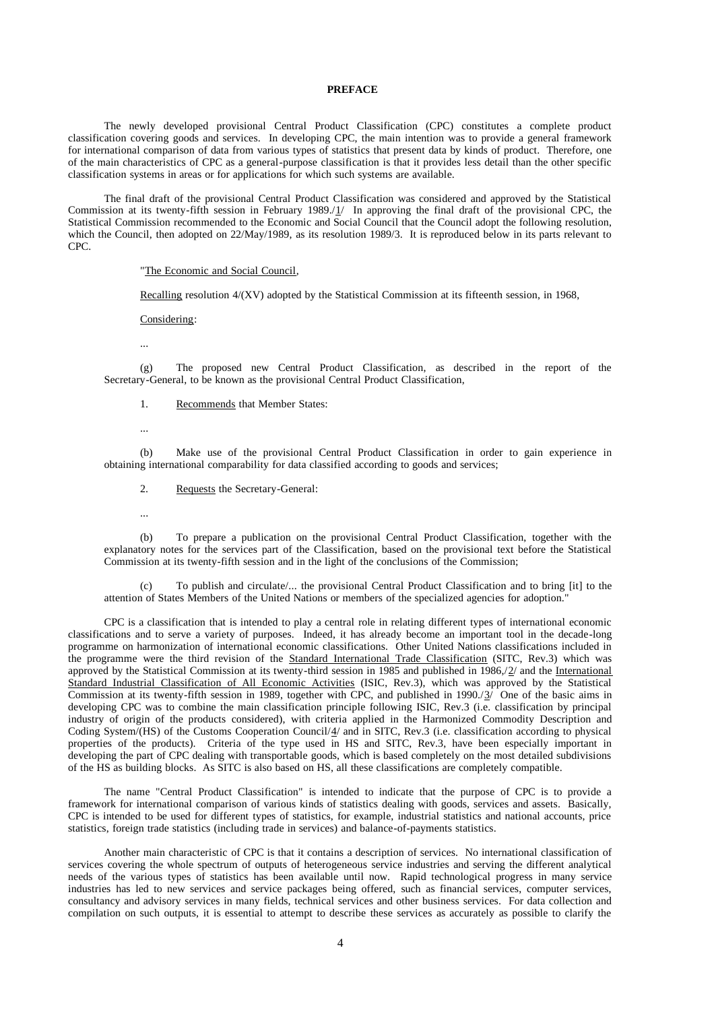# **PREFACE**

The newly developed provisional Central Product Classification (CPC) constitutes a complete product classification covering goods and services. In developing CPC, the main intention was to provide a general framework for international comparison of data from various types of statistics that present data by kinds of product. Therefore, one of the main characteristics of CPC as a general-purpose classification is that it provides less detail than the other specific classification systems in areas or for applications for which such systems are available.

The final draft of the provisional Central Product Classification was considered and approved by the Statistical Commission at its twenty-fifth session in February 1989./1/ In approving the final draft of the provisional CPC, the Statistical Commission recommended to the Economic and Social Council that the Council adopt the following resolution, which the Council, then adopted on 22/May/1989, as its resolution 1989/3. It is reproduced below in its parts relevant to CPC.

"The Economic and Social Council,

Recalling resolution 4/(XV) adopted by the Statistical Commission at its fifteenth session, in 1968,

Considering:

...

(g) The proposed new Central Product Classification, as described in the report of the Secretary-General, to be known as the provisional Central Product Classification,

1. Recommends that Member States:

...

(b) Make use of the provisional Central Product Classification in order to gain experience in obtaining international comparability for data classified according to goods and services;

2. Requests the Secretary-General:

...

(b) To prepare a publication on the provisional Central Product Classification, together with the explanatory notes for the services part of the Classification, based on the provisional text before the Statistical Commission at its twenty-fifth session and in the light of the conclusions of the Commission;

(c) To publish and circulate/... the provisional Central Product Classification and to bring [it] to the attention of States Members of the United Nations or members of the specialized agencies for adoption."

CPC is a classification that is intended to play a central role in relating different types of international economic classifications and to serve a variety of purposes. Indeed, it has already become an important tool in the decade-long programme on harmonization of international economic classifications. Other United Nations classifications included in the programme were the third revision of the Standard International Trade Classification (SITC, Rev.3) which was approved by the Statistical Commission at its twenty-third session in 1985 and published in 1986,/2/ and the International Standard Industrial Classification of All Economic Activities (ISIC, Rev.3), which was approved by the Statistical Commission at its twenty-fifth session in 1989, together with CPC, and published in 1990./3/ One of the basic aims in developing CPC was to combine the main classification principle following ISIC, Rev.3 (i.e. classification by principal industry of origin of the products considered), with criteria applied in the Harmonized Commodity Description and Coding System/(HS) of the Customs Cooperation Council/4/ and in SITC, Rev.3 (i.e. classification according to physical properties of the products). Criteria of the type used in HS and SITC, Rev.3, have been especially important in developing the part of CPC dealing with transportable goods, which is based completely on the most detailed subdivisions of the HS as building blocks. As SITC is also based on HS, all these classifications are completely compatible.

The name "Central Product Classification" is intended to indicate that the purpose of CPC is to provide a framework for international comparison of various kinds of statistics dealing with goods, services and assets. Basically, CPC is intended to be used for different types of statistics, for example, industrial statistics and national accounts, price statistics, foreign trade statistics (including trade in services) and balance-of-payments statistics.

Another main characteristic of CPC is that it contains a description of services. No international classification of services covering the whole spectrum of outputs of heterogeneous service industries and serving the different analytical needs of the various types of statistics has been available until now. Rapid technological progress in many service industries has led to new services and service packages being offered, such as financial services, computer services, consultancy and advisory services in many fields, technical services and other business services. For data collection and compilation on such outputs, it is essential to attempt to describe these services as accurately as possible to clarify the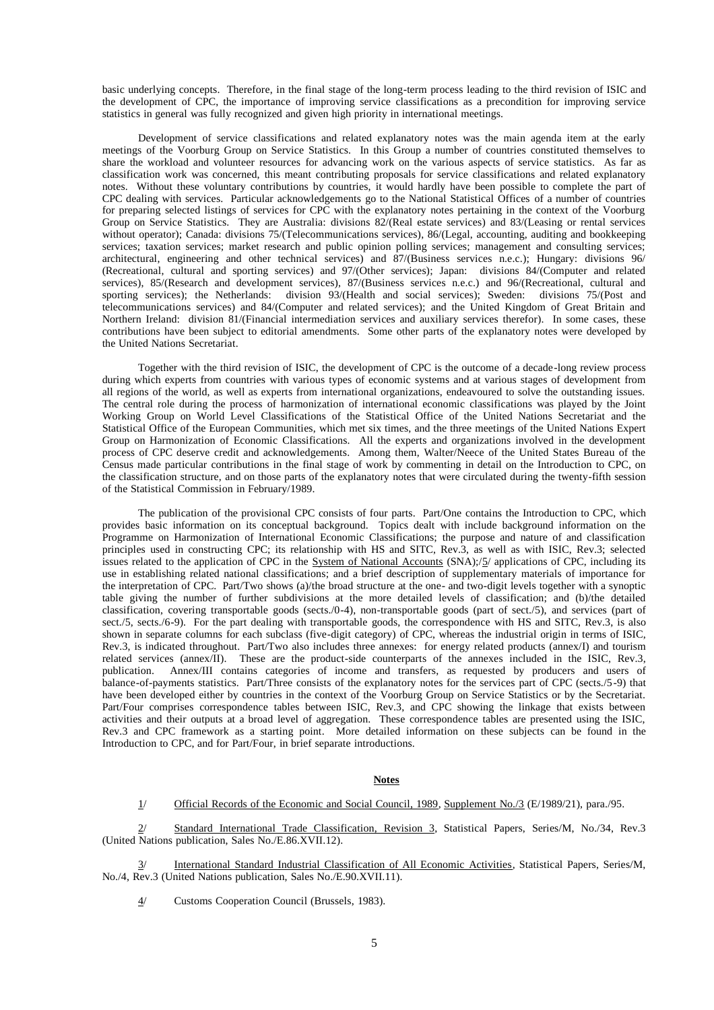basic underlying concepts. Therefore, in the final stage of the long-term process leading to the third revision of ISIC and the development of CPC, the importance of improving service classifications as a precondition for improving service statistics in general was fully recognized and given high priority in international meetings.

Development of service classifications and related explanatory notes was the main agenda item at the early meetings of the Voorburg Group on Service Statistics. In this Group a number of countries constituted themselves to share the workload and volunteer resources for advancing work on the various aspects of service statistics. As far as classification work was concerned, this meant contributing proposals for service classifications and related explanatory notes. Without these voluntary contributions by countries, it would hardly have been possible to complete the part of CPC dealing with services. Particular acknowledgements go to the National Statistical Offices of a number of countries for preparing selected listings of services for CPC with the explanatory notes pertaining in the context of the Voorburg Group on Service Statistics. They are Australia: divisions 82/(Real estate services) and 83/(Leasing or rental services without operator); Canada: divisions 75/(Telecommunications services), 86/(Legal, accounting, auditing and bookkeeping services; taxation services; market research and public opinion polling services; management and consulting services; architectural, engineering and other technical services) and 87/(Business services n.e.c.); Hungary: divisions 96/ (Recreational, cultural and sporting services) and 97/(Other services); Japan: divisions 84/(Computer and related services), 85/(Research and development services), 87/(Business services n.e.c.) and 96/(Recreational, cultural and sporting services); the Netherlands: division 93/(Health and social services); Sweden: divisions 75/(Post and telecommunications services) and 84/(Computer and related services); and the United Kingdom of Great Britain and Northern Ireland: division 81/(Financial intermediation services and auxiliary services therefor). In some cases, these contributions have been subject to editorial amendments. Some other parts of the explanatory notes were developed by the United Nations Secretariat.

Together with the third revision of ISIC, the development of CPC is the outcome of a decade-long review process during which experts from countries with various types of economic systems and at various stages of development from all regions of the world, as well as experts from international organizations, endeavoured to solve the outstanding issues. The central role during the process of harmonization of international economic classifications was played by the Joint Working Group on World Level Classifications of the Statistical Office of the United Nations Secretariat and the Statistical Office of the European Communities, which met six times, and the three meetings of the United Nations Expert Group on Harmonization of Economic Classifications. All the experts and organizations involved in the development process of CPC deserve credit and acknowledgements. Among them, Walter/Neece of the United States Bureau of the Census made particular contributions in the final stage of work by commenting in detail on the Introduction to CPC, on the classification structure, and on those parts of the explanatory notes that were circulated during the twenty-fifth session of the Statistical Commission in February/1989.

The publication of the provisional CPC consists of four parts. Part/One contains the Introduction to CPC, which provides basic information on its conceptual background. Topics dealt with include background information on the Programme on Harmonization of International Economic Classifications; the purpose and nature of and classification principles used in constructing CPC; its relationship with HS and SITC, Rev.3, as well as with ISIC, Rev.3; selected issues related to the application of CPC in the System of National Accounts (SNA);/5/ applications of CPC, including its use in establishing related national classifications; and a brief description of supplementary materials of importance for the interpretation of CPC. Part/Two shows (a)/the broad structure at the one- and two-digit levels together with a synoptic table giving the number of further subdivisions at the more detailed levels of classification; and (b)/the detailed classification, covering transportable goods (sects./0-4), non-transportable goods (part of sect./5), and services (part of sect./5, sects./6-9). For the part dealing with transportable goods, the correspondence with HS and SITC, Rev.3, is also shown in separate columns for each subclass (five-digit category) of CPC, whereas the industrial origin in terms of ISIC, Rev.3, is indicated throughout. Part/Two also includes three annexes: for energy related products (annex/I) and tourism related services (annex/II). These are the product-side counterparts of the annexes included in the ISIC, Rev.3, publication. Annex/III contains categories of income and transfers, as requested by producers and users of balance-of-payments statistics. Part/Three consists of the explanatory notes for the services part of CPC (sects./5-9) that have been developed either by countries in the context of the Voorburg Group on Service Statistics or by the Secretariat. Part/Four comprises correspondence tables between ISIC, Rev.3, and CPC showing the linkage that exists between activities and their outputs at a broad level of aggregation. These correspondence tables are presented using the ISIC, Rev.3 and CPC framework as a starting point. More detailed information on these subjects can be found in the Introduction to CPC, and for Part/Four, in brief separate introductions.

# **Notes**

1/ Official Records of the Economic and Social Council, 1989, Supplement No./3 (E/1989/21), para./95.

2/ Standard International Trade Classification, Revision 3, Statistical Papers, Series/M, No./34, Rev.3 (United Nations publication, Sales No./E.86.XVII.12).

3/ International Standard Industrial Classification of All Economic Activities, Statistical Papers, Series/M, No./4, Rev.3 (United Nations publication, Sales No./E.90.XVII.11).

4/ Customs Cooperation Council (Brussels, 1983).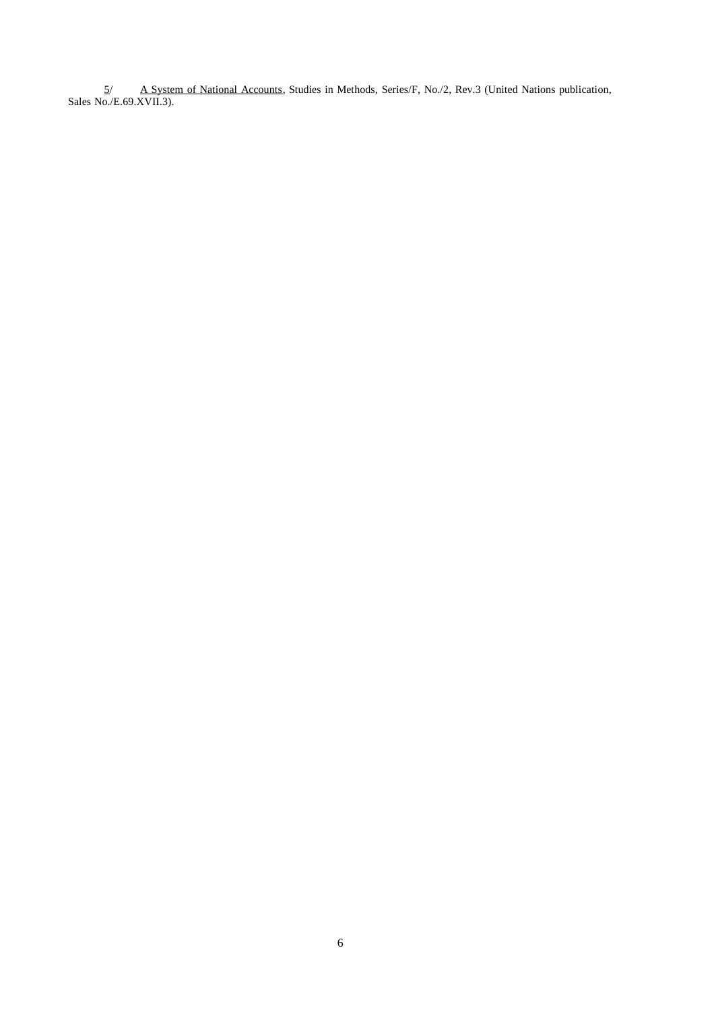5/ A System of National Accounts, Studies in Methods, Series/F, No./2, Rev.3 (United Nations publication, Sales No./E.69.XVII.3).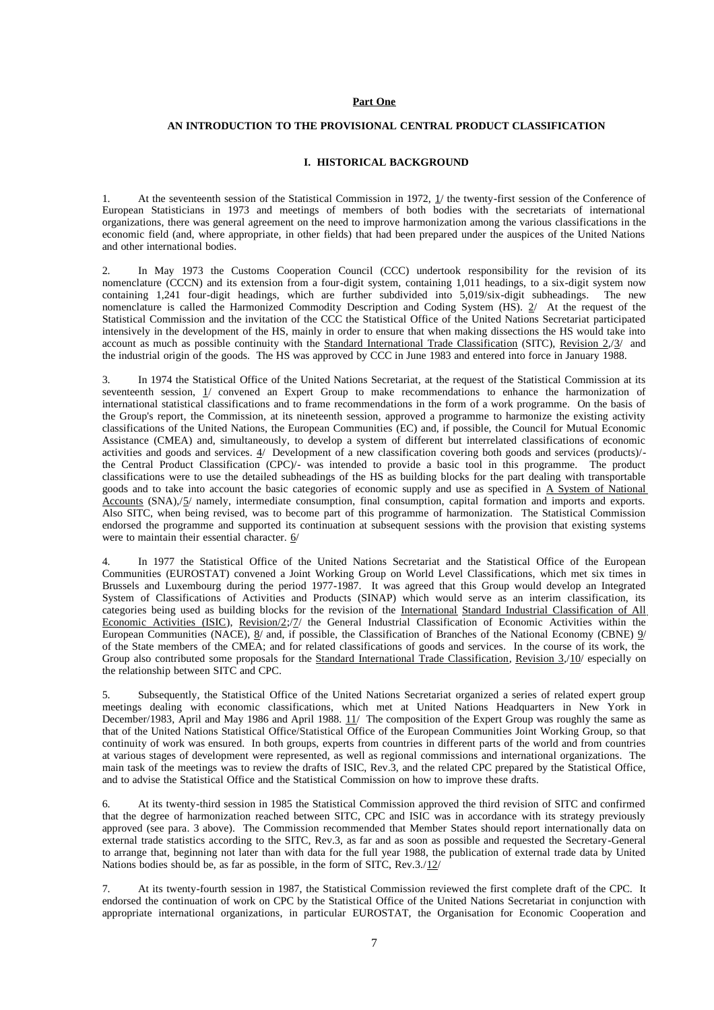# **Part One**

# **AN INTRODUCTION TO THE PROVISIONAL CENTRAL PRODUCT CLASSIFICATION**

#### **I. HISTORICAL BACKGROUND**

1. At the seventeenth session of the Statistical Commission in 1972, 1/ the twenty-first session of the Conference of European Statisticians in 1973 and meetings of members of both bodies with the secretariats of international organizations, there was general agreement on the need to improve harmonization among the various classifications in the economic field (and, where appropriate, in other fields) that had been prepared under the auspices of the United Nations and other international bodies.

2. In May 1973 the Customs Cooperation Council (CCC) undertook responsibility for the revision of its nomenclature (CCCN) and its extension from a four-digit system, containing 1,011 headings, to a six-digit system now containing 1,241 four-digit headings, which are further subdivided into 5,019/six-digit subheadings. The new nomenclature is called the Harmonized Commodity Description and Coding System (HS). 2/ At the request of the Statistical Commission and the invitation of the CCC the Statistical Office of the United Nations Secretariat participated intensively in the development of the HS, mainly in order to ensure that when making dissections the HS would take into account as much as possible continuity with the Standard International Trade Classification (SITC), Revision 2,/3/ and the industrial origin of the goods. The HS was approved by CCC in June 1983 and entered into force in January 1988.

3. In 1974 the Statistical Office of the United Nations Secretariat, at the request of the Statistical Commission at its seventeenth session,  $1/$  convened an Expert Group to make recommendations to enhance the harmonization of international statistical classifications and to frame recommendations in the form of a work programme. On the basis of the Group's report, the Commission, at its nineteenth session, approved a programme to harmonize the existing activity classifications of the United Nations, the European Communities (EC) and, if possible, the Council for Mutual Economic Assistance (CMEA) and, simultaneously, to develop a system of different but interrelated classifications of economic activities and goods and services. 4/ Development of a new classification covering both goods and services (products)/ the Central Product Classification (CPC)/- was intended to provide a basic tool in this programme. The product classifications were to use the detailed subheadings of the HS as building blocks for the part dealing with transportable goods and to take into account the basic categories of economic supply and use as specified in A System of National Accounts (SNA),/5/ namely, intermediate consumption, final consumption, capital formation and imports and exports. Also SITC, when being revised, was to become part of this programme of harmonization. The Statistical Commission endorsed the programme and supported its continuation at subsequent sessions with the provision that existing systems were to maintain their essential character. 6/

In 1977 the Statistical Office of the United Nations Secretariat and the Statistical Office of the European Communities (EUROSTAT) convened a Joint Working Group on World Level Classifications, which met six times in Brussels and Luxembourg during the period 1977-1987. It was agreed that this Group would develop an Integrated System of Classifications of Activities and Products (SINAP) which would serve as an interim classification, its categories being used as building blocks for the revision of the International Standard Industrial Classification of All Economic Activities (ISIC), Revision/2;/7/ the General Industrial Classification of Economic Activities within the European Communities (NACE), 8/ and, if possible, the Classification of Branches of the National Economy (CBNE) 9/ of the State members of the CMEA; and for related classifications of goods and services. In the course of its work, the Group also contributed some proposals for the Standard International Trade Classification, Revision 3,/10/ especially on the relationship between SITC and CPC.

5. Subsequently, the Statistical Office of the United Nations Secretariat organized a series of related expert group meetings dealing with economic classifications, which met at United Nations Headquarters in New York in December/1983, April and May 1986 and April 1988. 11/ The composition of the Expert Group was roughly the same as that of the United Nations Statistical Office/Statistical Office of the European Communities Joint Working Group, so that continuity of work was ensured. In both groups, experts from countries in different parts of the world and from countries at various stages of development were represented, as well as regional commissions and international organizations. The main task of the meetings was to review the drafts of ISIC, Rev.3, and the related CPC prepared by the Statistical Office, and to advise the Statistical Office and the Statistical Commission on how to improve these drafts.

6. At its twenty-third session in 1985 the Statistical Commission approved the third revision of SITC and confirmed that the degree of harmonization reached between SITC, CPC and ISIC was in accordance with its strategy previously approved (see para. 3 above). The Commission recommended that Member States should report internationally data on external trade statistics according to the SITC, Rev.3, as far and as soon as possible and requested the Secretary-General to arrange that, beginning not later than with data for the full year 1988, the publication of external trade data by United Nations bodies should be, as far as possible, in the form of SITC, Rev.3./12/

7. At its twenty-fourth session in 1987, the Statistical Commission reviewed the first complete draft of the CPC. It endorsed the continuation of work on CPC by the Statistical Office of the United Nations Secretariat in conjunction with appropriate international organizations, in particular EUROSTAT, the Organisation for Economic Cooperation and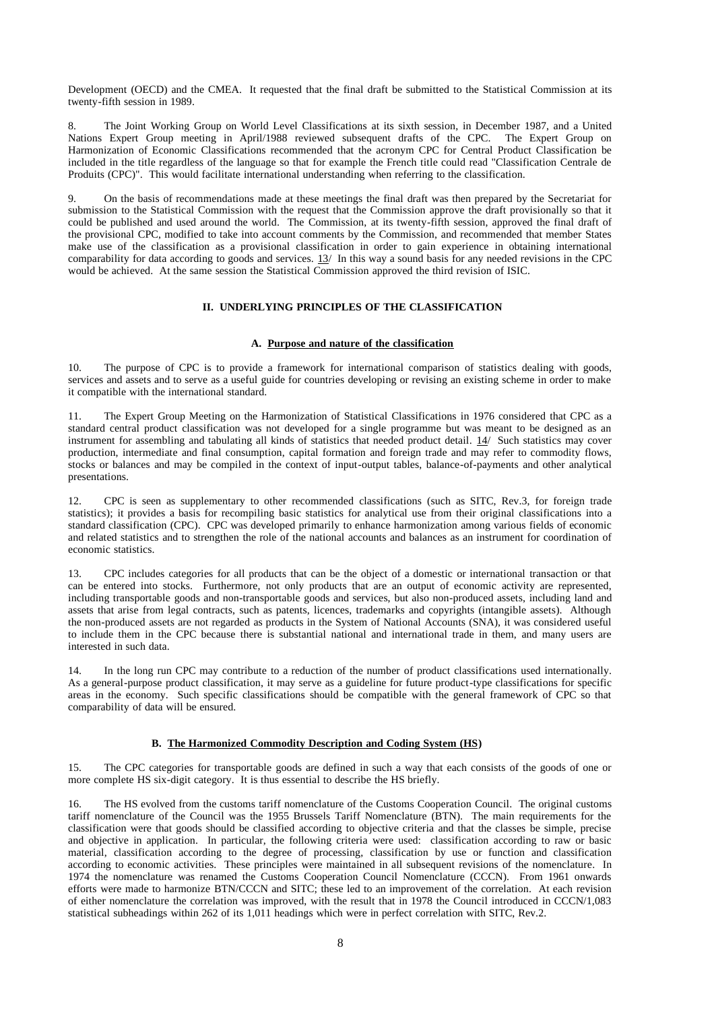Development (OECD) and the CMEA. It requested that the final draft be submitted to the Statistical Commission at its twenty-fifth session in 1989.

8. The Joint Working Group on World Level Classifications at its sixth session, in December 1987, and a United Nations Expert Group meeting in April/1988 reviewed subsequent drafts of the CPC. The Expert Group on Harmonization of Economic Classifications recommended that the acronym CPC for Central Product Classification be included in the title regardless of the language so that for example the French title could read "Classification Centrale de Produits (CPC)". This would facilitate international understanding when referring to the classification.

9. On the basis of recommendations made at these meetings the final draft was then prepared by the Secretariat for submission to the Statistical Commission with the request that the Commission approve the draft provisionally so that it could be published and used around the world. The Commission, at its twenty-fifth session, approved the final draft of the provisional CPC, modified to take into account comments by the Commission, and recommended that member States make use of the classification as a provisional classification in order to gain experience in obtaining international comparability for data according to goods and services. 13/ In this way a sound basis for any needed revisions in the CPC would be achieved. At the same session the Statistical Commission approved the third revision of ISIC.

# **II. UNDERLYING PRINCIPLES OF THE CLASSIFICATION**

# **A. Purpose and nature of the classification**

10. The purpose of CPC is to provide a framework for international comparison of statistics dealing with goods, services and assets and to serve as a useful guide for countries developing or revising an existing scheme in order to make it compatible with the international standard.

11. The Expert Group Meeting on the Harmonization of Statistical Classifications in 1976 considered that CPC as a standard central product classification was not developed for a single programme but was meant to be designed as an instrument for assembling and tabulating all kinds of statistics that needed product detail. 14/ Such statistics may cover production, intermediate and final consumption, capital formation and foreign trade and may refer to commodity flows, stocks or balances and may be compiled in the context of input-output tables, balance-of-payments and other analytical presentations.

12. CPC is seen as supplementary to other recommended classifications (such as SITC, Rev.3, for foreign trade statistics); it provides a basis for recompiling basic statistics for analytical use from their original classifications into a standard classification (CPC). CPC was developed primarily to enhance harmonization among various fields of economic and related statistics and to strengthen the role of the national accounts and balances as an instrument for coordination of economic statistics.

13. CPC includes categories for all products that can be the object of a domestic or international transaction or that can be entered into stocks. Furthermore, not only products that are an output of economic activity are represented, including transportable goods and non-transportable goods and services, but also non-produced assets, including land and assets that arise from legal contracts, such as patents, licences, trademarks and copyrights (intangible assets). Although the non-produced assets are not regarded as products in the System of National Accounts (SNA), it was considered useful to include them in the CPC because there is substantial national and international trade in them, and many users are interested in such data.

14. In the long run CPC may contribute to a reduction of the number of product classifications used internationally. As a general-purpose product classification, it may serve as a guideline for future product-type classifications for specific areas in the economy. Such specific classifications should be compatible with the general framework of CPC so that comparability of data will be ensured.

# **B.** The Harmonized Commodity Description and Coding System (HS)

15. The CPC categories for transportable goods are defined in such a way that each consists of the goods of one or more complete HS six-digit category. It is thus essential to describe the HS briefly.

16. The HS evolved from the customs tariff nomenclature of the Customs Cooperation Council. The original customs tariff nomenclature of the Council was the 1955 Brussels Tariff Nomenclature (BTN). The main requirements for the classification were that goods should be classified according to objective criteria and that the classes be simple, precise and objective in application. In particular, the following criteria were used: classification according to raw or basic material, classification according to the degree of processing, classification by use or function and classification according to economic activities. These principles were maintained in all subsequent revisions of the nomenclature. In 1974 the nomenclature was renamed the Customs Cooperation Council Nomenclature (CCCN). From 1961 onwards efforts were made to harmonize BTN/CCCN and SITC; these led to an improvement of the correlation. At each revision of either nomenclature the correlation was improved, with the result that in 1978 the Council introduced in CCCN/1,083 statistical subheadings within 262 of its 1,011 headings which were in perfect correlation with SITC, Rev.2.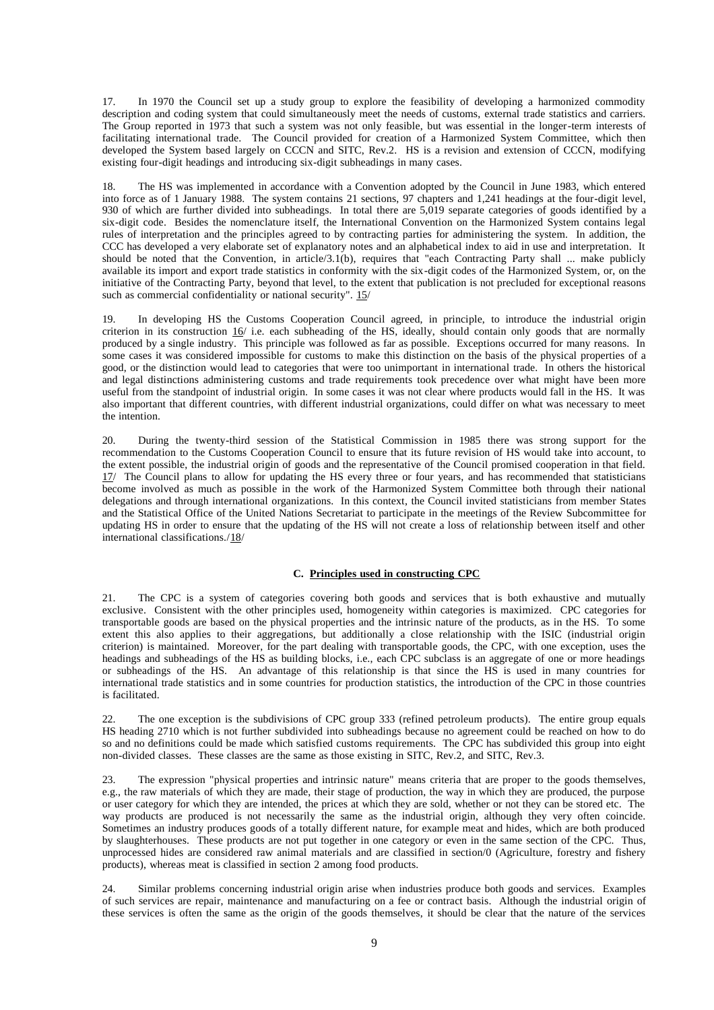17. In 1970 the Council set up a study group to explore the feasibility of developing a harmonized commodity description and coding system that could simultaneously meet the needs of customs, external trade statistics and carriers. The Group reported in 1973 that such a system was not only feasible, but was essential in the longer-term interests of facilitating international trade. The Council provided for creation of a Harmonized System Committee, which then developed the System based largely on CCCN and SITC, Rev.2. HS is a revision and extension of CCCN, modifying existing four-digit headings and introducing six-digit subheadings in many cases.

18. The HS was implemented in accordance with a Convention adopted by the Council in June 1983, which entered into force as of 1 January 1988. The system contains 21 sections, 97 chapters and 1,241 headings at the four-digit level, 930 of which are further divided into subheadings. In total there are 5,019 separate categories of goods identified by a six-digit code. Besides the nomenclature itself, the International Convention on the Harmonized System contains legal rules of interpretation and the principles agreed to by contracting parties for administering the system. In addition, the CCC has developed a very elaborate set of explanatory notes and an alphabetical index to aid in use and interpretation. It should be noted that the Convention, in article/3.1(b), requires that "each Contracting Party shall ... make publicly available its import and export trade statistics in conformity with the six-digit codes of the Harmonized System, or, on the initiative of the Contracting Party, beyond that level, to the extent that publication is not precluded for exceptional reasons such as commercial confidentiality or national security". 15/

19. In developing HS the Customs Cooperation Council agreed, in principle, to introduce the industrial origin criterion in its construction  $16/$  i.e. each subheading of the HS, ideally, should contain only goods that are normally produced by a single industry. This principle was followed as far as possible. Exceptions occurred for many reasons. In some cases it was considered impossible for customs to make this distinction on the basis of the physical properties of a good, or the distinction would lead to categories that were too unimportant in international trade. In others the historical and legal distinctions administering customs and trade requirements took precedence over what might have been more useful from the standpoint of industrial origin. In some cases it was not clear where products would fall in the HS. It was also important that different countries, with different industrial organizations, could differ on what was necessary to meet the intention.

20. During the twenty-third session of the Statistical Commission in 1985 there was strong support for the recommendation to the Customs Cooperation Council to ensure that its future revision of HS would take into account, to the extent possible, the industrial origin of goods and the representative of the Council promised cooperation in that field. 17/ The Council plans to allow for updating the HS every three or four years, and has recommended that statisticians become involved as much as possible in the work of the Harmonized System Committee both through their national delegations and through international organizations. In this context, the Council invited statisticians from member States and the Statistical Office of the United Nations Secretariat to participate in the meetings of the Review Subcommittee for updating HS in order to ensure that the updating of the HS will not create a loss of relationship between itself and other international classifications./18/

# **C. Principles used in constructing CPC**

21. The CPC is a system of categories covering both goods and services that is both exhaustive and mutually exclusive. Consistent with the other principles used, homogeneity within categories is maximized. CPC categories for transportable goods are based on the physical properties and the intrinsic nature of the products, as in the HS. To some extent this also applies to their aggregations, but additionally a close relationship with the ISIC (industrial origin criterion) is maintained. Moreover, for the part dealing with transportable goods, the CPC, with one exception, uses the headings and subheadings of the HS as building blocks, i.e., each CPC subclass is an aggregate of one or more headings or subheadings of the HS. An advantage of this relationship is that since the HS is used in many countries for international trade statistics and in some countries for production statistics, the introduction of the CPC in those countries is facilitated.

22. The one exception is the subdivisions of CPC group 333 (refined petroleum products). The entire group equals HS heading 2710 which is not further subdivided into subheadings because no agreement could be reached on how to do so and no definitions could be made which satisfied customs requirements. The CPC has subdivided this group into eight non-divided classes. These classes are the same as those existing in SITC, Rev.2, and SITC, Rev.3.

23. The expression "physical properties and intrinsic nature" means criteria that are proper to the goods themselves, e.g., the raw materials of which they are made, their stage of production, the way in which they are produced, the purpose or user category for which they are intended, the prices at which they are sold, whether or not they can be stored etc. The way products are produced is not necessarily the same as the industrial origin, although they very often coincide. Sometimes an industry produces goods of a totally different nature, for example meat and hides, which are both produced by slaughterhouses. These products are not put together in one category or even in the same section of the CPC. Thus, unprocessed hides are considered raw animal materials and are classified in section/0 (Agriculture, forestry and fishery products), whereas meat is classified in section 2 among food products.

24. Similar problems concerning industrial origin arise when industries produce both goods and services. Examples of such services are repair, maintenance and manufacturing on a fee or contract basis. Although the industrial origin of these services is often the same as the origin of the goods themselves, it should be clear that the nature of the services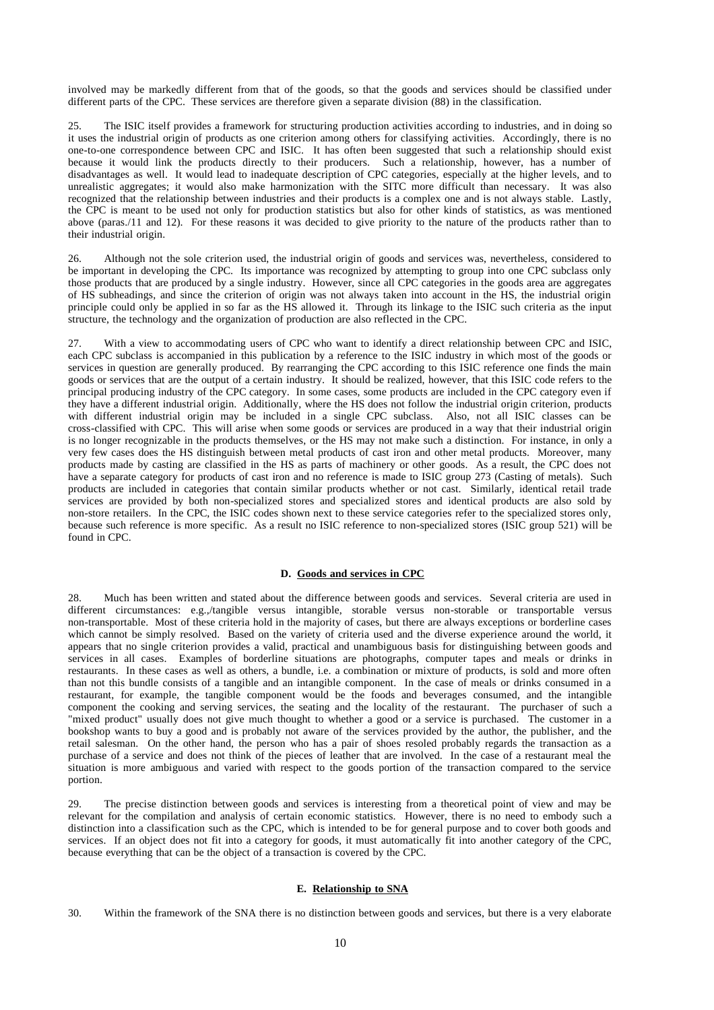involved may be markedly different from that of the goods, so that the goods and services should be classified under different parts of the CPC. These services are therefore given a separate division (88) in the classification.

25. The ISIC itself provides a framework for structuring production activities according to industries, and in doing so it uses the industrial origin of products as one criterion among others for classifying activities. Accordingly, there is no one-to-one correspondence between CPC and ISIC. It has often been suggested that such a relationship should exist because it would link the products directly to their producers. Such a relationship, however, has a number of disadvantages as well. It would lead to inadequate description of CPC categories, especially at the higher levels, and to unrealistic aggregates; it would also make harmonization with the SITC more difficult than necessary. It was also recognized that the relationship between industries and their products is a complex one and is not always stable. Lastly, the CPC is meant to be used not only for production statistics but also for other kinds of statistics, as was mentioned above (paras./11 and 12). For these reasons it was decided to give priority to the nature of the products rather than to their industrial origin.

26. Although not the sole criterion used, the industrial origin of goods and services was, nevertheless, considered to be important in developing the CPC. Its importance was recognized by attempting to group into one CPC subclass only those products that are produced by a single industry. However, since all CPC categories in the goods area are aggregates of HS subheadings, and since the criterion of origin was not always taken into account in the HS, the industrial origin principle could only be applied in so far as the HS allowed it. Through its linkage to the ISIC such criteria as the input structure, the technology and the organization of production are also reflected in the CPC.

27. With a view to accommodating users of CPC who want to identify a direct relationship between CPC and ISIC, each CPC subclass is accompanied in this publication by a reference to the ISIC industry in which most of the goods or services in question are generally produced. By rearranging the CPC according to this ISIC reference one finds the main goods or services that are the output of a certain industry. It should be realized, however, that this ISIC code refers to the principal producing industry of the CPC category. In some cases, some products are included in the CPC category even if they have a different industrial origin. Additionally, where the HS does not follow the industrial origin criterion, products with different industrial origin may be included in a single CPC subclass. Also, not all ISIC classes can be cross-classified with CPC. This will arise when some goods or services are produced in a way that their industrial origin is no longer recognizable in the products themselves, or the HS may not make such a distinction. For instance, in only a very few cases does the HS distinguish between metal products of cast iron and other metal products. Moreover, many products made by casting are classified in the HS as parts of machinery or other goods. As a result, the CPC does not have a separate category for products of cast iron and no reference is made to ISIC group 273 (Casting of metals). Such products are included in categories that contain similar products whether or not cast. Similarly, identical retail trade services are provided by both non-specialized stores and specialized stores and identical products are also sold by non-store retailers. In the CPC, the ISIC codes shown next to these service categories refer to the specialized stores only, because such reference is more specific. As a result no ISIC reference to non-specialized stores (ISIC group 521) will be found in CPC.

# **D. Goods and services in CPC**

28. Much has been written and stated about the difference between goods and services. Several criteria are used in different circumstances: e.g.,/tangible versus intangible, storable versus non-storable or transportable versus non-transportable. Most of these criteria hold in the majority of cases, but there are always exceptions or borderline cases which cannot be simply resolved. Based on the variety of criteria used and the diverse experience around the world, it appears that no single criterion provides a valid, practical and unambiguous basis for distinguishing between goods and services in all cases. Examples of borderline situations are photographs, computer tapes and meals or drinks in restaurants. In these cases as well as others, a bundle, i.e. a combination or mixture of products, is sold and more often than not this bundle consists of a tangible and an intangible component. In the case of meals or drinks consumed in a restaurant, for example, the tangible component would be the foods and beverages consumed, and the intangible component the cooking and serving services, the seating and the locality of the restaurant. The purchaser of such a "mixed product" usually does not give much thought to whether a good or a service is purchased. The customer in a bookshop wants to buy a good and is probably not aware of the services provided by the author, the publisher, and the retail salesman. On the other hand, the person who has a pair of shoes resoled probably regards the transaction as a purchase of a service and does not think of the pieces of leather that are involved. In the case of a restaurant meal the situation is more ambiguous and varied with respect to the goods portion of the transaction compared to the service portion.

29. The precise distinction between goods and services is interesting from a theoretical point of view and may be relevant for the compilation and analysis of certain economic statistics. However, there is no need to embody such a distinction into a classification such as the CPC, which is intended to be for general purpose and to cover both goods and services. If an object does not fit into a category for goods, it must automatically fit into another category of the CPC, because everything that can be the object of a transaction is covered by the CPC.

# **E. Relationship to SNA**

30. Within the framework of the SNA there is no distinction between goods and services, but there is a very elaborate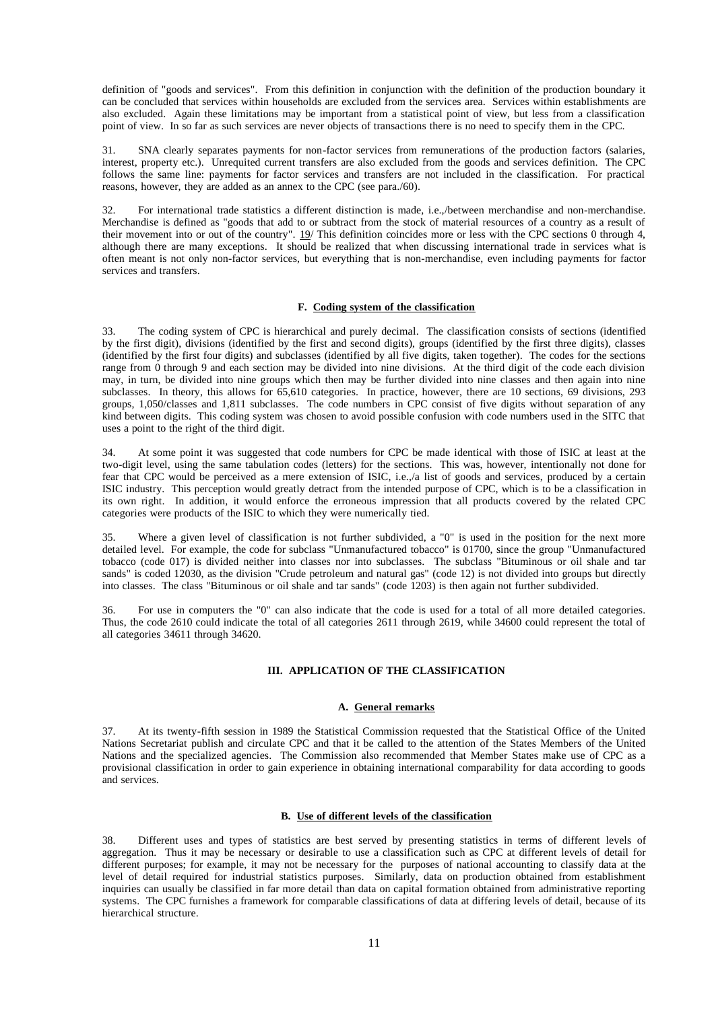definition of "goods and services". From this definition in conjunction with the definition of the production boundary it can be concluded that services within households are excluded from the services area. Services within establishments are also excluded. Again these limitations may be important from a statistical point of view, but less from a classification point of view. In so far as such services are never objects of transactions there is no need to specify them in the CPC.

31. SNA clearly separates payments for non-factor services from remunerations of the production factors (salaries, interest, property etc.). Unrequited current transfers are also excluded from the goods and services definition. The CPC follows the same line: payments for factor services and transfers are not included in the classification. For practical reasons, however, they are added as an annex to the CPC (see para./60).

32. For international trade statistics a different distinction is made, i.e.,/between merchandise and non-merchandise. Merchandise is defined as "goods that add to or subtract from the stock of material resources of a country as a result of their movement into or out of the country". 19/ This definition coincides more or less with the CPC sections 0 through 4, although there are many exceptions. It should be realized that when discussing international trade in services what is often meant is not only non-factor services, but everything that is non-merchandise, even including payments for factor services and transfers.

# **F. Coding system of the classification**

33. The coding system of CPC is hierarchical and purely decimal. The classification consists of sections (identified by the first digit), divisions (identified by the first and second digits), groups (identified by the first three digits), classes (identified by the first four digits) and subclasses (identified by all five digits, taken together). The codes for the sections range from 0 through 9 and each section may be divided into nine divisions. At the third digit of the code each division may, in turn, be divided into nine groups which then may be further divided into nine classes and then again into nine subclasses. In theory, this allows for 65,610 categories. In practice, however, there are 10 sections, 69 divisions, 293 groups, 1,050/classes and 1,811 subclasses. The code numbers in CPC consist of five digits without separation of any kind between digits. This coding system was chosen to avoid possible confusion with code numbers used in the SITC that uses a point to the right of the third digit.

34. At some point it was suggested that code numbers for CPC be made identical with those of ISIC at least at the two-digit level, using the same tabulation codes (letters) for the sections. This was, however, intentionally not done for fear that CPC would be perceived as a mere extension of ISIC, i.e.,/a list of goods and services, produced by a certain ISIC industry. This perception would greatly detract from the intended purpose of CPC, which is to be a classification in its own right. In addition, it would enforce the erroneous impression that all products covered by the related CPC categories were products of the ISIC to which they were numerically tied.

35. Where a given level of classification is not further subdivided, a "0" is used in the position for the next more detailed level. For example, the code for subclass "Unmanufactured tobacco" is 01700, since the group "Unmanufactured tobacco (code 017) is divided neither into classes nor into subclasses. The subclass "Bituminous or oil shale and tar sands" is coded 12030, as the division "Crude petroleum and natural gas" (code 12) is not divided into groups but directly into classes. The class "Bituminous or oil shale and tar sands" (code 1203) is then again not further subdivided.

36. For use in computers the "0" can also indicate that the code is used for a total of all more detailed categories. Thus, the code 2610 could indicate the total of all categories 2611 through 2619, while 34600 could represent the total of all categories 34611 through 34620.

# **III. APPLICATION OF THE CLASSIFICATION**

# **A. General remarks**

37. At its twenty-fifth session in 1989 the Statistical Commission requested that the Statistical Office of the United Nations Secretariat publish and circulate CPC and that it be called to the attention of the States Members of the United Nations and the specialized agencies. The Commission also recommended that Member States make use of CPC as a provisional classification in order to gain experience in obtaining international comparability for data according to goods and services.

# **B. Use of different levels of the classification**

38. Different uses and types of statistics are best served by presenting statistics in terms of different levels of aggregation. Thus it may be necessary or desirable to use a classification such as CPC at different levels of detail for different purposes; for example, it may not be necessary for the purposes of national accounting to classify data at the level of detail required for industrial statistics purposes. Similarly, data on production obtained from establishment inquiries can usually be classified in far more detail than data on capital formation obtained from administrative reporting systems. The CPC furnishes a framework for comparable classifications of data at differing levels of detail, because of its hierarchical structure.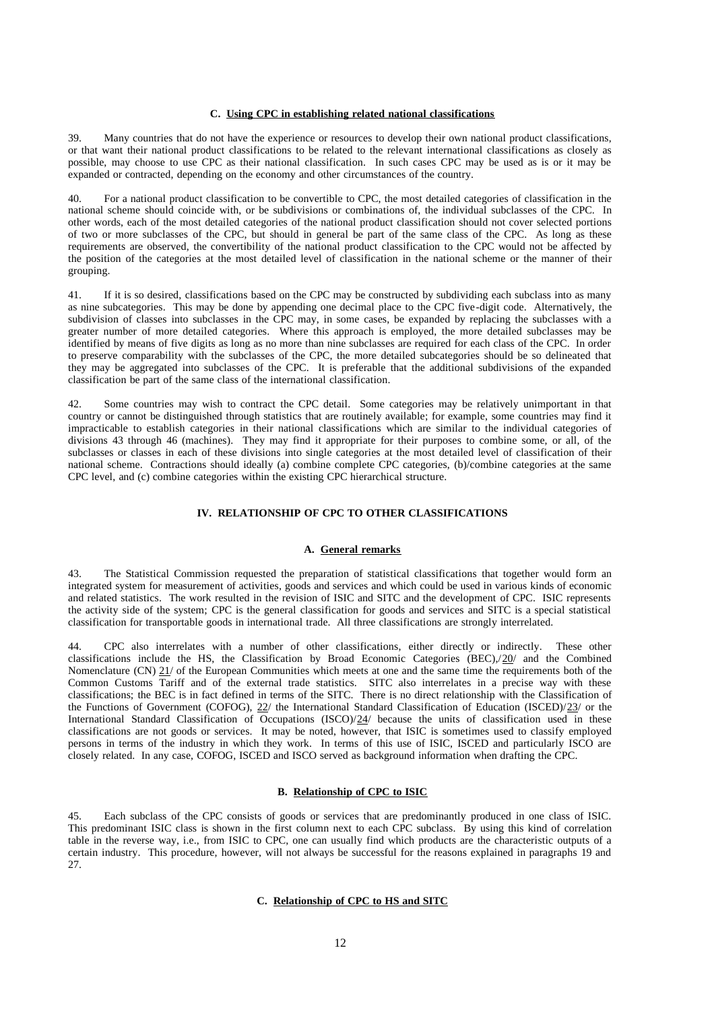# **C. Using CPC in establishing related national classifications**

39. Many countries that do not have the experience or resources to develop their own national product classifications, or that want their national product classifications to be related to the relevant international classifications as closely as possible, may choose to use CPC as their national classification. In such cases CPC may be used as is or it may be expanded or contracted, depending on the economy and other circumstances of the country.

40. For a national product classification to be convertible to CPC, the most detailed categories of classification in the national scheme should coincide with, or be subdivisions or combinations of, the individual subclasses of the CPC. In other words, each of the most detailed categories of the national product classification should not cover selected portions of two or more subclasses of the CPC, but should in general be part of the same class of the CPC. As long as these requirements are observed, the convertibility of the national product classification to the CPC would not be affected by the position of the categories at the most detailed level of classification in the national scheme or the manner of their grouping.

41. If it is so desired, classifications based on the CPC may be constructed by subdividing each subclass into as many as nine subcategories. This may be done by appending one decimal place to the CPC five-digit code. Alternatively, the subdivision of classes into subclasses in the CPC may, in some cases, be expanded by replacing the subclasses with a greater number of more detailed categories. Where this approach is employed, the more detailed subclasses may be identified by means of five digits as long as no more than nine subclasses are required for each class of the CPC. In order to preserve comparability with the subclasses of the CPC, the more detailed subcategories should be so delineated that they may be aggregated into subclasses of the CPC. It is preferable that the additional subdivisions of the expanded classification be part of the same class of the international classification.

42. Some countries may wish to contract the CPC detail. Some categories may be relatively unimportant in that country or cannot be distinguished through statistics that are routinely available; for example, some countries may find it impracticable to establish categories in their national classifications which are similar to the individual categories of divisions 43 through 46 (machines). They may find it appropriate for their purposes to combine some, or all, of the subclasses or classes in each of these divisions into single categories at the most detailed level of classification of their national scheme. Contractions should ideally (a) combine complete CPC categories, (b)/combine categories at the same CPC level, and (c) combine categories within the existing CPC hierarchical structure.

# **IV. RELATIONSHIP OF CPC TO OTHER CLASSIFICATIONS**

# **A. General remarks**

43. The Statistical Commission requested the preparation of statistical classifications that together would form an integrated system for measurement of activities, goods and services and which could be used in various kinds of economic and related statistics. The work resulted in the revision of ISIC and SITC and the development of CPC. ISIC represents the activity side of the system; CPC is the general classification for goods and services and SITC is a special statistical classification for transportable goods in international trade. All three classifications are strongly interrelated.

44. CPC also interrelates with a number of other classifications, either directly or indirectly. These other classifications include the HS, the Classification by Broad Economic Categories (BEC),/20/ and the Combined Nomenclature (CN) 21/ of the European Communities which meets at one and the same time the requirements both of the Common Customs Tariff and of the external trade statistics. SITC also interrelates in a precise way with these classifications; the BEC is in fact defined in terms of the SITC. There is no direct relationship with the Classification of the Functions of Government (COFOG), 22/ the International Standard Classification of Education (ISCED)/23/ or the International Standard Classification of Occupations (ISCO)/24/ because the units of classification used in these classifications are not goods or services. It may be noted, however, that ISIC is sometimes used to classify employed persons in terms of the industry in which they work. In terms of this use of ISIC, ISCED and particularly ISCO are closely related. In any case, COFOG, ISCED and ISCO served as background information when drafting the CPC.

# **B. Relationship of CPC to ISIC**

45. Each subclass of the CPC consists of goods or services that are predominantly produced in one class of ISIC. This predominant ISIC class is shown in the first column next to each CPC subclass. By using this kind of correlation table in the reverse way, i.e., from ISIC to CPC, one can usually find which products are the characteristic outputs of a certain industry. This procedure, however, will not always be successful for the reasons explained in paragraphs 19 and 27.

#### **C. Relationship of CPC to HS and SITC**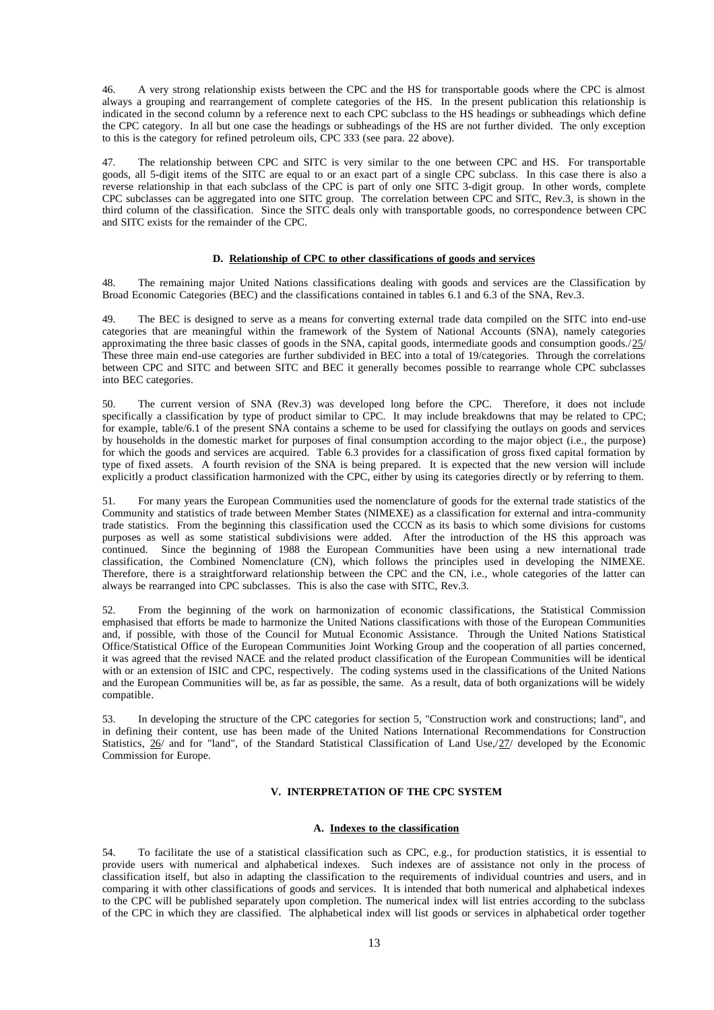46. A very strong relationship exists between the CPC and the HS for transportable goods where the CPC is almost always a grouping and rearrangement of complete categories of the HS. In the present publication this relationship is indicated in the second column by a reference next to each CPC subclass to the HS headings or subheadings which define the CPC category. In all but one case the headings or subheadings of the HS are not further divided. The only exception to this is the category for refined petroleum oils, CPC 333 (see para. 22 above).

47. The relationship between CPC and SITC is very similar to the one between CPC and HS. For transportable goods, all 5-digit items of the SITC are equal to or an exact part of a single CPC subclass. In this case there is also a reverse relationship in that each subclass of the CPC is part of only one SITC 3-digit group. In other words, complete CPC subclasses can be aggregated into one SITC group. The correlation between CPC and SITC, Rev.3, is shown in the third column of the classification. Since the SITC deals only with transportable goods, no correspondence between CPC and SITC exists for the remainder of the CPC.

# **D. Relationship of CPC to other classifications of goods and services**

48. The remaining major United Nations classifications dealing with goods and services are the Classification by Broad Economic Categories (BEC) and the classifications contained in tables 6.1 and 6.3 of the SNA, Rev.3.

49. The BEC is designed to serve as a means for converting external trade data compiled on the SITC into end-use categories that are meaningful within the framework of the System of National Accounts (SNA), namely categories approximating the three basic classes of goods in the SNA, capital goods, intermediate goods and consumption goods./25/ These three main end-use categories are further subdivided in BEC into a total of 19/categories. Through the correlations between CPC and SITC and between SITC and BEC it generally becomes possible to rearrange whole CPC subclasses into BEC categories.

50. The current version of SNA (Rev.3) was developed long before the CPC. Therefore, it does not include specifically a classification by type of product similar to CPC. It may include breakdowns that may be related to CPC; for example, table/6.1 of the present SNA contains a scheme to be used for classifying the outlays on goods and services by households in the domestic market for purposes of final consumption according to the major object (i.e., the purpose) for which the goods and services are acquired. Table 6.3 provides for a classification of gross fixed capital formation by type of fixed assets. A fourth revision of the SNA is being prepared. It is expected that the new version will include explicitly a product classification harmonized with the CPC, either by using its categories directly or by referring to them.

51. For many years the European Communities used the nomenclature of goods for the external trade statistics of the Community and statistics of trade between Member States (NIMEXE) as a classification for external and intra-community trade statistics. From the beginning this classification used the CCCN as its basis to which some divisions for customs purposes as well as some statistical subdivisions were added. After the introduction of the HS this approach was continued. Since the beginning of 1988 the European Communities have been using a new international trade classification, the Combined Nomenclature (CN), which follows the principles used in developing the NIMEXE. Therefore, there is a straightforward relationship between the CPC and the CN, i.e., whole categories of the latter can always be rearranged into CPC subclasses. This is also the case with SITC, Rev.3.

52. From the beginning of the work on harmonization of economic classifications, the Statistical Commission emphasised that efforts be made to harmonize the United Nations classifications with those of the European Communities and, if possible, with those of the Council for Mutual Economic Assistance. Through the United Nations Statistical Office/Statistical Office of the European Communities Joint Working Group and the cooperation of all parties concerned, it was agreed that the revised NACE and the related product classification of the European Communities will be identical with or an extension of ISIC and CPC, respectively. The coding systems used in the classifications of the United Nations and the European Communities will be, as far as possible, the same. As a result, data of both organizations will be widely compatible.

53. In developing the structure of the CPC categories for section 5, "Construction work and constructions; land", and in defining their content, use has been made of the United Nations International Recommendations for Construction Statistics, 26/ and for "land", of the Standard Statistical Classification of Land Use,/27/ developed by the Economic Commission for Europe.

# **V. INTERPRETATION OF THE CPC SYSTEM**

# **A. Indexes to the classification**

54. To facilitate the use of a statistical classification such as CPC, e.g., for production statistics, it is essential to provide users with numerical and alphabetical indexes. Such indexes are of assistance not only in the process of classification itself, but also in adapting the classification to the requirements of individual countries and users, and in comparing it with other classifications of goods and services. It is intended that both numerical and alphabetical indexes to the CPC will be published separately upon completion. The numerical index will list entries according to the subclass of the CPC in which they are classified. The alphabetical index will list goods or services in alphabetical order together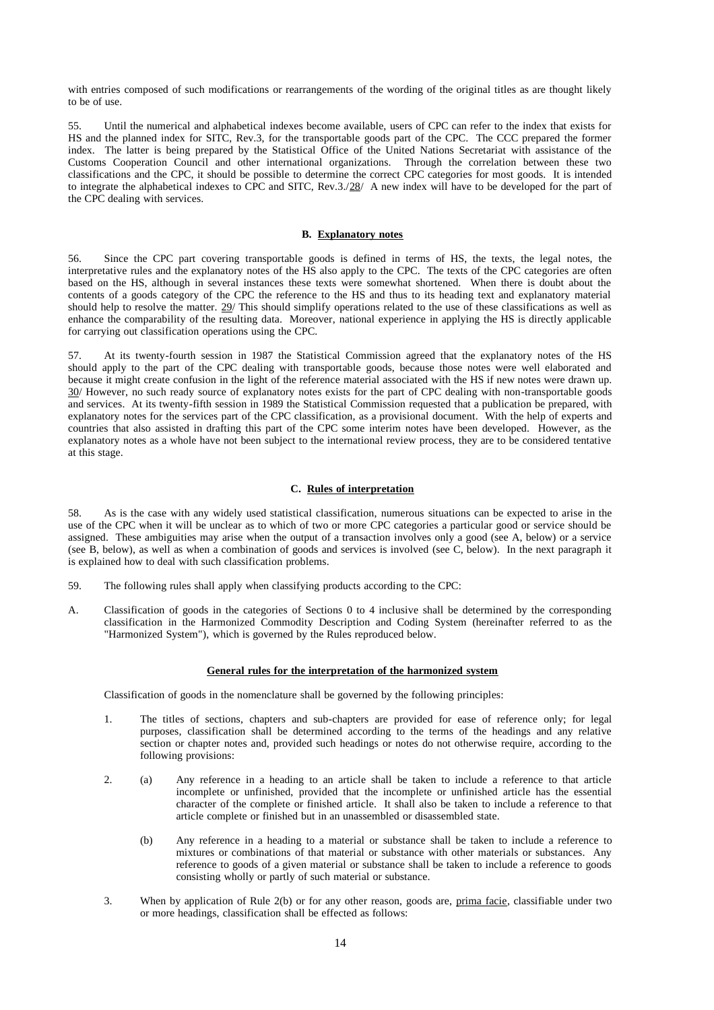with entries composed of such modifications or rearrangements of the wording of the original titles as are thought likely to be of use.

55. Until the numerical and alphabetical indexes become available, users of CPC can refer to the index that exists for HS and the planned index for SITC, Rev.3, for the transportable goods part of the CPC. The CCC prepared the former index. The latter is being prepared by the Statistical Office of the United Nations Secretariat with assistance of the Customs Cooperation Council and other international organizations. Through the correlation between these two classifications and the CPC, it should be possible to determine the correct CPC categories for most goods. It is intended to integrate the alphabetical indexes to CPC and SITC, Rev.3./28/ A new index will have to be developed for the part of the CPC dealing with services.

# **B. Explanatory notes**

56. Since the CPC part covering transportable goods is defined in terms of HS, the texts, the legal notes, the interpretative rules and the explanatory notes of the HS also apply to the CPC. The texts of the CPC categories are often based on the HS, although in several instances these texts were somewhat shortened. When there is doubt about the contents of a goods category of the CPC the reference to the HS and thus to its heading text and explanatory material should help to resolve the matter. 29/ This should simplify operations related to the use of these classifications as well as enhance the comparability of the resulting data. Moreover, national experience in applying the HS is directly applicable for carrying out classification operations using the CPC.

57. At its twenty-fourth session in 1987 the Statistical Commission agreed that the explanatory notes of the HS should apply to the part of the CPC dealing with transportable goods, because those notes were well elaborated and because it might create confusion in the light of the reference material associated with the HS if new notes were drawn up. 30/ However, no such ready source of explanatory notes exists for the part of CPC dealing with non-transportable goods and services. At its twenty-fifth session in 1989 the Statistical Commission requested that a publication be prepared, with explanatory notes for the services part of the CPC classification, as a provisional document. With the help of experts and countries that also assisted in drafting this part of the CPC some interim notes have been developed. However, as the explanatory notes as a whole have not been subject to the international review process, they are to be considered tentative at this stage.

# **C. Rules of interpretation**

58. As is the case with any widely used statistical classification, numerous situations can be expected to arise in the use of the CPC when it will be unclear as to which of two or more CPC categories a particular good or service should be assigned. These ambiguities may arise when the output of a transaction involves only a good (see A, below) or a service (see B, below), as well as when a combination of goods and services is involved (see C, below). In the next paragraph it is explained how to deal with such classification problems.

- 59. The following rules shall apply when classifying products according to the CPC:
- A. Classification of goods in the categories of Sections 0 to 4 inclusive shall be determined by the corresponding classification in the Harmonized Commodity Description and Coding System (hereinafter referred to as the "Harmonized System"), which is governed by the Rules reproduced below.

# **General rules for the interpretation of the harmonized system**

Classification of goods in the nomenclature shall be governed by the following principles:

- 1. The titles of sections, chapters and sub-chapters are provided for ease of reference only; for legal purposes, classification shall be determined according to the terms of the headings and any relative section or chapter notes and, provided such headings or notes do not otherwise require, according to the following provisions:
- 2. (a) Any reference in a heading to an article shall be taken to include a reference to that article incomplete or unfinished, provided that the incomplete or unfinished article has the essential character of the complete or finished article. It shall also be taken to include a reference to that article complete or finished but in an unassembled or disassembled state.
	- (b) Any reference in a heading to a material or substance shall be taken to include a reference to mixtures or combinations of that material or substance with other materials or substances. Any reference to goods of a given material or substance shall be taken to include a reference to goods consisting wholly or partly of such material or substance.
- 3. When by application of Rule 2(b) or for any other reason, goods are, prima facie, classifiable under two or more headings, classification shall be effected as follows: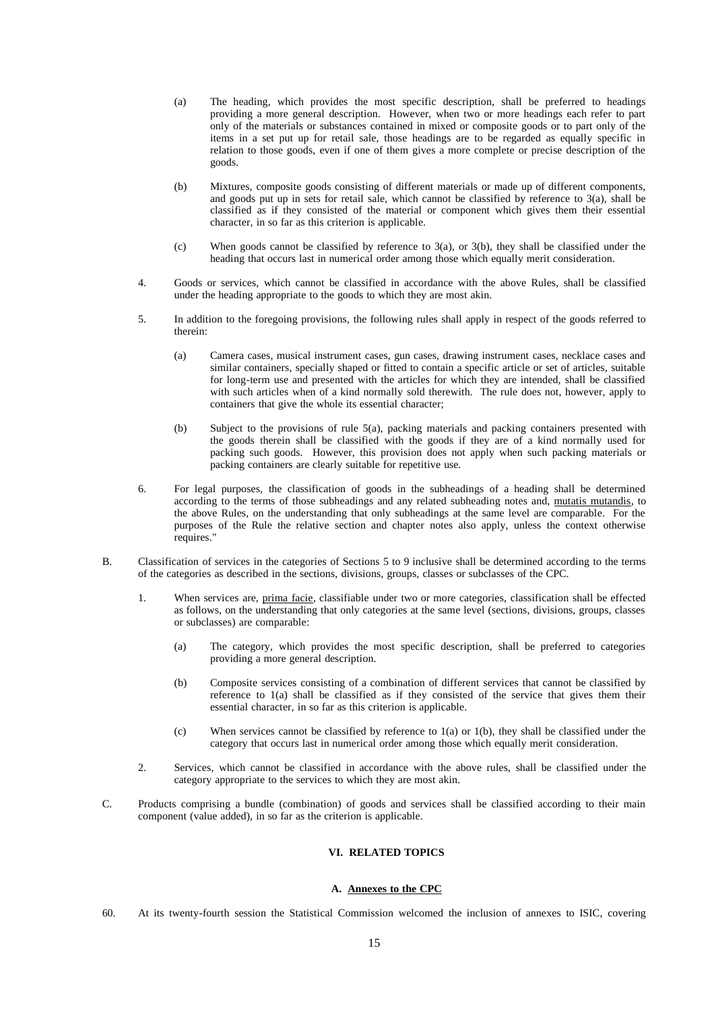- (a) The heading, which provides the most specific description, shall be preferred to headings providing a more general description. However, when two or more headings each refer to part only of the materials or substances contained in mixed or composite goods or to part only of the items in a set put up for retail sale, those headings are to be regarded as equally specific in relation to those goods, even if one of them gives a more complete or precise description of the goods.
- (b) Mixtures, composite goods consisting of different materials or made up of different components, and goods put up in sets for retail sale, which cannot be classified by reference to 3(a), shall be classified as if they consisted of the material or component which gives them their essential character, in so far as this criterion is applicable.
- (c) When goods cannot be classified by reference to 3(a), or 3(b), they shall be classified under the heading that occurs last in numerical order among those which equally merit consideration.
- 4. Goods or services, which cannot be classified in accordance with the above Rules, shall be classified under the heading appropriate to the goods to which they are most akin.
- 5. In addition to the foregoing provisions, the following rules shall apply in respect of the goods referred to therein:
	- (a) Camera cases, musical instrument cases, gun cases, drawing instrument cases, necklace cases and similar containers, specially shaped or fitted to contain a specific article or set of articles, suitable for long-term use and presented with the articles for which they are intended, shall be classified with such articles when of a kind normally sold therewith. The rule does not, however, apply to containers that give the whole its essential character;
	- (b) Subject to the provisions of rule 5(a), packing materials and packing containers presented with the goods therein shall be classified with the goods if they are of a kind normally used for packing such goods. However, this provision does not apply when such packing materials or packing containers are clearly suitable for repetitive use.
- 6. For legal purposes, the classification of goods in the subheadings of a heading shall be determined according to the terms of those subheadings and any related subheading notes and, mutatis mutandis, to the above Rules, on the understanding that only subheadings at the same level are comparable. For the purposes of the Rule the relative section and chapter notes also apply, unless the context otherwise requires."
- B. Classification of services in the categories of Sections 5 to 9 inclusive shall be determined according to the terms of the categories as described in the sections, divisions, groups, classes or subclasses of the CPC.
	- 1. When services are, prima facie, classifiable under two or more categories, classification shall be effected as follows, on the understanding that only categories at the same level (sections, divisions, groups, classes or subclasses) are comparable:
		- (a) The category, which provides the most specific description, shall be preferred to categories providing a more general description.
		- (b) Composite services consisting of a combination of different services that cannot be classified by reference to 1(a) shall be classified as if they consisted of the service that gives them their essential character, in so far as this criterion is applicable.
		- (c) When services cannot be classified by reference to 1(a) or 1(b), they shall be classified under the category that occurs last in numerical order among those which equally merit consideration.
	- 2. Services, which cannot be classified in accordance with the above rules, shall be classified under the category appropriate to the services to which they are most akin.
- C. Products comprising a bundle (combination) of goods and services shall be classified according to their main component (value added), in so far as the criterion is applicable.

# **VI. RELATED TOPICS**

# **A. Annexes to the CPC**

60. At its twenty-fourth session the Statistical Commission welcomed the inclusion of annexes to ISIC, covering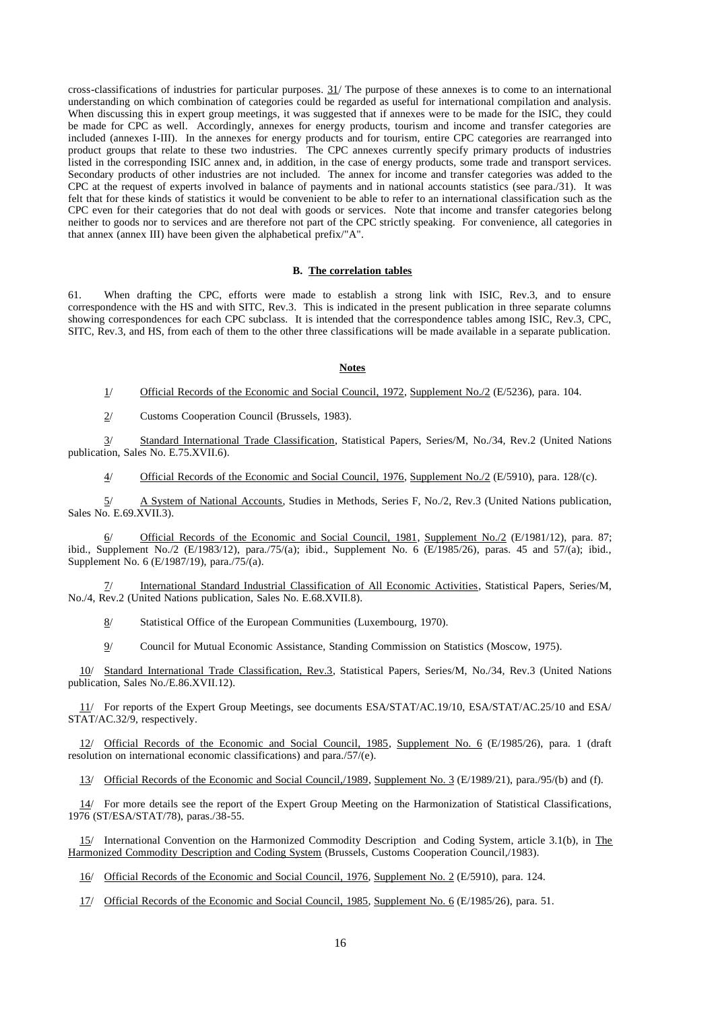cross-classifications of industries for particular purposes. 31/ The purpose of these annexes is to come to an international understanding on which combination of categories could be regarded as useful for international compilation and analysis. When discussing this in expert group meetings, it was suggested that if annexes were to be made for the ISIC, they could be made for CPC as well. Accordingly, annexes for energy products, tourism and income and transfer categories are included (annexes I-III). In the annexes for energy products and for tourism, entire CPC categories are rearranged into product groups that relate to these two industries. The CPC annexes currently specify primary products of industries listed in the corresponding ISIC annex and, in addition, in the case of energy products, some trade and transport services. Secondary products of other industries are not included. The annex for income and transfer categories was added to the CPC at the request of experts involved in balance of payments and in national accounts statistics (see para./31). It was felt that for these kinds of statistics it would be convenient to be able to refer to an international classification such as the CPC even for their categories that do not deal with goods or services. Note that income and transfer categories belong neither to goods nor to services and are therefore not part of the CPC strictly speaking. For convenience, all categories in that annex (annex III) have been given the alphabetical prefix/"A".

# **B. The correlation tables**

61. When drafting the CPC, efforts were made to establish a strong link with ISIC, Rev.3, and to ensure correspondence with the HS and with SITC, Rev.3. This is indicated in the present publication in three separate columns showing correspondences for each CPC subclass. It is intended that the correspondence tables among ISIC, Rev.3, CPC, SITC, Rev.3, and HS, from each of them to the other three classifications will be made available in a separate publication.

#### **Notes**

1/ Official Records of the Economic and Social Council, 1972, Supplement No./2 (E/5236), para. 104.

2/ Customs Cooperation Council (Brussels, 1983).

3/ Standard International Trade Classification, Statistical Papers, Series/M, No./34, Rev.2 (United Nations publication, Sales No. E.75.XVII.6).

4/ Official Records of the Economic and Social Council, 1976, Supplement No./2 (E/5910), para. 128/(c).

5/ A System of National Accounts, Studies in Methods, Series F, No./2, Rev.3 (United Nations publication, Sales No. E.69.XVII.3).

Official Records of the Economic and Social Council, 1981, Supplement No./2 (E/1981/12), para. 87; ibid., Supplement No./2 (E/1983/12), para./75/(a); ibid., Supplement No. 6 (E/1985/26), paras. 45 and 57/(a); ibid., Supplement No. 6 (E/1987/19), para./75/(a).

7/ International Standard Industrial Classification of All Economic Activities, Statistical Papers, Series/M, No./4, Rev.2 (United Nations publication, Sales No. E.68.XVII.8).

8/ Statistical Office of the European Communities (Luxembourg, 1970).

9/ Council for Mutual Economic Assistance, Standing Commission on Statistics (Moscow, 1975).

 10/ Standard International Trade Classification, Rev.3, Statistical Papers, Series/M, No./34, Rev.3 (United Nations publication, Sales No./E.86.XVII.12).

 11/ For reports of the Expert Group Meetings, see documents ESA/STAT/AC.19/10, ESA/STAT/AC.25/10 and ESA/ STAT/AC.32/9, respectively.

 12/ Official Records of the Economic and Social Council, 1985, Supplement No. 6 (E/1985/26), para. 1 (draft resolution on international economic classifications) and para./57/(e).

13/ Official Records of the Economic and Social Council,/1989, Supplement No. 3 (E/1989/21), para./95/(b) and (f).

 14/ For more details see the report of the Expert Group Meeting on the Harmonization of Statistical Classifications, 1976 (ST/ESA/STAT/78), paras./38-55.

 15/ International Convention on the Harmonized Commodity Description and Coding System, article 3.1(b), in The Harmonized Commodity Description and Coding System (Brussels, Customs Cooperation Council,/1983).

16/ Official Records of the Economic and Social Council, 1976, Supplement No. 2 (E/5910), para. 124.

17/ Official Records of the Economic and Social Council, 1985, Supplement No. 6 (E/1985/26), para. 51.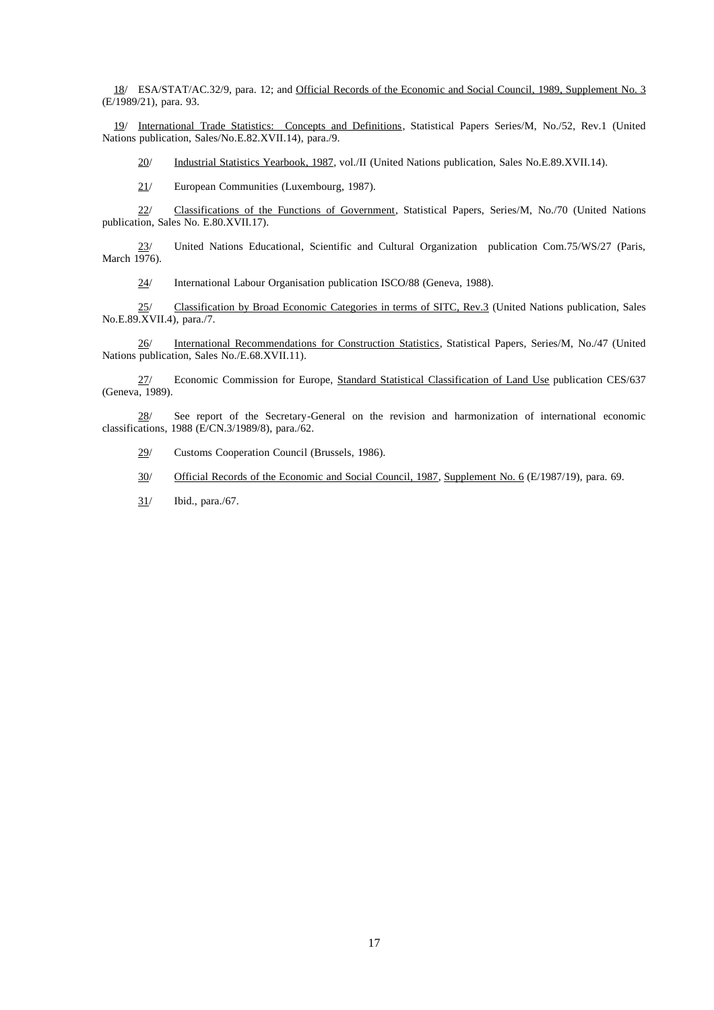18/ ESA/STAT/AC.32/9, para. 12; and Official Records of the Economic and Social Council, 1989, Supplement No. 3 (E/1989/21), para. 93.

 19/ International Trade Statistics: Concepts and Definitions, Statistical Papers Series/M, No./52, Rev.1 (United Nations publication, Sales/No.E.82.XVII.14), para./9.

20/ Industrial Statistics Yearbook, 1987, vol./II (United Nations publication, Sales No.E.89.XVII.14).

21/ European Communities (Luxembourg, 1987).

22/ Classifications of the Functions of Government, Statistical Papers, Series/M, No./70 (United Nations publication, Sales No. E.80.XVII.17).

23/ United Nations Educational, Scientific and Cultural Organization publication Com.75/WS/27 (Paris, March  $1976$ ).

24/ International Labour Organisation publication ISCO/88 (Geneva, 1988).

25/ Classification by Broad Economic Categories in terms of SITC, Rev.3 (United Nations publication, Sales No.E.89.XVII.4), para./7.

26/ International Recommendations for Construction Statistics, Statistical Papers, Series/M, No./47 (United Nations publication, Sales No./E.68.XVII.11).

27/ Economic Commission for Europe, Standard Statistical Classification of Land Use publication CES/637  $\frac{27}{27}$  (Geneva, 1989).

28/ See report of the Secretary-General on the revision and harmonization of international economic classifications, 1988 (E/CN.3/1989/8), para./62.

29/ Customs Cooperation Council (Brussels, 1986).

30/ Official Records of the Economic and Social Council, 1987, Supplement No. 6 (E/1987/19), para. 69.

31/ Ibid., para./67.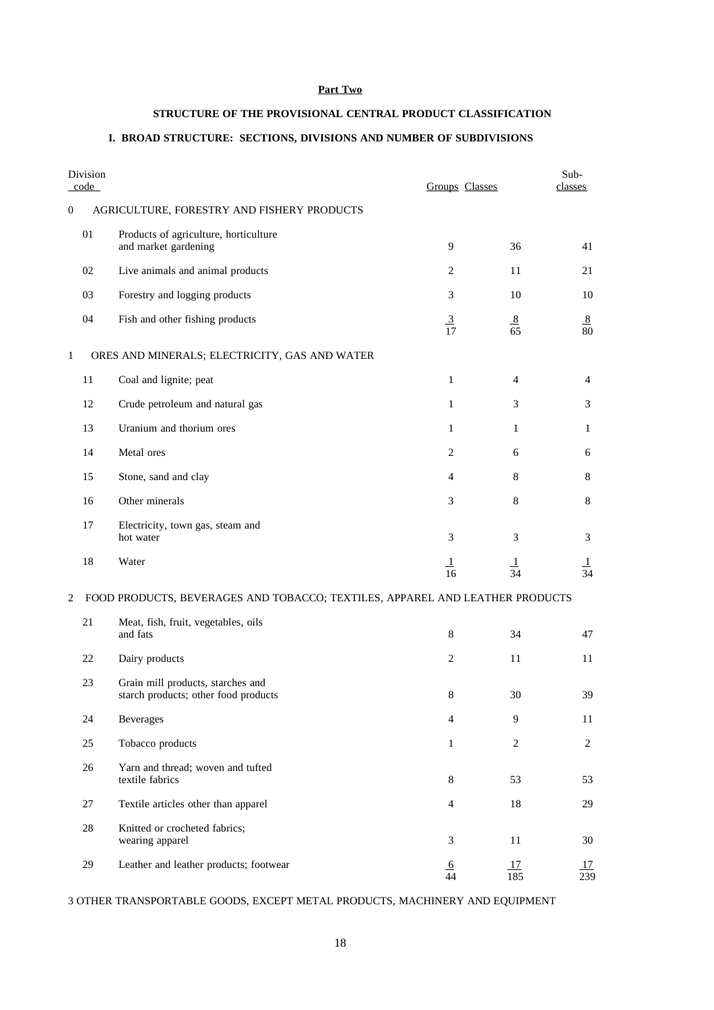# **Part Two**

# **STRUCTURE OF THE PROVISIONAL CENTRAL PRODUCT CLASSIFICATION**

# **I. BROAD STRUCTURE: SECTIONS, DIVISIONS AND NUMBER OF SUBDIVISIONS**

| Division<br>code |    | Groups Classes                                                               |                       |                      |                |  |  |
|------------------|----|------------------------------------------------------------------------------|-----------------------|----------------------|----------------|--|--|
| $\mathbf{0}$     |    | AGRICULTURE, FORESTRY AND FISHERY PRODUCTS                                   |                       |                      |                |  |  |
|                  | 01 | Products of agriculture, horticulture<br>and market gardening                | $\boldsymbol{9}$      | 36                   | 41             |  |  |
|                  | 02 | Live animals and animal products                                             | 2                     | 11                   | 21             |  |  |
|                  | 03 | Forestry and logging products                                                | 3                     | 10                   | 10             |  |  |
|                  | 04 | Fish and other fishing products                                              | $\overline{3}$<br>17  | $\overline{8}$<br>65 | 8<br>80        |  |  |
| $\mathbf{1}$     |    | ORES AND MINERALS; ELECTRICITY, GAS AND WATER                                |                       |                      |                |  |  |
|                  | 11 | Coal and lignite; peat                                                       | $\mathbf{1}$          | 4                    | 4              |  |  |
|                  | 12 | Crude petroleum and natural gas                                              | $\mathbf{1}$          | 3                    | 3              |  |  |
|                  | 13 | Uranium and thorium ores                                                     | $\mathbf{1}$          | $\mathbf{1}$         | $\mathbf{1}$   |  |  |
|                  | 14 | Metal ores                                                                   | 2                     | 6                    | 6              |  |  |
|                  | 15 | Stone, sand and clay                                                         | 4                     | 8                    | 8              |  |  |
|                  | 16 | Other minerals                                                               | 3                     | 8                    | 8              |  |  |
|                  | 17 | Electricity, town gas, steam and<br>hot water                                | 3                     | 3                    | 3              |  |  |
|                  | 18 | Water                                                                        | $\perp$<br>16         | $\perp$<br>34        | $\perp$<br>34  |  |  |
| 2                |    | FOOD PRODUCTS, BEVERAGES AND TOBACCO; TEXTILES, APPAREL AND LEATHER PRODUCTS |                       |                      |                |  |  |
|                  | 21 | Meat, fish, fruit, vegetables, oils<br>and fats                              | 8                     | 34                   | 47             |  |  |
|                  | 22 | Dairy products                                                               | 2                     | 11                   | 11             |  |  |
|                  | 23 | Grain mill products, starches and<br>starch products; other food products    | 8                     | 30                   | 39             |  |  |
|                  | 24 | <b>Beverages</b>                                                             | $\overline{4}$        | 9                    | $11\,$         |  |  |
|                  | 25 | Tobacco products                                                             | $\mathbf{1}$          | $\overline{2}$       | $\overline{2}$ |  |  |
|                  | 26 | Yarn and thread; woven and tufted<br>textile fabrics                         | 8                     | 53                   | 53             |  |  |
|                  | 27 | Textile articles other than apparel                                          | $\overline{4}$        | 18                   | 29             |  |  |
|                  | 28 | Knitted or crocheted fabrics;<br>wearing apparel                             | 3                     | 11                   | 30             |  |  |
|                  | 29 | Leather and leather products; footwear                                       | $6\overline{6}$<br>44 | 17<br>185            | 17<br>239      |  |  |

# 3 OTHER TRANSPORTABLE GOODS, EXCEPT METAL PRODUCTS, MACHINERY AND EQUIPMENT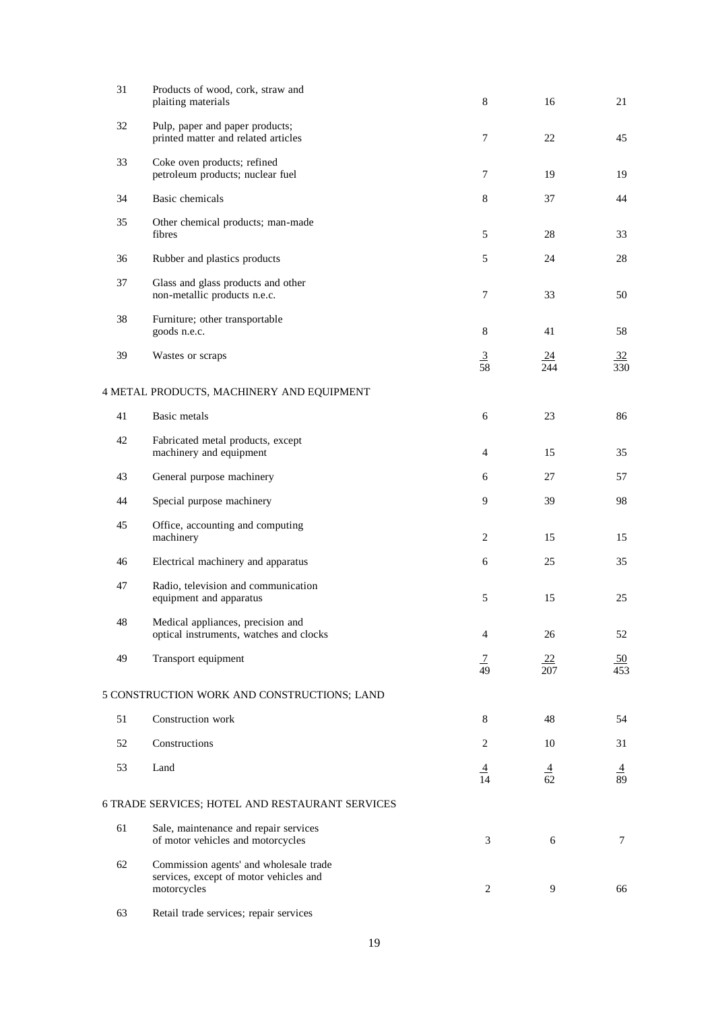| Products of wood, cork, straw and<br>plaiting materials                          | 8                     | 16                     | 21                   |
|----------------------------------------------------------------------------------|-----------------------|------------------------|----------------------|
| Pulp, paper and paper products;<br>printed matter and related articles           | 7                     | 22                     | 45                   |
| Coke oven products; refined<br>petroleum products; nuclear fuel                  | 7                     | 19                     | 19                   |
| Basic chemicals                                                                  | 8                     | 37                     | 44                   |
| Other chemical products; man-made                                                |                       |                        | 33                   |
| Rubber and plastics products                                                     | 5                     | 24                     | 28                   |
| Glass and glass products and other<br>non-metallic products n.e.c.               | 7                     | 33                     | 50                   |
| Furniture; other transportable<br>goods n.e.c.                                   | 8                     | 41                     | 58                   |
| Wastes or scraps                                                                 | $\overline{3}$        | 24                     | 32<br>330            |
| 4 METAL PRODUCTS, MACHINERY AND EQUIPMENT                                        |                       |                        |                      |
| <b>Basic</b> metals                                                              | 6                     | 23                     | 86                   |
| Fabricated metal products, except<br>machinery and equipment                     | $\overline{4}$        | 15                     | 35                   |
| General purpose machinery                                                        | 6                     | 27                     | 57                   |
| Special purpose machinery                                                        | 9                     | 39                     | 98                   |
| Office, accounting and computing<br>machinery                                    | $\overline{2}$        | 15                     | 15                   |
| Electrical machinery and apparatus                                               | 6                     | 25                     | 35                   |
| Radio, television and communication<br>equipment and apparatus                   | 5                     | 15                     | 25                   |
| Medical appliances, precision and<br>optical instruments, watches and clocks     | $\overline{4}$        | 26                     | 52                   |
| Transport equipment                                                              | $\frac{7}{2}$<br>49   | $\overline{22}$<br>207 | 50<br>453            |
| 5 CONSTRUCTION WORK AND CONSTRUCTIONS; LAND                                      |                       |                        |                      |
| Construction work                                                                | 8                     | 48                     | 54                   |
| Constructions                                                                    | 2                     | 10                     | 31                   |
| Land                                                                             | $\overline{4}$<br>14  | $\overline{4}$<br>62   | $\overline{4}$<br>89 |
| 6 TRADE SERVICES; HOTEL AND RESTAURANT SERVICES                                  |                       |                        |                      |
| Sale, maintenance and repair services<br>of motor vehicles and motorcycles       | 3                     | 6                      | 7                    |
| Commission agents' and wholesale trade<br>services, except of motor vehicles and |                       |                        | 66                   |
| Retail trade services; repair services                                           |                       |                        |                      |
|                                                                                  | fibres<br>motorcycles | 5<br>58<br>2           | 28<br>244<br>9       |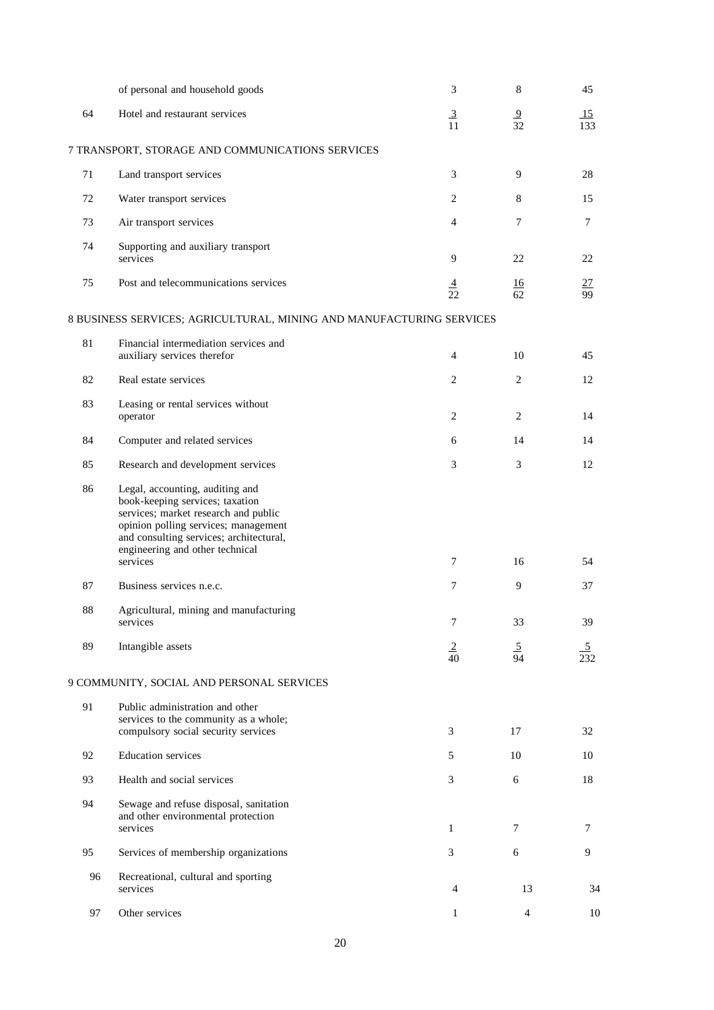|    | of personal and household goods                                                                                                                                                                                                  | 3                    | 8                    | 45                    |
|----|----------------------------------------------------------------------------------------------------------------------------------------------------------------------------------------------------------------------------------|----------------------|----------------------|-----------------------|
| 64 | Hotel and restaurant services                                                                                                                                                                                                    | $\overline{3}$<br>11 | 9<br>32              | <u>15</u><br>133      |
|    | 7 TRANSPORT, STORAGE AND COMMUNICATIONS SERVICES                                                                                                                                                                                 |                      |                      |                       |
| 71 | Land transport services                                                                                                                                                                                                          | 3                    | 9                    | 28                    |
| 72 | Water transport services                                                                                                                                                                                                         | 2                    | 8                    | 15                    |
| 73 | Air transport services                                                                                                                                                                                                           | $\overline{4}$       | $\overline{7}$       | 7                     |
| 74 | Supporting and auxiliary transport<br>services                                                                                                                                                                                   | 9                    | 22                   | 22                    |
| 75 | Post and telecommunications services                                                                                                                                                                                             | $\overline{4}$<br>22 | <u>16</u><br>62      | 27<br>99              |
|    | 8 BUSINESS SERVICES; AGRICULTURAL, MINING AND MANUFACTURING SERVICES                                                                                                                                                             |                      |                      |                       |
| 81 | Financial intermediation services and<br>auxiliary services therefor                                                                                                                                                             | $\overline{4}$       | 10                   | 45                    |
| 82 | Real estate services                                                                                                                                                                                                             | $\overline{2}$       | $\overline{2}$       | 12                    |
| 83 | Leasing or rental services without<br>operator                                                                                                                                                                                   | 2                    | 2                    | 14                    |
| 84 | Computer and related services                                                                                                                                                                                                    | 6                    | 14                   | 14                    |
| 85 | Research and development services                                                                                                                                                                                                | 3                    | 3                    | 12                    |
| 86 | Legal, accounting, auditing and<br>book-keeping services; taxation<br>services; market research and public<br>opinion polling services; management<br>and consulting services; architectural,<br>engineering and other technical |                      |                      |                       |
|    | services                                                                                                                                                                                                                         | 7                    | 16                   | 54                    |
| 87 | Business services n.e.c.                                                                                                                                                                                                         | 7                    | $\boldsymbol{9}$     | 37                    |
| 88 | Agricultural, mining and manufacturing<br>services                                                                                                                                                                               | 7                    | 33                   | 39                    |
| 89 | Intangible assets                                                                                                                                                                                                                | $\overline{2}$<br>40 | $\overline{5}$<br>94 | $\overline{5}$<br>232 |
|    | 9 COMMUNITY, SOCIAL AND PERSONAL SERVICES                                                                                                                                                                                        |                      |                      |                       |
| 91 | Public administration and other<br>services to the community as a whole;<br>compulsory social security services                                                                                                                  | 3                    | 17                   | 32                    |
| 92 | <b>Education services</b>                                                                                                                                                                                                        | 5                    | 10                   | 10                    |
| 93 | Health and social services                                                                                                                                                                                                       | 3                    | 6                    | 18                    |
| 94 | Sewage and refuse disposal, sanitation<br>and other environmental protection<br>services                                                                                                                                         | $\mathbf{1}$         | 7                    | 7                     |
| 95 | Services of membership organizations                                                                                                                                                                                             | 3                    | 6                    | 9                     |
| 96 | Recreational, cultural and sporting<br>services                                                                                                                                                                                  | $\overline{4}$       | 13                   | 34                    |
| 97 | Other services                                                                                                                                                                                                                   | 1                    | 4                    | 10                    |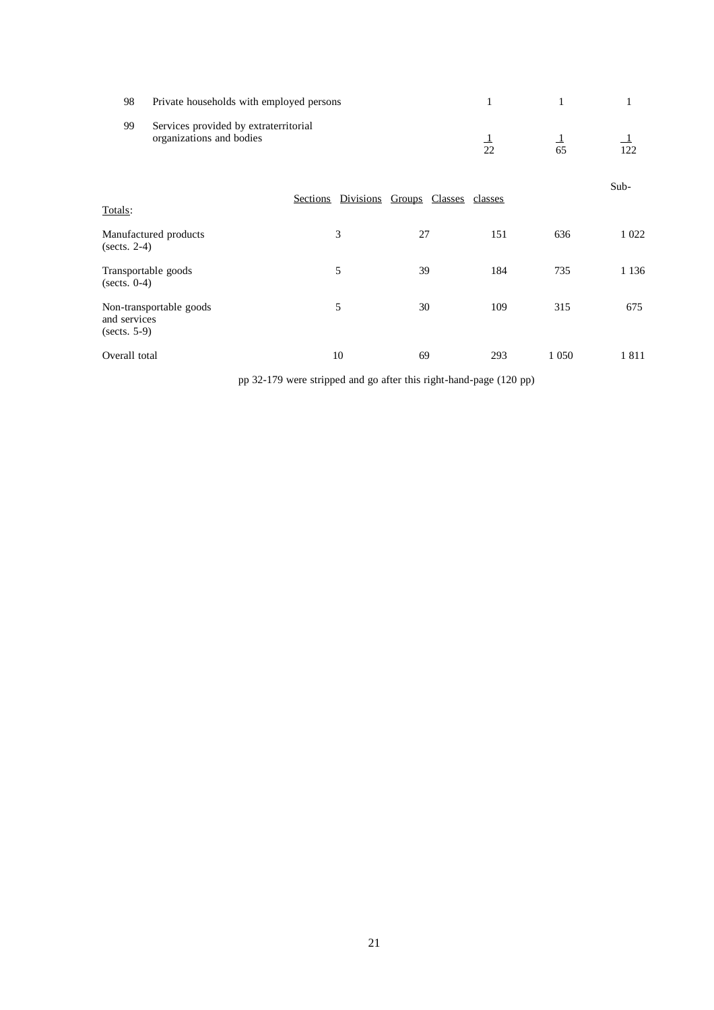| 98                                      | Private households with employed persons                          |                              |                        | 1              | $\mathbf{1}$   | 1       |
|-----------------------------------------|-------------------------------------------------------------------|------------------------------|------------------------|----------------|----------------|---------|
| 99                                      | Services provided by extraterritorial<br>organizations and bodies |                              |                        | $\frac{1}{22}$ | $\frac{1}{65}$ | 122     |
| Totals:                                 |                                                                   | <b>Divisions</b><br>Sections | Groups Classes classes |                |                | Sub-    |
| Manufactured products<br>$(sects. 2-4)$ |                                                                   | 3                            | 27                     | 151            | 636            | 1 0 2 2 |
| Transportable goods<br>$(sects. 0-4)$   |                                                                   | 5                            | 39                     | 184            | 735            | 1 1 3 6 |
| and services<br>$(sects. 5-9)$          | Non-transportable goods                                           | 5                            | 30                     | 109            | 315            | 675     |
| Overall total                           |                                                                   | 10                           | 69                     | 293            | 1 0 5 0        | 1811    |

pp 32-179 were stripped and go after this right-hand-page (120 pp)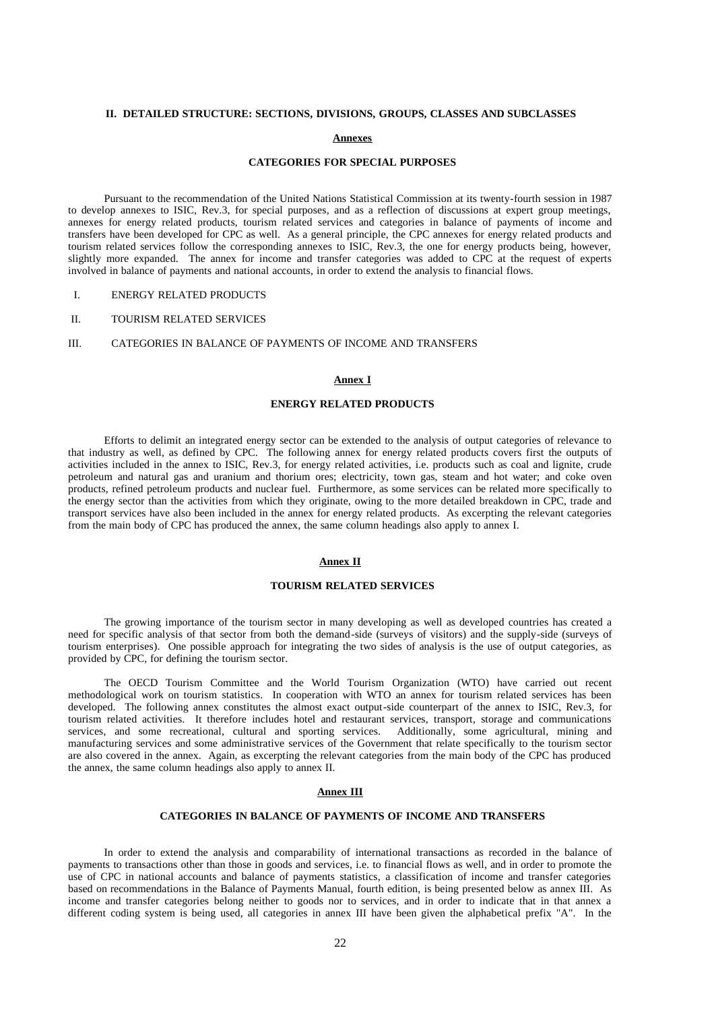# **II. DETAILED STRUCTURE: SECTIONS, DIVISIONS, GROUPS, CLASSES AND SUBCLASSES**

#### **Annexes**

# **CATEGORIES FOR SPECIAL PURPOSES**

Pursuant to the recommendation of the United Nations Statistical Commission at its twenty-fourth session in 1987 to develop annexes to ISIC, Rev.3, for special purposes, and as a reflection of discussions at expert group meetings, annexes for energy related products, tourism related services and categories in balance of payments of income and transfers have been developed for CPC as well. As a general principle, the CPC annexes for energy related products and tourism related services follow the corresponding annexes to ISIC, Rev.3, the one for energy products being, however, slightly more expanded. The annex for income and transfer categories was added to CPC at the request of experts involved in balance of payments and national accounts, in order to extend the analysis to financial flows.

#### I. ENERGY RELATED PRODUCTS

#### II. TOURISM RELATED SERVICES

# III. CATEGORIES IN BALANCE OF PAYMENTS OF INCOME AND TRANSFERS

# **Annex I**

# **ENERGY RELATED PRODUCTS**

Efforts to delimit an integrated energy sector can be extended to the analysis of output categories of relevance to that industry as well, as defined by CPC. The following annex for energy related products covers first the outputs of activities included in the annex to ISIC, Rev.3, for energy related activities, i.e. products such as coal and lignite, crude petroleum and natural gas and uranium and thorium ores; electricity, town gas, steam and hot water; and coke oven products, refined petroleum products and nuclear fuel. Furthermore, as some services can be related more specifically to the energy sector than the activities from which they originate, owing to the more detailed breakdown in CPC, trade and transport services have also been included in the annex for energy related products. As excerpting the relevant categories from the main body of CPC has produced the annex, the same column headings also apply to annex I.

# **Annex II**

# **TOURISM RELATED SERVICES**

The growing importance of the tourism sector in many developing as well as developed countries has created a need for specific analysis of that sector from both the demand-side (surveys of visitors) and the supply-side (surveys of tourism enterprises). One possible approach for integrating the two sides of analysis is the use of output categories, as provided by CPC, for defining the tourism sector.

The OECD Tourism Committee and the World Tourism Organization (WTO) have carried out recent methodological work on tourism statistics. In cooperation with WTO an annex for tourism related services has been developed. The following annex constitutes the almost exact output-side counterpart of the annex to ISIC, Rev.3, for tourism related activities. It therefore includes hotel and restaurant services, transport, storage and communications services, and some recreational, cultural and sporting services. Additionally, some agricultural, mining and manufacturing services and some administrative services of the Government that relate specifically to the tourism sector are also covered in the annex. Again, as excerpting the relevant categories from the main body of the CPC has produced the annex, the same column headings also apply to annex II.

# **Annex III**

# **CATEGORIES IN BALANCE OF PAYMENTS OF INCOME AND TRANSFERS**

In order to extend the analysis and comparability of international transactions as recorded in the balance of payments to transactions other than those in goods and services, i.e. to financial flows as well, and in order to promote the use of CPC in national accounts and balance of payments statistics, a classification of income and transfer categories based on recommendations in the Balance of Payments Manual, fourth edition, is being presented below as annex III. As income and transfer categories belong neither to goods nor to services, and in order to indicate that in that annex a different coding system is being used, all categories in annex III have been given the alphabetical prefix "A". In the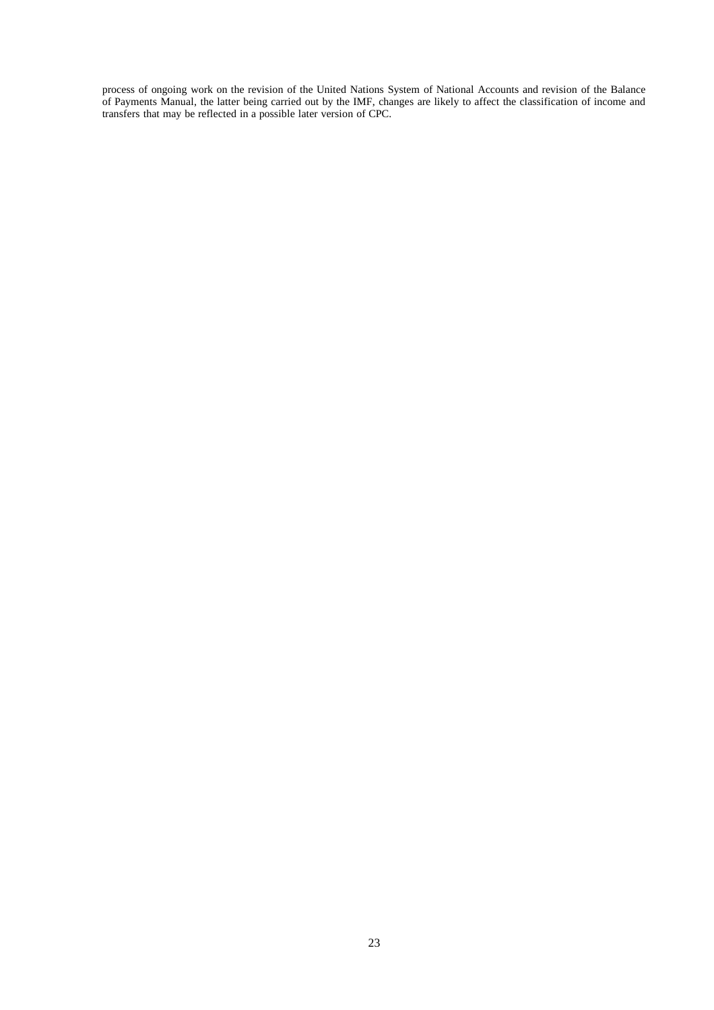process of ongoing work on the revision of the United Nations System of National Accounts and revision of the Balance of Payments Manual, the latter being carried out by the IMF, changes are likely to affect the classification of income and transfers that may be reflected in a possible later version of CPC.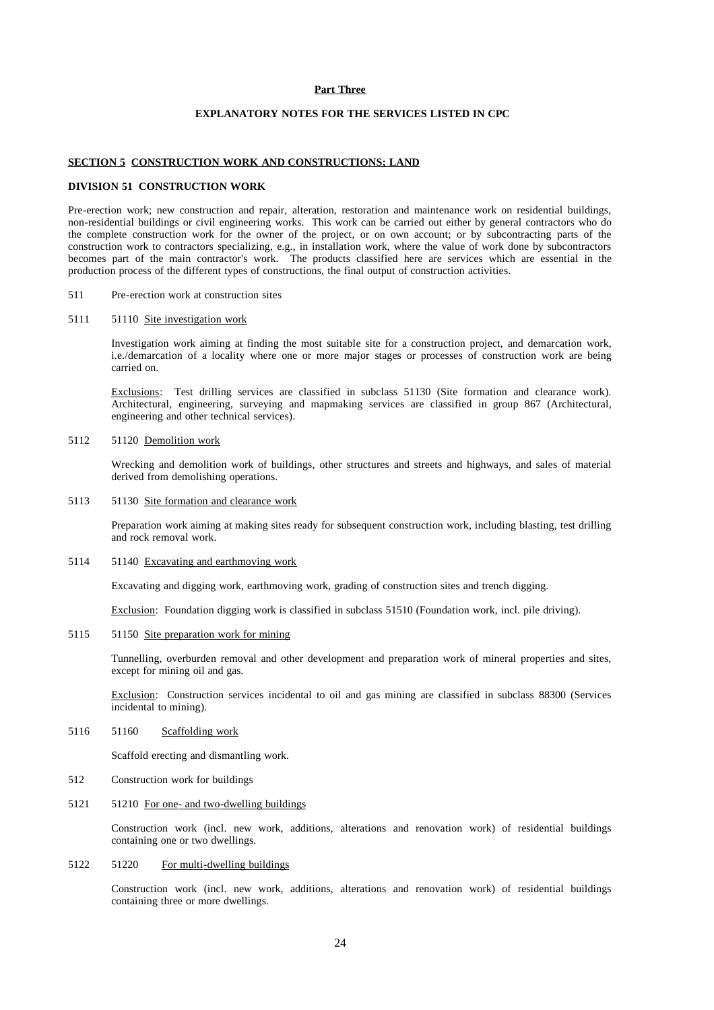# **Part Three**

# **EXPLANATORY NOTES FOR THE SERVICES LISTED IN CPC**

# **SECTION 5 CONSTRUCTION WORK AND CONSTRUCTIONS; LAND**

#### **DIVISION 51 CONSTRUCTION WORK**

Pre-erection work; new construction and repair, alteration, restoration and maintenance work on residential buildings, non-residential buildings or civil engineering works. This work can be carried out either by general contractors who do the complete construction work for the owner of the project, or on own account; or by subcontracting parts of the construction work to contractors specializing, e.g., in installation work, where the value of work done by subcontractors becomes part of the main contractor's work. The products classified here are services which are essential in the production process of the different types of constructions, the final output of construction activities.

- 511 Pre-erection work at construction sites
- 5111 51110 Site investigation work

Investigation work aiming at finding the most suitable site for a construction project, and demarcation work, i.e./demarcation of a locality where one or more major stages or processes of construction work are being carried on.

Exclusions: Test drilling services are classified in subclass 51130 (Site formation and clearance work). Architectural, engineering, surveying and mapmaking services are classified in group 867 (Architectural, engineering and other technical services).

# 5112 51120 Demolition work

Wrecking and demolition work of buildings, other structures and streets and highways, and sales of material derived from demolishing operations.

5113 51130 Site formation and clearance work

Preparation work aiming at making sites ready for subsequent construction work, including blasting, test drilling and rock removal work.

# 5114 51140 Excavating and earthmoving work

Excavating and digging work, earthmoving work, grading of construction sites and trench digging.

Exclusion: Foundation digging work is classified in subclass 51510 (Foundation work, incl. pile driving).

5115 51150 Site preparation work for mining

Tunnelling, overburden removal and other development and preparation work of mineral properties and sites, except for mining oil and gas.

Exclusion: Construction services incidental to oil and gas mining are classified in subclass 88300 (Services incidental to mining).

# 5116 51160 Scaffolding work

Scaffold erecting and dismantling work.

- 512 Construction work for buildings
- 5121 51210 For one- and two-dwelling buildings

Construction work (incl. new work, additions, alterations and renovation work) of residential buildings containing one or two dwellings.

# 5122 51220 For multi-dwelling buildings

Construction work (incl. new work, additions, alterations and renovation work) of residential buildings containing three or more dwellings.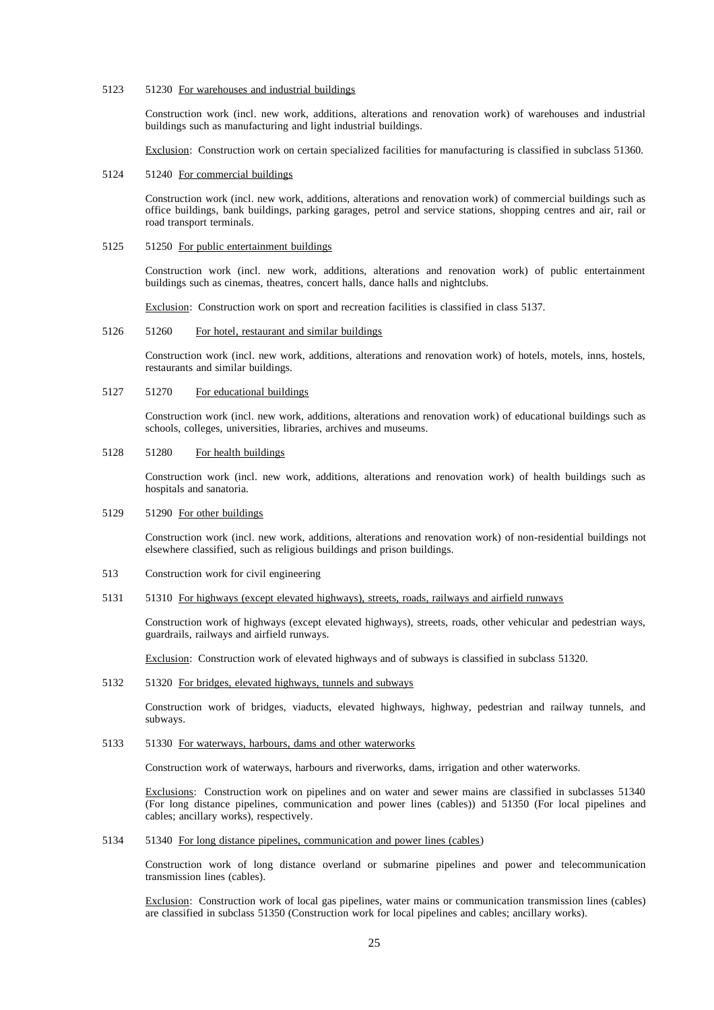# 5123 51230 For warehouses and industrial buildings

Construction work (incl. new work, additions, alterations and renovation work) of warehouses and industrial buildings such as manufacturing and light industrial buildings.

Exclusion: Construction work on certain specialized facilities for manufacturing is classified in subclass 51360.

#### 5124 51240 For commercial buildings

Construction work (incl. new work, additions, alterations and renovation work) of commercial buildings such as office buildings, bank buildings, parking garages, petrol and service stations, shopping centres and air, rail or road transport terminals.

# 5125 51250 For public entertainment buildings

Construction work (incl. new work, additions, alterations and renovation work) of public entertainment buildings such as cinemas, theatres, concert halls, dance halls and nightclubs.

Exclusion: Construction work on sport and recreation facilities is classified in class 5137.

#### 5126 51260 For hotel, restaurant and similar buildings

Construction work (incl. new work, additions, alterations and renovation work) of hotels, motels, inns, hostels, restaurants and similar buildings.

# 5127 51270 For educational buildings

Construction work (incl. new work, additions, alterations and renovation work) of educational buildings such as schools, colleges, universities, libraries, archives and museums.

# 5128 51280 For health buildings

Construction work (incl. new work, additions, alterations and renovation work) of health buildings such as hospitals and sanatoria.

#### 5129 51290 For other buildings

Construction work (incl. new work, additions, alterations and renovation work) of non-residential buildings not elsewhere classified, such as religious buildings and prison buildings.

- 513 Construction work for civil engineering
- 5131 51310 For highways (except elevated highways), streets, roads, railways and airfield runways

Construction work of highways (except elevated highways), streets, roads, other vehicular and pedestrian ways, guardrails, railways and airfield runways.

Exclusion: Construction work of elevated highways and of subways is classified in subclass 51320.

## 5132 51320 For bridges, elevated highways, tunnels and subways

Construction work of bridges, viaducts, elevated highways, highway, pedestrian and railway tunnels, and subways.

# 5133 51330 For waterways, harbours, dams and other waterworks

Construction work of waterways, harbours and riverworks, dams, irrigation and other waterworks.

Exclusions: Construction work on pipelines and on water and sewer mains are classified in subclasses 51340 (For long distance pipelines, communication and power lines (cables)) and 51350 (For local pipelines and cables; ancillary works), respectively.

5134 51340 For long distance pipelines, communication and power lines (cables)

Construction work of long distance overland or submarine pipelines and power and telecommunication transmission lines (cables).

Exclusion: Construction work of local gas pipelines, water mains or communication transmission lines (cables) are classified in subclass 51350 (Construction work for local pipelines and cables; ancillary works).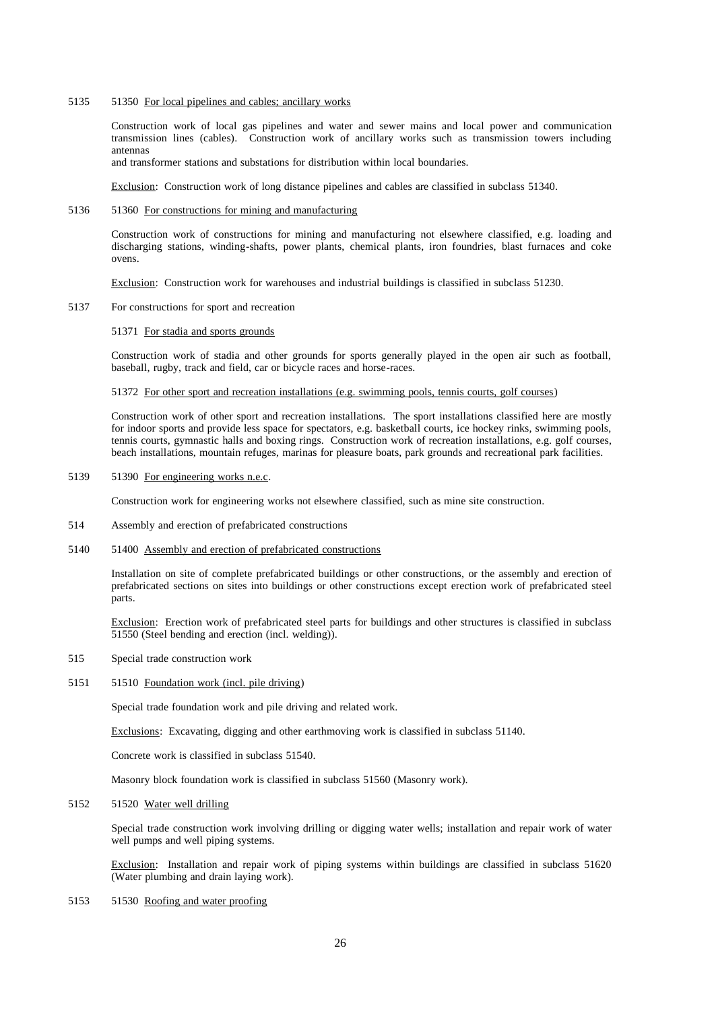#### 5135 51350 For local pipelines and cables; ancillary works

Construction work of local gas pipelines and water and sewer mains and local power and communication transmission lines (cables). Construction work of ancillary works such as transmission towers including antennas

and transformer stations and substations for distribution within local boundaries.

Exclusion: Construction work of long distance pipelines and cables are classified in subclass 51340.

# 5136 51360 For constructions for mining and manufacturing

Construction work of constructions for mining and manufacturing not elsewhere classified, e.g. loading and discharging stations, winding-shafts, power plants, chemical plants, iron foundries, blast furnaces and coke ovens.

Exclusion: Construction work for warehouses and industrial buildings is classified in subclass 51230.

5137 For constructions for sport and recreation

#### 51371 For stadia and sports grounds

Construction work of stadia and other grounds for sports generally played in the open air such as football, baseball, rugby, track and field, car or bicycle races and horse-races.

#### 51372 For other sport and recreation installations (e.g. swimming pools, tennis courts, golf courses)

Construction work of other sport and recreation installations. The sport installations classified here are mostly for indoor sports and provide less space for spectators, e.g. basketball courts, ice hockey rinks, swimming pools, tennis courts, gymnastic halls and boxing rings. Construction work of recreation installations, e.g. golf courses, beach installations, mountain refuges, marinas for pleasure boats, park grounds and recreational park facilities.

#### 5139 51390 For engineering works n.e.c.

Construction work for engineering works not elsewhere classified, such as mine site construction.

- 514 Assembly and erection of prefabricated constructions
- 5140 51400 Assembly and erection of prefabricated constructions

Installation on site of complete prefabricated buildings or other constructions, or the assembly and erection of prefabricated sections on sites into buildings or other constructions except erection work of prefabricated steel parts.

Exclusion: Erection work of prefabricated steel parts for buildings and other structures is classified in subclass 51550 (Steel bending and erection (incl. welding)).

- 515 Special trade construction work
- 5151 51510 Foundation work (incl. pile driving)

Special trade foundation work and pile driving and related work.

Exclusions: Excavating, digging and other earthmoving work is classified in subclass 51140.

Concrete work is classified in subclass 51540.

Masonry block foundation work is classified in subclass 51560 (Masonry work).

#### 5152 51520 Water well drilling

Special trade construction work involving drilling or digging water wells; installation and repair work of water well pumps and well piping systems.

Exclusion: Installation and repair work of piping systems within buildings are classified in subclass 51620 (Water plumbing and drain laying work).

5153 51530 Roofing and water proofing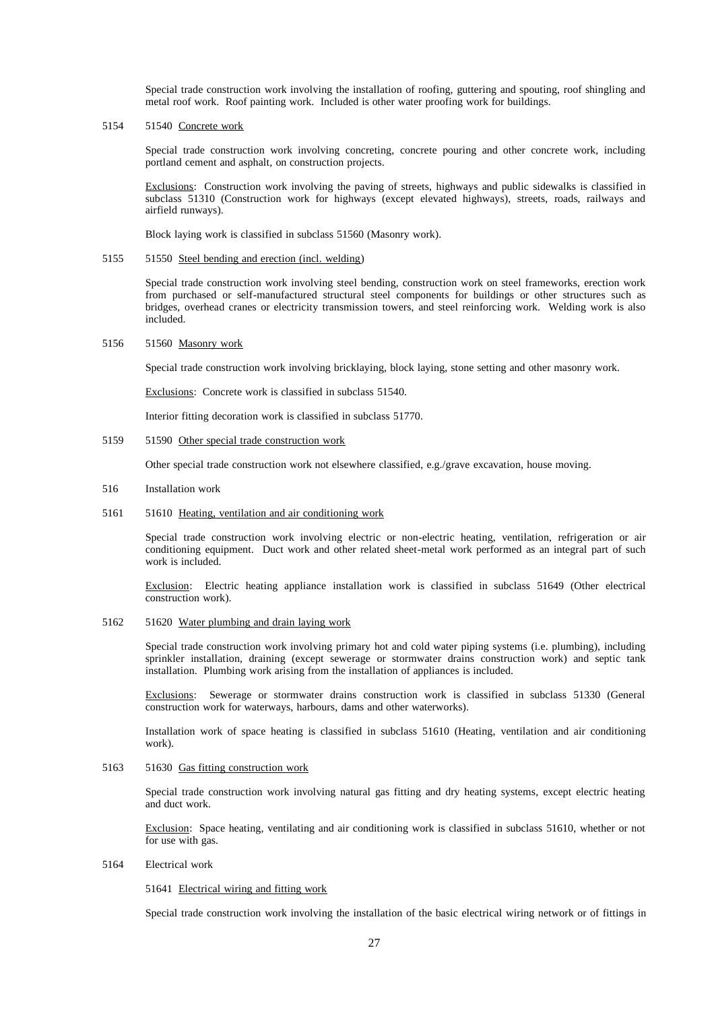Special trade construction work involving the installation of roofing, guttering and spouting, roof shingling and metal roof work. Roof painting work. Included is other water proofing work for buildings.

# 5154 51540 Concrete work

Special trade construction work involving concreting, concrete pouring and other concrete work, including portland cement and asphalt, on construction projects.

Exclusions: Construction work involving the paving of streets, highways and public sidewalks is classified in subclass 51310 (Construction work for highways (except elevated highways), streets, roads, railways and airfield runways).

Block laying work is classified in subclass 51560 (Masonry work).

# 5155 51550 Steel bending and erection (incl. welding)

Special trade construction work involving steel bending, construction work on steel frameworks, erection work from purchased or self-manufactured structural steel components for buildings or other structures such as bridges, overhead cranes or electricity transmission towers, and steel reinforcing work. Welding work is also included.

# 5156 51560 Masonry work

Special trade construction work involving bricklaying, block laying, stone setting and other masonry work.

Exclusions: Concrete work is classified in subclass 51540.

Interior fitting decoration work is classified in subclass 51770.

5159 51590 Other special trade construction work

Other special trade construction work not elsewhere classified, e.g./grave excavation, house moving.

# 516 Installation work

#### 5161 51610 Heating, ventilation and air conditioning work

Special trade construction work involving electric or non-electric heating, ventilation, refrigeration or air conditioning equipment. Duct work and other related sheet-metal work performed as an integral part of such work is included.

Exclusion: Electric heating appliance installation work is classified in subclass 51649 (Other electrical construction work).

## 5162 51620 Water plumbing and drain laying work

Special trade construction work involving primary hot and cold water piping systems (i.e. plumbing), including sprinkler installation, draining (except sewerage or stormwater drains construction work) and septic tank installation. Plumbing work arising from the installation of appliances is included.

Exclusions: Sewerage or stormwater drains construction work is classified in subclass 51330 (General construction work for waterways, harbours, dams and other waterworks).

Installation work of space heating is classified in subclass 51610 (Heating, ventilation and air conditioning work).

# 5163 51630 Gas fitting construction work

Special trade construction work involving natural gas fitting and dry heating systems, except electric heating and duct work.

Exclusion: Space heating, ventilating and air conditioning work is classified in subclass 51610, whether or not for use with gas.

5164 Electrical work

51641 Electrical wiring and fitting work

Special trade construction work involving the installation of the basic electrical wiring network or of fittings in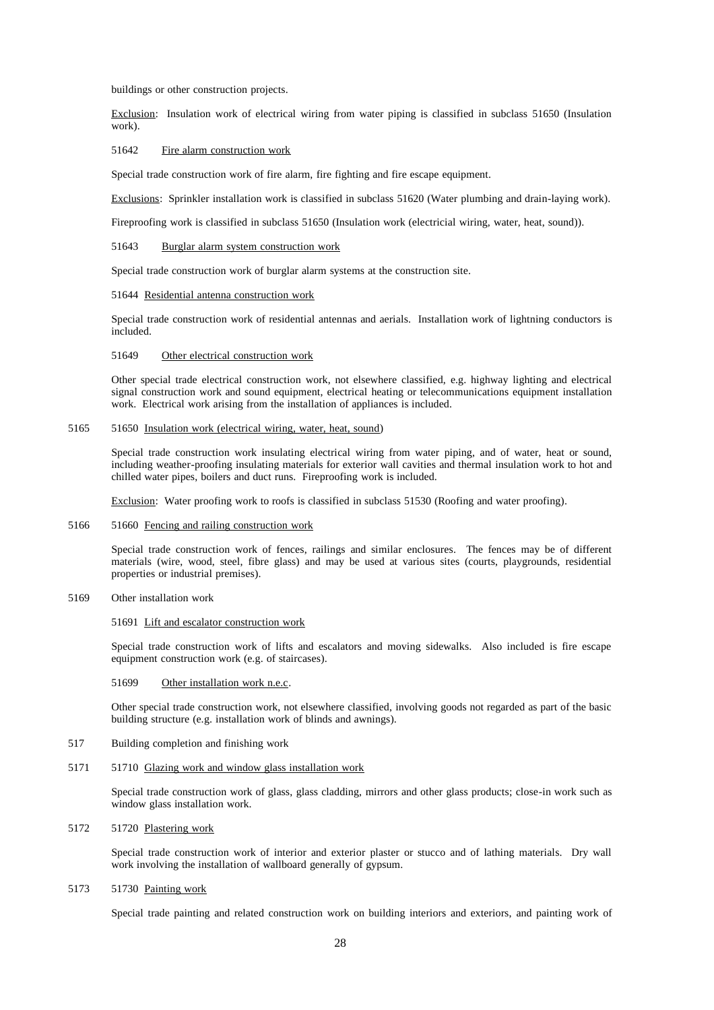buildings or other construction projects.

Exclusion: Insulation work of electrical wiring from water piping is classified in subclass 51650 (Insulation work).

# 51642 Fire alarm construction work

Special trade construction work of fire alarm, fire fighting and fire escape equipment.

Exclusions: Sprinkler installation work is classified in subclass 51620 (Water plumbing and drain-laying work).

Fireproofing work is classified in subclass 51650 (Insulation work (electricial wiring, water, heat, sound)).

# 51643 Burglar alarm system construction work

Special trade construction work of burglar alarm systems at the construction site.

#### 51644 Residential antenna construction work

Special trade construction work of residential antennas and aerials. Installation work of lightning conductors is included.

#### 51649 Other electrical construction work

Other special trade electrical construction work, not elsewhere classified, e.g. highway lighting and electrical signal construction work and sound equipment, electrical heating or telecommunications equipment installation work. Electrical work arising from the installation of appliances is included.

# 5165 51650 Insulation work (electrical wiring, water, heat, sound)

Special trade construction work insulating electrical wiring from water piping, and of water, heat or sound, including weather-proofing insulating materials for exterior wall cavities and thermal insulation work to hot and chilled water pipes, boilers and duct runs. Fireproofing work is included.

Exclusion: Water proofing work to roofs is classified in subclass 51530 (Roofing and water proofing).

# 5166 51660 Fencing and railing construction work

Special trade construction work of fences, railings and similar enclosures. The fences may be of different materials (wire, wood, steel, fibre glass) and may be used at various sites (courts, playgrounds, residential properties or industrial premises).

# 5169 Other installation work

## 51691 Lift and escalator construction work

Special trade construction work of lifts and escalators and moving sidewalks. Also included is fire escape equipment construction work (e.g. of staircases).

#### 51699 Other installation work n.e.c.

Other special trade construction work, not elsewhere classified, involving goods not regarded as part of the basic building structure (e.g. installation work of blinds and awnings).

- 517 Building completion and finishing work
- 5171 51710 Glazing work and window glass installation work

Special trade construction work of glass, glass cladding, mirrors and other glass products; close-in work such as window glass installation work.

# 5172 51720 Plastering work

Special trade construction work of interior and exterior plaster or stucco and of lathing materials. Dry wall work involving the installation of wallboard generally of gypsum.

# 5173 51730 Painting work

Special trade painting and related construction work on building interiors and exteriors, and painting work of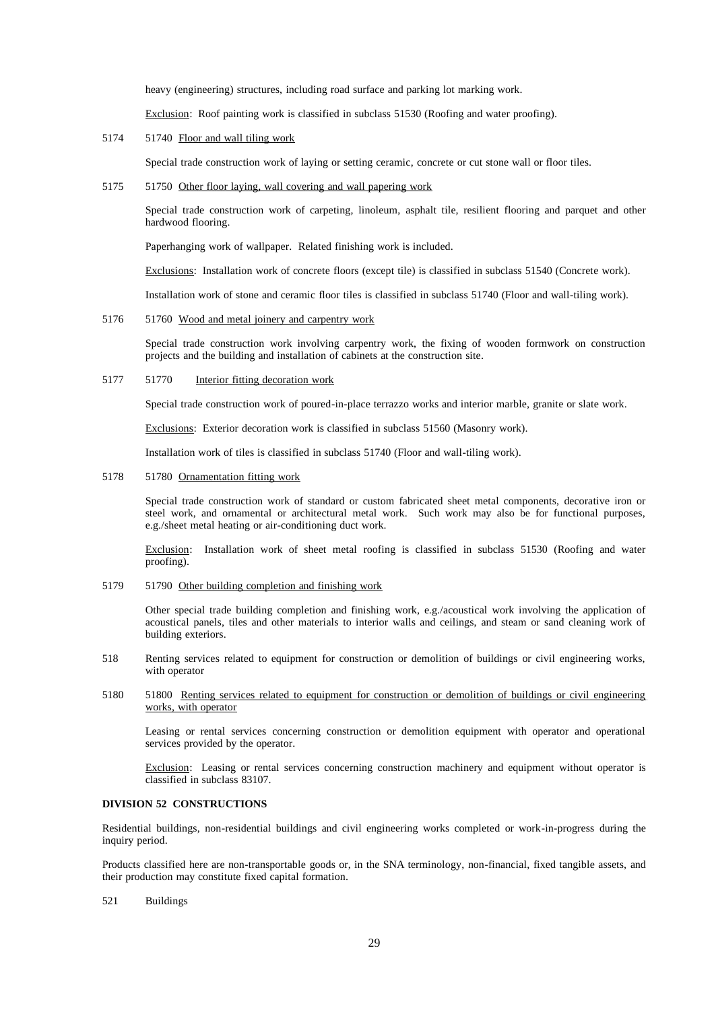heavy (engineering) structures, including road surface and parking lot marking work.

Exclusion: Roof painting work is classified in subclass 51530 (Roofing and water proofing).

5174 51740 Floor and wall tiling work

Special trade construction work of laying or setting ceramic, concrete or cut stone wall or floor tiles.

5175 51750 Other floor laying, wall covering and wall papering work

Special trade construction work of carpeting, linoleum, asphalt tile, resilient flooring and parquet and other hardwood flooring.

Paperhanging work of wallpaper. Related finishing work is included.

Exclusions: Installation work of concrete floors (except tile) is classified in subclass 51540 (Concrete work).

Installation work of stone and ceramic floor tiles is classified in subclass 51740 (Floor and wall-tiling work).

#### 5176 51760 Wood and metal joinery and carpentry work

Special trade construction work involving carpentry work, the fixing of wooden formwork on construction projects and the building and installation of cabinets at the construction site.

5177 51770 Interior fitting decoration work

Special trade construction work of poured-in-place terrazzo works and interior marble, granite or slate work.

Exclusions: Exterior decoration work is classified in subclass 51560 (Masonry work).

Installation work of tiles is classified in subclass 51740 (Floor and wall-tiling work).

# 5178 51780 Ornamentation fitting work

Special trade construction work of standard or custom fabricated sheet metal components, decorative iron or steel work, and ornamental or architectural metal work. Such work may also be for functional purposes, e.g./sheet metal heating or air-conditioning duct work.

Exclusion: Installation work of sheet metal roofing is classified in subclass 51530 (Roofing and water proofing).

5179 51790 Other building completion and finishing work

Other special trade building completion and finishing work, e.g./acoustical work involving the application of acoustical panels, tiles and other materials to interior walls and ceilings, and steam or sand cleaning work of building exteriors.

- 518 Renting services related to equipment for construction or demolition of buildings or civil engineering works, with operator
- 5180 51800 Renting services related to equipment for construction or demolition of buildings or civil engineering works, with operator

Leasing or rental services concerning construction or demolition equipment with operator and operational services provided by the operator.

Exclusion: Leasing or rental services concerning construction machinery and equipment without operator is classified in subclass 83107.

#### **DIVISION 52 CONSTRUCTIONS**

Residential buildings, non-residential buildings and civil engineering works completed or work-in-progress during the inquiry period.

Products classified here are non-transportable goods or, in the SNA terminology, non-financial, fixed tangible assets, and their production may constitute fixed capital formation.

521 Buildings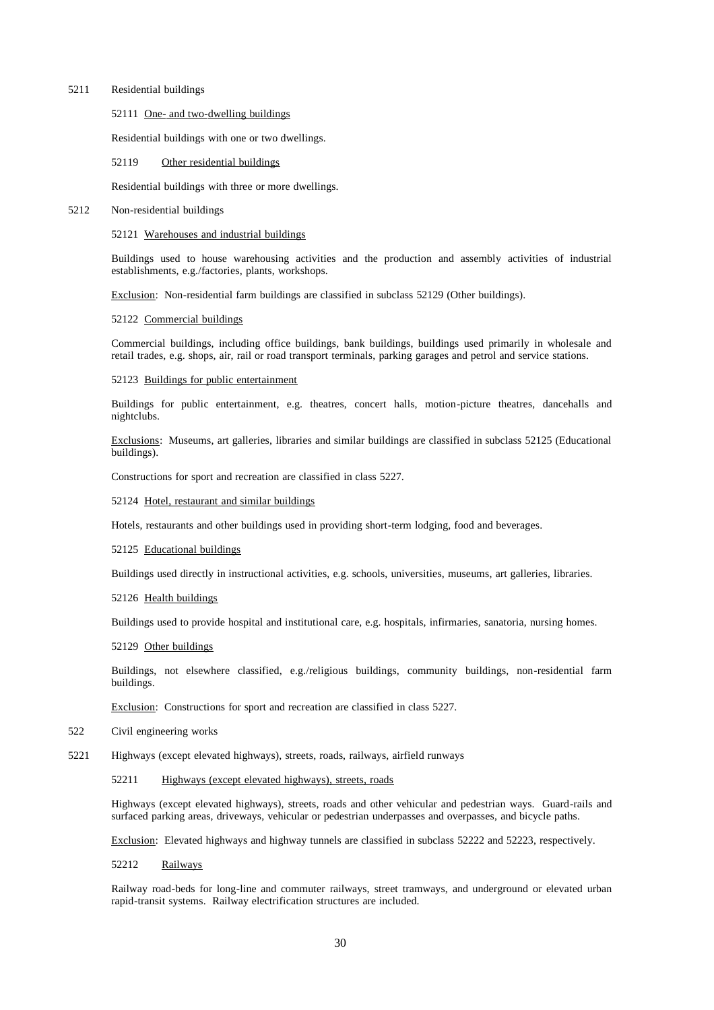# 5211 Residential buildings

# 52111 One- and two-dwelling buildings

Residential buildings with one or two dwellings.

# 52119 Other residential buildings

Residential buildings with three or more dwellings.

# 5212 Non-residential buildings

52121 Warehouses and industrial buildings

Buildings used to house warehousing activities and the production and assembly activities of industrial establishments, e.g./factories, plants, workshops.

Exclusion: Non-residential farm buildings are classified in subclass 52129 (Other buildings).

# 52122 Commercial buildings

Commercial buildings, including office buildings, bank buildings, buildings used primarily in wholesale and retail trades, e.g. shops, air, rail or road transport terminals, parking garages and petrol and service stations.

#### 52123 Buildings for public entertainment

Buildings for public entertainment, e.g. theatres, concert halls, motion-picture theatres, dancehalls and nightclubs.

Exclusions: Museums, art galleries, libraries and similar buildings are classified in subclass 52125 (Educational buildings).

Constructions for sport and recreation are classified in class 5227.

# 52124 Hotel, restaurant and similar buildings

Hotels, restaurants and other buildings used in providing short-term lodging, food and beverages.

# 52125 Educational buildings

Buildings used directly in instructional activities, e.g. schools, universities, museums, art galleries, libraries.

# 52126 Health buildings

Buildings used to provide hospital and institutional care, e.g. hospitals, infirmaries, sanatoria, nursing homes.

# 52129 Other buildings

Buildings, not elsewhere classified, e.g./religious buildings, community buildings, non-residential farm buildings.

Exclusion: Constructions for sport and recreation are classified in class 5227.

- 522 Civil engineering works
- 5221 Highways (except elevated highways), streets, roads, railways, airfield runways

# 52211 Highways (except elevated highways), streets, roads

Highways (except elevated highways), streets, roads and other vehicular and pedestrian ways. Guard-rails and surfaced parking areas, driveways, vehicular or pedestrian underpasses and overpasses, and bicycle paths.

Exclusion: Elevated highways and highway tunnels are classified in subclass 52222 and 52223, respectively.

# 52212 Railways

Railway road-beds for long-line and commuter railways, street tramways, and underground or elevated urban rapid-transit systems. Railway electrification structures are included.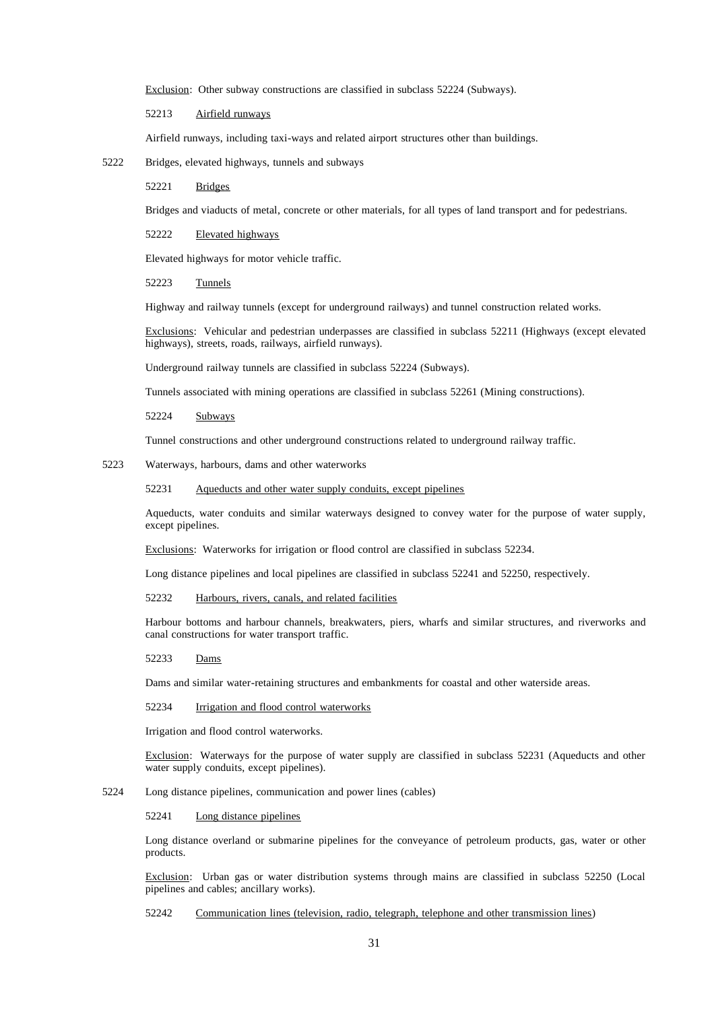Exclusion: Other subway constructions are classified in subclass 52224 (Subways).

52213 Airfield runways

Airfield runways, including taxi-ways and related airport structures other than buildings.

5222 Bridges, elevated highways, tunnels and subways

52221 Bridges

Bridges and viaducts of metal, concrete or other materials, for all types of land transport and for pedestrians.

52222 Elevated highways

Elevated highways for motor vehicle traffic.

52223 Tunnels

Highway and railway tunnels (except for underground railways) and tunnel construction related works.

Exclusions: Vehicular and pedestrian underpasses are classified in subclass 52211 (Highways (except elevated highways), streets, roads, railways, airfield runways).

Underground railway tunnels are classified in subclass 52224 (Subways).

Tunnels associated with mining operations are classified in subclass 52261 (Mining constructions).

52224 Subways

Tunnel constructions and other underground constructions related to underground railway traffic.

5223 Waterways, harbours, dams and other waterworks

52231 Aqueducts and other water supply conduits, except pipelines

Aqueducts, water conduits and similar waterways designed to convey water for the purpose of water supply, except pipelines.

Exclusions: Waterworks for irrigation or flood control are classified in subclass 52234.

Long distance pipelines and local pipelines are classified in subclass 52241 and 52250, respectively.

52232 Harbours, rivers, canals, and related facilities

Harbour bottoms and harbour channels, breakwaters, piers, wharfs and similar structures, and riverworks and canal constructions for water transport traffic.

52233 Dams

Dams and similar water-retaining structures and embankments for coastal and other waterside areas.

52234 Irrigation and flood control waterworks

Irrigation and flood control waterworks.

Exclusion: Waterways for the purpose of water supply are classified in subclass 52231 (Aqueducts and other water supply conduits, except pipelines).

# 5224 Long distance pipelines, communication and power lines (cables)

52241 Long distance pipelines

Long distance overland or submarine pipelines for the conveyance of petroleum products, gas, water or other products.

Exclusion: Urban gas or water distribution systems through mains are classified in subclass 52250 (Local pipelines and cables; ancillary works).

52242 Communication lines (television, radio, telegraph, telephone and other transmission lines)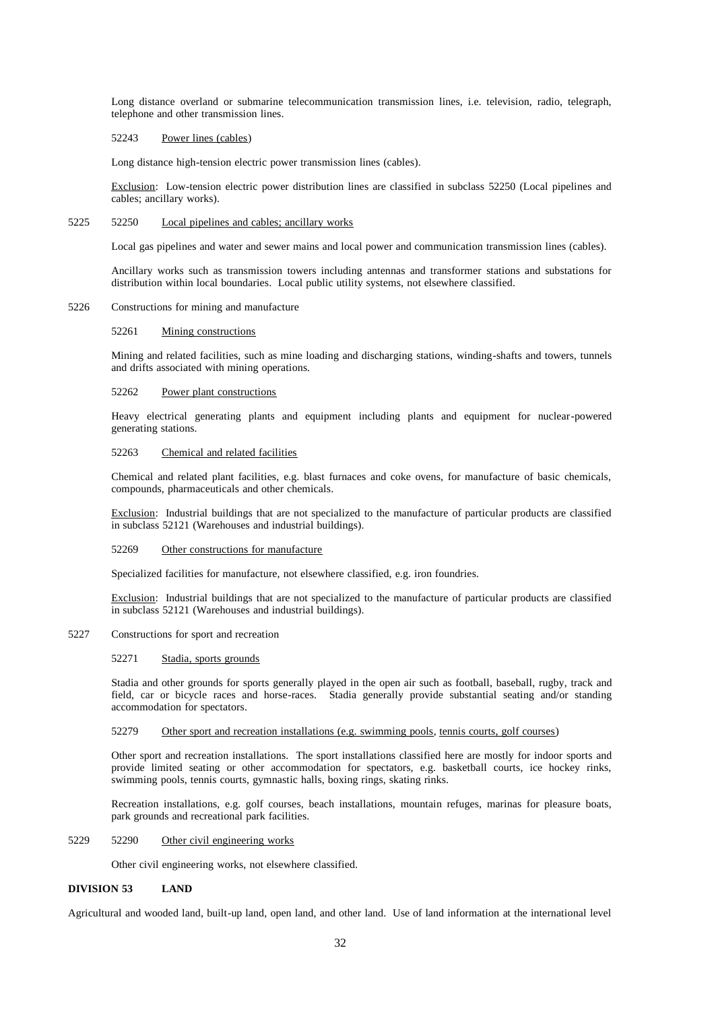Long distance overland or submarine telecommunication transmission lines, i.e. television, radio, telegraph, telephone and other transmission lines.

# 52243 Power lines (cables)

Long distance high-tension electric power transmission lines (cables).

Exclusion: Low-tension electric power distribution lines are classified in subclass 52250 (Local pipelines and cables; ancillary works).

# 5225 52250 Local pipelines and cables; ancillary works

Local gas pipelines and water and sewer mains and local power and communication transmission lines (cables).

Ancillary works such as transmission towers including antennas and transformer stations and substations for distribution within local boundaries. Local public utility systems, not elsewhere classified.

# 5226 Constructions for mining and manufacture

#### 52261 Mining constructions

Mining and related facilities, such as mine loading and discharging stations, winding-shafts and towers, tunnels and drifts associated with mining operations.

#### 52262 Power plant constructions

Heavy electrical generating plants and equipment including plants and equipment for nuclear-powered generating stations.

# 52263 Chemical and related facilities

Chemical and related plant facilities, e.g. blast furnaces and coke ovens, for manufacture of basic chemicals, compounds, pharmaceuticals and other chemicals.

Exclusion: Industrial buildings that are not specialized to the manufacture of particular products are classified in subclass 52121 (Warehouses and industrial buildings).

# 52269 Other constructions for manufacture

Specialized facilities for manufacture, not elsewhere classified, e.g. iron foundries.

Exclusion: Industrial buildings that are not specialized to the manufacture of particular products are classified in subclass 52121 (Warehouses and industrial buildings).

# 5227 Constructions for sport and recreation

#### 52271 Stadia, sports grounds

Stadia and other grounds for sports generally played in the open air such as football, baseball, rugby, track and field, car or bicycle races and horse-races. Stadia generally provide substantial seating and/or standing accommodation for spectators.

# 52279 Other sport and recreation installations (e.g. swimming pools, tennis courts, golf courses)

Other sport and recreation installations. The sport installations classified here are mostly for indoor sports and provide limited seating or other accommodation for spectators, e.g. basketball courts, ice hockey rinks, swimming pools, tennis courts, gymnastic halls, boxing rings, skating rinks.

Recreation installations, e.g. golf courses, beach installations, mountain refuges, marinas for pleasure boats, park grounds and recreational park facilities.

#### 5229 52290 Other civil engineering works

Other civil engineering works, not elsewhere classified.

# **DIVISION 53 LAND**

Agricultural and wooded land, built-up land, open land, and other land. Use of land information at the international level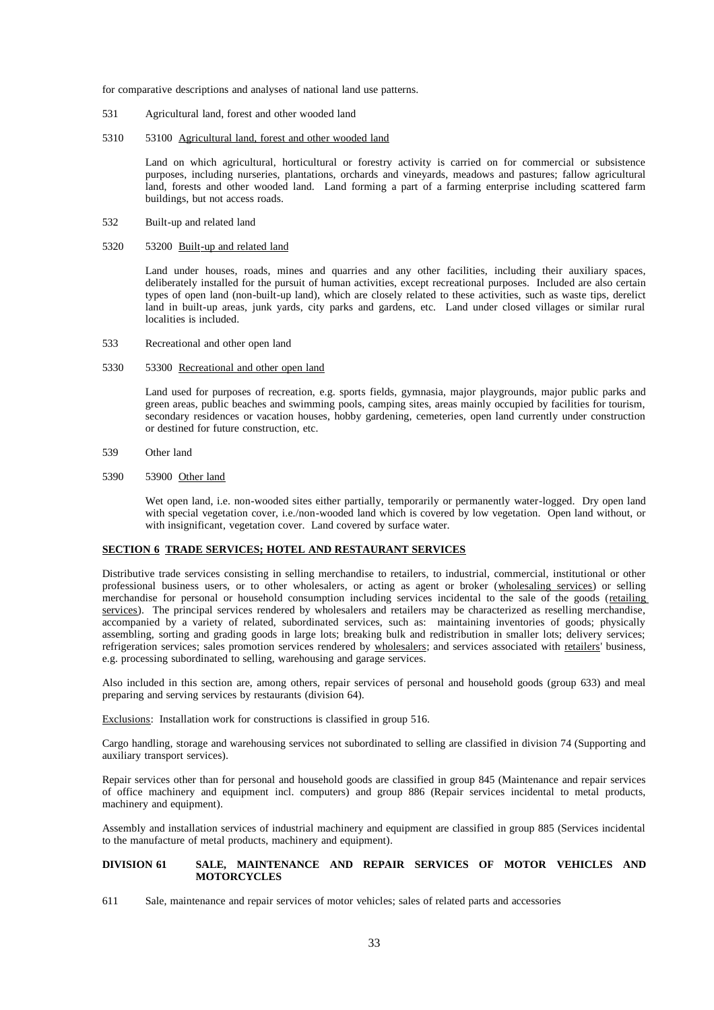for comparative descriptions and analyses of national land use patterns.

- 531 Agricultural land, forest and other wooded land
- 5310 53100 Agricultural land, forest and other wooded land

Land on which agricultural, horticultural or forestry activity is carried on for commercial or subsistence purposes, including nurseries, plantations, orchards and vineyards, meadows and pastures; fallow agricultural land, forests and other wooded land. Land forming a part of a farming enterprise including scattered farm buildings, but not access roads.

- 532 Built-up and related land
- 5320 53200 Built-up and related land

Land under houses, roads, mines and quarries and any other facilities, including their auxiliary spaces, deliberately installed for the pursuit of human activities, except recreational purposes. Included are also certain types of open land (non-built-up land), which are closely related to these activities, such as waste tips, derelict land in built-up areas, junk yards, city parks and gardens, etc. Land under closed villages or similar rural localities is included.

- 533 Recreational and other open land
- 5330 53300 Recreational and other open land

Land used for purposes of recreation, e.g. sports fields, gymnasia, major playgrounds, major public parks and green areas, public beaches and swimming pools, camping sites, areas mainly occupied by facilities for tourism, secondary residences or vacation houses, hobby gardening, cemeteries, open land currently under construction or destined for future construction, etc.

- 539 Other land
- 5390 53900 Other land

Wet open land, i.e. non-wooded sites either partially, temporarily or permanently water-logged. Dry open land with special vegetation cover, i.e./non-wooded land which is covered by low vegetation. Open land without, or with insignificant, vegetation cover. Land covered by surface water.

# **SECTION 6 TRADE SERVICES; HOTEL AND RESTAURANT SERVICES**

Distributive trade services consisting in selling merchandise to retailers, to industrial, commercial, institutional or other professional business users, or to other wholesalers, or acting as agent or broker (wholesaling services) or selling merchandise for personal or household consumption including services incidental to the sale of the goods (retailing services). The principal services rendered by wholesalers and retailers may be characterized as reselling merchandise, accompanied by a variety of related, subordinated services, such as: maintaining inventories of goods; physically assembling, sorting and grading goods in large lots; breaking bulk and redistribution in smaller lots; delivery services; refrigeration services; sales promotion services rendered by wholesalers; and services associated with retailers' business, e.g. processing subordinated to selling, warehousing and garage services.

Also included in this section are, among others, repair services of personal and household goods (group 633) and meal preparing and serving services by restaurants (division 64).

Exclusions: Installation work for constructions is classified in group 516.

Cargo handling, storage and warehousing services not subordinated to selling are classified in division 74 (Supporting and auxiliary transport services).

Repair services other than for personal and household goods are classified in group 845 (Maintenance and repair services of office machinery and equipment incl. computers) and group 886 (Repair services incidental to metal products, machinery and equipment).

Assembly and installation services of industrial machinery and equipment are classified in group 885 (Services incidental to the manufacture of metal products, machinery and equipment).

# **DIVISION 61 SALE, MAINTENANCE AND REPAIR SERVICES OF MOTOR VEHICLES AND MOTORCYCLES**

611 Sale, maintenance and repair services of motor vehicles; sales of related parts and accessories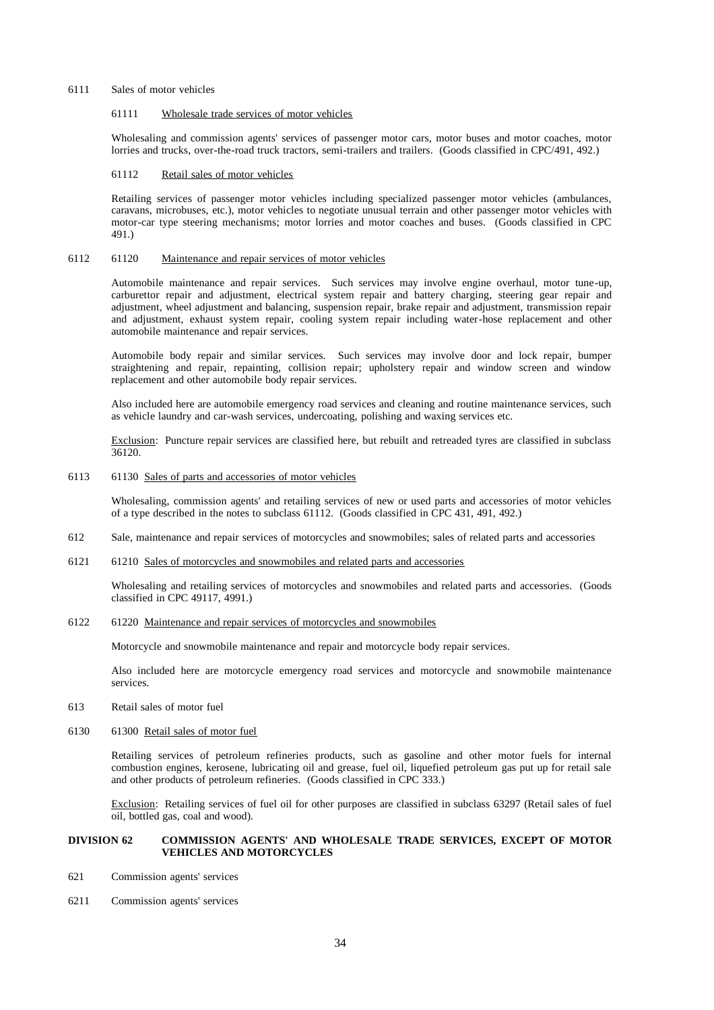# 6111 Sales of motor vehicles

# 61111 Wholesale trade services of motor vehicles

Wholesaling and commission agents' services of passenger motor cars, motor buses and motor coaches, motor lorries and trucks, over-the-road truck tractors, semi-trailers and trailers. (Goods classified in CPC/491, 492.)

#### 61112 Retail sales of motor vehicles

Retailing services of passenger motor vehicles including specialized passenger motor vehicles (ambulances, caravans, microbuses, etc.), motor vehicles to negotiate unusual terrain and other passenger motor vehicles with motor-car type steering mechanisms; motor lorries and motor coaches and buses. (Goods classified in CPC 491.)

# 6112 61120 Maintenance and repair services of motor vehicles

Automobile maintenance and repair services. Such services may involve engine overhaul, motor tune-up, carburettor repair and adjustment, electrical system repair and battery charging, steering gear repair and adjustment, wheel adjustment and balancing, suspension repair, brake repair and adjustment, transmission repair and adjustment, exhaust system repair, cooling system repair including water-hose replacement and other automobile maintenance and repair services.

Automobile body repair and similar services. Such services may involve door and lock repair, bumper straightening and repair, repainting, collision repair; upholstery repair and window screen and window replacement and other automobile body repair services.

Also included here are automobile emergency road services and cleaning and routine maintenance services, such as vehicle laundry and car-wash services, undercoating, polishing and waxing services etc.

Exclusion: Puncture repair services are classified here, but rebuilt and retreaded tyres are classified in subclass 36120.

#### 6113 61130 Sales of parts and accessories of motor vehicles

Wholesaling, commission agents' and retailing services of new or used parts and accessories of motor vehicles of a type described in the notes to subclass 61112. (Goods classified in CPC 431, 491, 492.)

- 612 Sale, maintenance and repair services of motorcycles and snowmobiles; sales of related parts and accessories
- 6121 61210 Sales of motorcycles and snowmobiles and related parts and accessories

Wholesaling and retailing services of motorcycles and snowmobiles and related parts and accessories. (Goods classified in CPC 49117, 4991.)

## 6122 61220 Maintenance and repair services of motorcycles and snowmobiles

Motorcycle and snowmobile maintenance and repair and motorcycle body repair services.

Also included here are motorcycle emergency road services and motorcycle and snowmobile maintenance services.

- 613 Retail sales of motor fuel
- 6130 61300 Retail sales of motor fuel

Retailing services of petroleum refineries products, such as gasoline and other motor fuels for internal combustion engines, kerosene, lubricating oil and grease, fuel oil, liquefied petroleum gas put up for retail sale and other products of petroleum refineries. (Goods classified in CPC 333.)

Exclusion: Retailing services of fuel oil for other purposes are classified in subclass 63297 (Retail sales of fuel oil, bottled gas, coal and wood).

# **DIVISION 62 COMMISSION AGENTS' AND WHOLESALE TRADE SERVICES, EXCEPT OF MOTOR VEHICLES AND MOTORCYCLES**

- 621 Commission agents' services
- 6211 Commission agents' services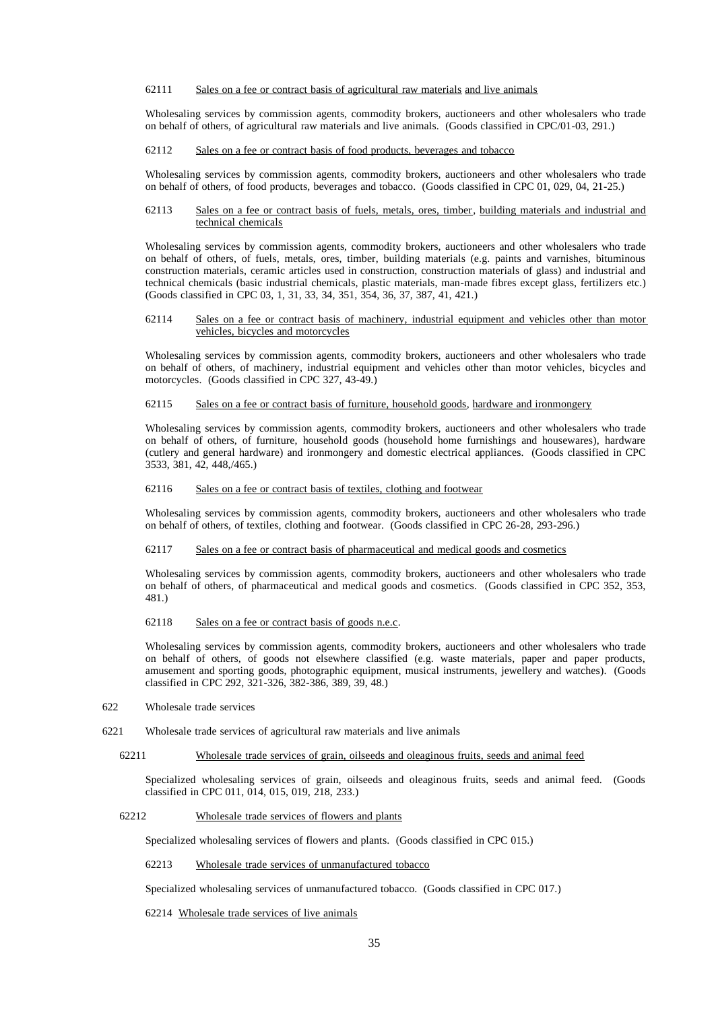# 62111 Sales on a fee or contract basis of agricultural raw materials and live animals

Wholesaling services by commission agents, commodity brokers, auctioneers and other wholesalers who trade on behalf of others, of agricultural raw materials and live animals. (Goods classified in CPC/01-03, 291.)

#### 62112 Sales on a fee or contract basis of food products, beverages and tobacco

Wholesaling services by commission agents, commodity brokers, auctioneers and other wholesalers who trade on behalf of others, of food products, beverages and tobacco. (Goods classified in CPC 01, 029, 04, 21-25.)

#### 62113 Sales on a fee or contract basis of fuels, metals, ores, timber, building materials and industrial and technical chemicals

Wholesaling services by commission agents, commodity brokers, auctioneers and other wholesalers who trade on behalf of others, of fuels, metals, ores, timber, building materials (e.g. paints and varnishes, bituminous construction materials, ceramic articles used in construction, construction materials of glass) and industrial and technical chemicals (basic industrial chemicals, plastic materials, man-made fibres except glass, fertilizers etc.) (Goods classified in CPC 03, 1, 31, 33, 34, 351, 354, 36, 37, 387, 41, 421.)

## 62114 Sales on a fee or contract basis of machinery, industrial equipment and vehicles other than motor vehicles, bicycles and motorcycles

Wholesaling services by commission agents, commodity brokers, auctioneers and other wholesalers who trade on behalf of others, of machinery, industrial equipment and vehicles other than motor vehicles, bicycles and motorcycles. (Goods classified in CPC 327, 43-49.)

# 62115 Sales on a fee or contract basis of furniture, household goods, hardware and ironmongery

Wholesaling services by commission agents, commodity brokers, auctioneers and other wholesalers who trade on behalf of others, of furniture, household goods (household home furnishings and housewares), hardware (cutlery and general hardware) and ironmongery and domestic electrical appliances. (Goods classified in CPC 3533, 381, 42, 448,/465.)

## 62116 Sales on a fee or contract basis of textiles, clothing and footwear

Wholesaling services by commission agents, commodity brokers, auctioneers and other wholesalers who trade on behalf of others, of textiles, clothing and footwear. (Goods classified in CPC 26-28, 293-296.)

# 62117 Sales on a fee or contract basis of pharmaceutical and medical goods and cosmetics

Wholesaling services by commission agents, commodity brokers, auctioneers and other wholesalers who trade on behalf of others, of pharmaceutical and medical goods and cosmetics. (Goods classified in CPC 352, 353, 481.)

# 62118 Sales on a fee or contract basis of goods n.e.c.

Wholesaling services by commission agents, commodity brokers, auctioneers and other wholesalers who trade on behalf of others, of goods not elsewhere classified (e.g. waste materials, paper and paper products, amusement and sporting goods, photographic equipment, musical instruments, jewellery and watches). (Goods classified in CPC 292, 321-326, 382-386, 389, 39, 48.)

- 622 Wholesale trade services
- 6221 Wholesale trade services of agricultural raw materials and live animals

# 62211 Wholesale trade services of grain, oilseeds and oleaginous fruits, seeds and animal feed

Specialized wholesaling services of grain, oilseeds and oleaginous fruits, seeds and animal feed. (Goods classified in CPC 011, 014, 015, 019, 218, 233.)

# 62212 Wholesale trade services of flowers and plants

Specialized wholesaling services of flowers and plants. (Goods classified in CPC 015.)

#### 62213 Wholesale trade services of unmanufactured tobacco

Specialized wholesaling services of unmanufactured tobacco. (Goods classified in CPC 017.)

62214 Wholesale trade services of live animals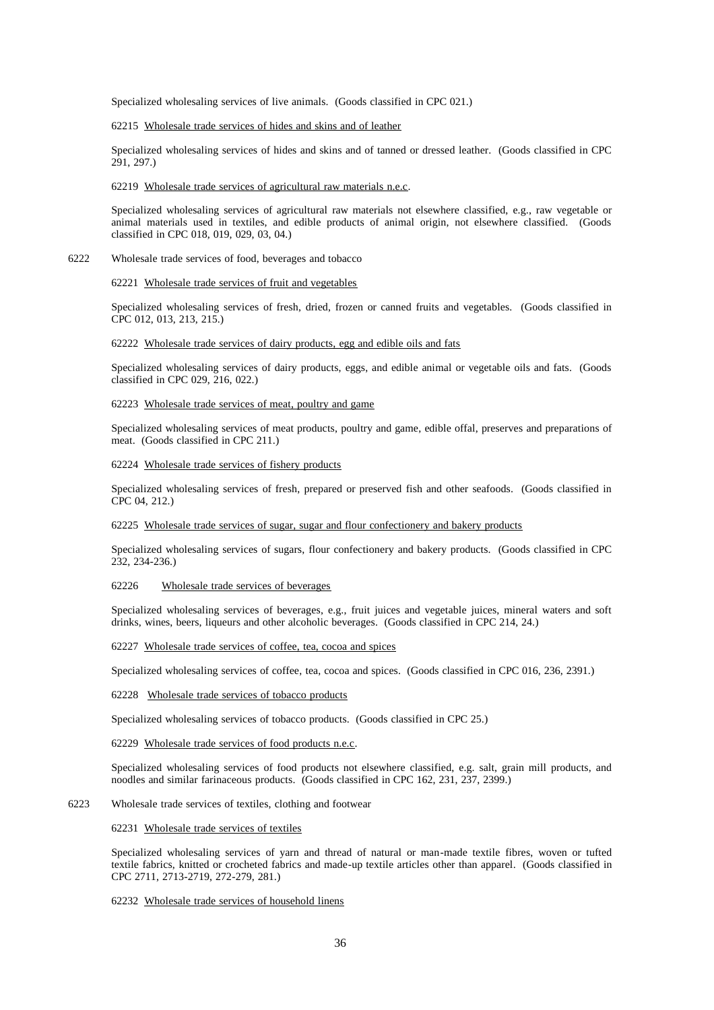Specialized wholesaling services of live animals. (Goods classified in CPC 021.)

62215 Wholesale trade services of hides and skins and of leather

Specialized wholesaling services of hides and skins and of tanned or dressed leather. (Goods classified in CPC 291, 297.)

62219 Wholesale trade services of agricultural raw materials n.e.c.

Specialized wholesaling services of agricultural raw materials not elsewhere classified, e.g., raw vegetable or animal materials used in textiles, and edible products of animal origin, not elsewhere classified. (Goods classified in CPC 018, 019, 029, 03, 04.)

# 6222 Wholesale trade services of food, beverages and tobacco

62221 Wholesale trade services of fruit and vegetables

Specialized wholesaling services of fresh, dried, frozen or canned fruits and vegetables. (Goods classified in CPC 012, 013, 213, 215.)

#### 62222 Wholesale trade services of dairy products, egg and edible oils and fats

Specialized wholesaling services of dairy products, eggs, and edible animal or vegetable oils and fats. (Goods classified in CPC 029, 216, 022.)

62223 Wholesale trade services of meat, poultry and game

Specialized wholesaling services of meat products, poultry and game, edible offal, preserves and preparations of meat. (Goods classified in CPC 211.)

# 62224 Wholesale trade services of fishery products

Specialized wholesaling services of fresh, prepared or preserved fish and other seafoods. (Goods classified in CPC 04, 212.)

62225 Wholesale trade services of sugar, sugar and flour confectionery and bakery products

Specialized wholesaling services of sugars, flour confectionery and bakery products. (Goods classified in CPC 232, 234-236.)

# 62226 Wholesale trade services of beverages

Specialized wholesaling services of beverages, e.g., fruit juices and vegetable juices, mineral waters and soft drinks, wines, beers, liqueurs and other alcoholic beverages. (Goods classified in CPC 214, 24.)

62227 Wholesale trade services of coffee, tea, cocoa and spices

Specialized wholesaling services of coffee, tea, cocoa and spices. (Goods classified in CPC 016, 236, 2391.)

#### 62228 Wholesale trade services of tobacco products

Specialized wholesaling services of tobacco products. (Goods classified in CPC 25.)

# 62229 Wholesale trade services of food products n.e.c.

Specialized wholesaling services of food products not elsewhere classified, e.g. salt, grain mill products, and noodles and similar farinaceous products. (Goods classified in CPC 162, 231, 237, 2399.)

#### 6223 Wholesale trade services of textiles, clothing and footwear

62231 Wholesale trade services of textiles

Specialized wholesaling services of yarn and thread of natural or man-made textile fibres, woven or tufted textile fabrics, knitted or crocheted fabrics and made-up textile articles other than apparel. (Goods classified in CPC 2711, 2713-2719, 272-279, 281.)

#### 62232 Wholesale trade services of household linens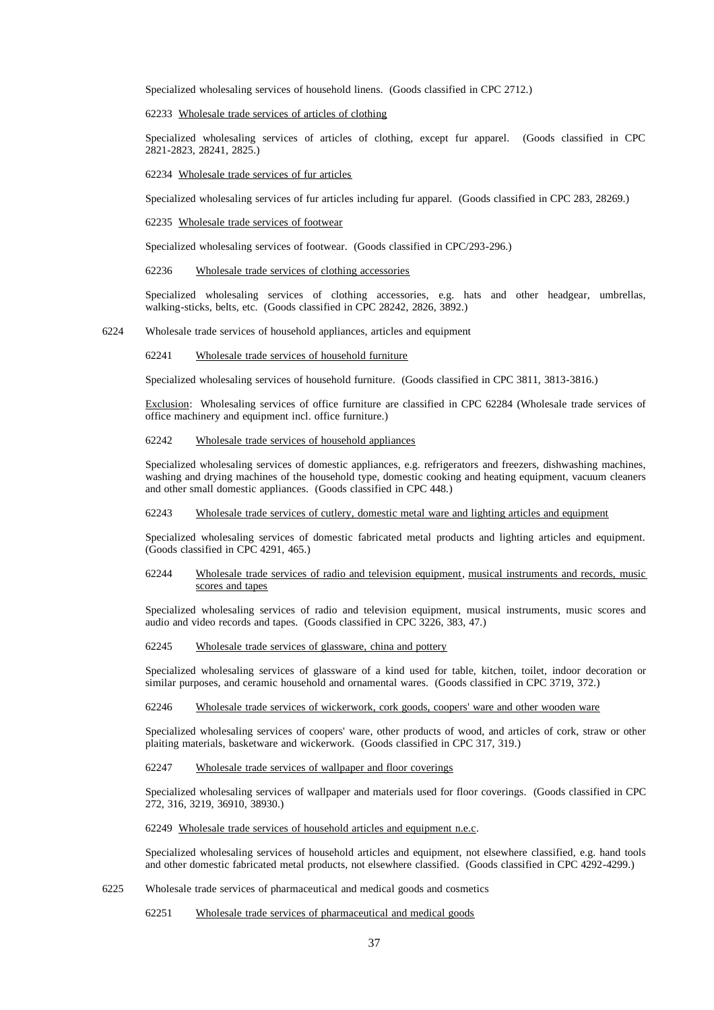Specialized wholesaling services of household linens. (Goods classified in CPC 2712.)

#### 62233 Wholesale trade services of articles of clothing

Specialized wholesaling services of articles of clothing, except fur apparel. (Goods classified in CPC 2821-2823, 28241, 2825.)

#### 62234 Wholesale trade services of fur articles

Specialized wholesaling services of fur articles including fur apparel. (Goods classified in CPC 283, 28269.)

#### 62235 Wholesale trade services of footwear

Specialized wholesaling services of footwear. (Goods classified in CPC/293-296.)

# 62236 Wholesale trade services of clothing accessories

Specialized wholesaling services of clothing accessories, e.g. hats and other headgear, umbrellas, walking-sticks, belts, etc. (Goods classified in CPC 28242, 2826, 3892.)

#### 6224 Wholesale trade services of household appliances, articles and equipment

### 62241 Wholesale trade services of household furniture

Specialized wholesaling services of household furniture. (Goods classified in CPC 3811, 3813-3816.)

Exclusion: Wholesaling services of office furniture are classified in CPC 62284 (Wholesale trade services of office machinery and equipment incl. office furniture.)

# 62242 Wholesale trade services of household appliances

Specialized wholesaling services of domestic appliances, e.g. refrigerators and freezers, dishwashing machines, washing and drying machines of the household type, domestic cooking and heating equipment, vacuum cleaners and other small domestic appliances. (Goods classified in CPC 448.)

### 62243 Wholesale trade services of cutlery, domestic metal ware and lighting articles and equipment

Specialized wholesaling services of domestic fabricated metal products and lighting articles and equipment. (Goods classified in CPC 4291, 465.)

# 62244 Wholesale trade services of radio and television equipment, musical instruments and records, music scores and tapes

Specialized wholesaling services of radio and television equipment, musical instruments, music scores and audio and video records and tapes. (Goods classified in CPC 3226, 383, 47.)

## 62245 Wholesale trade services of glassware, china and pottery

Specialized wholesaling services of glassware of a kind used for table, kitchen, toilet, indoor decoration or similar purposes, and ceramic household and ornamental wares. (Goods classified in CPC 3719, 372.)

# 62246 Wholesale trade services of wickerwork, cork goods, coopers' ware and other wooden ware

Specialized wholesaling services of coopers' ware, other products of wood, and articles of cork, straw or other plaiting materials, basketware and wickerwork. (Goods classified in CPC 317, 319.)

# 62247 Wholesale trade services of wallpaper and floor coverings

Specialized wholesaling services of wallpaper and materials used for floor coverings. (Goods classified in CPC 272, 316, 3219, 36910, 38930.)

## 62249 Wholesale trade services of household articles and equipment n.e.c.

Specialized wholesaling services of household articles and equipment, not elsewhere classified, e.g. hand tools and other domestic fabricated metal products, not elsewhere classified. (Goods classified in CPC 4292-4299.)

# 6225 Wholesale trade services of pharmaceutical and medical goods and cosmetics

62251 Wholesale trade services of pharmaceutical and medical goods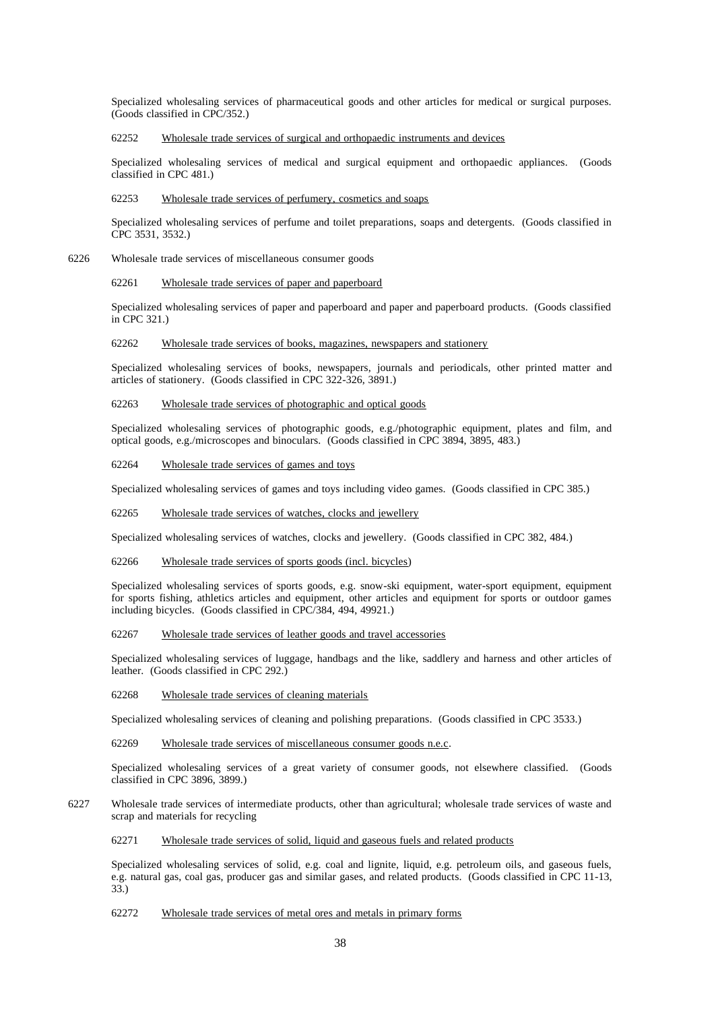Specialized wholesaling services of pharmaceutical goods and other articles for medical or surgical purposes. (Goods classified in CPC/352.)

### 62252 Wholesale trade services of surgical and orthopaedic instruments and devices

Specialized wholesaling services of medical and surgical equipment and orthopaedic appliances. (Goods classified in CPC 481.)

## 62253 Wholesale trade services of perfumery, cosmetics and soaps

Specialized wholesaling services of perfume and toilet preparations, soaps and detergents. (Goods classified in CPC 3531, 3532.)

### 6226 Wholesale trade services of miscellaneous consumer goods

# 62261 Wholesale trade services of paper and paperboard

Specialized wholesaling services of paper and paperboard and paper and paperboard products. (Goods classified in CPC 321.)

# 62262 Wholesale trade services of books, magazines, newspapers and stationery

Specialized wholesaling services of books, newspapers, journals and periodicals, other printed matter and articles of stationery. (Goods classified in CPC 322-326, 3891.)

# 62263 Wholesale trade services of photographic and optical goods

Specialized wholesaling services of photographic goods, e.g./photographic equipment, plates and film, and optical goods, e.g./microscopes and binoculars. (Goods classified in CPC 3894, 3895, 483.)

# 62264 Wholesale trade services of games and toys

Specialized wholesaling services of games and toys including video games. (Goods classified in CPC 385.)

#### 62265 Wholesale trade services of watches, clocks and jewellery

Specialized wholesaling services of watches, clocks and jewellery. (Goods classified in CPC 382, 484.)

# 62266 Wholesale trade services of sports goods (incl. bicycles)

Specialized wholesaling services of sports goods, e.g. snow-ski equipment, water-sport equipment, equipment for sports fishing, athletics articles and equipment, other articles and equipment for sports or outdoor games including bicycles. (Goods classified in CPC/384, 494, 49921.)

### 62267 Wholesale trade services of leather goods and travel accessories

Specialized wholesaling services of luggage, handbags and the like, saddlery and harness and other articles of leather. (Goods classified in CPC 292.)

#### 62268 Wholesale trade services of cleaning materials

Specialized wholesaling services of cleaning and polishing preparations. (Goods classified in CPC 3533.)

# 62269 Wholesale trade services of miscellaneous consumer goods n.e.c.

Specialized wholesaling services of a great variety of consumer goods, not elsewhere classified. (Goods classified in CPC 3896, 3899.)

### 6227 Wholesale trade services of intermediate products, other than agricultural; wholesale trade services of waste and scrap and materials for recycling

#### 62271 Wholesale trade services of solid, liquid and gaseous fuels and related products

Specialized wholesaling services of solid, e.g. coal and lignite, liquid, e.g. petroleum oils, and gaseous fuels, e.g. natural gas, coal gas, producer gas and similar gases, and related products. (Goods classified in CPC 11-13, 33.)

# 62272 Wholesale trade services of metal ores and metals in primary forms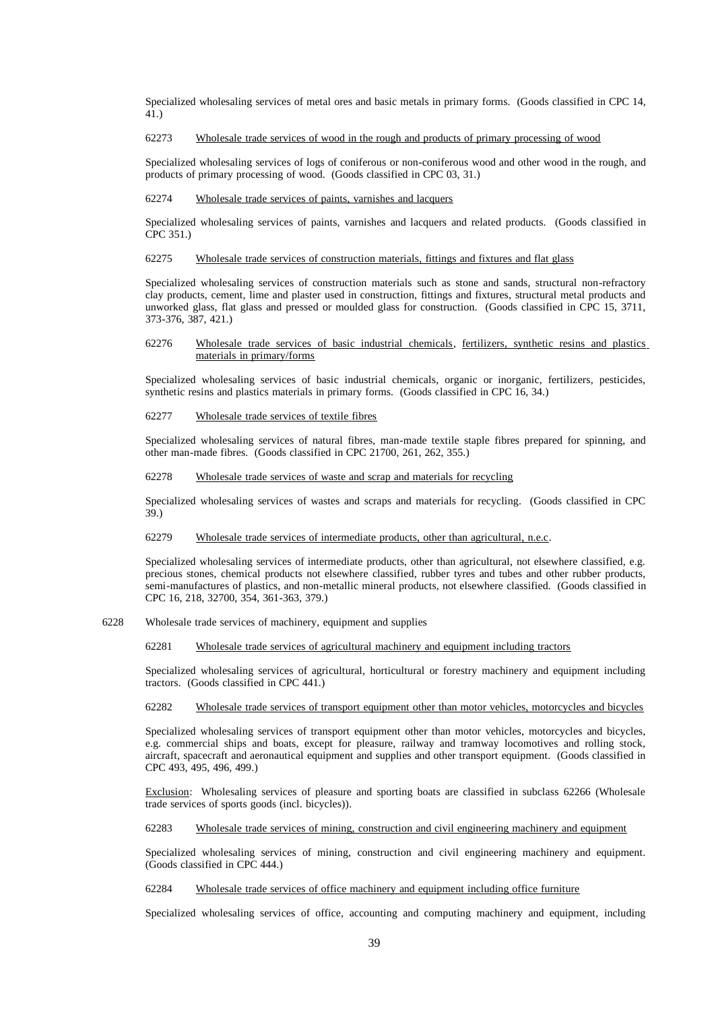Specialized wholesaling services of metal ores and basic metals in primary forms. (Goods classified in CPC 14, 41.)

### 62273 Wholesale trade services of wood in the rough and products of primary processing of wood

Specialized wholesaling services of logs of coniferous or non-coniferous wood and other wood in the rough, and products of primary processing of wood. (Goods classified in CPC 03, 31.)

# 62274 Wholesale trade services of paints, varnishes and lacquers

Specialized wholesaling services of paints, varnishes and lacquers and related products. (Goods classified in CPC 351.)

### 62275 Wholesale trade services of construction materials, fittings and fixtures and flat glass

Specialized wholesaling services of construction materials such as stone and sands, structural non-refractory clay products, cement, lime and plaster used in construction, fittings and fixtures, structural metal products and unworked glass, flat glass and pressed or moulded glass for construction. (Goods classified in CPC 15, 3711, 373-376, 387, 421.)

### 62276 Wholesale trade services of basic industrial chemicals, fertilizers, synthetic resins and plastics materials in primary/forms

Specialized wholesaling services of basic industrial chemicals, organic or inorganic, fertilizers, pesticides, synthetic resins and plastics materials in primary forms. (Goods classified in CPC 16, 34.)

#### 62277 Wholesale trade services of textile fibres

Specialized wholesaling services of natural fibres, man-made textile staple fibres prepared for spinning, and other man-made fibres. (Goods classified in CPC 21700, 261, 262, 355.)

### 62278 Wholesale trade services of waste and scrap and materials for recycling

Specialized wholesaling services of wastes and scraps and materials for recycling. (Goods classified in CPC 39.)

#### 62279 Wholesale trade services of intermediate products, other than agricultural, n.e.c.

Specialized wholesaling services of intermediate products, other than agricultural, not elsewhere classified, e.g. precious stones, chemical products not elsewhere classified, rubber tyres and tubes and other rubber products, semi-manufactures of plastics, and non-metallic mineral products, not elsewhere classified. (Goods classified in CPC 16, 218, 32700, 354, 361-363, 379.)

# 6228 Wholesale trade services of machinery, equipment and supplies

### 62281 Wholesale trade services of agricultural machinery and equipment including tractors

Specialized wholesaling services of agricultural, horticultural or forestry machinery and equipment including tractors. (Goods classified in CPC 441.)

## 62282 Wholesale trade services of transport equipment other than motor vehicles, motorcycles and bicycles

 Specialized wholesaling services of transport equipment other than motor vehicles, motorcycles and bicycles, e.g. commercial ships and boats, except for pleasure, railway and tramway locomotives and rolling stock, aircraft, spacecraft and aeronautical equipment and supplies and other transport equipment. (Goods classified in CPC 493, 495, 496, 499.)

Exclusion: Wholesaling services of pleasure and sporting boats are classified in subclass 62266 (Wholesale trade services of sports goods (incl. bicycles)).

#### 62283 Wholesale trade services of mining, construction and civil engineering machinery and equipment

Specialized wholesaling services of mining, construction and civil engineering machinery and equipment. (Goods classified in CPC 444.)

### 62284 Wholesale trade services of office machinery and equipment including office furniture

Specialized wholesaling services of office, accounting and computing machinery and equipment, including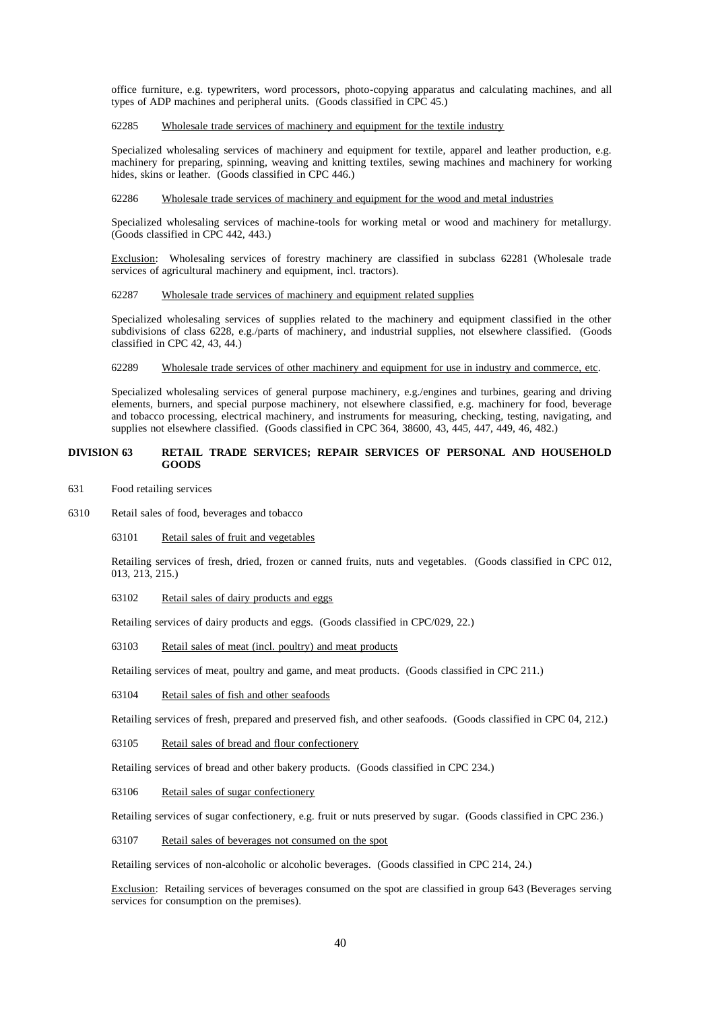office furniture, e.g. typewriters, word processors, photo-copying apparatus and calculating machines, and all types of ADP machines and peripheral units. (Goods classified in CPC 45.)

# 62285 Wholesale trade services of machinery and equipment for the textile industry

Specialized wholesaling services of machinery and equipment for textile, apparel and leather production, e.g. machinery for preparing, spinning, weaving and knitting textiles, sewing machines and machinery for working hides, skins or leather. (Goods classified in CPC 446.)

# 62286 Wholesale trade services of machinery and equipment for the wood and metal industries

Specialized wholesaling services of machine-tools for working metal or wood and machinery for metallurgy. (Goods classified in CPC 442, 443.)

Exclusion: Wholesaling services of forestry machinery are classified in subclass 62281 (Wholesale trade services of agricultural machinery and equipment, incl. tractors).

## 62287 Wholesale trade services of machinery and equipment related supplies

Specialized wholesaling services of supplies related to the machinery and equipment classified in the other subdivisions of class 6228, e.g./parts of machinery, and industrial supplies, not elsewhere classified. (Goods classified in CPC 42, 43, 44.)

# 62289 Wholesale trade services of other machinery and equipment for use in industry and commerce, etc.

Specialized wholesaling services of general purpose machinery, e.g./engines and turbines, gearing and driving elements, burners, and special purpose machinery, not elsewhere classified, e.g. machinery for food, beverage and tobacco processing, electrical machinery, and instruments for measuring, checking, testing, navigating, and supplies not elsewhere classified. (Goods classified in CPC 364, 38600, 43, 445, 447, 449, 46, 482.)

# **DIVISION 63 RETAIL TRADE SERVICES; REPAIR SERVICES OF PERSONAL AND HOUSEHOLD GOODS**

- 631 Food retailing services
- 6310 Retail sales of food, beverages and tobacco

### 63101 Retail sales of fruit and vegetables

Retailing services of fresh, dried, frozen or canned fruits, nuts and vegetables. (Goods classified in CPC 012, 013, 213, 215.)

# 63102 Retail sales of dairy products and eggs

Retailing services of dairy products and eggs. (Goods classified in CPC/029, 22.)

# 63103 Retail sales of meat (incl. poultry) and meat products

Retailing services of meat, poultry and game, and meat products. (Goods classified in CPC 211.)

# 63104 Retail sales of fish and other seafoods

Retailing services of fresh, prepared and preserved fish, and other seafoods. (Goods classified in CPC 04, 212.)

## 63105 Retail sales of bread and flour confectionery

Retailing services of bread and other bakery products. (Goods classified in CPC 234.)

63106 Retail sales of sugar confectionery

Retailing services of sugar confectionery, e.g. fruit or nuts preserved by sugar. (Goods classified in CPC 236.)

### 63107 Retail sales of beverages not consumed on the spot

Retailing services of non-alcoholic or alcoholic beverages. (Goods classified in CPC 214, 24.)

Exclusion: Retailing services of beverages consumed on the spot are classified in group 643 (Beverages serving services for consumption on the premises).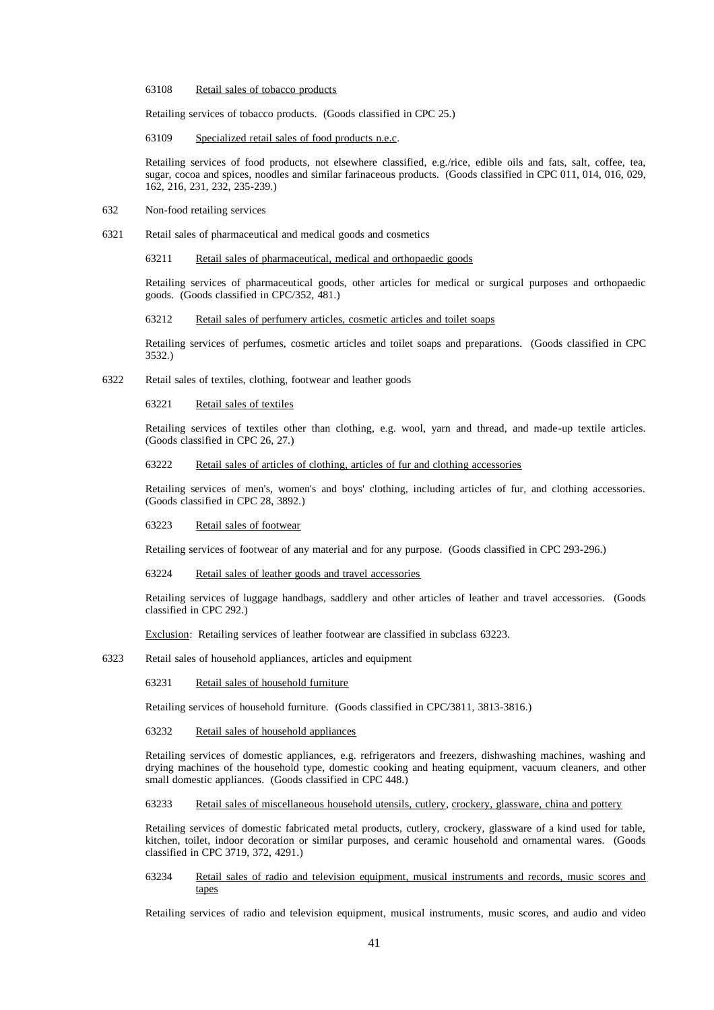63108 Retail sales of tobacco products

Retailing services of tobacco products. (Goods classified in CPC 25.)

63109 Specialized retail sales of food products n.e.c.

Retailing services of food products, not elsewhere classified, e.g./rice, edible oils and fats, salt, coffee, tea, sugar, cocoa and spices, noodles and similar farinaceous products. (Goods classified in CPC 011, 014, 016, 029, 162, 216, 231, 232, 235-239.)

- 632 Non-food retailing services
- 6321 Retail sales of pharmaceutical and medical goods and cosmetics

63211 Retail sales of pharmaceutical, medical and orthopaedic goods

Retailing services of pharmaceutical goods, other articles for medical or surgical purposes and orthopaedic goods. (Goods classified in CPC/352, 481.)

63212 Retail sales of perfumery articles, cosmetic articles and toilet soaps

Retailing services of perfumes, cosmetic articles and toilet soaps and preparations. (Goods classified in CPC 3532.)

6322 Retail sales of textiles, clothing, footwear and leather goods

63221 Retail sales of textiles

Retailing services of textiles other than clothing, e.g. wool, yarn and thread, and made-up textile articles. (Goods classified in CPC 26, 27.)

63222 Retail sales of articles of clothing, articles of fur and clothing accessories

Retailing services of men's, women's and boys' clothing, including articles of fur, and clothing accessories. (Goods classified in CPC 28, 3892.)

63223 Retail sales of footwear

Retailing services of footwear of any material and for any purpose. (Goods classified in CPC 293-296.)

63224 Retail sales of leather goods and travel accessories

Retailing services of luggage handbags, saddlery and other articles of leather and travel accessories. (Goods classified in CPC 292.)

Exclusion: Retailing services of leather footwear are classified in subclass 63223.

6323 Retail sales of household appliances, articles and equipment

63231 Retail sales of household furniture

Retailing services of household furniture. (Goods classified in CPC/3811, 3813-3816.)

63232 Retail sales of household appliances

Retailing services of domestic appliances, e.g. refrigerators and freezers, dishwashing machines, washing and drying machines of the household type, domestic cooking and heating equipment, vacuum cleaners, and other small domestic appliances. (Goods classified in CPC 448.)

63233 Retail sales of miscellaneous household utensils, cutlery, crockery, glassware, china and pottery

Retailing services of domestic fabricated metal products, cutlery, crockery, glassware of a kind used for table, kitchen, toilet, indoor decoration or similar purposes, and ceramic household and ornamental wares. (Goods classified in CPC 3719, 372, 4291.)

### 63234 Retail sales of radio and television equipment, musical instruments and records, music scores and tapes

Retailing services of radio and television equipment, musical instruments, music scores, and audio and video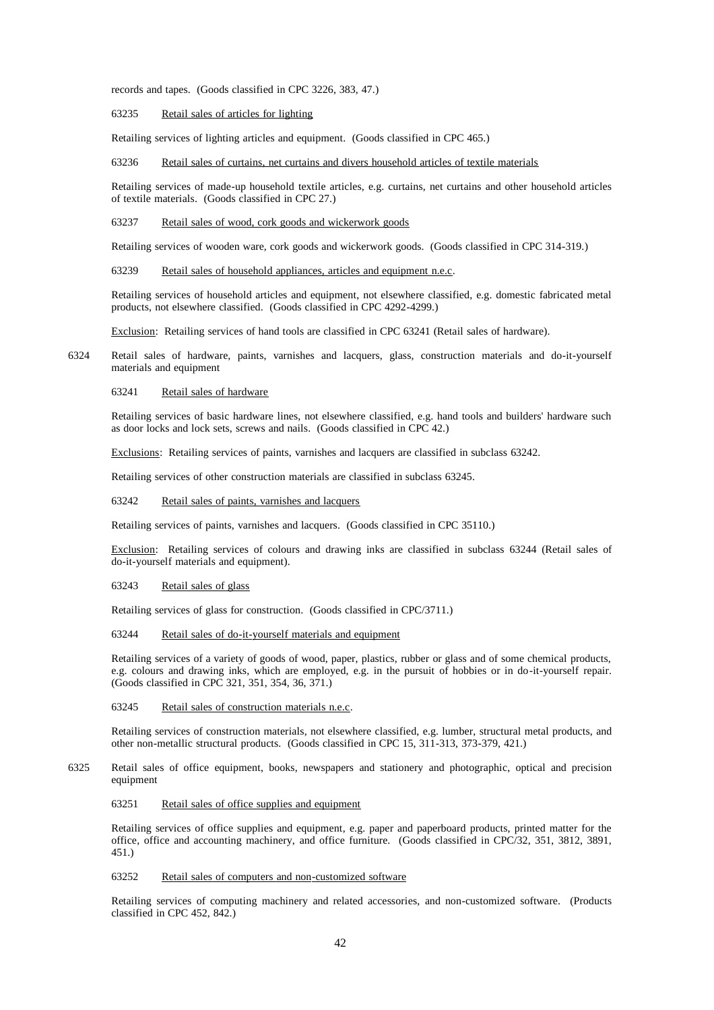records and tapes. (Goods classified in CPC 3226, 383, 47.)

# 63235 Retail sales of articles for lighting

Retailing services of lighting articles and equipment. (Goods classified in CPC 465.)

### 63236 Retail sales of curtains, net curtains and divers household articles of textile materials

Retailing services of made-up household textile articles, e.g. curtains, net curtains and other household articles of textile materials. (Goods classified in CPC 27.)

## 63237 Retail sales of wood, cork goods and wickerwork goods

Retailing services of wooden ware, cork goods and wickerwork goods. (Goods classified in CPC 314-319.)

# 63239 Retail sales of household appliances, articles and equipment n.e.c.

Retailing services of household articles and equipment, not elsewhere classified, e.g. domestic fabricated metal products, not elsewhere classified. (Goods classified in CPC 4292-4299.)

Exclusion: Retailing services of hand tools are classified in CPC 63241 (Retail sales of hardware).

6324 Retail sales of hardware, paints, varnishes and lacquers, glass, construction materials and do-it-yourself materials and equipment

# 63241 Retail sales of hardware

Retailing services of basic hardware lines, not elsewhere classified, e.g. hand tools and builders' hardware such as door locks and lock sets, screws and nails. (Goods classified in CPC 42.)

Exclusions: Retailing services of paints, varnishes and lacquers are classified in subclass 63242.

Retailing services of other construction materials are classified in subclass 63245.

### 63242 Retail sales of paints, varnishes and lacquers

Retailing services of paints, varnishes and lacquers. (Goods classified in CPC 35110.)

Exclusion: Retailing services of colours and drawing inks are classified in subclass 63244 (Retail sales of do-it-yourself materials and equipment).

## 63243 Retail sales of glass

Retailing services of glass for construction. (Goods classified in CPC/3711.)

# 63244 Retail sales of do-it-yourself materials and equipment

Retailing services of a variety of goods of wood, paper, plastics, rubber or glass and of some chemical products, e.g. colours and drawing inks, which are employed, e.g. in the pursuit of hobbies or in do-it-yourself repair. (Goods classified in CPC 321, 351, 354, 36, 371.)

# 63245 Retail sales of construction materials n.e.c.

Retailing services of construction materials, not elsewhere classified, e.g. lumber, structural metal products, and other non-metallic structural products. (Goods classified in CPC 15, 311-313, 373-379, 421.)

6325 Retail sales of office equipment, books, newspapers and stationery and photographic, optical and precision equipment

## 63251 Retail sales of office supplies and equipment

Retailing services of office supplies and equipment, e.g. paper and paperboard products, printed matter for the office, office and accounting machinery, and office furniture. (Goods classified in CPC/32, 351, 3812, 3891, 451.)

# 63252 Retail sales of computers and non-customized software

Retailing services of computing machinery and related accessories, and non-customized software. (Products classified in CPC 452, 842.)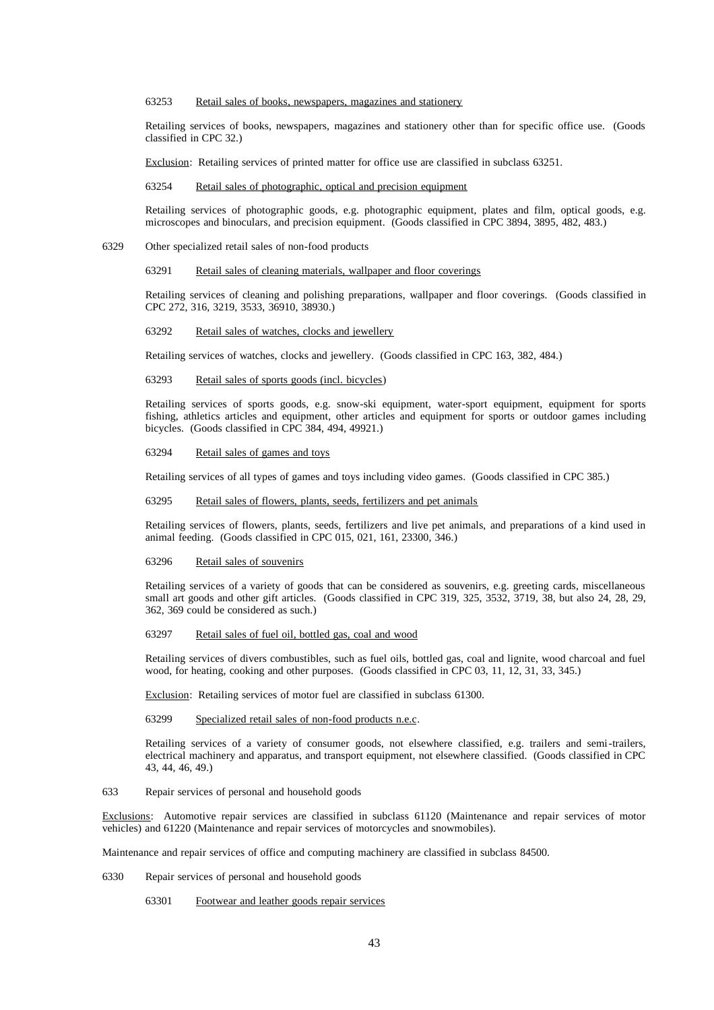63253 Retail sales of books, newspapers, magazines and stationery

Retailing services of books, newspapers, magazines and stationery other than for specific office use. (Goods classified in CPC 32.)

Exclusion: Retailing services of printed matter for office use are classified in subclass 63251.

63254 Retail sales of photographic, optical and precision equipment

Retailing services of photographic goods, e.g. photographic equipment, plates and film, optical goods, e.g. microscopes and binoculars, and precision equipment. (Goods classified in CPC 3894, 3895, 482, 483.)

# 6329 Other specialized retail sales of non-food products

# 63291 Retail sales of cleaning materials, wallpaper and floor coverings

Retailing services of cleaning and polishing preparations, wallpaper and floor coverings. (Goods classified in CPC 272, 316, 3219, 3533, 36910, 38930.)

## 63292 Retail sales of watches, clocks and jewellery

Retailing services of watches, clocks and jewellery. (Goods classified in CPC 163, 382, 484.)

# 63293 Retail sales of sports goods (incl. bicycles)

Retailing services of sports goods, e.g. snow-ski equipment, water-sport equipment, equipment for sports fishing, athletics articles and equipment, other articles and equipment for sports or outdoor games including bicycles. (Goods classified in CPC 384, 494, 49921.)

# 63294 Retail sales of games and toys

Retailing services of all types of games and toys including video games. (Goods classified in CPC 385.)

#### 63295 Retail sales of flowers, plants, seeds, fertilizers and pet animals

Retailing services of flowers, plants, seeds, fertilizers and live pet animals, and preparations of a kind used in animal feeding. (Goods classified in CPC 015, 021, 161, 23300, 346.)

# 63296 Retail sales of souvenirs

Retailing services of a variety of goods that can be considered as souvenirs, e.g. greeting cards, miscellaneous small art goods and other gift articles. (Goods classified in CPC 319, 325, 3532, 3719, 38, but also 24, 28, 29, 362, 369 could be considered as such.)

### 63297 Retail sales of fuel oil, bottled gas, coal and wood

Retailing services of divers combustibles, such as fuel oils, bottled gas, coal and lignite, wood charcoal and fuel wood, for heating, cooking and other purposes. (Goods classified in CPC 03, 11, 12, 31, 33, 345.)

Exclusion: Retailing services of motor fuel are classified in subclass 61300.

# 63299 Specialized retail sales of non-food products n.e.c.

Retailing services of a variety of consumer goods, not elsewhere classified, e.g. trailers and semi-trailers, electrical machinery and apparatus, and transport equipment, not elsewhere classified. (Goods classified in CPC 43, 44, 46, 49.)

### 633 Repair services of personal and household goods

Exclusions: Automotive repair services are classified in subclass 61120 (Maintenance and repair services of motor vehicles) and 61220 (Maintenance and repair services of motorcycles and snowmobiles).

Maintenance and repair services of office and computing machinery are classified in subclass 84500.

- 6330 Repair services of personal and household goods
	- 63301 Footwear and leather goods repair services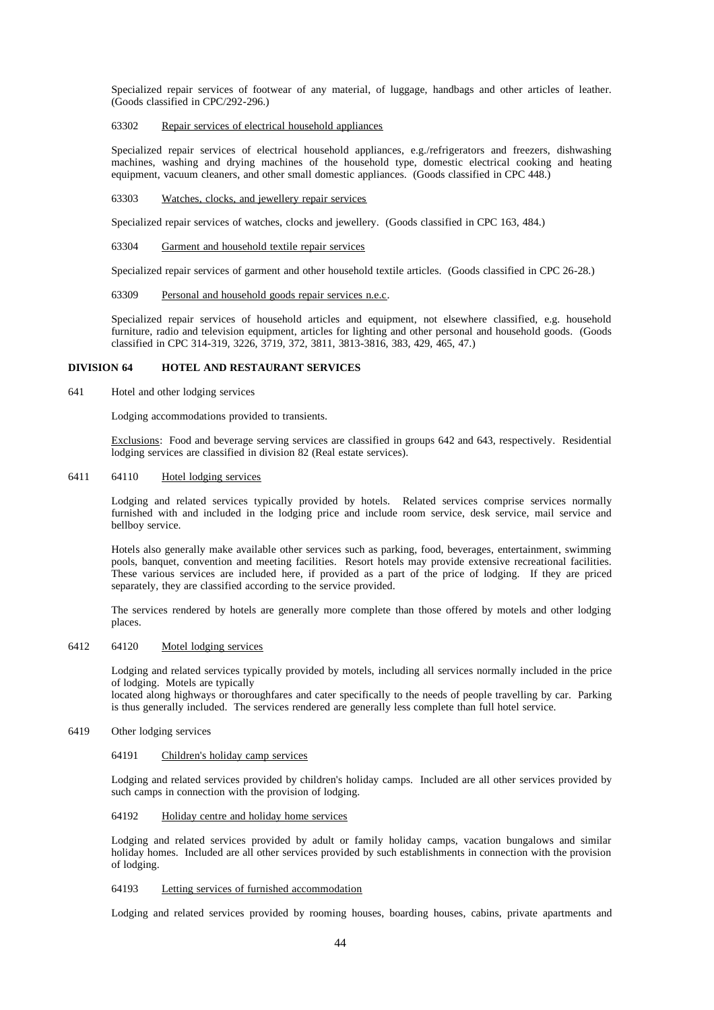Specialized repair services of footwear of any material, of luggage, handbags and other articles of leather. (Goods classified in CPC/292-296.)

# 63302 Repair services of electrical household appliances

Specialized repair services of electrical household appliances, e.g./refrigerators and freezers, dishwashing machines, washing and drying machines of the household type, domestic electrical cooking and heating equipment, vacuum cleaners, and other small domestic appliances. (Goods classified in CPC 448.)

# 63303 Watches, clocks, and jewellery repair services

Specialized repair services of watches, clocks and jewellery. (Goods classified in CPC 163, 484.)

## 63304 Garment and household textile repair services

Specialized repair services of garment and other household textile articles. (Goods classified in CPC 26-28.)

### 63309 Personal and household goods repair services n.e.c.

Specialized repair services of household articles and equipment, not elsewhere classified, e.g. household furniture, radio and television equipment, articles for lighting and other personal and household goods. (Goods classified in CPC 314-319, 3226, 3719, 372, 3811, 3813-3816, 383, 429, 465, 47.)

# **DIVISION 64 HOTEL AND RESTAURANT SERVICES**

### 641 Hotel and other lodging services

Lodging accommodations provided to transients.

Exclusions: Food and beverage serving services are classified in groups 642 and 643, respectively. Residential lodging services are classified in division 82 (Real estate services).

# 6411 64110 Hotel lodging services

Lodging and related services typically provided by hotels. Related services comprise services normally furnished with and included in the lodging price and include room service, desk service, mail service and bellboy service.

Hotels also generally make available other services such as parking, food, beverages, entertainment, swimming pools, banquet, convention and meeting facilities. Resort hotels may provide extensive recreational facilities. These various services are included here, if provided as a part of the price of lodging. If they are priced separately, they are classified according to the service provided.

The services rendered by hotels are generally more complete than those offered by motels and other lodging places.

## 6412 64120 Motel lodging services

Lodging and related services typically provided by motels, including all services normally included in the price of lodging. Motels are typically

located along highways or thoroughfares and cater specifically to the needs of people travelling by car. Parking is thus generally included. The services rendered are generally less complete than full hotel service.

# 6419 Other lodging services

# 64191 Children's holiday camp services

Lodging and related services provided by children's holiday camps. Included are all other services provided by such camps in connection with the provision of lodging.

### 64192 Holiday centre and holiday home services

Lodging and related services provided by adult or family holiday camps, vacation bungalows and similar holiday homes. Included are all other services provided by such establishments in connection with the provision of lodging.

# 64193 Letting services of furnished accommodation

Lodging and related services provided by rooming houses, boarding houses, cabins, private apartments and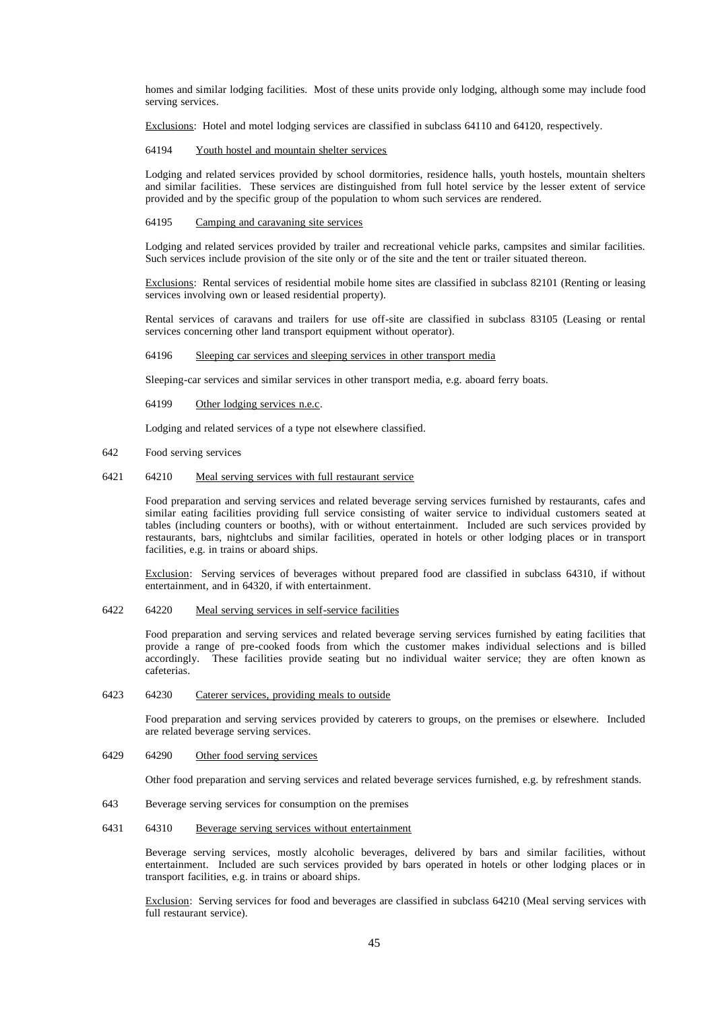homes and similar lodging facilities. Most of these units provide only lodging, although some may include food serving services.

Exclusions: Hotel and motel lodging services are classified in subclass 64110 and 64120, respectively.

# 64194 Youth hostel and mountain shelter services

Lodging and related services provided by school dormitories, residence halls, youth hostels, mountain shelters and similar facilities. These services are distinguished from full hotel service by the lesser extent of service provided and by the specific group of the population to whom such services are rendered.

## 64195 Camping and caravaning site services

Lodging and related services provided by trailer and recreational vehicle parks, campsites and similar facilities. Such services include provision of the site only or of the site and the tent or trailer situated thereon.

Exclusions: Rental services of residential mobile home sites are classified in subclass 82101 (Renting or leasing services involving own or leased residential property).

Rental services of caravans and trailers for use off-site are classified in subclass 83105 (Leasing or rental services concerning other land transport equipment without operator).

# 64196 Sleeping car services and sleeping services in other transport media

Sleeping-car services and similar services in other transport media, e.g. aboard ferry boats.

64199 Other lodging services n.e.c.

Lodging and related services of a type not elsewhere classified.

# 642 Food serving services

# 6421 64210 Meal serving services with full restaurant service

Food preparation and serving services and related beverage serving services furnished by restaurants, cafes and similar eating facilities providing full service consisting of waiter service to individual customers seated at tables (including counters or booths), with or without entertainment. Included are such services provided by restaurants, bars, nightclubs and similar facilities, operated in hotels or other lodging places or in transport facilities, e.g. in trains or aboard ships.

Exclusion: Serving services of beverages without prepared food are classified in subclass 64310, if without entertainment, and in 64320, if with entertainment.

# 6422 64220 Meal serving services in self-service facilities

Food preparation and serving services and related beverage serving services furnished by eating facilities that provide a range of pre-cooked foods from which the customer makes individual selections and is billed accordingly. These facilities provide seating but no individual waiter service; they are often known as cafeterias.

# 6423 64230 Caterer services, providing meals to outside

Food preparation and serving services provided by caterers to groups, on the premises or elsewhere. Included are related beverage serving services.

# 6429 64290 Other food serving services

Other food preparation and serving services and related beverage services furnished, e.g. by refreshment stands.

643 Beverage serving services for consumption on the premises

# 6431 64310 Beverage serving services without entertainment

Beverage serving services, mostly alcoholic beverages, delivered by bars and similar facilities, without entertainment. Included are such services provided by bars operated in hotels or other lodging places or in transport facilities, e.g. in trains or aboard ships.

Exclusion: Serving services for food and beverages are classified in subclass 64210 (Meal serving services with full restaurant service).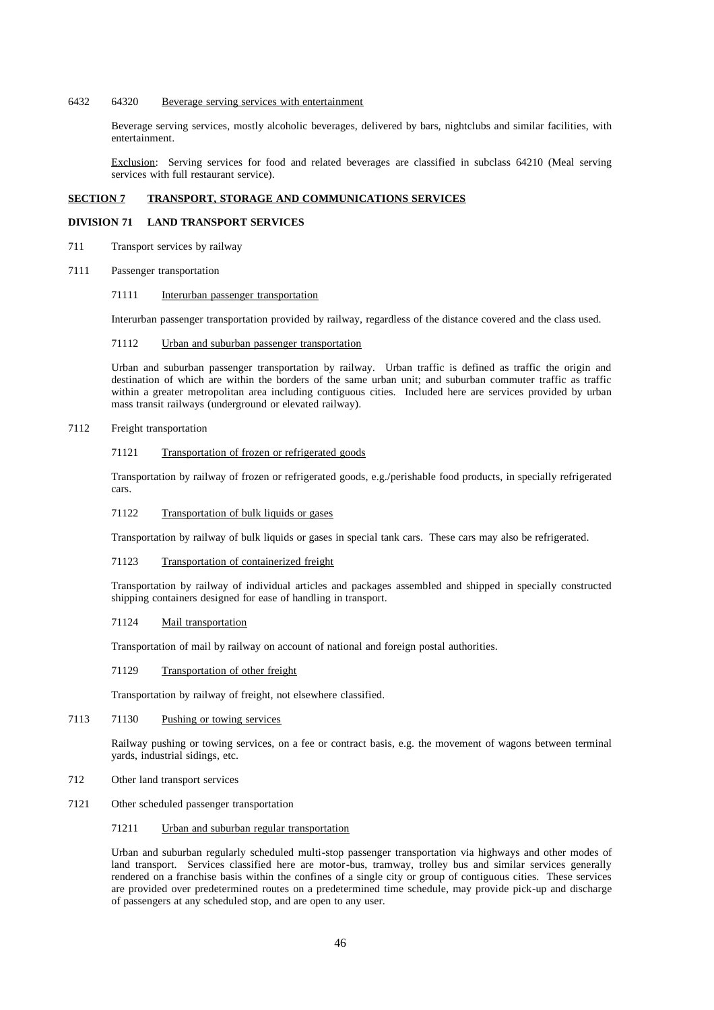# 6432 64320 Beverage serving services with entertainment

Beverage serving services, mostly alcoholic beverages, delivered by bars, nightclubs and similar facilities, with entertainment.

Exclusion: Serving services for food and related beverages are classified in subclass 64210 (Meal serving services with full restaurant service).

# **SECTION 7 TRANSPORT, STORAGE AND COMMUNICATIONS SERVICES**

### **DIVISION 71 LAND TRANSPORT SERVICES**

- 711 Transport services by railway
- 7111 Passenger transportation

## 71111 Interurban passenger transportation

Interurban passenger transportation provided by railway, regardless of the distance covered and the class used.

## 71112 Urban and suburban passenger transportation

Urban and suburban passenger transportation by railway. Urban traffic is defined as traffic the origin and destination of which are within the borders of the same urban unit; and suburban commuter traffic as traffic within a greater metropolitan area including contiguous cities. Included here are services provided by urban mass transit railways (underground or elevated railway).

# 7112 Freight transportation

# 71121 Transportation of frozen or refrigerated goods

Transportation by railway of frozen or refrigerated goods, e.g./perishable food products, in specially refrigerated cars.

### 71122 Transportation of bulk liquids or gases

Transportation by railway of bulk liquids or gases in special tank cars. These cars may also be refrigerated.

# 71123 Transportation of containerized freight

Transportation by railway of individual articles and packages assembled and shipped in specially constructed shipping containers designed for ease of handling in transport.

### 71124 Mail transportation

Transportation of mail by railway on account of national and foreign postal authorities.

## 71129 Transportation of other freight

Transportation by railway of freight, not elsewhere classified.

# 7113 71130 Pushing or towing services

Railway pushing or towing services, on a fee or contract basis, e.g. the movement of wagons between terminal yards, industrial sidings, etc.

## 712 Other land transport services

### 7121 Other scheduled passenger transportation

# 71211 Urban and suburban regular transportation

Urban and suburban regularly scheduled multi-stop passenger transportation via highways and other modes of land transport. Services classified here are motor-bus, tramway, trolley bus and similar services generally rendered on a franchise basis within the confines of a single city or group of contiguous cities. These services are provided over predetermined routes on a predetermined time schedule, may provide pick-up and discharge of passengers at any scheduled stop, and are open to any user.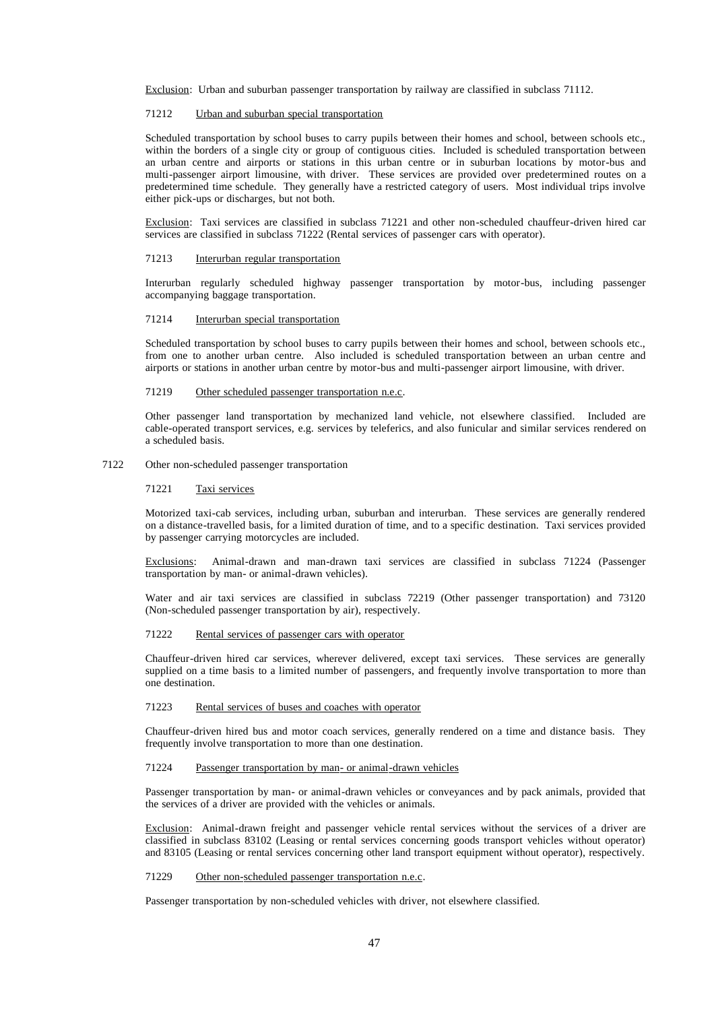Exclusion: Urban and suburban passenger transportation by railway are classified in subclass 71112.

# 71212 Urban and suburban special transportation

Scheduled transportation by school buses to carry pupils between their homes and school, between schools etc., within the borders of a single city or group of contiguous cities. Included is scheduled transportation between an urban centre and airports or stations in this urban centre or in suburban locations by motor-bus and multi-passenger airport limousine, with driver. These services are provided over predetermined routes on a predetermined time schedule. They generally have a restricted category of users. Most individual trips involve either pick-ups or discharges, but not both.

Exclusion: Taxi services are classified in subclass 71221 and other non-scheduled chauffeur-driven hired car services are classified in subclass 71222 (Rental services of passenger cars with operator).

# 71213 Interurban regular transportation

Interurban regularly scheduled highway passenger transportation by motor-bus, including passenger accompanying baggage transportation.

#### 71214 Interurban special transportation

Scheduled transportation by school buses to carry pupils between their homes and school, between schools etc., from one to another urban centre. Also included is scheduled transportation between an urban centre and airports or stations in another urban centre by motor-bus and multi-passenger airport limousine, with driver.

# 71219 Other scheduled passenger transportation n.e.c.

Other passenger land transportation by mechanized land vehicle, not elsewhere classified. Included are cable-operated transport services, e.g. services by teleferics, and also funicular and similar services rendered on a scheduled basis.

# 7122 Other non-scheduled passenger transportation

## 71221 Taxi services

Motorized taxi-cab services, including urban, suburban and interurban. These services are generally rendered on a distance-travelled basis, for a limited duration of time, and to a specific destination. Taxi services provided by passenger carrying motorcycles are included.

Exclusions: Animal-drawn and man-drawn taxi services are classified in subclass 71224 (Passenger transportation by man- or animal-drawn vehicles).

Water and air taxi services are classified in subclass 72219 (Other passenger transportation) and 73120 (Non-scheduled passenger transportation by air), respectively.

# 71222 Rental services of passenger cars with operator

Chauffeur-driven hired car services, wherever delivered, except taxi services. These services are generally supplied on a time basis to a limited number of passengers, and frequently involve transportation to more than one destination.

# 71223 Rental services of buses and coaches with operator

Chauffeur-driven hired bus and motor coach services, generally rendered on a time and distance basis. They frequently involve transportation to more than one destination.

# 71224 Passenger transportation by man- or animal-drawn vehicles

Passenger transportation by man- or animal-drawn vehicles or conveyances and by pack animals, provided that the services of a driver are provided with the vehicles or animals.

Exclusion: Animal-drawn freight and passenger vehicle rental services without the services of a driver are classified in subclass 83102 (Leasing or rental services concerning goods transport vehicles without operator) and 83105 (Leasing or rental services concerning other land transport equipment without operator), respectively.

#### 71229 Other non-scheduled passenger transportation n.e.c.

Passenger transportation by non-scheduled vehicles with driver, not elsewhere classified.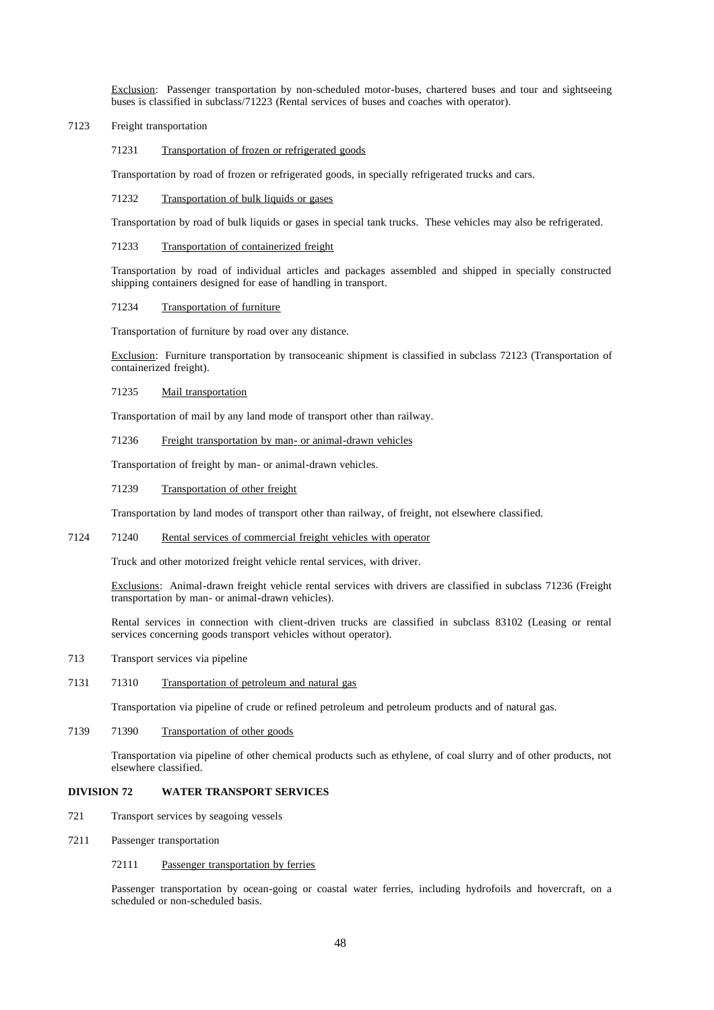Exclusion: Passenger transportation by non-scheduled motor-buses, chartered buses and tour and sightseeing buses is classified in subclass/71223 (Rental services of buses and coaches with operator).

# 7123 Freight transportation

# 71231 Transportation of frozen or refrigerated goods

Transportation by road of frozen or refrigerated goods, in specially refrigerated trucks and cars.

# 71232 Transportation of bulk liquids or gases

Transportation by road of bulk liquids or gases in special tank trucks. These vehicles may also be refrigerated.

# 71233 Transportation of containerized freight

Transportation by road of individual articles and packages assembled and shipped in specially constructed shipping containers designed for ease of handling in transport.

# 71234 Transportation of furniture

Transportation of furniture by road over any distance.

Exclusion: Furniture transportation by transoceanic shipment is classified in subclass 72123 (Transportation of containerized freight).

# 71235 Mail transportation

Transportation of mail by any land mode of transport other than railway.

# 71236 Freight transportation by man- or animal-drawn vehicles

Transportation of freight by man- or animal-drawn vehicles.

# 71239 Transportation of other freight

Transportation by land modes of transport other than railway, of freight, not elsewhere classified.

# 7124 71240 Rental services of commercial freight vehicles with operator

Truck and other motorized freight vehicle rental services, with driver.

Exclusions: Animal-drawn freight vehicle rental services with drivers are classified in subclass 71236 (Freight transportation by man- or animal-drawn vehicles).

Rental services in connection with client-driven trucks are classified in subclass 83102 (Leasing or rental services concerning goods transport vehicles without operator).

- 713 Transport services via pipeline
- 7131 71310 Transportation of petroleum and natural gas

Transportation via pipeline of crude or refined petroleum and petroleum products and of natural gas.

7139 71390 Transportation of other goods

Transportation via pipeline of other chemical products such as ethylene, of coal slurry and of other products, not elsewhere classified.

# **DIVISION 72 WATER TRANSPORT SERVICES**

- 721 Transport services by seagoing vessels
- 7211 Passenger transportation

# 72111 Passenger transportation by ferries

Passenger transportation by ocean-going or coastal water ferries, including hydrofoils and hovercraft, on a scheduled or non-scheduled basis.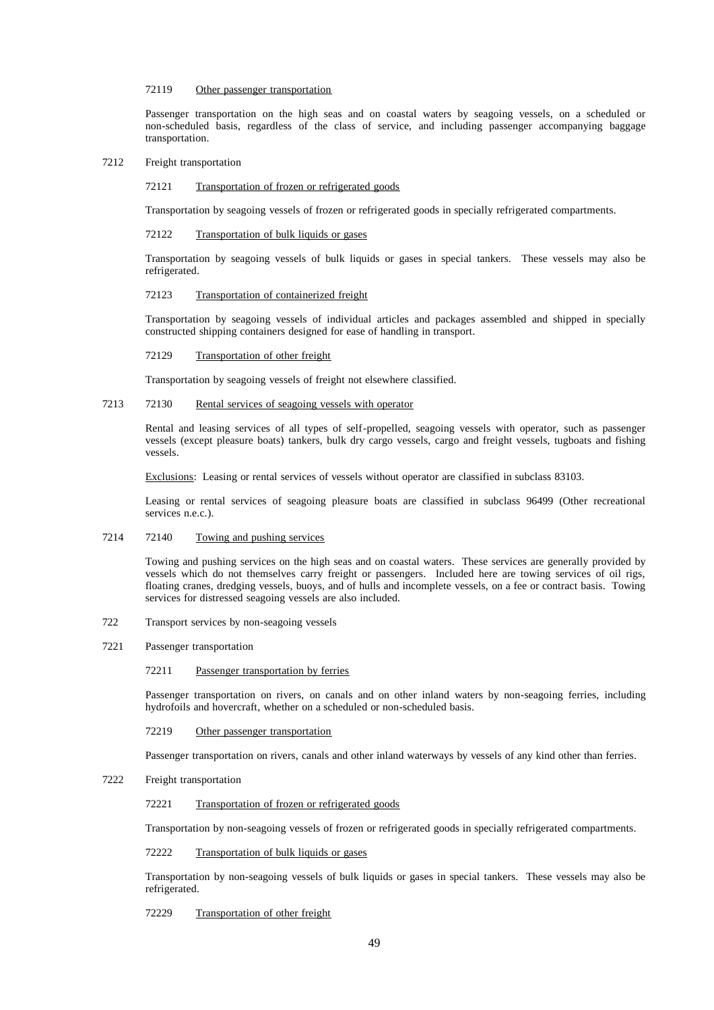# 72119 Other passenger transportation

Passenger transportation on the high seas and on coastal waters by seagoing vessels, on a scheduled or non-scheduled basis, regardless of the class of service, and including passenger accompanying baggage transportation.

#### 7212 Freight transportation

#### 72121 Transportation of frozen or refrigerated goods

Transportation by seagoing vessels of frozen or refrigerated goods in specially refrigerated compartments.

### 72122 Transportation of bulk liquids or gases

Transportation by seagoing vessels of bulk liquids or gases in special tankers. These vessels may also be refrigerated.

## 72123 Transportation of containerized freight

Transportation by seagoing vessels of individual articles and packages assembled and shipped in specially constructed shipping containers designed for ease of handling in transport.

### 72129 Transportation of other freight

Transportation by seagoing vessels of freight not elsewhere classified.

# 7213 72130 Rental services of seagoing vessels with operator

Rental and leasing services of all types of self-propelled, seagoing vessels with operator, such as passenger vessels (except pleasure boats) tankers, bulk dry cargo vessels, cargo and freight vessels, tugboats and fishing vessels.

Exclusions: Leasing or rental services of vessels without operator are classified in subclass 83103.

Leasing or rental services of seagoing pleasure boats are classified in subclass 96499 (Other recreational services n.e.c.).

# 7214 72140 Towing and pushing services

Towing and pushing services on the high seas and on coastal waters. These services are generally provided by vessels which do not themselves carry freight or passengers. Included here are towing services of oil rigs, floating cranes, dredging vessels, buoys, and of hulls and incomplete vessels, on a fee or contract basis. Towing services for distressed seagoing vessels are also included.

- 722 Transport services by non-seagoing vessels
- 7221 Passenger transportation

## 72211 Passenger transportation by ferries

Passenger transportation on rivers, on canals and on other inland waters by non-seagoing ferries, including hydrofoils and hovercraft, whether on a scheduled or non-scheduled basis.

### 72219 Other passenger transportation

Passenger transportation on rivers, canals and other inland waterways by vessels of any kind other than ferries.

7222 Freight transportation

### 72221 Transportation of frozen or refrigerated goods

Transportation by non-seagoing vessels of frozen or refrigerated goods in specially refrigerated compartments.

#### 72222 Transportation of bulk liquids or gases

Transportation by non-seagoing vessels of bulk liquids or gases in special tankers. These vessels may also be refrigerated.

# 72229 Transportation of other freight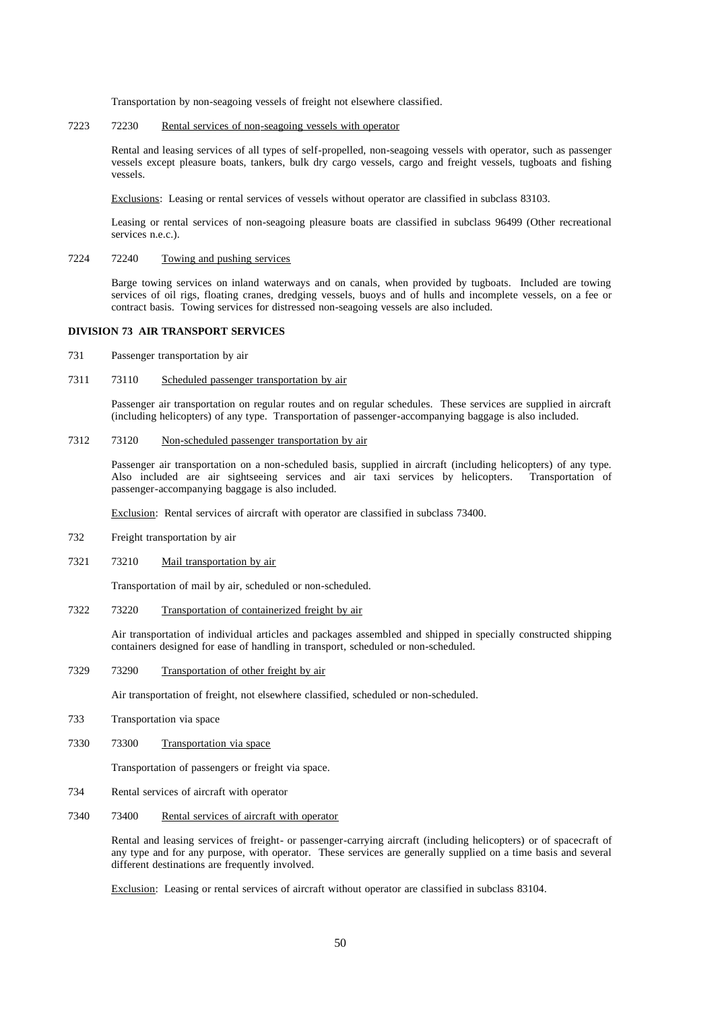Transportation by non-seagoing vessels of freight not elsewhere classified.

# 7223 72230 Rental services of non - seagoing vessels with operator

Rental and leasing services of all types of self-propelled, non-seagoing vessels with operator, such as passenger vessels except pleasure boats, tankers, bulk dry cargo vessels, cargo and freight vessels, tugboats and fishing vessels.

Exclusions: Leasing or rental services of vessels without operator are classified in subclass 83103.

Leasing or rental services of non-seagoing pleasure boats are classified in subclass 96499 (Other recreational services n.e.c.).

### 7224 72240 Towing and pushing services

Barge towing services on inland waterways and on canals, when provided by tugboats. Included are towing services of oil rigs, floating cranes, dredging vessels, buoys and of hulls and incomplete vessels, on a fee or contract basis. Towing services for distressed non-seagoing vessels are also included.

#### **DIVISION 73 AIR TRANSPORT SERVICES**

- 731 Passenger transportation by air
- 7311 73110 Scheduled passenger transportation by air

Passenger air transportation on regular routes and on regular schedules. These services are supplied in aircraft (including helicopters) of any type. Transportation of passenger-accompanying baggage is also included.

# 7312 73120 Non - scheduled passenger transportation by air

Passenger air transportation on a non-scheduled basis, supplied in aircraft (including helicopters) of any type. Also included are air sightseeing services and air taxi services by helicopters. Transportation of passenger-accompanying baggage is also included.

Exclusion: Rental services of aircraft with operator are classified in subclass 73400.

- 732 Freight transportation by air
- 7321 73210 Mail transportation by air

Transportation of mail by air, scheduled or non-scheduled.

7322 73220 Transportation of containerized freight by air

Air transportation of individual articles and packages assembled and shipped in specially constructed shipping containers designed for ease of handling in transport, scheduled or non-scheduled.

7329 73290 Transportation of other freight by air

Air transportation of freight, not elsewhere classified, scheduled or non-scheduled.

- 733 Transportation via space
- 7330 73300 Transportation via space

Transportation of passengers or freight via space.

- 734 Rental services of aircraft with operator
- 7340 73400 Rental services of aircraft with operator

Rental and leasing services of freight- or passenger-carrying aircraft (including helicopters) or of spacecraft of any type and for any purpose, with operator. These services are generally supplied on a time basis and several different destinations are frequently involved.

Exclusion: Leasing or rental services of aircraft without operator are classified in subclass 83104.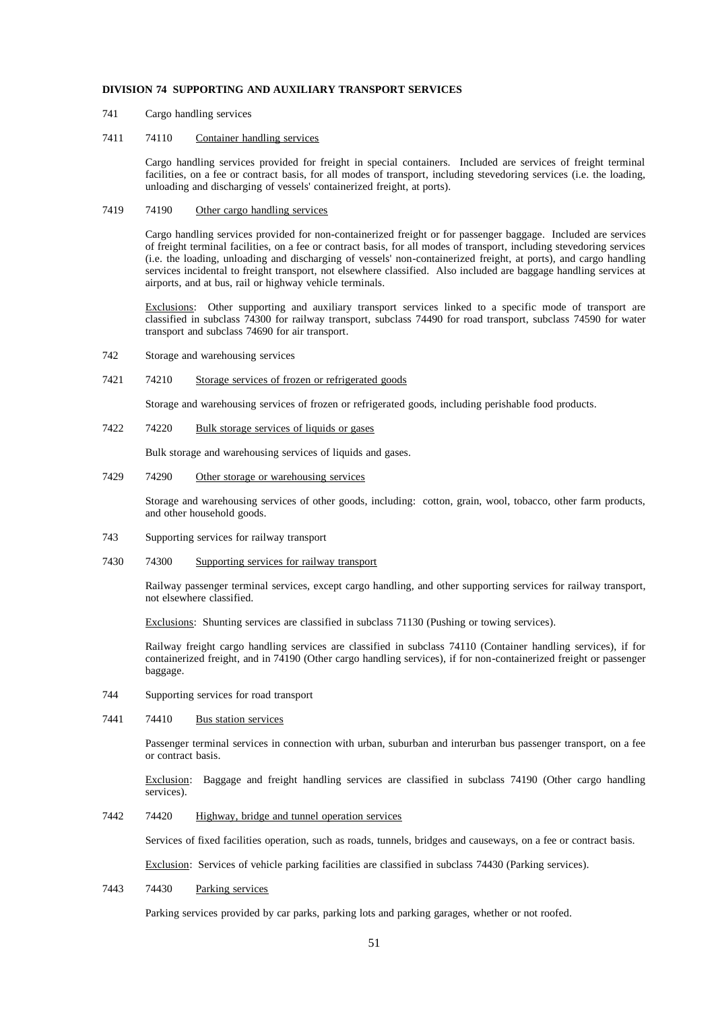# **DIVISION 74 SUPPORTING AND AUXILIARY TRANSPORT SERVICES**

## 741 Cargo handling services

### 7411 74110 Container handling services

Cargo handling services provided for freight in special containers. Included are services of freight terminal facilities, on a fee or contract basis, for all modes of transport, including stevedoring services (i.e. the loading, unloading and discharging of vessels' containerized freight, at ports).

# 7419 74190 Other cargo handling services

Cargo handling services provided for non-containerized freight or for passenger baggage. Included are services of freight terminal facilities, on a fee or contract basis, for all modes of transport, including stevedoring services (i.e. the loading, unloading and discharging of vessels' non-containerized freight, at ports), and cargo handling services incidental to freight transport, not elsewhere classified. Also included are baggage handling services at airports, and at bus, rail or highway vehicle terminals.

Exclusions: Other supporting and auxiliary transport services linked to a specific mode of transport are classified in subclass 74300 for railway transport, subclass 74490 for road transport, subclass 74590 for water transport and subclass 74690 for air transport.

742 Storage and warehousing services

## 7421 74210 Storage services of frozen or refrigerated goods

Storage and warehousing services of frozen or refrigerated goods, including perishable food products.

7422 74220 Bulk storage services of liquids or gases

Bulk storage and warehousing services of liquids and gases.

## 7429 74290 Other storage or warehousing services

Storage and warehousing services of other goods, including: cotton, grain, wool, tobacco, other farm products, and other household goods.

- 743 Supporting services for railway transport
- 7430 74300 Supporting services for railway transport

Railway passenger terminal services, except cargo handling, and other supporting services for railway transport, not elsewhere classified.

Exclusions: Shunting services are classified in subclass 71130 (Pushing or towing services).

Railway freight cargo handling services are classified in subclass 74110 (Container handling services), if for containerized freight, and in 74190 (Other cargo handling services), if for non-containerized freight or passenger baggage.

- 744 Supporting services for road transport
- 7441 74410 Bus station services

Passenger terminal services in connection with urban, suburban and interurban bus passenger transport, on a fee or contract basis.

Exclusion: Baggage and freight handling services are classified in subclass 74190 (Other cargo handling services).

# 7442 74420 Highway, bridge and tunnel operation services

Services of fixed facilities operation, such as roads, tunnels, bridges and causeways, on a fee or contract basis.

Exclusion: Services of vehicle parking facilities are classified in subclass 74430 (Parking services).

7443 74430 Parking services

Parking services provided by car parks, parking lots and parking garages, whether or not roofed.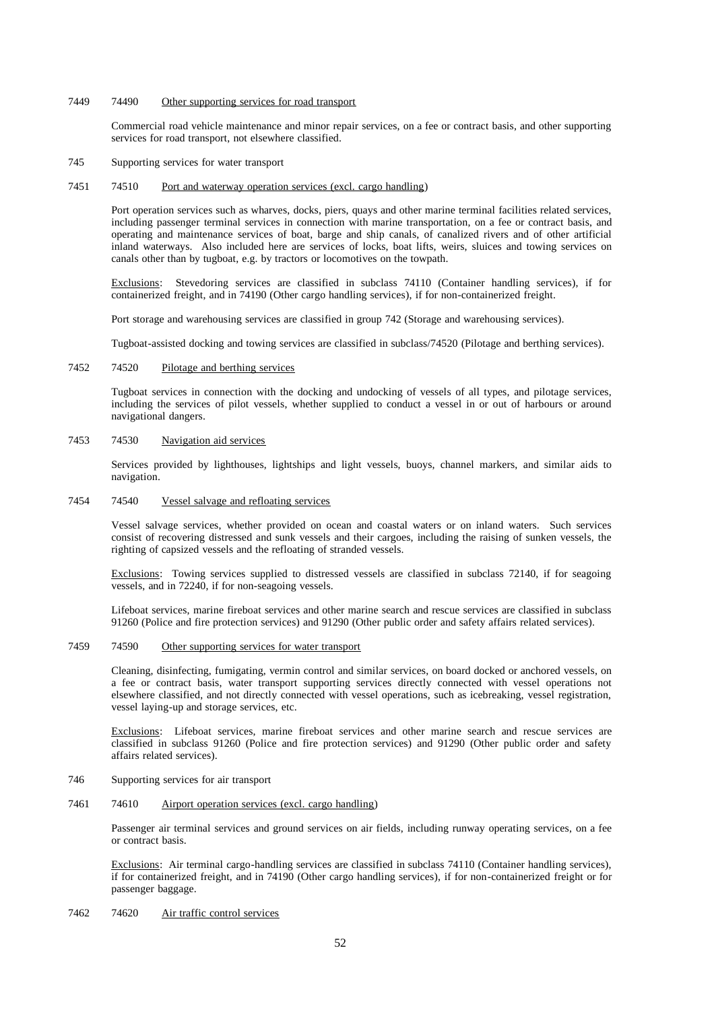# 7449 74490 Other supporting services for road transport

Commercial road vehicle maintenance and minor repair services, on a fee or contract basis, and other supporting services for road transport, not elsewhere classified.

745 Supporting services for water transport

# 7451 74510 Port and waterway operation services (excl. cargo handling)

Port operation services such as wharves, docks, piers, quays and other marine terminal facilities related services, including passenger terminal services in connection with marine transportation, on a fee or contract basis, and operating and maintenance services of boat, barge and ship canals, of canalized rivers and of other artificial inland waterways. Also included here are services of locks, boat lifts, weirs, sluices and towing services on canals other than by tugboat, e.g. by tractors or locomotives on the towpath.

Exclusions: Stevedoring services are classified in subclass 74110 (Container handling services), if for containerized freight, and in 74190 (Other cargo handling services), if for non-containerized freight.

Port storage and warehousing services are classified in group 742 (Storage and warehousing services).

Tugboat-assisted docking and towing services are classified in subclass/74520 (Pilotage and berthing services).

## 7452 74520 Pilotage and berthing services

Tugboat services in connection with the docking and undocking of vessels of all types, and pilotage services, including the services of pilot vessels, whether supplied to conduct a vessel in or out of harbours or around navigational dangers.

# 7453 74530 Navigation aid services

Services provided by lighthouses, lightships and light vessels, buoys, channel markers, and similar aids to navigation.

### 7454 74540 Vessel salvage and refloating services

Vessel salvage services, whether provided on ocean and coastal waters or on inland waters. Such services consist of recovering distressed and sunk vessels and their cargoes, including the raising of sunken vessels, the righting of capsized vessels and the refloating of stranded vessels.

Exclusions: Towing services supplied to distressed vessels are classified in subclass 72140, if for seagoing vessels, and in 72240, if for non-seagoing vessels.

Lifeboat services, marine fireboat services and other marine search and rescue services are classified in subclass 91260 (Police and fire protection services) and 91290 (Other public order and safety affairs related services).

# 7459 74590 Other supporting services for water transport

Cleaning, disinfecting, fumigating, vermin control and similar services, on board docked or anchored vessels, on a fee or contract basis, water transport supporting services directly connected with vessel operations not elsewhere classified, and not directly connected with vessel operations, such as icebreaking, vessel registration, vessel laying-up and storage services, etc.

Exclusions: Lifeboat services, marine fireboat services and other marine search and rescue services are classified in subclass 91260 (Police and fire protection services) and 91290 (Other public order and safety affairs related services).

- 746 Supporting services for air transport
- 7461 74610 Airport operation services (excl. cargo handling)

Passenger air terminal services and ground services on air fields, including runway operating services, on a fee or contract basis.

Exclusions: Air terminal cargo-handling services are classified in subclass 74110 (Container handling services), if for containerized freight, and in 74190 (Other cargo handling services), if for non-containerized freight or for passenger baggage.

7462 74620 Air traffic control services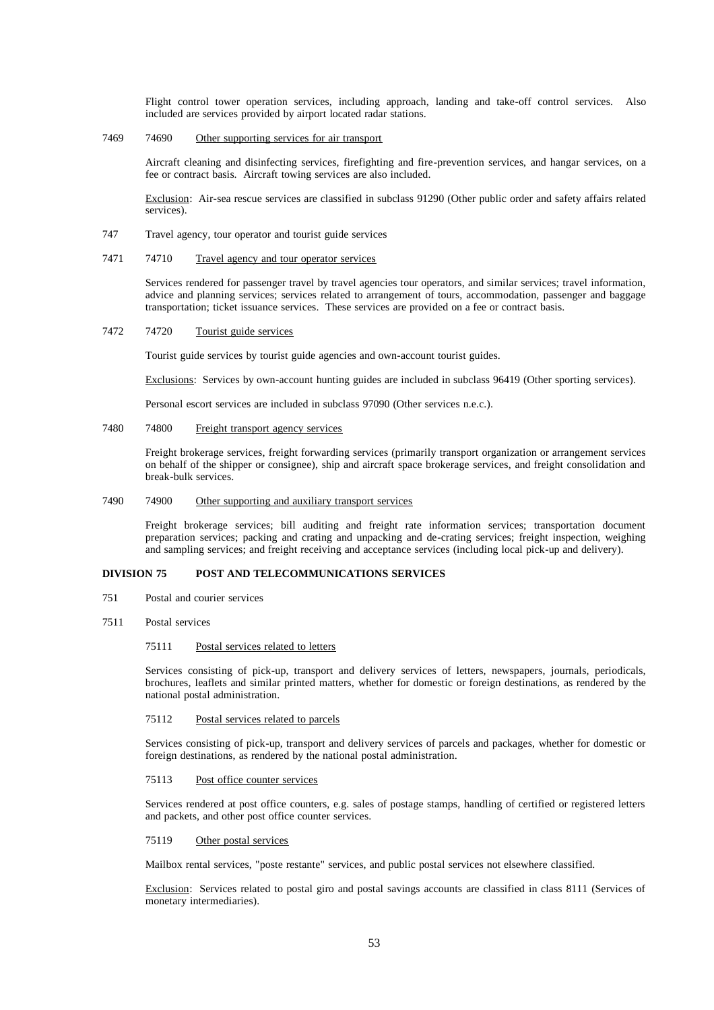Flight control tower operation services, including approach, landing and take-off control services. Also included are services provided by airport located radar stations.

### 7469 74690 Other supporting services for air transport

Aircraft cleaning and disinfecting services, firefighting and fire-prevention services, and hangar services, on a fee or contract basis. Aircraft towing services are also included.

Exclusion: Air-sea rescue services are classified in subclass 91290 (Other public order and safety affairs related services).

747 Travel agency, tour operator and tourist guide services

### 7471 74710 Travel agency and tour operator services

Services rendered for passenger travel by travel agencies tour operators, and similar services; travel information, advice and planning services; services related to arrangement of tours, accommodation, passenger and baggage transportation; ticket issuance services. These services are provided on a fee or contract basis.

#### 7472 74720 Tourist guide services

Tourist guide services by tourist guide agencies and own-account tourist guides.

Exclusions: Services by own-account hunting guides are included in subclass 96419 (Other sporting services).

Personal escort services are included in subclass 97090 (Other services n.e.c.).

# 7480 74800 Freight transport agency services

Freight brokerage services, freight forwarding services (primarily transport organization or arrangement services on behalf of the shipper or consignee), ship and aircraft space brokerage services, and freight consolidation and break-bulk services.

#### 7490 74900 Other supporting and auxiliary transport services

Freight brokerage services; bill auditing and freight rate information services; transportation document preparation services; packing and crating and unpacking and de-crating services; freight inspection, weighing and sampling services; and freight receiving and acceptance services (including local pick-up and delivery).

# **DIVISION 75 POST AND TELECOMMUNICATIONS SERVICES**

- 751 Postal and courier services
- 7511 Postal services

### 75111 Postal services related to letters

Services consisting of pick-up, transport and delivery services of letters, newspapers, journals, periodicals, brochures, leaflets and similar printed matters, whether for domestic or foreign destinations, as rendered by the national postal administration.

# 75112 Postal services related to parcels

Services consisting of pick-up, transport and delivery services of parcels and packages, whether for domestic or foreign destinations, as rendered by the national postal administration.

## 75113 Post office counter services

Services rendered at post office counters, e.g. sales of postage stamps, handling of certified or registered letters and packets, and other post office counter services.

#### 75119 Other postal services

Mailbox rental services, "poste restante" services, and public postal services not elsewhere classified.

Exclusion: Services related to postal giro and postal savings accounts are classified in class 8111 (Services of monetary intermediaries).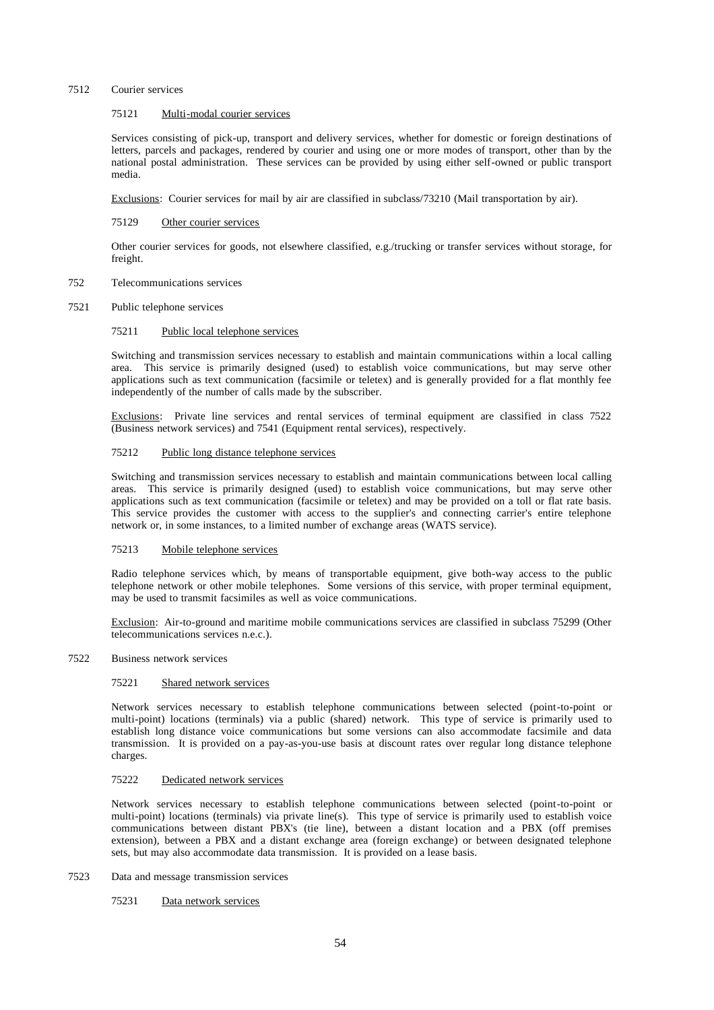# 7512 Courier services

# 75121 Multi-modal courier services

Services consisting of pick-up, transport and delivery services, whether for domestic or foreign destinations of letters, parcels and packages, rendered by courier and using one or more modes of transport, other than by the national postal administration. These services can be provided by using either self-owned or public transport media.

Exclusions: Courier services for mail by air are classified in subclass/73210 (Mail transportation by air).

### 75129 Other courier services

Other courier services for goods, not elsewhere classified, e.g./trucking or transfer services without storage, for freight.

#### 752 Telecommunications services

### 7521 Public telephone services

#### 75211 Public local telephone services

Switching and transmission services necessary to establish and maintain communications within a local calling area. This service is primarily designed (used) to establish voice communications, but may serve other applications such as text communication (facsimile or teletex) and is generally provided for a flat monthly fee independently of the number of calls made by the subscriber.

Exclusions: Private line services and rental services of terminal equipment are classified in class 7522 (Business network services) and 7541 (Equipment rental services), respectively.

# 75212 Public long distance telephone services

Switching and transmission services necessary to establish and maintain communications between local calling areas. This service is primarily designed (used) to establish voice communications, but may serve other applications such as text communication (facsimile or teletex) and may be provided on a toll or flat rate basis. This service provides the customer with access to the supplier's and connecting carrier's entire telephone network or, in some instances, to a limited number of exchange areas (WATS service).

## 75213 Mobile telephone services

Radio telephone services which, by means of transportable equipment, give both-way access to the public telephone network or other mobile telephones. Some versions of this service, with proper terminal equipment, may be used to transmit facsimiles as well as voice communications.

Exclusion: Air-to-ground and maritime mobile communications services are classified in subclass 75299 (Other telecommunications services n.e.c.).

#### 7522 Business network services

### 75221 Shared network services

Network services necessary to establish telephone communications between selected (point-to-point or multi-point) locations (terminals) via a public (shared) network. This type of service is primarily used to establish long distance voice communications but some versions can also accommodate facsimile and data transmission. It is provided on a pay-as-you-use basis at discount rates over regular long distance telephone charges.

## 75222 Dedicated network services

Network services necessary to establish telephone communications between selected (point-to-point or multi-point) locations (terminals) via private line(s). This type of service is primarily used to establish voice communications between distant PBX's (tie line), between a distant location and a PBX (off premises extension), between a PBX and a distant exchange area (foreign exchange) or between designated telephone sets, but may also accommodate data transmission. It is provided on a lease basis.

- 7523 Data and message transmission services
	- 75231 Data network services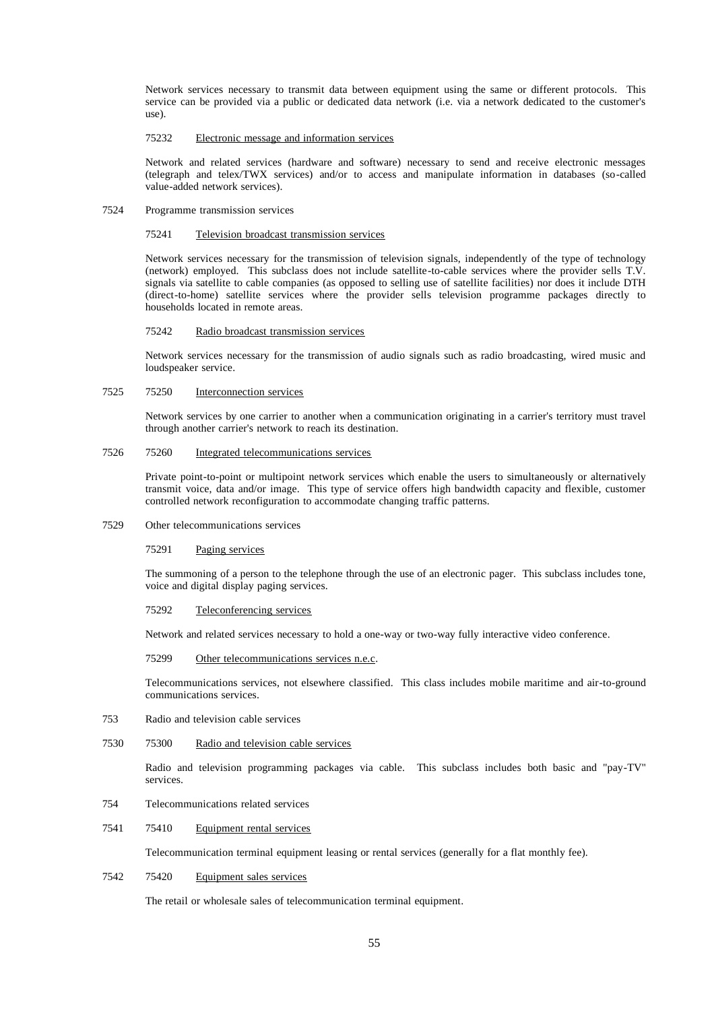Network services necessary to transmit data between equipment using the same or different protocols. This service can be provided via a public or dedicated data network (i.e. via a network dedicated to the customer's use).

### 75232 Electronic message and information services

Network and related services (hardware and software) necessary to send and receive electronic messages (telegraph and telex/TWX services) and/or to access and manipulate information in databases (so-called value-added network services).

### 7524 Programme transmission services

# 75241 Television broadcast transmission services

Network services necessary for the transmission of television signals, independently of the type of technology (network) employed. This subclass does not include satellite-to-cable services where the provider sells T.V. signals via satellite to cable companies (as opposed to selling use of satellite facilities) nor does it include DTH (direct-to-home) satellite services where the provider sells television programme packages directly to households located in remote areas.

#### 75242 Radio broadcast transmission services

Network services necessary for the transmission of audio signals such as radio broadcasting, wired music and loudspeaker service.

# 7525 75250 Interconnection services

Network services by one carrier to another when a communication originating in a carrier's territory must travel through another carrier's network to reach its destination.

# 7526 75260 Integrated telecommunications services

Private point-to-point or multipoint network services which enable the users to simultaneously or alternatively transmit voice, data and/or image. This type of service offers high bandwidth capacity and flexible, customer controlled network reconfiguration to accommodate changing traffic patterns.

### 7529 Other telecommunications services

## 75291 Paging services

The summoning of a person to the telephone through the use of an electronic pager. This subclass includes tone, voice and digital display paging services.

### 75292 Teleconferencing services

Network and related services necessary to hold a one-way or two-way fully interactive video conference.

### 75299 Other telecommunications services n.e.c.

Telecommunications services, not elsewhere classified. This class includes mobile maritime and air-to-ground communications services.

- 753 Radio and television cable services
- 7530 75300 Radio and television cable services

Radio and television programming packages via cable. This subclass includes both basic and "pay-TV" services.

### 754 Telecommunications related services

# 7541 75410 Equipment rental services

Telecommunication terminal equipment leasing or rental services (generally for a flat monthly fee).

## 7542 75420 Equipment sales services

The retail or wholesale sales of telecommunication terminal equipment.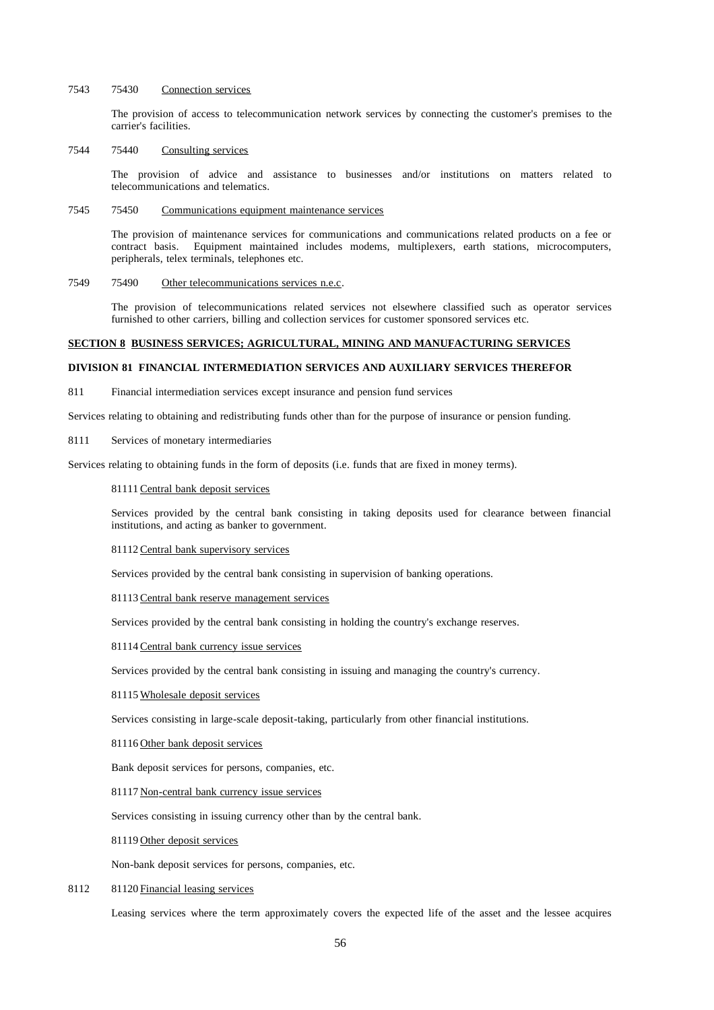# 7543 75430 Connection services

The provision of access to telecommunication network services by connecting the customer's premises to the carrier's facilities.

# 7544 75440 Consulting services

The provision of advice and assistance to businesses and/or institutions on matters related to telecommunications and telematics.

# 7545 75450 Communications equipment maintenance services

The provision of maintenance services for communications and communications related products on a fee or contract basis. Equipment maintained includes modems, multiplexers, earth stations, microcomputers, peripherals, telex terminals, telephones etc.

# 7549 75490 Other telecommunications services n.e.c.

The provision of telecommunications related services not elsewhere classified such as operator services furnished to other carriers, billing and collection services for customer sponsored services etc.

# **SECTION 8 BUSINESS SERVICES; AGRICULTURAL, MINING AND MANUFACTURING SERVICES**

# **DIVISION 81 FINANCIAL INTERMEDIATION SERVICES AND AUXILIARY SERVICES THEREFOR**

811 Financial intermediation services except insurance and pension fund services

Services relating to obtaining and redistributing funds other than for the purpose of insurance or pension funding.

8111 Services of monetary intermediaries

Services relating to obtaining funds in the form of deposits (i.e. funds that are fixed in money terms).

### 81111 Central bank deposit services

Services provided by the central bank consisting in taking deposits used for clearance between financial institutions, and acting as banker to government.

## 81112 Central bank supervisory services

Services provided by the central bank consisting in supervision of banking operations.

#### 81113 Central bank reserve management services

Services provided by the central bank consisting in holding the country's exchange reserves.

#### 81114 Central bank currency issue services

Services provided by the central bank consisting in issuing and managing the country's currency.

#### 81115 Wholesale deposit services

Services consisting in large-scale deposit-taking, particularly from other financial institutions.

### 81116 Other bank deposit services

Bank deposit services for persons, companies, etc.

# 81117 Non-central bank currency issue services

Services consisting in issuing currency other than by the central bank.

### 81119 Other deposit services

Non-bank deposit services for persons, companies, etc.

# 8112 81120 Financial leasing services

Leasing services where the term approximately covers the expected life of the asset and the lessee acquires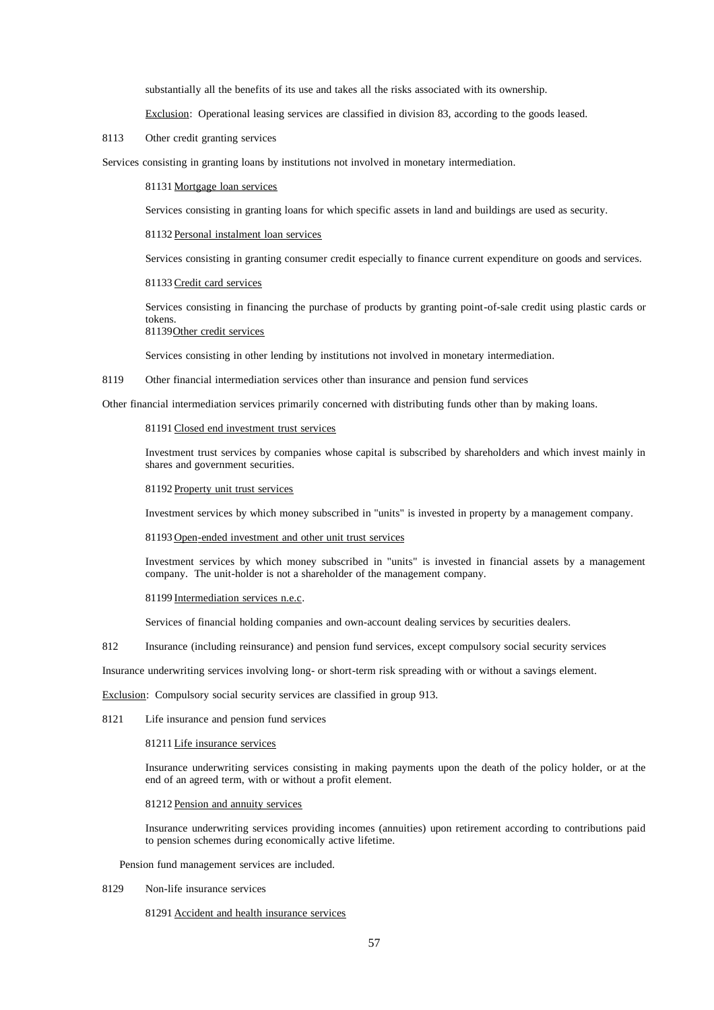substantially all the benefits of its use and takes all the risks associated with its ownership.

Exclusion: Operational leasing services are classified in division 83, according to the goods leased.

### 8113 Other credit granting services

Services consisting in granting loans by institutions not involved in monetary intermediation.

# 81131 Mortgage loan services

Services consisting in granting loans for which specific assets in land and buildings are used as security.

#### 81132 Personal instalment loan services

Services consisting in granting consumer credit especially to finance current expenditure on goods and services.

# 81133 Credit card services

Services consisting in financing the purchase of products by granting point-of-sale credit using plastic cards or tokens. 81139Other credit services

Services consisting in other lending by institutions not involved in monetary intermediation.

8119 Other financial intermediation services other than insurance and pension fund services

Other financial intermediation services primarily concerned with distributing funds other than by making loans.

# 81191 Closed end investment trust services

Investment trust services by companies whose capital is subscribed by shareholders and which invest mainly in shares and government securities.

### 81192 Property unit trust services

Investment services by which money subscribed in "units" is invested in property by a management company.

#### 81193 Open-ended investment and other unit trust services

Investment services by which money subscribed in "units" is invested in financial assets by a management company. The unit-holder is not a shareholder of the management company.

#### 81199 Intermediation services n.e.c.

Services of financial holding companies and own-account dealing services by securities dealers.

812 Insurance (including reinsurance) and pension fund services, except compulsory social security services

Insurance underwriting services involving long- or short-term risk spreading with or without a savings element.

Exclusion: Compulsory social security services are classified in group 913.

# 8121 Life insurance and pension fund services

### 81211 Life insurance services

Insurance underwriting services consisting in making payments upon the death of the policy holder, or at the end of an agreed term, with or without a profit element.

## 81212 Pension and annuity services

Insurance underwriting services providing incomes (annuities) upon retirement according to contributions paid to pension schemes during economically active lifetime.

Pension fund management services are included.

8129 Non-life insurance services

81291 Accident and health insurance services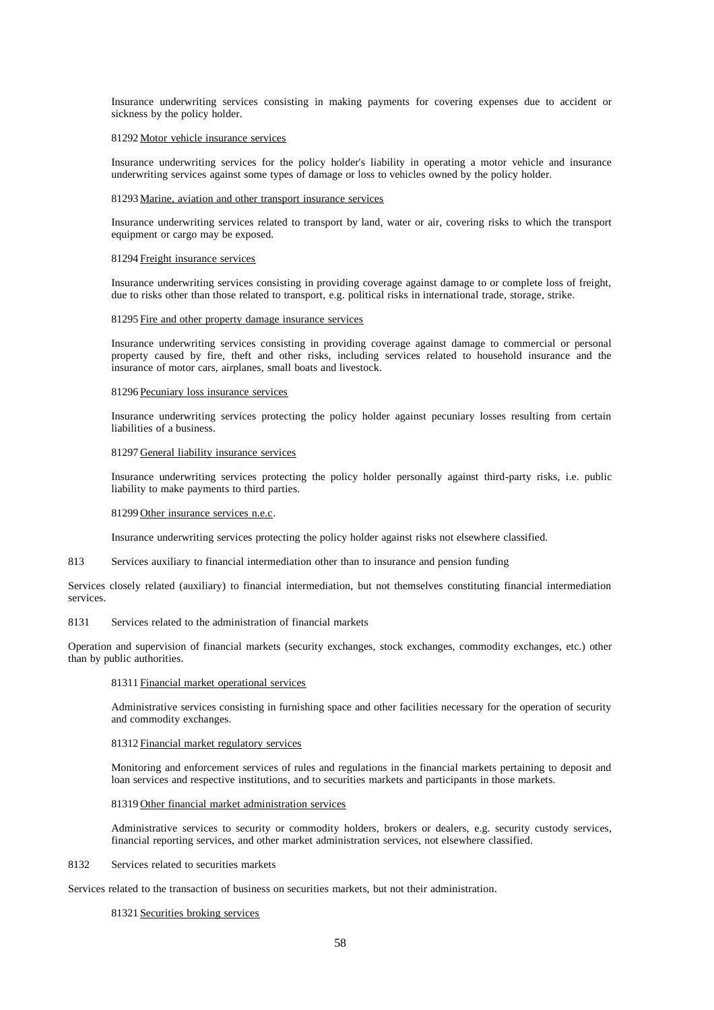Insurance underwriting services consisting in making payments for covering expenses due to accident or sickness by the policy holder.

### 81292 Motor vehicle insurance services

Insurance underwriting services for the policy holder's liability in operating a motor vehicle and insurance underwriting services against some types of damage or loss to vehicles owned by the policy holder.

#### 81293 Marine, aviation and other transport insurance services

Insurance underwriting services related to transport by land, water or air, covering risks to which the transport equipment or cargo may be exposed.

### 81294 Freight insurance services

Insurance underwriting services consisting in providing coverage against damage to or complete loss of freight, due to risks other than those related to transport, e.g. political risks in international trade, storage, strike.

#### 81295 Fire and other property damage insurance services

Insurance underwriting services consisting in providing coverage against damage to commercial or personal property caused by fire, theft and other risks, including services related to household insurance and the insurance of motor cars, airplanes, small boats and livestock.

#### 81296 Pecuniary loss insurance services

Insurance underwriting services protecting the policy holder against pecuniary losses resulting from certain liabilities of a business.

# 81297 General liability insurance services

Insurance underwriting services protecting the policy holder personally against third-party risks, i.e. public liability to make payments to third parties.

#### 81299 Other insurance services n.e.c.

Insurance underwriting services protecting the policy holder against risks not elsewhere classified.

813 Services auxiliary to financial intermediation other than to insurance and pension funding

Services closely related (auxiliary) to financial intermediation, but not themselves constituting financial intermediation services.

## 8131 Services related to the administration of financial markets

Operation and supervision of financial markets (security exchanges, stock exchanges, commodity exchanges, etc.) other than by public authorities.

#### 81311 Financial market operational services

Administrative services consisting in furnishing space and other facilities necessary for the operation of security and commodity exchanges.

## 81312 Financial market regulatory services

Monitoring and enforcement services of rules and regulations in the financial markets pertaining to deposit and loan services and respective institutions, and to securities markets and participants in those markets.

# 81319 Other financial market administration services

Administrative services to security or commodity holders, brokers or dealers, e.g. security custody services, financial reporting services, and other market administration services, not elsewhere classified.

#### 8132 Services related to securities markets

Services related to the transaction of business on securities markets, but not their administration.

## 81321 Securities broking services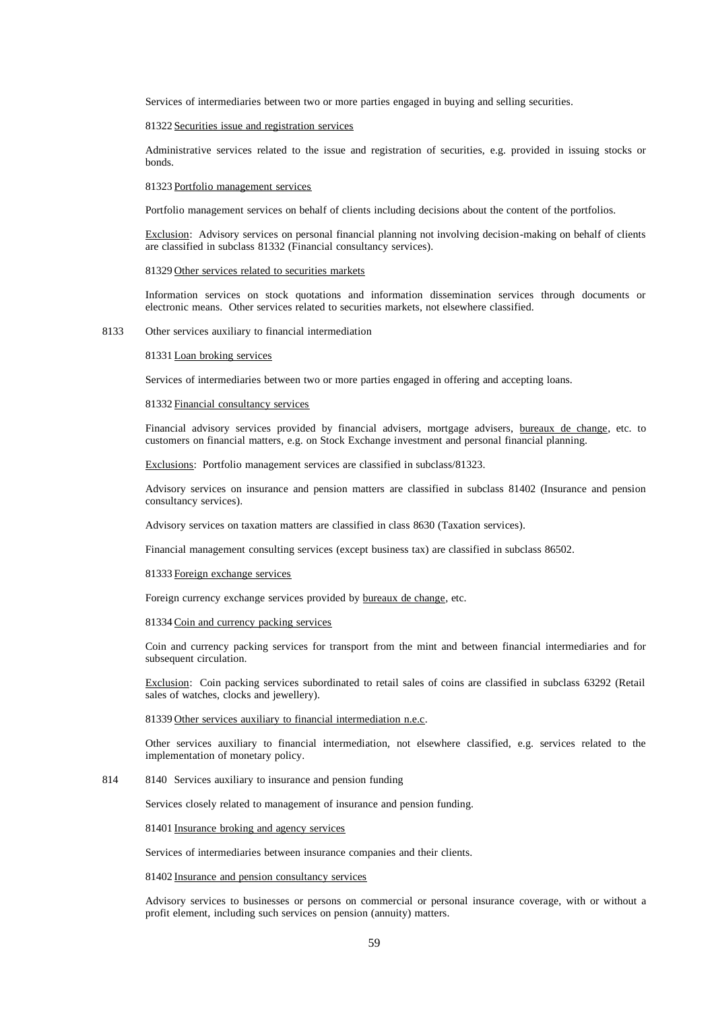Services of intermediaries between two or more parties engaged in buying and selling securities.

### 81322 Securities issue and registration services

Administrative services related to the issue and registration of securities, e.g. provided in issuing stocks or bonds.

#### 81323 Portfolio management services

Portfolio management services on behalf of clients including decisions about the content of the portfolios.

Exclusion: Advisory services on personal financial planning not involving decision-making on behalf of clients are classified in subclass 81332 (Financial consultancy services).

#### 81329 Other services related to securities markets

Information services on stock quotations and information dissemination services through documents or electronic means. Other services related to securities markets, not elsewhere classified.

#### 8133 Other services auxiliary to financial intermediation

### 81331 Loan broking services

Services of intermediaries between two or more parties engaged in offering and accepting loans.

## 81332 Financial consultancy services

Financial advisory services provided by financial advisers, mortgage advisers, bureaux de change, etc. to customers on financial matters, e.g. on Stock Exchange investment and personal financial planning.

Exclusions: Portfolio management services are classified in subclass/81323.

Advisory services on insurance and pension matters are classified in subclass 81402 (Insurance and pension consultancy services).

Advisory services on taxation matters are classified in class 8630 (Taxation services).

Financial management consulting services (except business tax) are classified in subclass 86502.

#### 81333 Foreign exchange services

Foreign currency exchange services provided by bureaux de change, etc.

### 81334 Coin and currency packing services

Coin and currency packing services for transport from the mint and between financial intermediaries and for subsequent circulation.

Exclusion: Coin packing services subordinated to retail sales of coins are classified in subclass 63292 (Retail sales of watches, clocks and jewellery).

#### 81339 Other services auxiliary to financial intermediation n.e.c.

Other services auxiliary to financial intermediation, not elsewhere classified, e.g. services related to the implementation of monetary policy.

# 814 8140 Services auxiliary to insurance and pension funding

Services closely related to management of insurance and pension funding.

#### 81401 Insurance broking and agency services

Services of intermediaries between insurance companies and their clients.

### 81402 Insurance and pension consultancy services

Advisory services to businesses or persons on commercial or personal insurance coverage, with or without a profit element, including such services on pension (annuity) matters.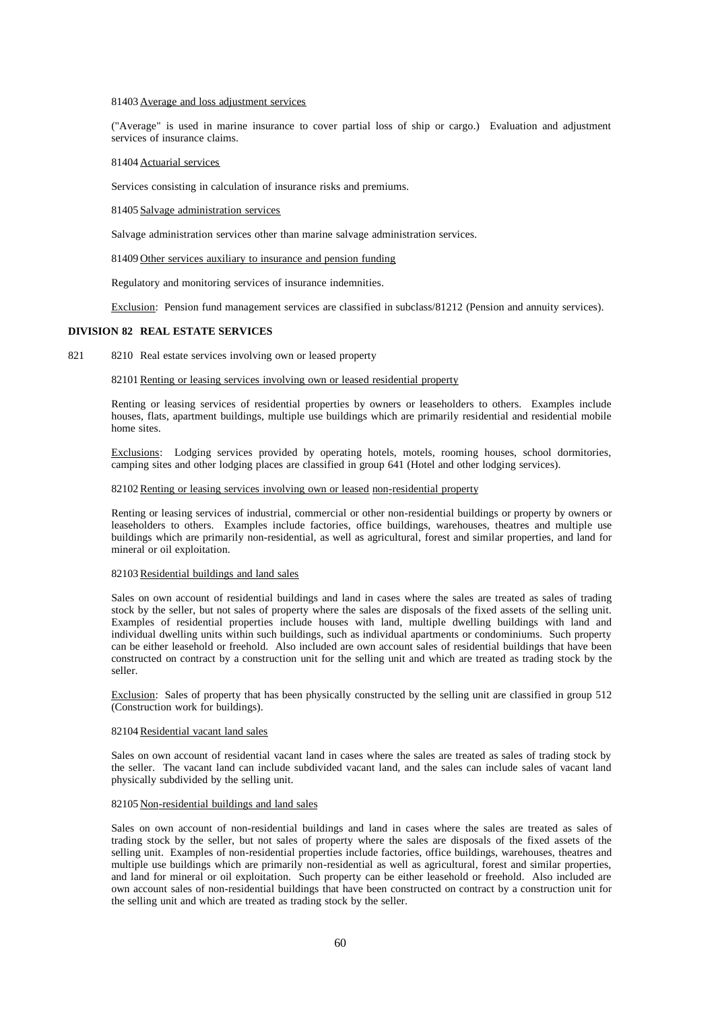## 81403 Average and loss adjustment services

("Average" is used in marine insurance to cover partial loss of ship or cargo.) Evaluation and adjustment services of insurance claims.

#### 81404 Actuarial services

Services consisting in calculation of insurance risks and premiums.

#### 81405 Salvage administration services

Salvage administration services other than marine salvage administration services.

### 81409 Other services auxiliary to insurance and pension funding

Regulatory and monitoring services of insurance indemnities.

Exclusion: Pension fund management services are classified in subclass/81212 (Pension and annuity services).

# **DIVISION 82 REAL ESTATE SERVICES**

821 8210 Real estate services involving own or leased property

#### 82101 Renting or leasing services involving own or leased residential property

Renting or leasing services of residential properties by owners or leaseholders to others. Examples include houses, flats, apartment buildings, multiple use buildings which are primarily residential and residential mobile home sites.

Exclusions: Lodging services provided by operating hotels, motels, rooming houses, school dormitories, camping sites and other lodging places are classified in group 641 (Hotel and other lodging services).

#### 82102 Renting or leasing services involving own or leased non-residential property

Renting or leasing services of industrial, commercial or other non-residential buildings or property by owners or leaseholders to others. Examples include factories, office buildings, warehouses, theatres and multiple use buildings which are primarily non-residential, as well as agricultural, forest and similar properties, and land for mineral or oil exploitation.

### 82103 Residential buildings and land sales

Sales on own account of residential buildings and land in cases where the sales are treated as sales of trading stock by the seller, but not sales of property where the sales are disposals of the fixed assets of the selling unit. Examples of residential properties include houses with land, multiple dwelling buildings with land and individual dwelling units within such buildings, such as individual apartments or condominiums. Such property can be either leasehold or freehold. Also included are own account sales of residential buildings that have been constructed on contract by a construction unit for the selling unit and which are treated as trading stock by the seller.

Exclusion: Sales of property that has been physically constructed by the selling unit are classified in group 512 (Construction work for buildings).

### 82104 Residential vacant land sales

Sales on own account of residential vacant land in cases where the sales are treated as sales of trading stock by the seller. The vacant land can include subdivided vacant land, and the sales can include sales of vacant land physically subdivided by the selling unit.

### 82105 Non-residential buildings and land sales

Sales on own account of non-residential buildings and land in cases where the sales are treated as sales of trading stock by the seller, but not sales of property where the sales are disposals of the fixed assets of the selling unit. Examples of non-residential properties include factories, office buildings, warehouses, theatres and multiple use buildings which are primarily non-residential as well as agricultural, forest and similar properties, and land for mineral or oil exploitation. Such property can be either leasehold or freehold. Also included are own account sales of non-residential buildings that have been constructed on contract by a construction unit for the selling unit and which are treated as trading stock by the seller.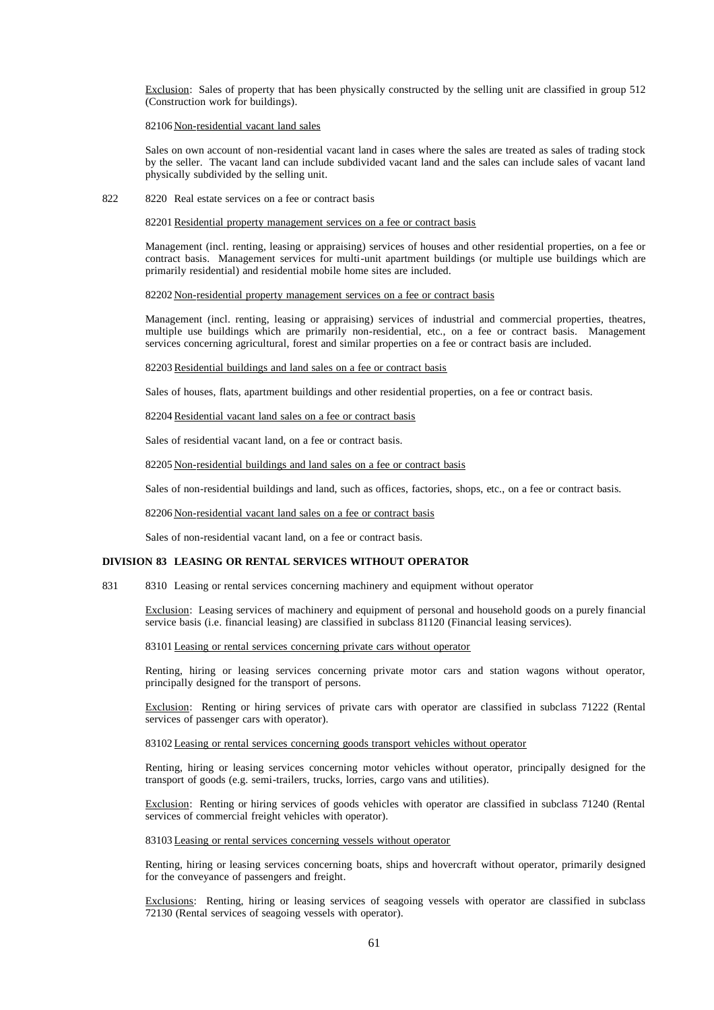Exclusion: Sales of property that has been physically constructed by the selling unit are classified in group 512 (Construction work for buildings).

82106 Non-residential vacant land sales

Sales on own account of non-residential vacant land in cases where the sales are treated as sales of trading stock by the seller. The vacant land can include subdivided vacant land and the sales can include sales of vacant land physically subdivided by the selling unit.

822 8220 Real estate services on a fee or contract basis

82201 Residential property management services on a fee or contract basis

Management (incl. renting, leasing or appraising) services of houses and other residential properties, on a fee or contract basis. Management services for multi-unit apartment buildings (or multiple use buildings which are primarily residential) and residential mobile home sites are included.

#### 82202 Non-residential property management services on a fee or contract basis

Management (incl. renting, leasing or appraising) services of industrial and commercial properties, theatres, multiple use buildings which are primarily non-residential, etc., on a fee or contract basis. Management services concerning agricultural, forest and similar properties on a fee or contract basis are included.

82203 Residential buildings and land sales on a fee or contract basis

Sales of houses, flats, apartment buildings and other residential properties, on a fee or contract basis.

82204 Residential vacant land sales on a fee or contract basis

Sales of residential vacant land, on a fee or contract basis.

82205 Non-residential buildings and land sales on a fee or contract basis

Sales of non-residential buildings and land, such as offices, factories, shops, etc., on a fee or contract basis.

82206 Non-residential vacant land sales on a fee or contract basis

Sales of non-residential vacant land, on a fee or contract basis.

### **DIVISION 83 LEASING OR RENTAL SERVICES WITHOUT OPERATOR**

831 8310 Leasing or rental services concerning machinery and equipment without operator

Exclusion: Leasing services of machinery and equipment of personal and household goods on a purely financial service basis (i.e. financial leasing) are classified in subclass 81120 (Financial leasing services).

83101 Leasing or rental services concerning private cars without operator

Renting, hiring or leasing services concerning private motor cars and station wagons without operator, principally designed for the transport of persons.

Exclusion: Renting or hiring services of private cars with operator are classified in subclass 71222 (Rental services of passenger cars with operator).

83102 Leasing or rental services concerning goods transport vehicles without operator

Renting, hiring or leasing services concerning motor vehicles without operator, principally designed for the transport of goods (e.g. semi-trailers, trucks, lorries, cargo vans and utilities).

Exclusion: Renting or hiring services of goods vehicles with operator are classified in subclass 71240 (Rental services of commercial freight vehicles with operator).

83103 Leasing or rental services concerning vessels without operator

Renting, hiring or leasing services concerning boats, ships and hovercraft without operator, primarily designed for the conveyance of passengers and freight.

Exclusions: Renting, hiring or leasing services of seagoing vessels with operator are classified in subclass 72130 (Rental services of seagoing vessels with operator).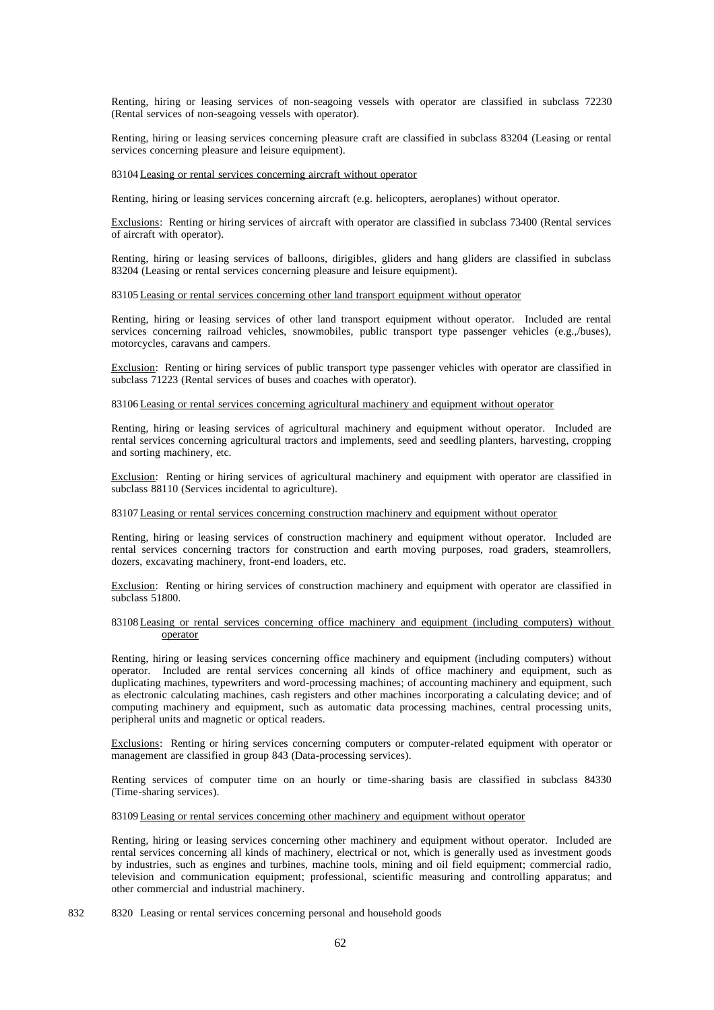Renting, hiring or leasing services of non-seagoing vessels with operator are classified in subclass 72230 (Rental services of non-seagoing vessels with operator).

Renting, hiring or leasing services concerning pleasure craft are classified in subclass 83204 (Leasing or rental services concerning pleasure and leisure equipment).

#### 83104 Leasing or rental services concerning aircraft without operator

Renting, hiring or leasing services concerning aircraft (e.g. helicopters, aeroplanes) without operator.

Exclusions: Renting or hiring services of aircraft with operator are classified in subclass 73400 (Rental services of aircraft with operator).

Renting, hiring or leasing services of balloons, dirigibles, gliders and hang gliders are classified in subclass 83204 (Leasing or rental services concerning pleasure and leisure equipment).

#### 83105 Leasing or rental services concerning other land transport equipment without operator

Renting, hiring or leasing services of other land transport equipment without operator. Included are rental services concerning railroad vehicles, snowmobiles, public transport type passenger vehicles (e.g.,/buses), motorcycles, caravans and campers.

Exclusion: Renting or hiring services of public transport type passenger vehicles with operator are classified in subclass 71223 (Rental services of buses and coaches with operator).

### 83106 Leasing or rental services concerning agricultural machinery and equipment without operator

Renting, hiring or leasing services of agricultural machinery and equipment without operator. Included are rental services concerning agricultural tractors and implements, seed and seedling planters, harvesting, cropping and sorting machinery, etc.

Exclusion: Renting or hiring services of agricultural machinery and equipment with operator are classified in subclass 88110 (Services incidental to agriculture).

#### 83107 Leasing or rental services concerning construction machinery and equipment without operator

Renting, hiring or leasing services of construction machinery and equipment without operator. Included are rental services concerning tractors for construction and earth moving purposes, road graders, steamrollers, dozers, excavating machinery, front-end loaders, etc.

Exclusion: Renting or hiring services of construction machinery and equipment with operator are classified in subclass 51800.

# 83108 Leasing or rental services concerning office machinery and equipment (including computers) without operator

Renting, hiring or leasing services concerning office machinery and equipment (including computers) without operator. Included are rental services concerning all kinds of office machinery and equipment, such as duplicating machines, typewriters and word-processing machines; of accounting machinery and equipment, such as electronic calculating machines, cash registers and other machines incorporating a calculating device; and of computing machinery and equipment, such as automatic data processing machines, central processing units, peripheral units and magnetic or optical readers.

Exclusions: Renting or hiring services concerning computers or computer-related equipment with operator or management are classified in group 843 (Data-processing services).

Renting services of computer time on an hourly or time-sharing basis are classified in subclass 84330 (Time-sharing services).

#### 83109 Leasing or rental services concerning other machinery and equipment without operator

Renting, hiring or leasing services concerning other machinery and equipment without operator. Included are rental services concerning all kinds of machinery, electrical or not, which is generally used as investment goods by industries, such as engines and turbines, machine tools, mining and oil field equipment; commercial radio, television and communication equipment; professional, scientific measuring and controlling apparatus; and other commercial and industrial machinery.

832 8320 Leasing or rental services concerning personal and household goods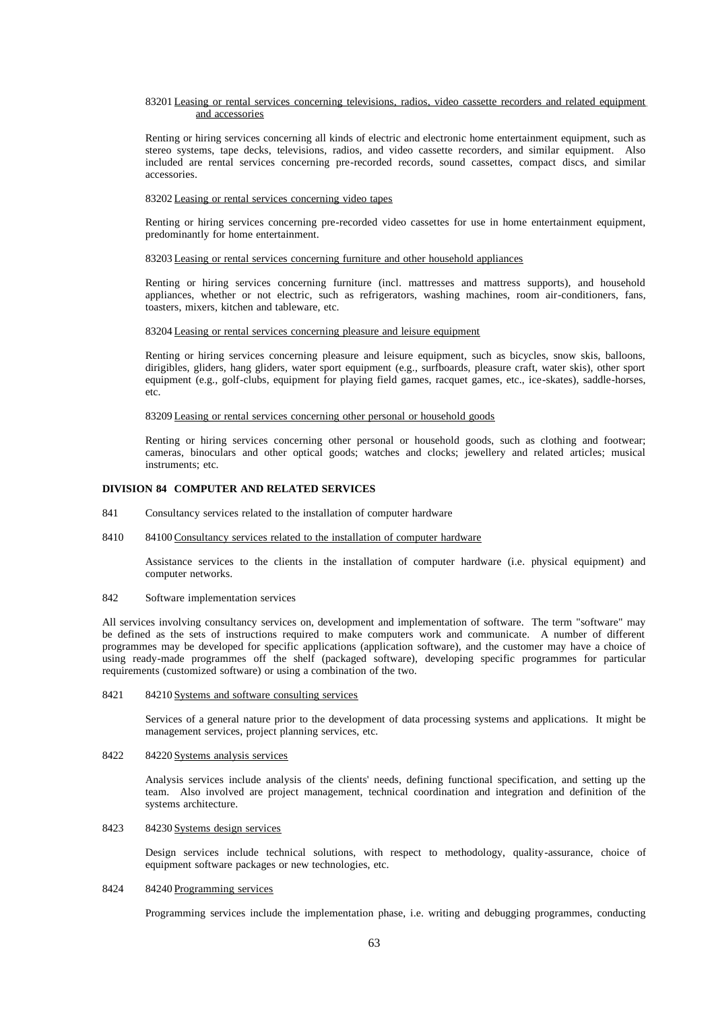### 83201 Leasing or rental services concerning televisions, radios, video cassette recorders and related equipment and accessories

Renting or hiring services concerning all kinds of electric and electronic home entertainment equipment, such as stereo systems, tape decks, televisions, radios, and video cassette recorders, and similar equipment. Also included are rental services concerning pre-recorded records, sound cassettes, compact discs, and similar accessories.

#### 83202 Leasing or rental services concerning video tapes

Renting or hiring services concerning pre-recorded video cassettes for use in home entertainment equipment, predominantly for home entertainment.

### 83203 Leasing or rental services concerning furniture and other household appliances

Renting or hiring services concerning furniture (incl. mattresses and mattress supports), and household appliances, whether or not electric, such as refrigerators, washing machines, room air-conditioners, fans, toasters, mixers, kitchen and tableware, etc.

#### 83204 Leasing or rental services concerning pleasure and leisure equipment

Renting or hiring services concerning pleasure and leisure equipment, such as bicycles, snow skis, balloons, dirigibles, gliders, hang gliders, water sport equipment (e.g., surfboards, pleasure craft, water skis), other sport equipment (e.g., golf-clubs, equipment for playing field games, racquet games, etc., ice-skates), saddle-horses, etc.

#### 83209 Leasing or rental services concerning other personal or household goods

Renting or hiring services concerning other personal or household goods, such as clothing and footwear; cameras, binoculars and other optical goods; watches and clocks; jewellery and related articles; musical instruments; etc.

## **DIVISION 84 COMPUTER AND RELATED SERVICES**

- 841 Consultancy services related to the installation of computer hardware
- 8410 84100 Consultancy services related to the installation of computer hardware

Assistance services to the clients in the installation of computer hardware (i.e. physical equipment) and computer networks.

842 Software implementation services

All services involving consultancy services on, development and implementation of software. The term "software" may be defined as the sets of instructions required to make computers work and communicate. A number of different programmes may be developed for specific applications (application software), and the customer may have a choice of using ready-made programmes off the shelf (packaged software), developing specific programmes for particular requirements (customized software) or using a combination of the two.

# 8421 84210 Systems and software consulting services

Services of a general nature prior to the development of data processing systems and applications. It might be management services, project planning services, etc.

# 8422 84220 Systems analysis services

Analysis services include analysis of the clients' needs, defining functional specification, and setting up the team. Also involved are project management, technical coordination and integration and definition of the systems architecture.

# 8423 84230 Systems design services

Design services include technical solutions, with respect to methodology, quality-assurance, choice of equipment software packages or new technologies, etc.

# 8424 84240 Programming services

Programming services include the implementation phase, i.e. writing and debugging programmes, conducting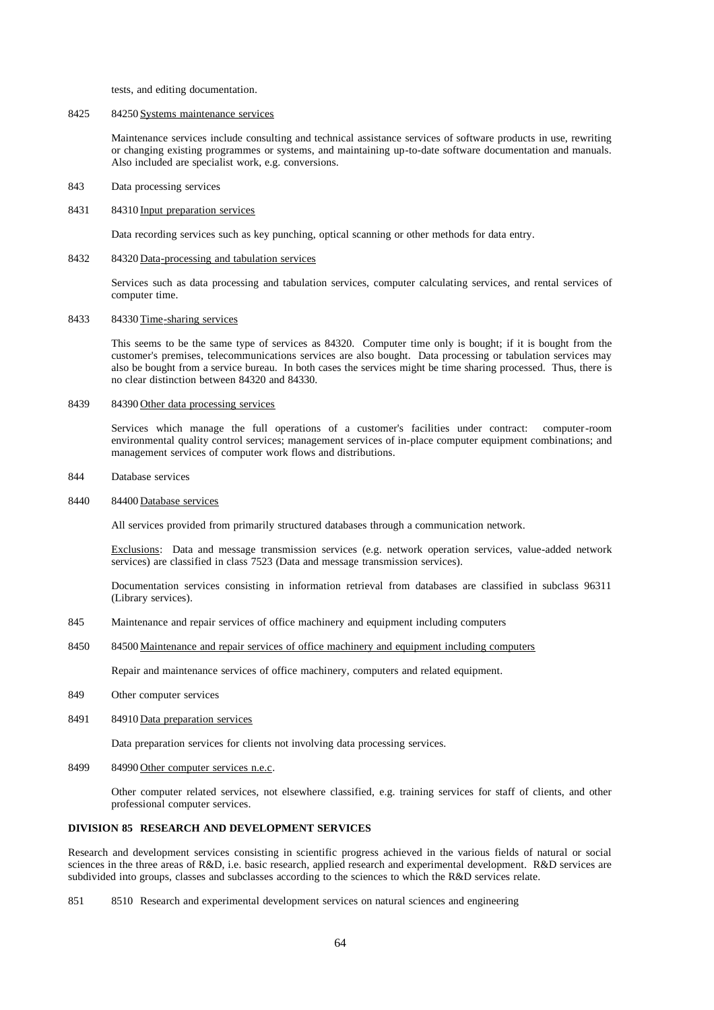tests, and editing documentation.

# 8425 84250 Systems maintenance services

Maintenance services include consulting and technical assistance services of software products in use, rewriting or changing existing programmes or systems, and maintaining up-to-date software documentation and manuals. Also included are specialist work, e.g. conversions.

843 Data processing services

# 8431 84310 Input preparation services

Data recording services such as key punching, optical scanning or other methods for data entry.

## 8432 84320 Data-processing and tabulation services

Services such as data processing and tabulation services, computer calculating services, and rental services of computer time.

#### 8433 84330 Time-sharing services

This seems to be the same type of services as 84320. Computer time only is bought; if it is bought from the customer's premises, telecommunications services are also bought. Data processing or tabulation services may also be bought from a service bureau. In both cases the services might be time sharing processed. Thus, there is no clear distinction between 84320 and 84330.

# 8439 84390 Other data processing services

Services which manage the full operations of a customer's facilities under contract: computer-room environmental quality control services; management services of in-place computer equipment combinations; and management services of computer work flows and distributions.

844 Database services

#### 8440 84400 Database services

All services provided from primarily structured databases through a communication network.

Exclusions: Data and message transmission services (e.g. network operation services, value-added network services) are classified in class 7523 (Data and message transmission services).

Documentation services consisting in information retrieval from databases are classified in subclass 96311 (Library services).

- 845 Maintenance and repair services of office machinery and equipment including computers
- 8450 84500 Maintenance and repair services of office machinery and equipment including computers

Repair and maintenance services of office machinery, computers and related equipment.

- 849 Other computer services
- 8491 84910 Data preparation services

Data preparation services for clients not involving data processing services.

8499 84990 Other computer services n.e.c.

Other computer related services, not elsewhere classified, e.g. training services for staff of clients, and other professional computer services.

# **DIVISION 85 RESEARCH AND DEVELOPMENT SERVICES**

Research and development services consisting in scientific progress achieved in the various fields of natural or social sciences in the three areas of R&D, i.e. basic research, applied research and experimental development. R&D services are subdivided into groups, classes and subclasses according to the sciences to which the R&D services relate.

851 8510 Research and experimental development services on natural sciences and engineering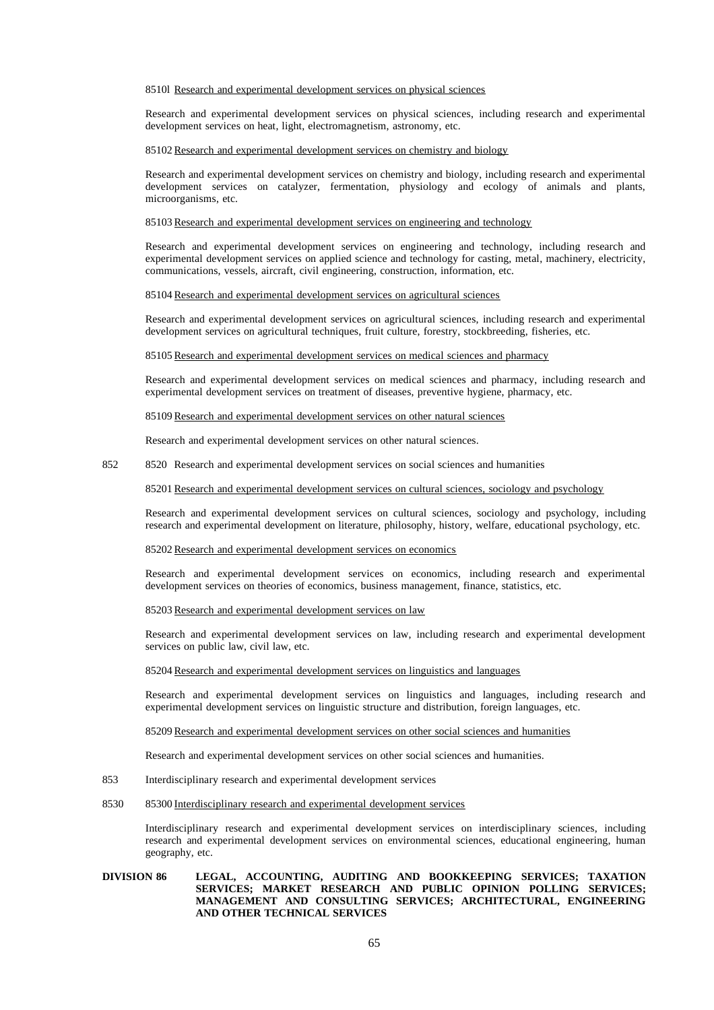### 8510l Research and experimental development services on physical sciences

Research and experimental development services on physical sciences, including research and experimental development services on heat, light, electromagnetism, astronomy, etc.

#### 85102 Research and experimental development services on chemistry and biology

Research and experimental development services on chemistry and biology, including research and experimental development services on catalyzer, fermentation, physiology and ecology of animals and plants, microorganisms, etc.

#### 85103 Research and experimental development services on engineering and technology

Research and experimental development services on engineering and technology, including research and experimental development services on applied science and technology for casting, metal, machinery, electricity, communications, vessels, aircraft, civil engineering, construction, information, etc.

# 85104 Research and experimental development services on agricultural sciences

Research and experimental development services on agricultural sciences, including research and experimental development services on agricultural techniques, fruit culture, forestry, stockbreeding, fisheries, etc.

### 85105 Research and experimental development services on medical sciences and pharmacy

Research and experimental development services on medical sciences and pharmacy, including research and experimental development services on treatment of diseases, preventive hygiene, pharmacy, etc.

#### 85109 Research and experimental development services on other natural sciences

Research and experimental development services on other natural sciences.

852 8520 Research and experimental development services on social sciences and humanities

85201 Research and experimental development services on cultural sciences, sociology and psychology

Research and experimental development services on cultural sciences, sociology and psychology, including research and experimental development on literature, philosophy, history, welfare, educational psychology, etc.

## 85202 Research and experimental development services on economics

Research and experimental development services on economics, including research and experimental development services on theories of economics, business management, finance, statistics, etc.

# 85203 Research and experimental development services on law

Research and experimental development services on law, including research and experimental development services on public law, civil law, etc.

# 85204 Research and experimental development services on linguistics and languages

Research and experimental development services on linguistics and languages, including research and experimental development services on linguistic structure and distribution, foreign languages, etc.

### 85209 Research and experimental development services on other social sciences and humanities

Research and experimental development services on other social sciences and humanities.

- 853 Interdisciplinary research and experimental development services
- 8530 85300 Interdisciplinary research and experimental development services

Interdisciplinary research and experimental development services on interdisciplinary sciences, including research and experimental development services on environmental sciences, educational engineering, human geography, etc.

### **DIVISION 86 LEGAL, ACCOUNTING, AUDITING AND BOOKKEEPING SERVICES; TAXATION SERVICES; MARKET RESEARCH AND PUBLIC OPINION POLLING SERVICES; MANAGEMENT AND CONSULTING SERVICES; ARCHITECTURAL, ENGINEERING AND OTHER TECHNICAL SERVICES**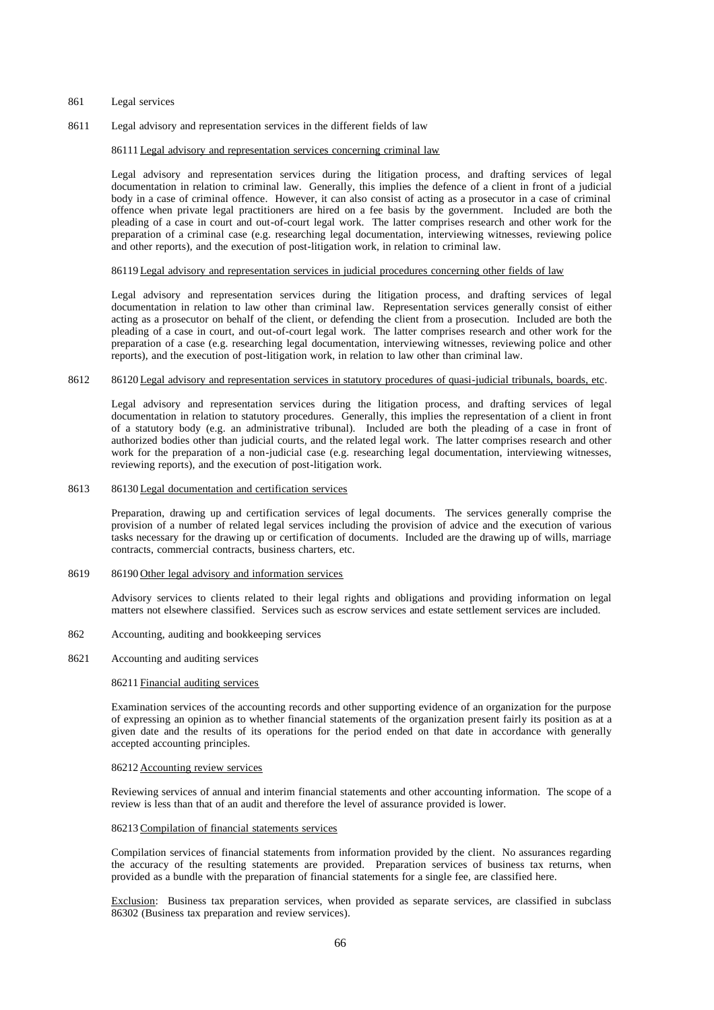### 861 Legal services

# 8611 Legal advisory and representation services in the different fields of law

### 86111 Legal advisory and representation services concerning criminal law

Legal advisory and representation services during the litigation process, and drafting services of legal documentation in relation to criminal law. Generally, this implies the defence of a client in front of a judicial body in a case of criminal offence. However, it can also consist of acting as a prosecutor in a case of criminal offence when private legal practitioners are hired on a fee basis by the government. Included are both the pleading of a case in court and out-of-court legal work. The latter comprises research and other work for the preparation of a criminal case (e.g. researching legal documentation, interviewing witnesses, reviewing police and other reports), and the execution of post-litigation work, in relation to criminal law.

#### 86119 Legal advisory and representation services in judicial procedures concerning other fields of law

Legal advisory and representation services during the litigation process, and drafting services of legal documentation in relation to law other than criminal law. Representation services generally consist of either acting as a prosecutor on behalf of the client, or defending the client from a prosecution. Included are both the pleading of a case in court, and out-of-court legal work. The latter comprises research and other work for the preparation of a case (e.g. researching legal documentation, interviewing witnesses, reviewing police and other reports), and the execution of post-litigation work, in relation to law other than criminal law.

# 86120 Legal advisory and representation services in statutory procedures of quasi-judicial tribunals, boards, etc.

Legal advisory and representation services during the litigation process, and drafting services of legal documentation in relation to statutory procedures. Generally, this implies the representation of a client in front of a statutory body (e.g. an administrative tribunal). Included are both the pleading of a case in front of authorized bodies other than judicial courts, and the related legal work. The latter comprises research and other work for the preparation of a non-judicial case (e.g. researching legal documentation, interviewing witnesses, reviewing reports), and the execution of post-litigation work.

## 8613 86130 Legal documentation and certification services

Preparation, drawing up and certification services of legal documents. The services generally comprise the provision of a number of related legal services including the provision of advice and the execution of various tasks necessary for the drawing up or certification of documents. Included are the drawing up of wills, marriage contracts, commercial contracts, business charters, etc.

# 8619 86190 Other legal advisory and information services

Advisory services to clients related to their legal rights and obligations and providing information on legal matters not elsewhere classified. Services such as escrow services and estate settlement services are included.

- 862 Accounting, auditing and bookkeeping services
- 8621 Accounting and auditing services

#### 86211 Financial auditing services

Examination services of the accounting records and other supporting evidence of an organization for the purpose of expressing an opinion as to whether financial statements of the organization present fairly its position as at a given date and the results of its operations for the period ended on that date in accordance with generally accepted accounting principles.

## 86212 Accounting review services

Reviewing services of annual and interim financial statements and other accounting information. The scope of a review is less than that of an audit and therefore the level of assurance provided is lower.

#### 86213 Compilation of financial statements services

Compilation services of financial statements from information provided by the client. No assurances regarding the accuracy of the resulting statements are provided. Preparation services of business tax returns, when provided as a bundle with the preparation of financial statements for a single fee, are classified here.

Exclusion: Business tax preparation services, when provided as separate services, are classified in subclass 86302 (Business tax preparation and review services).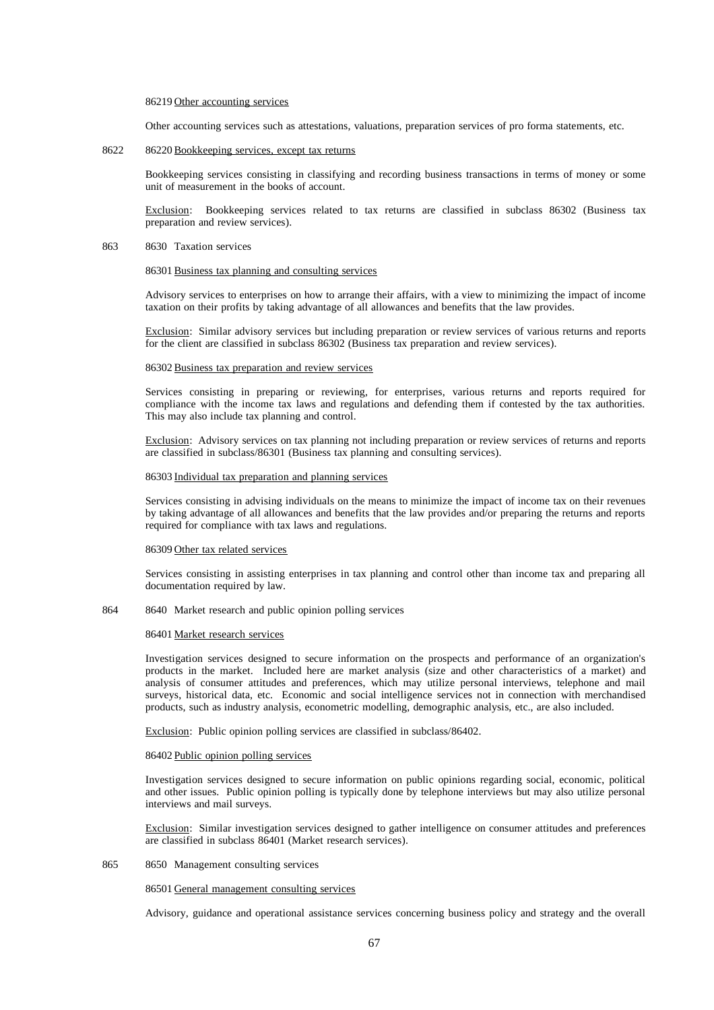### 86219 Other accounting services

Other accounting services such as attestations, valuations, preparation services of pro forma statements, etc.

## 8622 86220 Bookkeeping services, except tax returns

Bookkeeping services consisting in classifying and recording business transactions in terms of money or some unit of measurement in the books of account.

Exclusion: Bookkeeping services related to tax returns are classified in subclass 86302 (Business tax preparation and review services).

### 863 8630 Taxation services

#### 86301 Business tax planning and consulting services

Advisory services to enterprises on how to arrange their affairs, with a view to minimizing the impact of income taxation on their profits by taking advantage of all allowances and benefits that the law provides.

Exclusion: Similar advisory services but including preparation or review services of various returns and reports for the client are classified in subclass 86302 (Business tax preparation and review services).

#### 86302 Business tax preparation and review services

Services consisting in preparing or reviewing, for enterprises, various returns and reports required for compliance with the income tax laws and regulations and defending them if contested by the tax authorities. This may also include tax planning and control.

Exclusion: Advisory services on tax planning not including preparation or review services of returns and reports are classified in subclass/86301 (Business tax planning and consulting services).

#### 86303 Individual tax preparation and planning services

Services consisting in advising individuals on the means to minimize the impact of income tax on their revenues by taking advantage of all allowances and benefits that the law provides and/or preparing the returns and reports required for compliance with tax laws and regulations.

#### 86309 Other tax related services

Services consisting in assisting enterprises in tax planning and control other than income tax and preparing all documentation required by law.

864 8640 Market research and public opinion polling services

#### 86401 Market research services

Investigation services designed to secure information on the prospects and performance of an organization's products in the market. Included here are market analysis (size and other characteristics of a market) and analysis of consumer attitudes and preferences, which may utilize personal interviews, telephone and mail surveys, historical data, etc. Economic and social intelligence services not in connection with merchandised products, such as industry analysis, econometric modelling, demographic analysis, etc., are also included.

Exclusion: Public opinion polling services are classified in subclass/86402.

# 86402 Public opinion polling services

Investigation services designed to secure information on public opinions regarding social, economic, political and other issues. Public opinion polling is typically done by telephone interviews but may also utilize personal interviews and mail surveys.

Exclusion: Similar investigation services designed to gather intelligence on consumer attitudes and preferences are classified in subclass 86401 (Market research services).

#### 865 8650 Management consulting services

### 86501 General management consulting services

Advisory, guidance and operational assistance services concerning business policy and strategy and the overall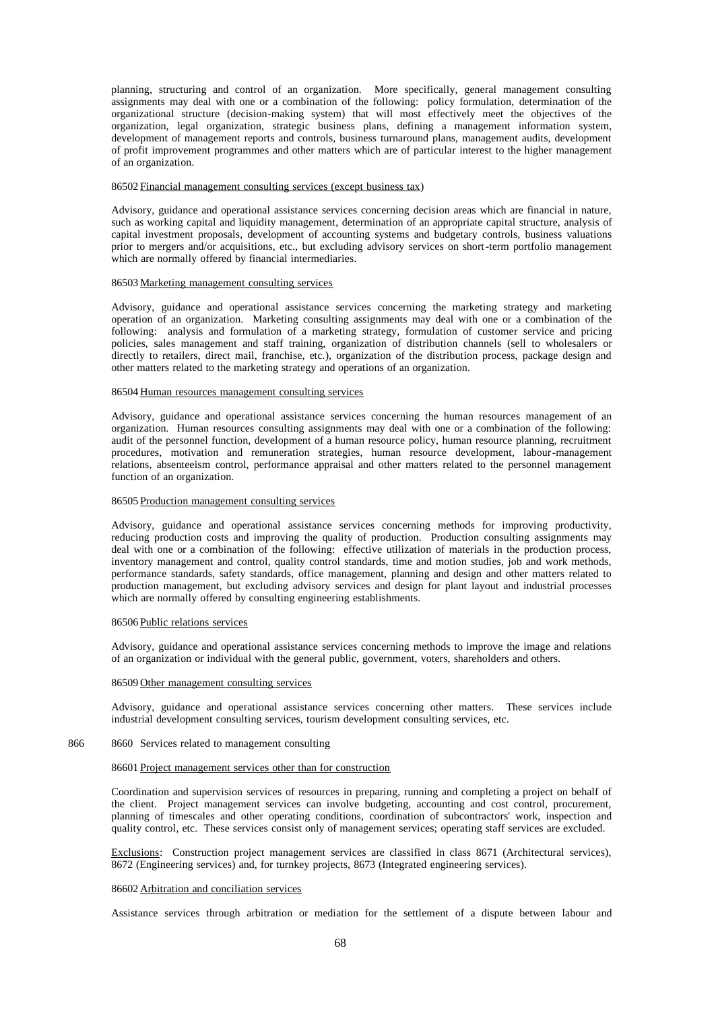planning, structuring and control of an organization. More specifically, general management consulting assignments may deal with one or a combination of the following: policy formulation, determination of the organizational structure (decision-making system) that will most effectively meet the objectives of the organization, legal organization, strategic business plans, defining a management information system, development of management reports and controls, business turnaround plans, management audits, development of profit improvement programmes and other matters which are of particular interest to the higher management of an organization.

#### 86502 Financial management consulting services (except business tax)

Advisory, guidance and operational assistance services concerning decision areas which are financial in nature, such as working capital and liquidity management, determination of an appropriate capital structure, analysis of capital investment proposals, development of accounting systems and budgetary controls, business valuations prior to mergers and/or acquisitions, etc., but excluding advisory services on short-term portfolio management which are normally offered by financial intermediaries.

### 86503 Marketing management consulting services

Advisory, guidance and operational assistance services concerning the marketing strategy and marketing operation of an organization. Marketing consulting assignments may deal with one or a combination of the following: analysis and formulation of a marketing strategy, formulation of customer service and pricing policies, sales management and staff training, organization of distribution channels (sell to wholesalers or directly to retailers, direct mail, franchise, etc.), organization of the distribution process, package design and other matters related to the marketing strategy and operations of an organization.

#### 86504 Human resources management consulting services

Advisory, guidance and operational assistance services concerning the human resources management of an organization. Human resources consulting assignments may deal with one or a combination of the following: audit of the personnel function, development of a human resource policy, human resource planning, recruitment procedures, motivation and remuneration strategies, human resource development, labour-management relations, absenteeism control, performance appraisal and other matters related to the personnel management function of an organization.

#### 86505 Production management consulting services

Advisory, guidance and operational assistance services concerning methods for improving productivity, reducing production costs and improving the quality of production. Production consulting assignments may deal with one or a combination of the following: effective utilization of materials in the production process, inventory management and control, quality control standards, time and motion studies, job and work methods, performance standards, safety standards, office management, planning and design and other matters related to production management, but excluding advisory services and design for plant layout and industrial processes which are normally offered by consulting engineering establishments.

### 86506 Public relations services

Advisory, guidance and operational assistance services concerning methods to improve the image and relations of an organization or individual with the general public, government, voters, shareholders and others.

#### 86509 Other management consulting services

Advisory, guidance and operational assistance services concerning other matters. These services include industrial development consulting services, tourism development consulting services, etc.

## 866 8660 Services related to management consulting

# 86601 Project management services other than for construction

Coordination and supervision services of resources in preparing, running and completing a project on behalf of the client. Project management services can involve budgeting, accounting and cost control, procurement, planning of timescales and other operating conditions, coordination of subcontractors' work, inspection and quality control, etc. These services consist only of management services; operating staff services are excluded.

Exclusions: Construction project management services are classified in class 8671 (Architectural services), 8672 (Engineering services) and, for turnkey projects, 8673 (Integrated engineering services).

#### 86602 Arbitration and conciliation services

Assistance services through arbitration or mediation for the settlement of a dispute between labour and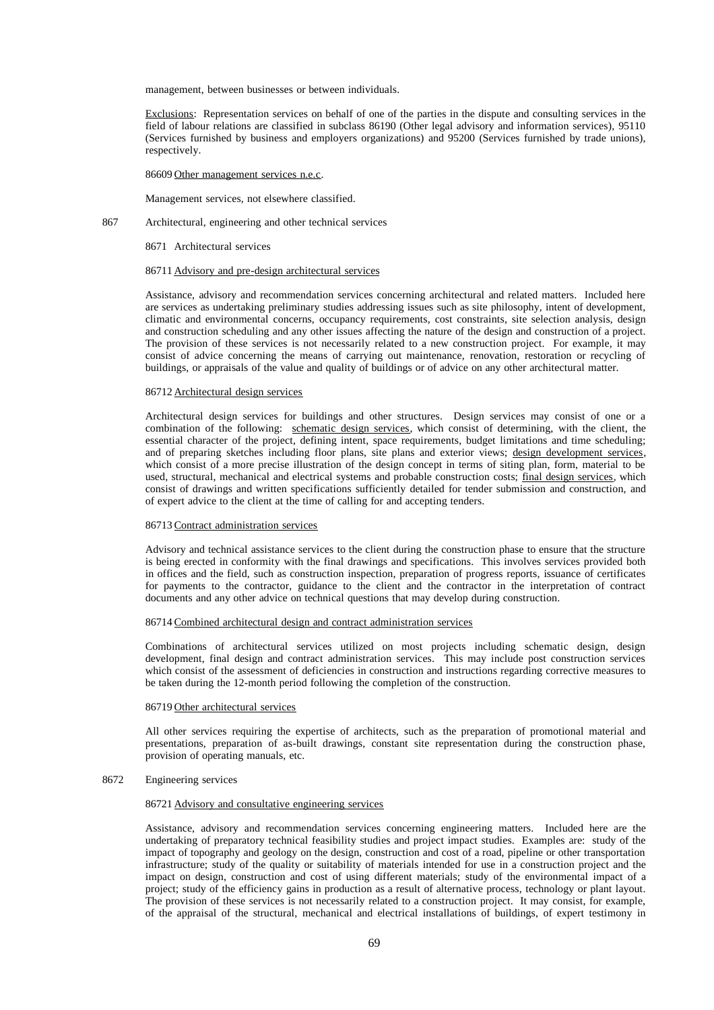management, between businesses or between individuals.

Exclusions: Representation services on behalf of one of the parties in the dispute and consulting services in the field of labour relations are classified in subclass 86190 (Other legal advisory and information services), 95110 (Services furnished by business and employers organizations) and 95200 (Services furnished by trade unions), respectively.

#### 86609 Other management services n.e.c.

Management services, not elsewhere classified.

- 867 Architectural, engineering and other technical services
	- 8671 Architectural services

#### 86711 Advisory and pre-design architectural services

Assistance, advisory and recommendation services concerning architectural and related matters. Included here are services as undertaking preliminary studies addressing issues such as site philosophy, intent of development, climatic and environmental concerns, occupancy requirements, cost constraints, site selection analysis, design and construction scheduling and any other issues affecting the nature of the design and construction of a project. The provision of these services is not necessarily related to a new construction project. For example, it may consist of advice concerning the means of carrying out maintenance, renovation, restoration or recycling of buildings, or appraisals of the value and quality of buildings or of advice on any other architectural matter.

#### 86712 Architectural design services

Architectural design services for buildings and other structures. Design services may consist of one or a combination of the following: schematic design services, which consist of determining, with the client, the essential character of the project, defining intent, space requirements, budget limitations and time scheduling; and of preparing sketches including floor plans, site plans and exterior views; design development services, which consist of a more precise illustration of the design concept in terms of siting plan, form, material to be used, structural, mechanical and electrical systems and probable construction costs; final design services, which consist of drawings and written specifications sufficiently detailed for tender submission and construction, and of expert advice to the client at the time of calling for and accepting tenders.

#### 86713 Contract administration services

Advisory and technical assistance services to the client during the construction phase to ensure that the structure is being erected in conformity with the final drawings and specifications. This involves services provided both in offices and the field, such as construction inspection, preparation of progress reports, issuance of certificates for payments to the contractor, guidance to the client and the contractor in the interpretation of contract documents and any other advice on technical questions that may develop during construction.

### 86714 Combined architectural design and contract administration services

Combinations of architectural services utilized on most projects including schematic design, design development, final design and contract administration services. This may include post construction services which consist of the assessment of deficiencies in construction and instructions regarding corrective measures to be taken during the 12-month period following the completion of the construction.

## 86719 Other architectural services

All other services requiring the expertise of architects, such as the preparation of promotional material and presentations, preparation of as-built drawings, constant site representation during the construction phase, provision of operating manuals, etc.

# 8672 Engineering services

### 86721 Advisory and consultative engineering services

Assistance, advisory and recommendation services concerning engineering matters. Included here are the undertaking of preparatory technical feasibility studies and project impact studies. Examples are: study of the impact of topography and geology on the design, construction and cost of a road, pipeline or other transportation infrastructure; study of the quality or suitability of materials intended for use in a construction project and the impact on design, construction and cost of using different materials; study of the environmental impact of a project; study of the efficiency gains in production as a result of alternative process, technology or plant layout. The provision of these services is not necessarily related to a construction project. It may consist, for example, of the appraisal of the structural, mechanical and electrical installations of buildings, of expert testimony in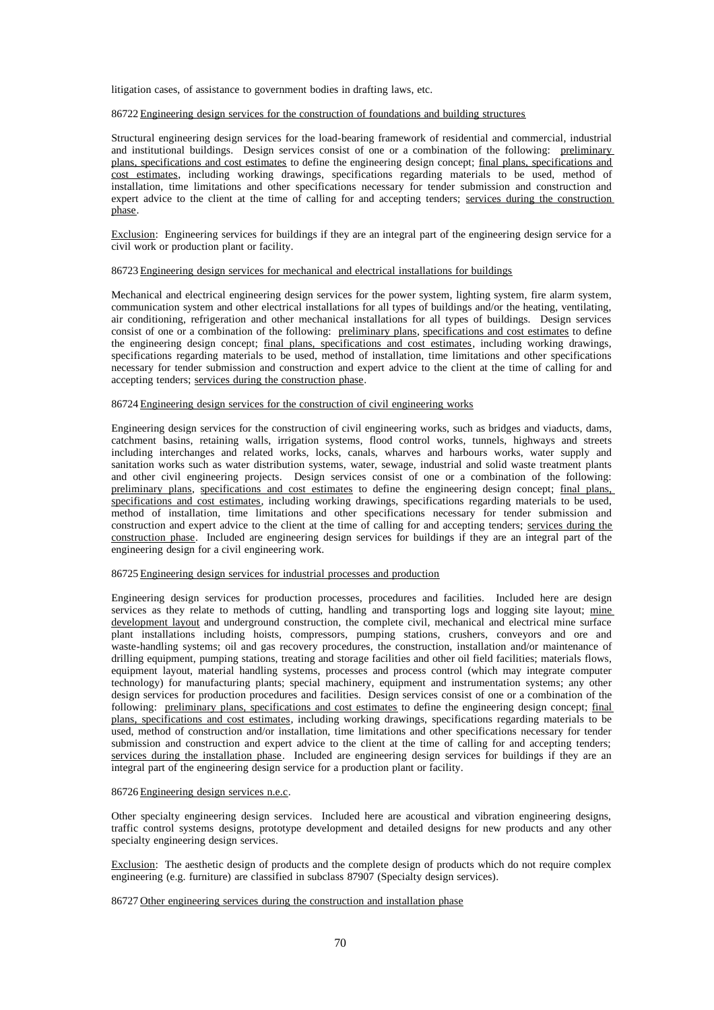litigation cases, of assistance to government bodies in drafting laws, etc.

#### 86722 Engineering design services for the construction of foundations and building structures

Structural engineering design services for the load-bearing framework of residential and commercial, industrial and institutional buildings. Design services consist of one or a combination of the following: preliminary plans, specifications and cost estimates to define the engineering design concept; final plans, specifications and cost estimates, including working drawings, specifications regarding materials to be used, method of installation, time limitations and other specifications necessary for tender submission and construction and expert advice to the client at the time of calling for and accepting tenders; services during the construction phase.

Exclusion: Engineering services for buildings if they are an integral part of the engineering design service for a civil work or production plant or facility.

# 86723 Engineering design services for mechanical and electrical installations for buildings

Mechanical and electrical engineering design services for the power system, lighting system, fire alarm system, communication system and other electrical installations for all types of buildings and/or the heating, ventilating, air conditioning, refrigeration and other mechanical installations for all types of buildings. Design services consist of one or a combination of the following: preliminary plans, specifications and cost estimates to define the engineering design concept; final plans, specifications and cost estimates, including working drawings, specifications regarding materials to be used, method of installation, time limitations and other specifications necessary for tender submission and construction and expert advice to the client at the time of calling for and accepting tenders; services during the construction phase.

# 86724 Engineering design services for the construction of civil engineering works

Engineering design services for the construction of civil engineering works, such as bridges and viaducts, dams, catchment basins, retaining walls, irrigation systems, flood control works, tunnels, highways and streets including interchanges and related works, locks, canals, wharves and harbours works, water supply and sanitation works such as water distribution systems, water, sewage, industrial and solid waste treatment plants and other civil engineering projects. Design services consist of one or a combination of the following: preliminary plans, specifications and cost estimates to define the engineering design concept; final plans, specifications and cost estimates, including working drawings, specifications regarding materials to be used, method of installation, time limitations and other specifications necessary for tender submission and construction and expert advice to the client at the time of calling for and accepting tenders; services during the construction phase. Included are engineering design services for buildings if they are an integral part of the engineering design for a civil engineering work.

#### 86725 Engineering design services for industrial processes and production

Engineering design services for production processes, procedures and facilities. Included here are design services as they relate to methods of cutting, handling and transporting logs and logging site layout; mine development layout and underground construction, the complete civil, mechanical and electrical mine surface plant installations including hoists, compressors, pumping stations, crushers, conveyors and ore and waste-handling systems; oil and gas recovery procedures, the construction, installation and/or maintenance of drilling equipment, pumping stations, treating and storage facilities and other oil field facilities; materials flows, equipment layout, material handling systems, processes and process control (which may integrate computer technology) for manufacturing plants; special machinery, equipment and instrumentation systems; any other design services for production procedures and facilities. Design services consist of one or a combination of the following: preliminary plans, specifications and cost estimates to define the engineering design concept; final plans, specifications and cost estimates, including working drawings, specifications regarding materials to be used, method of construction and/or installation, time limitations and other specifications necessary for tender submission and construction and expert advice to the client at the time of calling for and accepting tenders; services during the installation phase. Included are engineering design services for buildings if they are an integral part of the engineering design service for a production plant or facility.

# 86726 Engineering design services n.e.c.

Other specialty engineering design services. Included here are acoustical and vibration engineering designs, traffic control systems designs, prototype development and detailed designs for new products and any other specialty engineering design services.

Exclusion: The aesthetic design of products and the complete design of products which do not require complex engineering (e.g. furniture) are classified in subclass 87907 (Specialty design services).

86727 Other engineering services during the construction and installation phase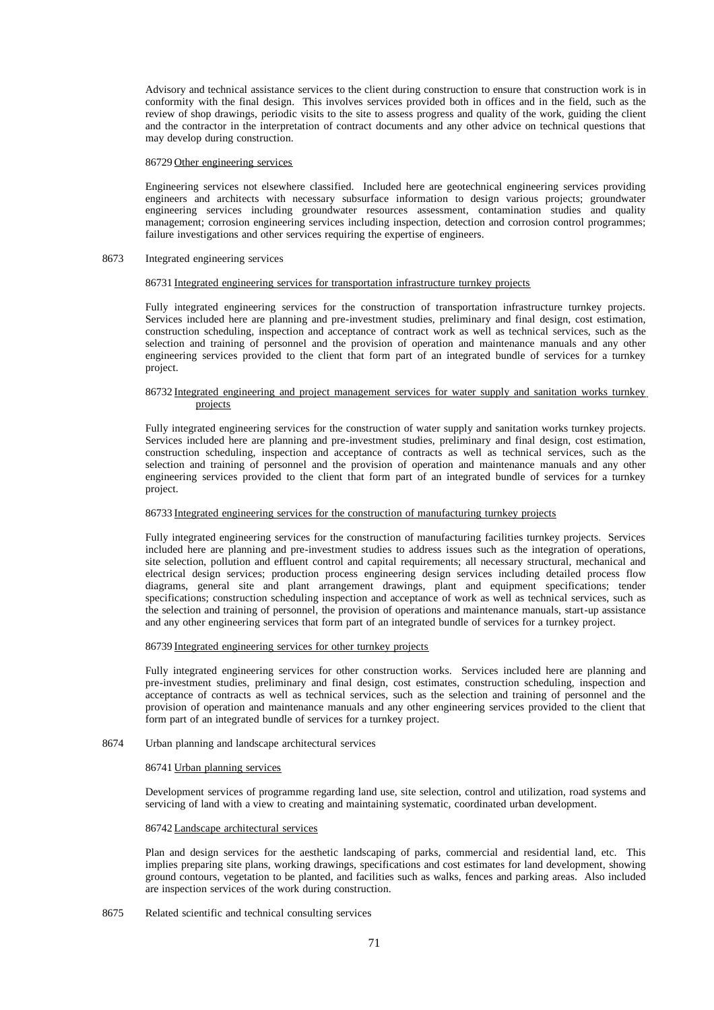Advisory and technical assistance services to the client during construction to ensure that construction work is in conformity with the final design. This involves services provided both in offices and in the field, such as the review of shop drawings, periodic visits to the site to assess progress and quality of the work, guiding the client and the contractor in the interpretation of contract documents and any other advice on technical questions that may develop during construction.

#### 86729 Other engineering services

Engineering services not elsewhere classified. Included here are geotechnical engineering services providing engineers and architects with necessary subsurface information to design various projects; groundwater engineering services including groundwater resources assessment, contamination studies and quality management; corrosion engineering services including inspection, detection and corrosion control programmes; failure investigations and other services requiring the expertise of engineers.

## 8673 Integrated engineering services

# 86731 Integrated engineering services for transportation infrastructure turnkey projects

Fully integrated engineering services for the construction of transportation infrastructure turnkey projects. Services included here are planning and pre-investment studies, preliminary and final design, cost estimation, construction scheduling, inspection and acceptance of contract work as well as technical services, such as the selection and training of personnel and the provision of operation and maintenance manuals and any other engineering services provided to the client that form part of an integrated bundle of services for a turnkey project.

# 86732 Integrated engineering and project management services for water supply and sanitation works turnkey projects

Fully integrated engineering services for the construction of water supply and sanitation works turnkey projects. Services included here are planning and pre-investment studies, preliminary and final design, cost estimation, construction scheduling, inspection and acceptance of contracts as well as technical services, such as the selection and training of personnel and the provision of operation and maintenance manuals and any other engineering services provided to the client that form part of an integrated bundle of services for a turnkey project.

#### 86733 Integrated engineering services for the construction of manufacturing turnkey projects

Fully integrated engineering services for the construction of manufacturing facilities turnkey projects. Services included here are planning and pre-investment studies to address issues such as the integration of operations, site selection, pollution and effluent control and capital requirements; all necessary structural, mechanical and electrical design services; production process engineering design services including detailed process flow diagrams, general site and plant arrangement drawings, plant and equipment specifications; tender specifications; construction scheduling inspection and acceptance of work as well as technical services, such as the selection and training of personnel, the provision of operations and maintenance manuals, start-up assistance and any other engineering services that form part of an integrated bundle of services for a turnkey project.

#### 86739 Integrated engineering services for other turnkey projects

Fully integrated engineering services for other construction works. Services included here are planning and pre-investment studies, preliminary and final design, cost estimates, construction scheduling, inspection and acceptance of contracts as well as technical services, such as the selection and training of personnel and the provision of operation and maintenance manuals and any other engineering services provided to the client that form part of an integrated bundle of services for a turnkey project.

## 8674 Urban planning and landscape architectural services

## 86741 Urban planning services

Development services of programme regarding land use, site selection, control and utilization, road systems and servicing of land with a view to creating and maintaining systematic, coordinated urban development.

#### 86742 Landscape architectural services

Plan and design services for the aesthetic landscaping of parks, commercial and residential land, etc. This implies preparing site plans, working drawings, specifications and cost estimates for land development, showing ground contours, vegetation to be planted, and facilities such as walks, fences and parking areas. Also included are inspection services of the work during construction.

8675 Related scientific and technical consulting services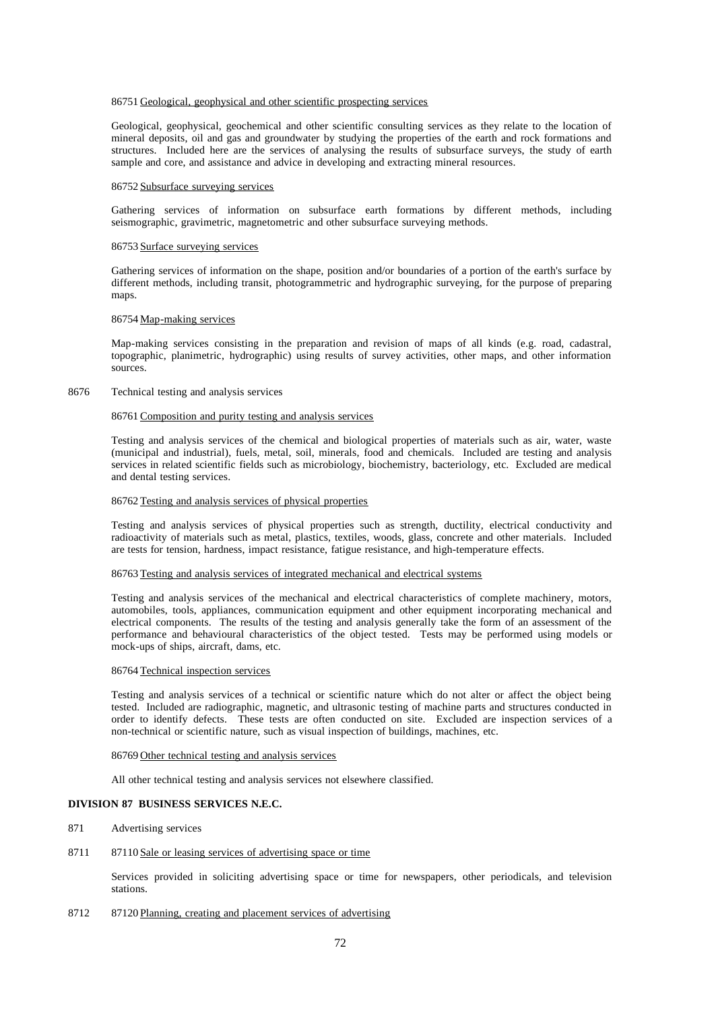## 86751 Geological, geophysical and other scientific prospecting services

Geological, geophysical, geochemical and other scientific consulting services as they relate to the location of mineral deposits, oil and gas and groundwater by studying the properties of the earth and rock formations and structures. Included here are the services of analysing the results of subsurface surveys, the study of earth sample and core, and assistance and advice in developing and extracting mineral resources.

#### 86752 Subsurface surveying services

Gathering services of information on subsurface earth formations by different methods, including seismographic, gravimetric, magnetometric and other subsurface surveying methods.

# 86753 Surface surveying services

Gathering services of information on the shape, position and/or boundaries of a portion of the earth's surface by different methods, including transit, photogrammetric and hydrographic surveying, for the purpose of preparing maps.

#### 86754 Map-making services

Map-making services consisting in the preparation and revision of maps of all kinds (e.g. road, cadastral, topographic, planimetric, hydrographic) using results of survey activities, other maps, and other information sources.

### 8676 Technical testing and analysis services

### 86761 Composition and purity testing and analysis services

Testing and analysis services of the chemical and biological properties of materials such as air, water, waste (municipal and industrial), fuels, metal, soil, minerals, food and chemicals. Included are testing and analysis services in related scientific fields such as microbiology, biochemistry, bacteriology, etc. Excluded are medical and dental testing services.

#### 86762 Testing and analysis services of physical properties

Testing and analysis services of physical properties such as strength, ductility, electrical conductivity and radioactivity of materials such as metal, plastics, textiles, woods, glass, concrete and other materials. Included are tests for tension, hardness, impact resistance, fatigue resistance, and high-temperature effects.

# 86763 Testing and analysis services of integrated mechanical and electrical systems

Testing and analysis services of the mechanical and electrical characteristics of complete machinery, motors, automobiles, tools, appliances, communication equipment and other equipment incorporating mechanical and electrical components. The results of the testing and analysis generally take the form of an assessment of the performance and behavioural characteristics of the object tested. Tests may be performed using models or mock-ups of ships, aircraft, dams, etc.

#### 86764 Technical inspection services

Testing and analysis services of a technical or scientific nature which do not alter or affect the object being tested. Included are radiographic, magnetic, and ultrasonic testing of machine parts and structures conducted in order to identify defects. These tests are often conducted on site. Excluded are inspection services of a non-technical or scientific nature, such as visual inspection of buildings, machines, etc.

### 86769 Other technical testing and analysis services

All other technical testing and analysis services not elsewhere classified.

### **DIVISION 87 BUSINESS SERVICES N.E.C.**

- 871 Advertising services
- 8711 87110 Sale or leasing services of advertising space or time

Services provided in soliciting advertising space or time for newspapers, other periodicals, and television stations.

8712 87120 Planning, creating and placement services of advertising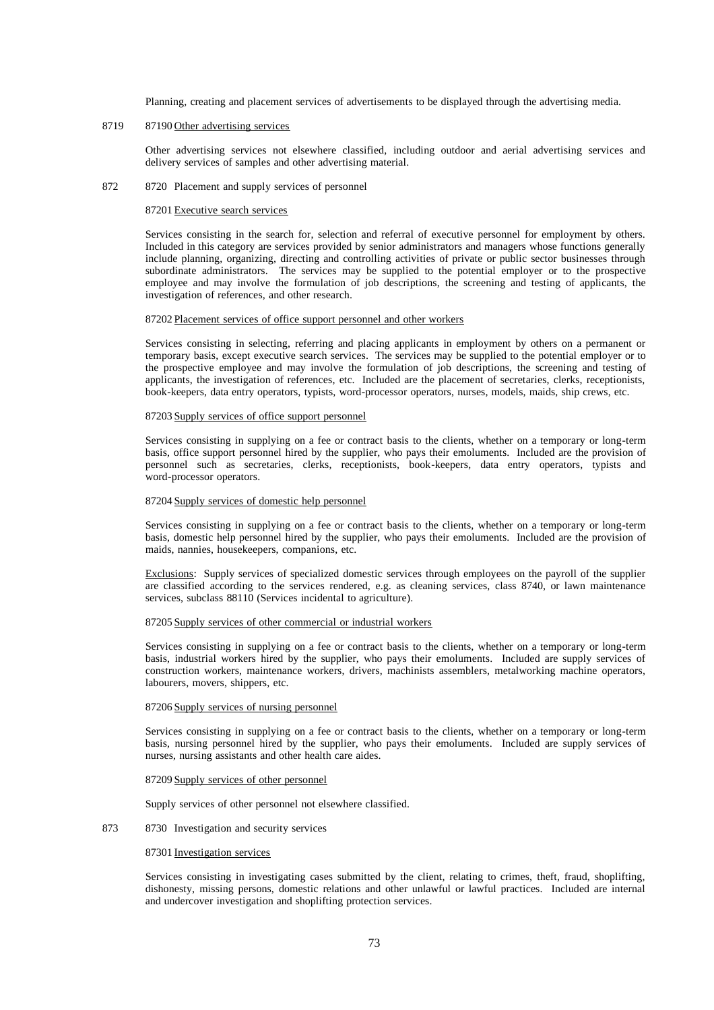Planning, creating and placement services of advertisements to be displayed through the advertising media.

# 8719 87190 Other advertising services

Other advertising services not elsewhere classified, including outdoor and aerial advertising services and delivery services of samples and other advertising material.

### 872 8720 Placement and supply services of personnel

### 87201 Executive search services

Services consisting in the search for, selection and referral of executive personnel for employment by others. Included in this category are services provided by senior administrators and managers whose functions generally include planning, organizing, directing and controlling activities of private or public sector businesses through subordinate administrators. The services may be supplied to the potential employer or to the prospective employee and may involve the formulation of job descriptions, the screening and testing of applicants, the investigation of references, and other research.

#### 87202 Placement services of office support personnel and other workers

Services consisting in selecting, referring and placing applicants in employment by others on a permanent or temporary basis, except executive search services. The services may be supplied to the potential employer or to the prospective employee and may involve the formulation of job descriptions, the screening and testing of applicants, the investigation of references, etc. Included are the placement of secretaries, clerks, receptionists, book-keepers, data entry operators, typists, word-processor operators, nurses, models, maids, ship crews, etc.

## 87203 Supply services of office support personnel

Services consisting in supplying on a fee or contract basis to the clients, whether on a temporary or long-term basis, office support personnel hired by the supplier, who pays their emoluments. Included are the provision of personnel such as secretaries, clerks, receptionists, book-keepers, data entry operators, typists and word-processor operators.

#### 87204 Supply services of domestic help personnel

Services consisting in supplying on a fee or contract basis to the clients, whether on a temporary or long-term basis, domestic help personnel hired by the supplier, who pays their emoluments. Included are the provision of maids, nannies, housekeepers, companions, etc.

Exclusions: Supply services of specialized domestic services through employees on the payroll of the supplier are classified according to the services rendered, e.g. as cleaning services, class 8740, or lawn maintenance services, subclass 88110 (Services incidental to agriculture).

### 87205 Supply services of other commercial or industrial workers

Services consisting in supplying on a fee or contract basis to the clients, whether on a temporary or long-term basis, industrial workers hired by the supplier, who pays their emoluments. Included are supply services of construction workers, maintenance workers, drivers, machinists assemblers, metalworking machine operators, labourers, movers, shippers, etc.

### 87206 Supply services of nursing personnel

Services consisting in supplying on a fee or contract basis to the clients, whether on a temporary or long-term basis, nursing personnel hired by the supplier, who pays their emoluments. Included are supply services of nurses, nursing assistants and other health care aides.

#### 87209 Supply services of other personnel

Supply services of other personnel not elsewhere classified.

# 873 8730 Investigation and security services

# 87301 Investigation services

Services consisting in investigating cases submitted by the client, relating to crimes, theft, fraud, shoplifting, dishonesty, missing persons, domestic relations and other unlawful or lawful practices. Included are internal and undercover investigation and shoplifting protection services.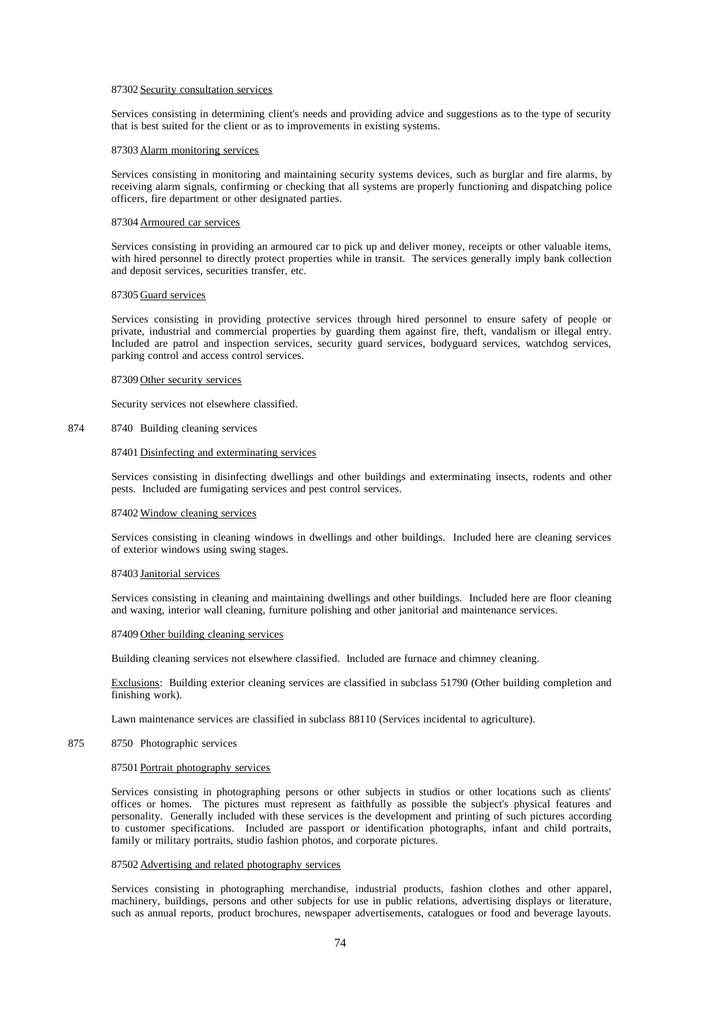### 87302 Security consultation services

Services consisting in determining client's needs and providing advice and suggestions as to the type of security that is best suited for the client or as to improvements in existing systems.

#### 87303 Alarm monitoring services

Services consisting in monitoring and maintaining security systems devices, such as burglar and fire alarms, by receiving alarm signals, confirming or checking that all systems are properly functioning and dispatching police officers, fire department or other designated parties.

#### 87304 Armoured car services

Services consisting in providing an armoured car to pick up and deliver money, receipts or other valuable items, with hired personnel to directly protect properties while in transit. The services generally imply bank collection and deposit services, securities transfer, etc.

#### 87305 Guard services

Services consisting in providing protective services through hired personnel to ensure safety of people or private, industrial and commercial properties by guarding them against fire, theft, vandalism or illegal entry. Included are patrol and inspection services, security guard services, bodyguard services, watchdog services, parking control and access control services.

#### 87309 Other security services

Security services not elsewhere classified.

# 874 8740 Building cleaning services

#### 87401 Disinfecting and exterminating services

Services consisting in disinfecting dwellings and other buildings and exterminating insects, rodents and other pests. Included are fumigating services and pest control services.

#### 87402 Window cleaning services

Services consisting in cleaning windows in dwellings and other buildings. Included here are cleaning services of exterior windows using swing stages.

### 87403 Janitorial services

Services consisting in cleaning and maintaining dwellings and other buildings. Included here are floor cleaning and waxing, interior wall cleaning, furniture polishing and other janitorial and maintenance services.

#### 87409 Other building cleaning services

Building cleaning services not elsewhere classified. Included are furnace and chimney cleaning.

Exclusions: Building exterior cleaning services are classified in subclass 51790 (Other building completion and finishing work).

Lawn maintenance services are classified in subclass 88110 (Services incidental to agriculture).

#### 875 8750 Photographic services

# 87501 Portrait photography services

Services consisting in photographing persons or other subjects in studios or other locations such as clients' offices or homes. The pictures must represent as faithfully as possible the subject's physical features and personality. Generally included with these services is the development and printing of such pictures according to customer specifications. Included are passport or identification photographs, infant and child portraits, family or military portraits, studio fashion photos, and corporate pictures.

#### 87502 Advertising and related photography services

Services consisting in photographing merchandise, industrial products, fashion clothes and other apparel, machinery, buildings, persons and other subjects for use in public relations, advertising displays or literature, such as annual reports, product brochures, newspaper advertisements, catalogues or food and beverage layouts.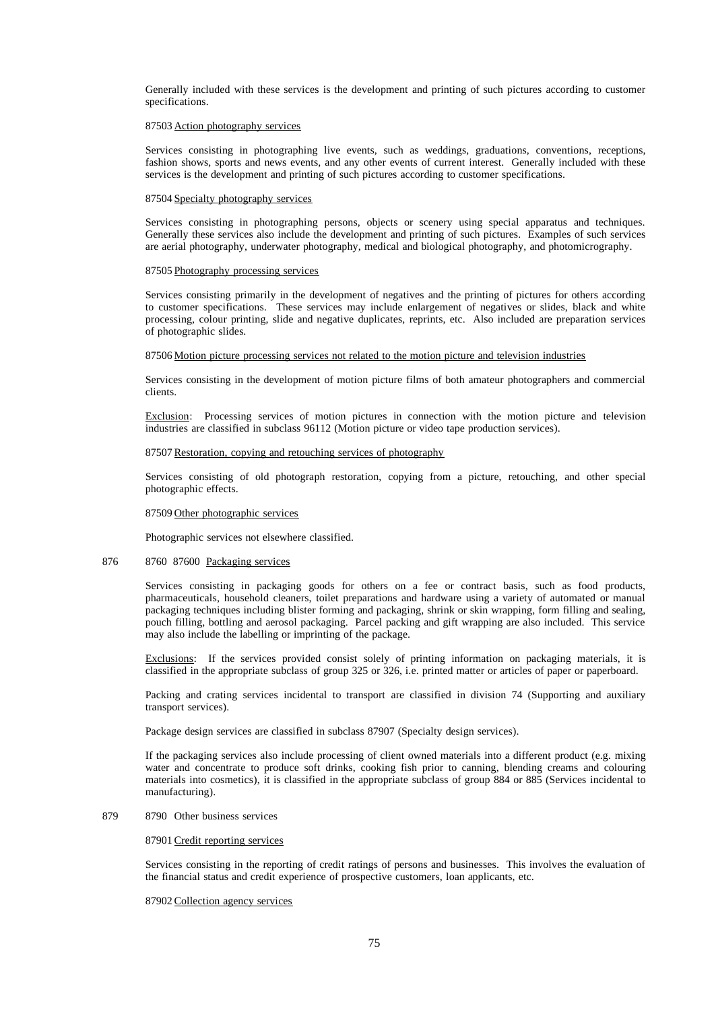Generally included with these services is the development and printing of such pictures according to customer specifications.

### 87503 Action photography services

Services consisting in photographing live events, such as weddings, graduations, conventions, receptions, fashion shows, sports and news events, and any other events of current interest. Generally included with these services is the development and printing of such pictures according to customer specifications.

#### 87504 Specialty photography services

Services consisting in photographing persons, objects or scenery using special apparatus and techniques. Generally these services also include the development and printing of such pictures. Examples of such services are aerial photography, underwater photography, medical and biological photography, and photomicrography.

#### 87505 Photography processing services

Services consisting primarily in the development of negatives and the printing of pictures for others according to customer specifications. These services may include enlargement of negatives or slides, black and white processing, colour printing, slide and negative duplicates, reprints, etc. Also included are preparation services of photographic slides.

#### 87506 Motion picture processing services not related to the motion picture and television industries

Services consisting in the development of motion picture films of both amateur photographers and commercial clients.

Exclusion: Processing services of motion pictures in connection with the motion picture and television industries are classified in subclass 96112 (Motion picture or video tape production services).

### 87507 Restoration, copying and retouching services of photography

Services consisting of old photograph restoration, copying from a picture, retouching, and other special photographic effects.

#### 87509 Other photographic services

Photographic services not elsewhere classified.

## 876 8760 87600 Packaging services

Services consisting in packaging goods for others on a fee or contract basis, such as food products, pharmaceuticals, household cleaners, toilet preparations and hardware using a variety of automated or manual packaging techniques including blister forming and packaging, shrink or skin wrapping, form filling and sealing, pouch filling, bottling and aerosol packaging. Parcel packing and gift wrapping are also included. This service may also include the labelling or imprinting of the package.

Exclusions: If the services provided consist solely of printing information on packaging materials, it is classified in the appropriate subclass of group 325 or 326, i.e. printed matter or articles of paper or paperboard.

Packing and crating services incidental to transport are classified in division 74 (Supporting and auxiliary transport services).

Package design services are classified in subclass 87907 (Specialty design services).

If the packaging services also include processing of client owned materials into a different product (e.g. mixing water and concentrate to produce soft drinks, cooking fish prior to canning, blending creams and colouring materials into cosmetics), it is classified in the appropriate subclass of group 884 or 885 (Services incidental to manufacturing).

## 879 8790 Other business services

#### 87901 Credit reporting services

Services consisting in the reporting of credit ratings of persons and businesses. This involves the evaluation of the financial status and credit experience of prospective customers, loan applicants, etc.

#### 87902 Collection agency services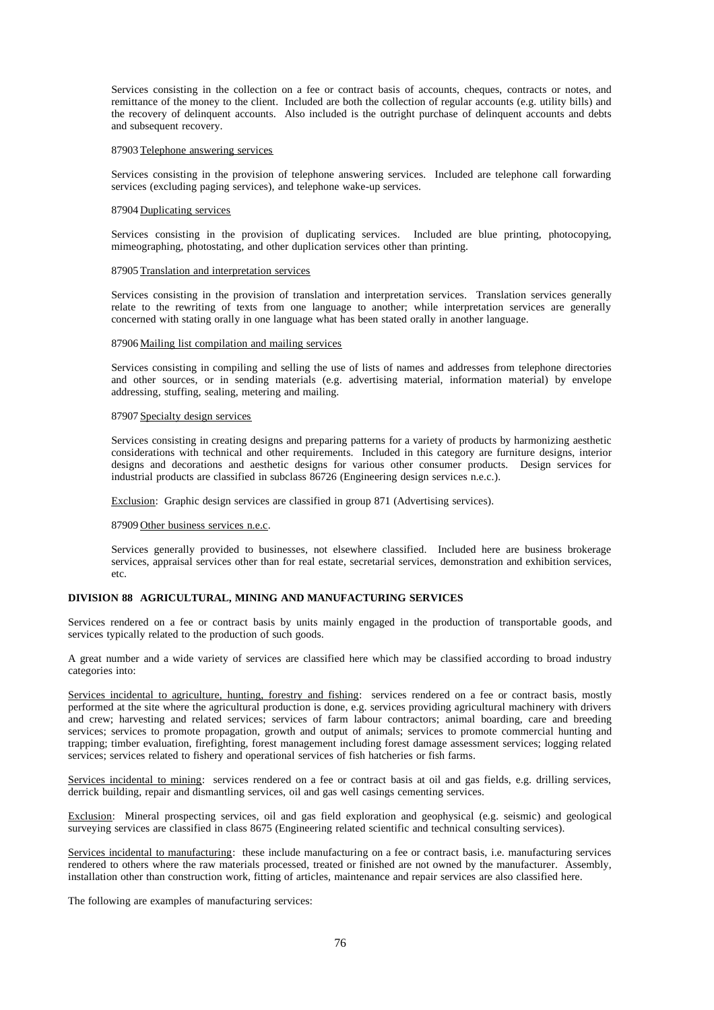Services consisting in the collection on a fee or contract basis of accounts, cheques, contracts or notes, and remittance of the money to the client. Included are both the collection of regular accounts (e.g. utility bills) and the recovery of delinquent accounts. Also included is the outright purchase of delinquent accounts and debts and subsequent recovery.

#### 87903 Telephone answering services

Services consisting in the provision of telephone answering services. Included are telephone call forwarding services (excluding paging services), and telephone wake-up services.

#### 87904 Duplicating services

Services consisting in the provision of duplicating services. Included are blue printing, photocopying, mimeographing, photostating, and other duplication services other than printing.

#### 87905 Translation and interpretation services

Services consisting in the provision of translation and interpretation services. Translation services generally relate to the rewriting of texts from one language to another; while interpretation services are generally concerned with stating orally in one language what has been stated orally in another language.

### 87906 Mailing list compilation and mailing services

Services consisting in compiling and selling the use of lists of names and addresses from telephone directories and other sources, or in sending materials (e.g. advertising material, information material) by envelope addressing, stuffing, sealing, metering and mailing.

### 87907 Specialty design services

Services consisting in creating designs and preparing patterns for a variety of products by harmonizing aesthetic considerations with technical and other requirements. Included in this category are furniture designs, interior designs and decorations and aesthetic designs for various other consumer products. Design services for industrial products are classified in subclass 86726 (Engineering design services n.e.c.).

Exclusion: Graphic design services are classified in group 871 (Advertising services).

#### 87909 Other business services n.e.c.

Services generally provided to businesses, not elsewhere classified. Included here are business brokerage services, appraisal services other than for real estate, secretarial services, demonstration and exhibition services, etc.

## **DIVISION 88 AGRICULTURAL, MINING AND MANUFACTURING SERVICES**

Services rendered on a fee or contract basis by units mainly engaged in the production of transportable goods, and services typically related to the production of such goods.

A great number and a wide variety of services are classified here which may be classified according to broad industry categories into:

Services incidental to agriculture, hunting, forestry and fishing: services rendered on a fee or contract basis, mostly performed at the site where the agricultural production is done, e.g. services providing agricultural machinery with drivers and crew; harvesting and related services; services of farm labour contractors; animal boarding, care and breeding services; services to promote propagation, growth and output of animals; services to promote commercial hunting and trapping; timber evaluation, firefighting, forest management including forest damage assessment services; logging related services; services related to fishery and operational services of fish hatcheries or fish farms.

Services incidental to mining: services rendered on a fee or contract basis at oil and gas fields, e.g. drilling services, derrick building, repair and dismantling services, oil and gas well casings cementing services.

Exclusion: Mineral prospecting services, oil and gas field exploration and geophysical (e.g. seismic) and geological surveying services are classified in class 8675 (Engineering related scientific and technical consulting services).

Services incidental to manufacturing: these include manufacturing on a fee or contract basis, i.e. manufacturing services rendered to others where the raw materials processed, treated or finished are not owned by the manufacturer. Assembly, installation other than construction work, fitting of articles, maintenance and repair services are also classified here.

The following are examples of manufacturing services: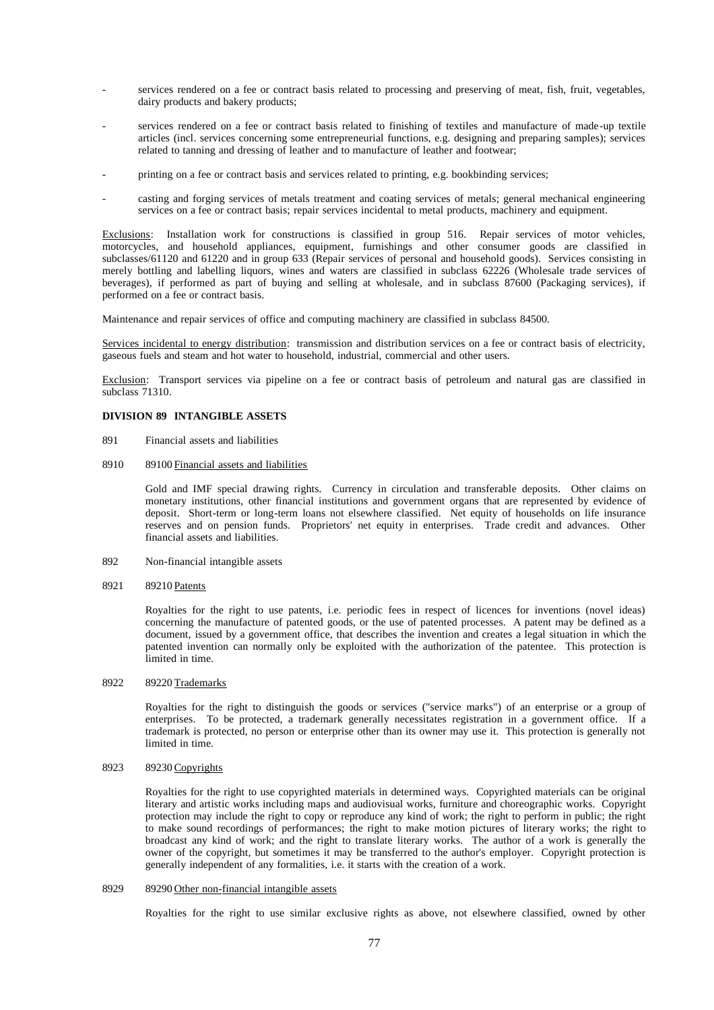- services rendered on a fee or contract basis related to processing and preserving of meat, fish, fruit, vegetables, dairy products and bakery products;
- services rendered on a fee or contract basis related to finishing of textiles and manufacture of made-up textile articles (incl. services concerning some entrepreneurial functions, e.g. designing and preparing samples); services related to tanning and dressing of leather and to manufacture of leather and footwear;
- printing on a fee or contract basis and services related to printing, e.g. bookbinding services;
- casting and forging services of metals treatment and coating services of metals; general mechanical engineering services on a fee or contract basis; repair services incidental to metal products, machinery and equipment.

Exclusions: Installation work for constructions is classified in group 516. Repair services of motor vehicles, motorcycles, and household appliances, equipment, furnishings and other consumer goods are classified in subclasses/61120 and 61220 and in group 633 (Repair services of personal and household goods). Services consisting in merely bottling and labelling liquors, wines and waters are classified in subclass 62226 (Wholesale trade services of beverages), if performed as part of buying and selling at wholesale, and in subclass 87600 (Packaging services), if performed on a fee or contract basis.

Maintenance and repair services of office and computing machinery are classified in subclass 84500.

Services incidental to energy distribution: transmission and distribution services on a fee or contract basis of electricity, gaseous fuels and steam and hot water to household, industrial, commercial and other users.

Exclusion: Transport services via pipeline on a fee or contract basis of petroleum and natural gas are classified in subclass 71310.

# **DIVISION 89 INTANGIBLE ASSETS**

- 891 Financial assets and liabilities
- 8910 89100 Financial assets and liabilities

Gold and IMF special drawing rights. Currency in circulation and transferable deposits. Other claims on monetary institutions, other financial institutions and government organs that are represented by evidence of deposit. Short-term or long-term loans not elsewhere classified. Net equity of households on life insurance reserves and on pension funds. Proprietors' net equity in enterprises. Trade credit and advances. Other financial assets and liabilities.

892 Non-financial intangible assets

#### 8921 89210 Patents

Royalties for the right to use patents, i.e. periodic fees in respect of licences for inventions (novel ideas) concerning the manufacture of patented goods, or the use of patented processes. A patent may be defined as a document, issued by a government office, that describes the invention and creates a legal situation in which the patented invention can normally only be exploited with the authorization of the patentee. This protection is limited in time.

#### 8922 89220 Trademarks

Royalties for the right to distinguish the goods or services ("service marks") of an enterprise or a group of enterprises. To be protected, a trademark generally necessitates registration in a government office. If a trademark is protected, no person or enterprise other than its owner may use it. This protection is generally not limited in time.

### 8923 89230 Copyrights

Royalties for the right to use copyrighted materials in determined ways. Copyrighted materials can be original literary and artistic works including maps and audiovisual works, furniture and choreographic works. Copyright protection may include the right to copy or reproduce any kind of work; the right to perform in public; the right to make sound recordings of performances; the right to make motion pictures of literary works; the right to broadcast any kind of work; and the right to translate literary works. The author of a work is generally the owner of the copyright, but sometimes it may be transferred to the author's employer. Copyright protection is generally independent of any formalities, i.e. it starts with the creation of a work.

## 8929 89290 Other non-financial intangible assets

Royalties for the right to use similar exclusive rights as above, not elsewhere classified, owned by other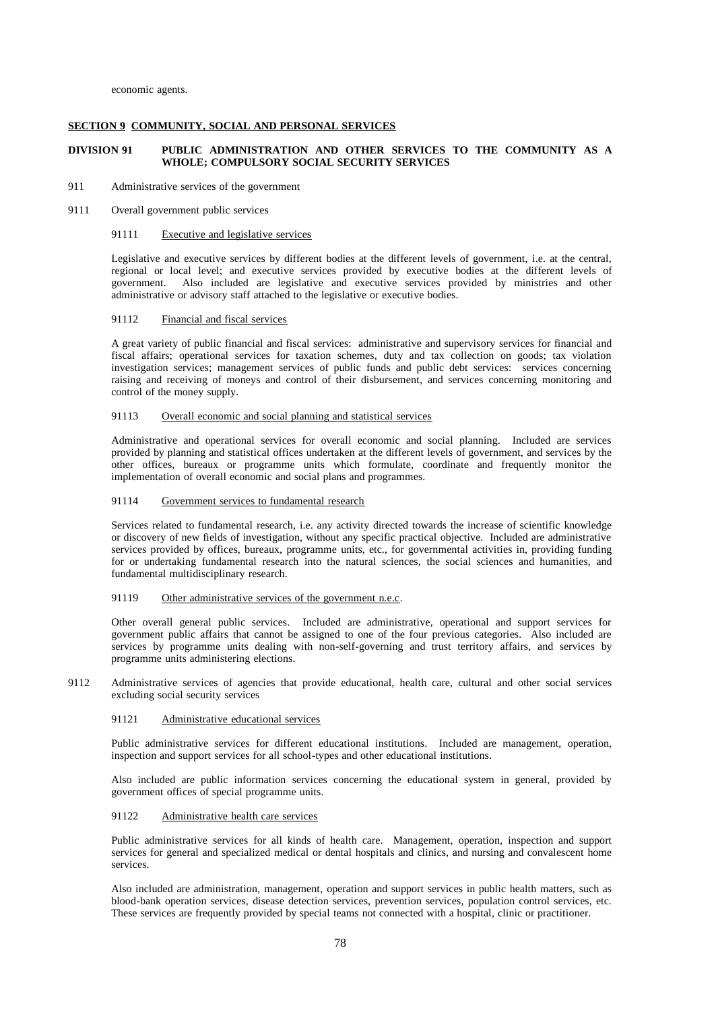economic agents.

# **SECTION 9 COMMUNITY, SOCIAL AND PERSONAL SERVICES**

# **DIVISION 91 PUBLIC ADMINISTRATION AND OTHER SERVICES TO THE COMMUNITY AS A WHOLE; COMPULSORY SOCIAL SECURITY SERVICES**

- 911 Administrative services of the government
- 9111 Overall government public services

#### 91111 Executive and legislative services

Legislative and executive services by different bodies at the different levels of government, i.e. at the central, regional or local level; and executive services provided by executive bodies at the different levels of government. Also included are legislative and executive services provided by ministries and other administrative or advisory staff attached to the legislative or executive bodies.

#### 91112 Financial and fiscal services

A great variety of public financial and fiscal services: administrative and supervisory services for financial and fiscal affairs; operational services for taxation schemes, duty and tax collection on goods; tax violation investigation services; management services of public funds and public debt services: services concerning raising and receiving of moneys and control of their disbursement, and services concerning monitoring and control of the money supply.

#### 91113 Overall economic and social planning and statistical services

Administrative and operational services for overall economic and social planning. Included are services provided by planning and statistical offices undertaken at the different levels of government, and services by the other offices, bureaux or programme units which formulate, coordinate and frequently monitor the implementation of overall economic and social plans and programmes.

#### 91114 Government services to fundamental research

Services related to fundamental research, i.e. any activity directed towards the increase of scientific knowledge or discovery of new fields of investigation, without any specific practical objective. Included are administrative services provided by offices, bureaux, programme units, etc., for governmental activities in, providing funding for or undertaking fundamental research into the natural sciences, the social sciences and humanities, and fundamental multidisciplinary research.

## 91119 Other administrative services of the government n.e.c.

Other overall general public services. Included are administrative, operational and support services for government public affairs that cannot be assigned to one of the four previous categories. Also included are services by programme units dealing with non-self-governing and trust territory affairs, and services by programme units administering elections.

9112 Administrative services of agencies that provide educational, health care, cultural and other social services excluding social security services

### 91121 Administrative educational services

Public administrative services for different educational institutions. Included are management, operation, inspection and support services for all school-types and other educational institutions.

Also included are public information services concerning the educational system in general, provided by government offices of special programme units.

# 91122 Administrative health care services

Public administrative services for all kinds of health care. Management, operation, inspection and support services for general and specialized medical or dental hospitals and clinics, and nursing and convalescent home services.

Also included are administration, management, operation and support services in public health matters, such as blood-bank operation services, disease detection services, prevention services, population control services, etc. These services are frequently provided by special teams not connected with a hospital, clinic or practitioner.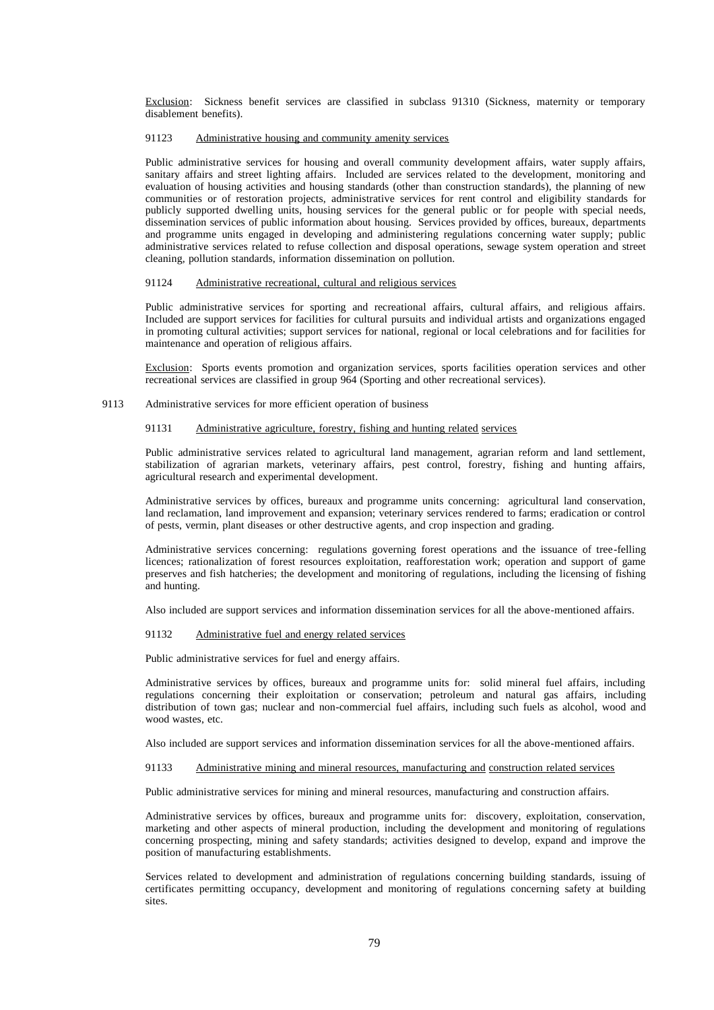Exclusion: Sickness benefit services are classified in subclass 91310 (Sickness, maternity or temporary disablement benefits).

#### 91123 Administrative housing and community amenity services

Public administrative services for housing and overall community development affairs, water supply affairs, sanitary affairs and street lighting affairs. Included are services related to the development, monitoring and evaluation of housing activities and housing standards (other than construction standards), the planning of new communities or of restoration projects, administrative services for rent control and eligibility standards for publicly supported dwelling units, housing services for the general public or for people with special needs, dissemination services of public information about housing. Services provided by offices, bureaux, departments and programme units engaged in developing and administering regulations concerning water supply; public administrative services related to refuse collection and disposal operations, sewage system operation and street cleaning, pollution standards, information dissemination on pollution.

# 91124 Administrative recreational, cultural and religious services

Public administrative services for sporting and recreational affairs, cultural affairs, and religious affairs. Included are support services for facilities for cultural pursuits and individual artists and organizations engaged in promoting cultural activities; support services for national, regional or local celebrations and for facilities for maintenance and operation of religious affairs.

Exclusion: Sports events promotion and organization services, sports facilities operation services and other recreational services are classified in group 964 (Sporting and other recreational services).

### 9113 Administrative services for more efficient operation of business

# 91131 Administrative agriculture, forestry, fishing and hunting related services

Public administrative services related to agricultural land management, agrarian reform and land settlement, stabilization of agrarian markets, veterinary affairs, pest control, forestry, fishing and hunting affairs, agricultural research and experimental development.

Administrative services by offices, bureaux and programme units concerning: agricultural land conservation, land reclamation, land improvement and expansion; veterinary services rendered to farms; eradication or control of pests, vermin, plant diseases or other destructive agents, and crop inspection and grading.

Administrative services concerning: regulations governing forest operations and the issuance of tree-felling licences; rationalization of forest resources exploitation, reafforestation work; operation and support of game preserves and fish hatcheries; the development and monitoring of regulations, including the licensing of fishing and hunting.

Also included are support services and information dissemination services for all the above-mentioned affairs.

#### 91132 Administrative fuel and energy related services

Public administrative services for fuel and energy affairs.

Administrative services by offices, bureaux and programme units for: solid mineral fuel affairs, including regulations concerning their exploitation or conservation; petroleum and natural gas affairs, including distribution of town gas; nuclear and non-commercial fuel affairs, including such fuels as alcohol, wood and wood wastes, etc.

Also included are support services and information dissemination services for all the above-mentioned affairs.

### 91133 Administrative mining and mineral resources, manufacturing and construction related services

Public administrative services for mining and mineral resources, manufacturing and construction affairs.

Administrative services by offices, bureaux and programme units for: discovery, exploitation, conservation, marketing and other aspects of mineral production, including the development and monitoring of regulations concerning prospecting, mining and safety standards; activities designed to develop, expand and improve the position of manufacturing establishments.

Services related to development and administration of regulations concerning building standards, issuing of certificates permitting occupancy, development and monitoring of regulations concerning safety at building sites.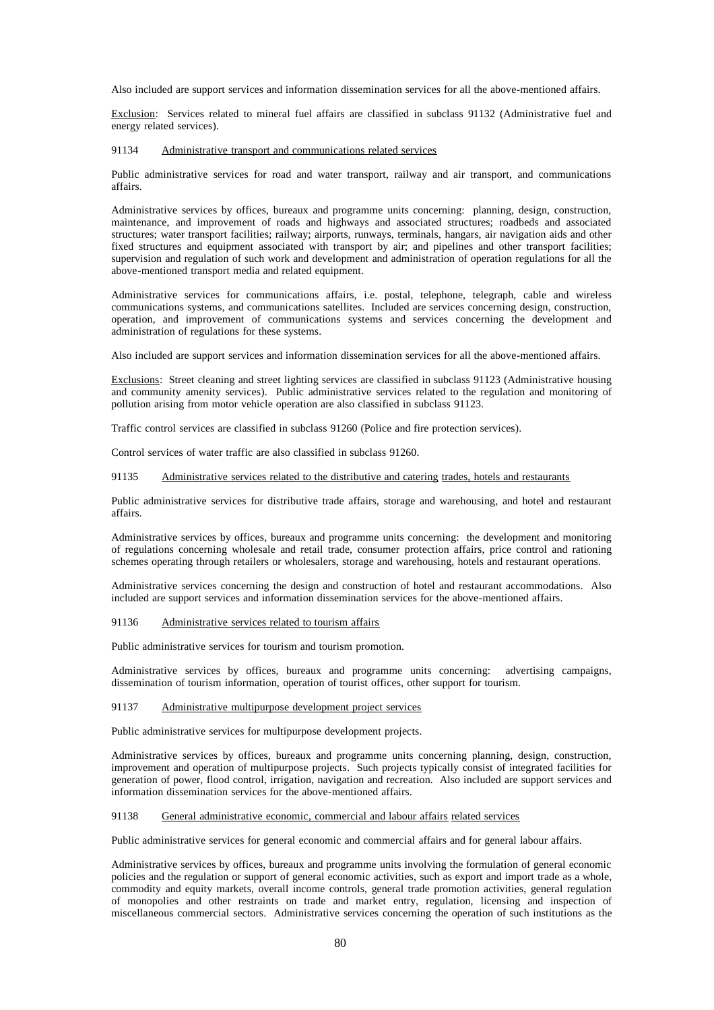Also included are support services and information dissemination services for all the above-mentioned affairs.

Exclusion: Services related to mineral fuel affairs are classified in subclass 91132 (Administrative fuel and energy related services).

### 91134 Administrative transport and communications related services

Public administrative services for road and water transport, railway and air transport, and communications affairs.

Administrative services by offices, bureaux and programme units concerning: planning, design, construction, maintenance, and improvement of roads and highways and associated structures; roadbeds and associated structures; water transport facilities; railway; airports, runways, terminals, hangars, air navigation aids and other fixed structures and equipment associated with transport by air; and pipelines and other transport facilities; supervision and regulation of such work and development and administration of operation regulations for all the above-mentioned transport media and related equipment.

Administrative services for communications affairs, i.e. postal, telephone, telegraph, cable and wireless communications systems, and communications satellites. Included are services concerning design, construction, operation, and improvement of communications systems and services concerning the development and administration of regulations for these systems.

Also included are support services and information dissemination services for all the above-mentioned affairs.

Exclusions: Street cleaning and street lighting services are classified in subclass 91123 (Administrative housing and community amenity services). Public administrative services related to the regulation and monitoring of pollution arising from motor vehicle operation are also classified in subclass 91123.

Traffic control services are classified in subclass 91260 (Police and fire protection services).

Control services of water traffic are also classified in subclass 91260.

## 91135 Administrative services related to the distributive and catering trades, hotels and restaurants

Public administrative services for distributive trade affairs, storage and warehousing, and hotel and restaurant affairs.

Administrative services by offices, bureaux and programme units concerning: the development and monitoring of regulations concerning wholesale and retail trade, consumer protection affairs, price control and rationing schemes operating through retailers or wholesalers, storage and warehousing, hotels and restaurant operations.

Administrative services concerning the design and construction of hotel and restaurant accommodations. Also included are support services and information dissemination services for the above-mentioned affairs.

### 91136 Administrative services related to tourism affairs

Public administrative services for tourism and tourism promotion.

Administrative services by offices, bureaux and programme units concerning: advertising campaigns, dissemination of tourism information, operation of tourist offices, other support for tourism.

### 91137 Administrative multipurpose development project services

Public administrative services for multipurpose development projects.

Administrative services by offices, bureaux and programme units concerning planning, design, construction, improvement and operation of multipurpose projects. Such projects typically consist of integrated facilities for generation of power, flood control, irrigation, navigation and recreation. Also included are support services and information dissemination services for the above-mentioned affairs.

# 91138 General administrative economic, commercial and labour affairs related services

Public administrative services for general economic and commercial affairs and for general labour affairs.

Administrative services by offices, bureaux and programme units involving the formulation of general economic policies and the regulation or support of general economic activities, such as export and import trade as a whole, commodity and equity markets, overall income controls, general trade promotion activities, general regulation of monopolies and other restraints on trade and market entry, regulation, licensing and inspection of miscellaneous commercial sectors. Administrative services concerning the operation of such institutions as the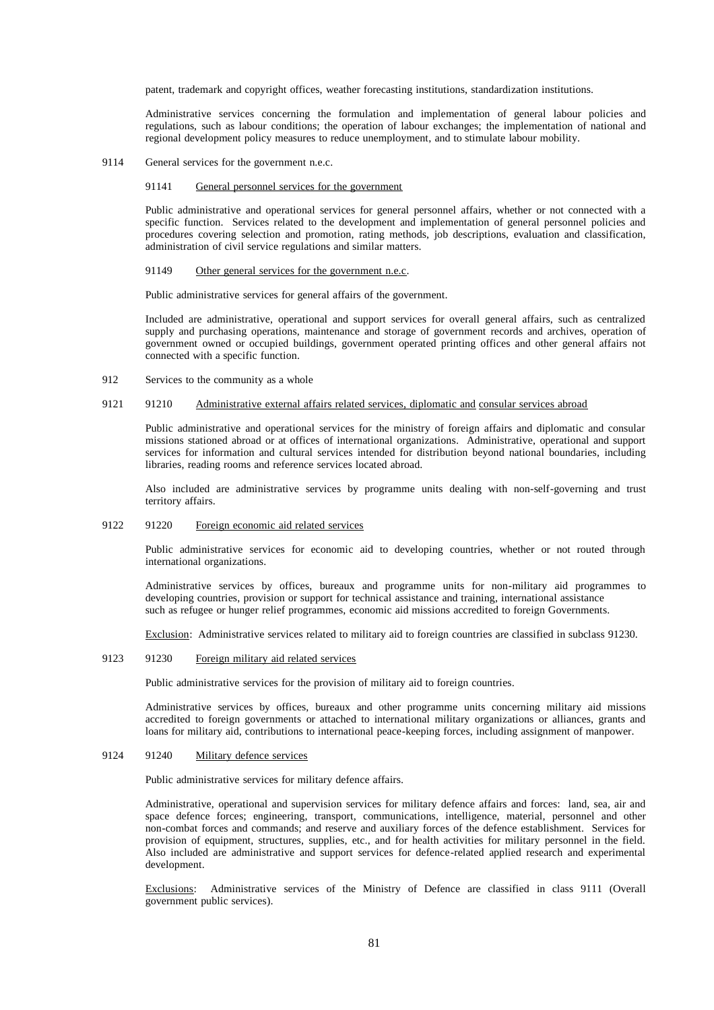patent, trademark and copyright offices, weather forecasting institutions, standardization institutions.

Administrative services concerning the formulation and implementation of general labour policies and regulations, such as labour conditions; the operation of labour exchanges; the implementation of national and regional development policy measures to reduce unemployment, and to stimulate labour mobility.

9114 General services for the government n.e.c.

#### 91141 General personnel services for the government

Public administrative and operational services for general personnel affairs, whether or not connected with a specific function. Services related to the development and implementation of general personnel policies and procedures covering selection and promotion, rating methods, job descriptions, evaluation and classification, administration of civil service regulations and similar matters.

### 91149 Other general services for the government n.e.c.

Public administrative services for general affairs of the government.

Included are administrative, operational and support services for overall general affairs, such as centralized supply and purchasing operations, maintenance and storage of government records and archives, operation of government owned or occupied buildings, government operated printing offices and other general affairs not connected with a specific function.

912 Services to the community as a whole

### 9121 91210 Administrative external affairs related services, diplomatic and consular services abroad

Public administrative and operational services for the ministry of foreign affairs and diplomatic and consular missions stationed abroad or at offices of international organizations. Administrative, operational and support services for information and cultural services intended for distribution beyond national boundaries, including libraries, reading rooms and reference services located abroad.

Also included are administrative services by programme units dealing with non-self-governing and trust territory affairs.

### 9122 91220 Foreign economic aid related services

Public administrative services for economic aid to developing countries, whether or not routed through international organizations.

Administrative services by offices, bureaux and programme units for non-military aid programmes to developing countries, provision or support for technical assistance and training, international assistance such as refugee or hunger relief programmes, economic aid missions accredited to foreign Governments.

Exclusion: Administrative services related to military aid to foreign countries are classified in subclass 91230.

### 9123 91230 Foreign military aid related services

Public administrative services for the provision of military aid to foreign countries.

Administrative services by offices, bureaux and other programme units concerning military aid missions accredited to foreign governments or attached to international military organizations or alliances, grants and loans for military aid, contributions to international peace-keeping forces, including assignment of manpower.

# 9124 91240 Military defence services

Public administrative services for military defence affairs.

Administrative, operational and supervision services for military defence affairs and forces: land, sea, air and space defence forces; engineering, transport, communications, intelligence, material, personnel and other non-combat forces and commands; and reserve and auxiliary forces of the defence establishment. Services for provision of equipment, structures, supplies, etc., and for health activities for military personnel in the field. Also included are administrative and support services for defence-related applied research and experimental development.

Exclusions: Administrative services of the Ministry of Defence are classified in class 9111 (Overall government public services).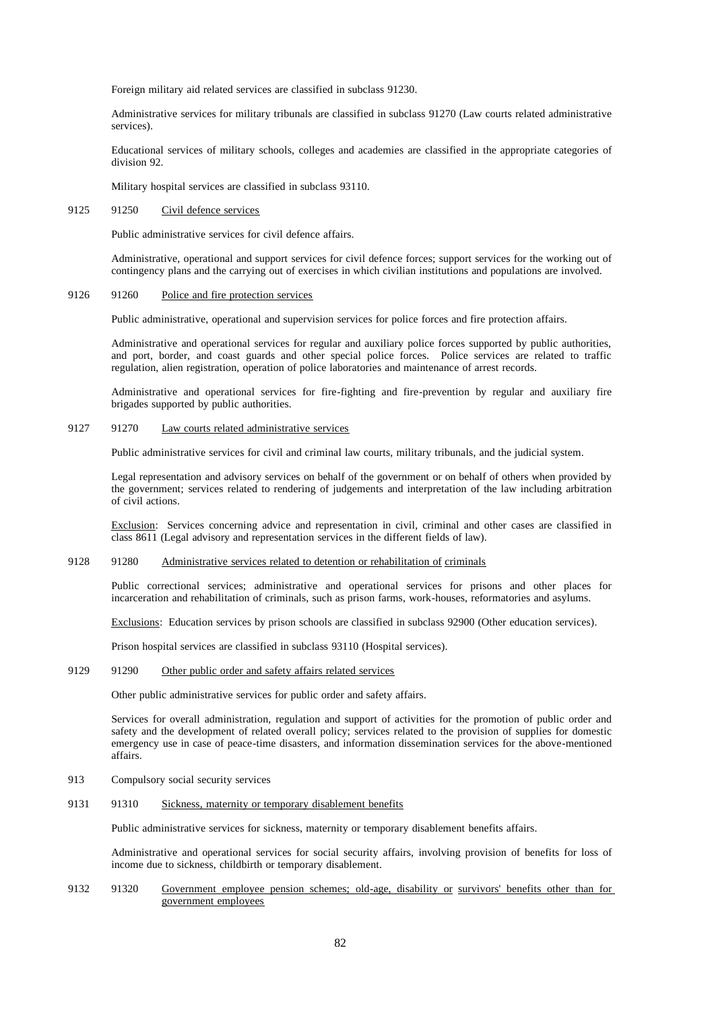Foreign military aid related services are classified in subclass 91230.

Administrative services for military tribunals are classified in subclass 91270 (Law courts related administrative services).

Educational services of military schools, colleges and academies are classified in the appropriate categories of division 92.

Military hospital services are classified in subclass 93110.

# 9125 91250 Civil defence services

Public administrative services for civil defence affairs.

Administrative, operational and support services for civil defence forces; support services for the working out of contingency plans and the carrying out of exercises in which civilian institutions and populations are involved.

# 9126 91260 Police and fire protection services

Public administrative, operational and supervision services for police forces and fire protection affairs.

Administrative and operational services for regular and auxiliary police forces supported by public authorities, and port, border, and coast guards and other special police forces. Police services are related to traffic regulation, alien registration, operation of police laboratories and maintenance of arrest records.

Administrative and operational services for fire-fighting and fire-prevention by regular and auxiliary fire brigades supported by public authorities.

# 9127 91270 Law courts related administrative services

Public administrative services for civil and criminal law courts, military tribunals, and the judicial system.

Legal representation and advisory services on behalf of the government or on behalf of others when provided by the government; services related to rendering of judgements and interpretation of the law including arbitration of civil actions.

Exclusion: Services concerning advice and representation in civil, criminal and other cases are classified in class 8611 (Legal advisory and representation services in the different fields of law).

### 9128 91280 Administrative services related to detention or rehabilitation of criminals

Public correctional services; administrative and operational services for prisons and other places for incarceration and rehabilitation of criminals, such as prison farms, work-houses, reformatories and asylums.

Exclusions: Education services by prison schools are classified in subclass 92900 (Other education services).

Prison hospital services are classified in subclass 93110 (Hospital services).

# 9129 91290 Other public order and safety affairs related services

Other public administrative services for public order and safety affairs.

Services for overall administration, regulation and support of activities for the promotion of public order and safety and the development of related overall policy; services related to the provision of supplies for domestic emergency use in case of peace-time disasters, and information dissemination services for the above-mentioned affairs.

- 913 Compulsory social security services
- 9131 91310 Sickness, maternity or temporary disablement benefits

Public administrative services for sickness, maternity or temporary disablement benefits affairs.

Administrative and operational services for social security affairs, involving provision of benefits for loss of income due to sickness, childbirth or temporary disablement.

9132 91320 Government employee pension schemes; old-age, disability or survivors' benefits other than for government employees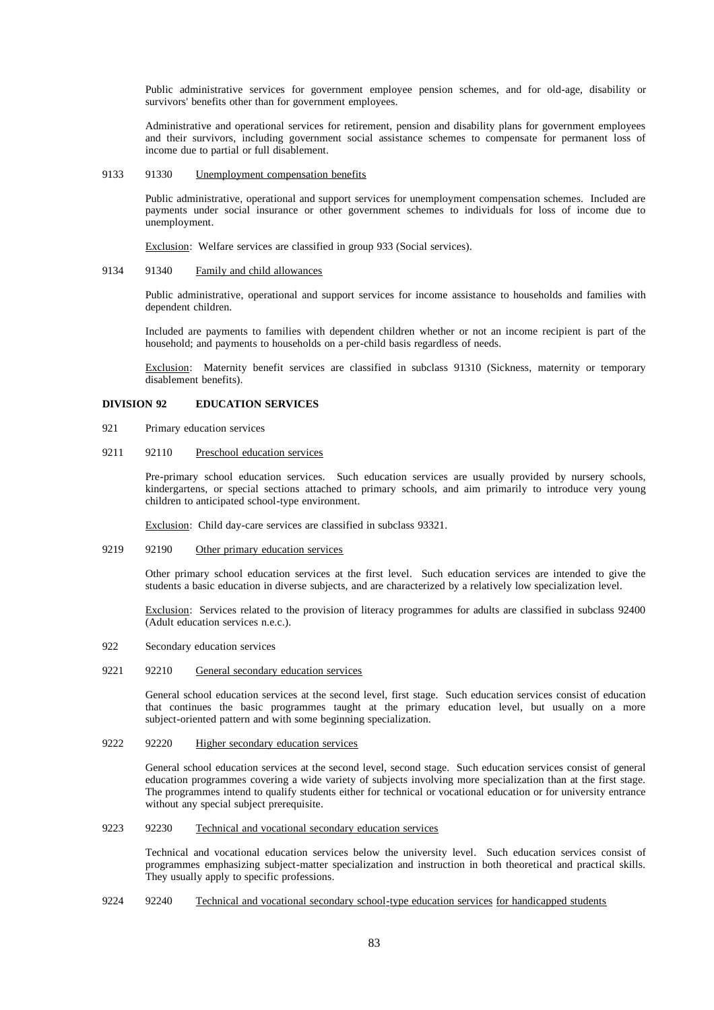Public administrative services for government employee pension schemes, and for old-age, disability or survivors' benefits other than for government employees.

Administrative and operational services for retirement, pension and disability plans for government employees and their survivors, including government social assistance schemes to compensate for permanent loss of income due to partial or full disablement.

#### 9133 91330 Unemployment compensation benefits

Public administrative, operational and support services for unemployment compensation schemes. Included are payments under social insurance or other government schemes to individuals for loss of income due to unemployment.

Exclusion: Welfare services are classified in group 933 (Social services).

# 9134 91340 Family and child allowances

Public administrative, operational and support services for income assistance to households and families with dependent children.

Included are payments to families with dependent children whether or not an income recipient is part of the household; and payments to households on a per-child basis regardless of needs.

Exclusion: Maternity benefit services are classified in subclass 91310 (Sickness, maternity or temporary disablement benefits).

# **DIVISION 92 EDUCATION SERVICES**

- 921 Primary education services
- 9211 92110 Preschool education services

Pre-primary school education services. Such education services are usually provided by nursery schools, kindergartens, or special sections attached to primary schools, and aim primarily to introduce very young children to anticipated school-type environment.

Exclusion: Child day-care services are classified in subclass 93321.

9219 92190 Other primary education services

Other primary school education services at the first level. Such education services are intended to give the students a basic education in diverse subjects, and are characterized by a relatively low specialization level.

Exclusion: Services related to the provision of literacy programmes for adults are classified in subclass 92400 (Adult education services n.e.c.).

- 922 Secondary education services
- 9221 92210 General secondary education services

General school education services at the second level, first stage. Such education services consist of education that continues the basic programmes taught at the primary education level, but usually on a more subject-oriented pattern and with some beginning specialization.

9222 92220 Higher secondary education services

General school education services at the second level, second stage. Such education services consist of general education programmes covering a wide variety of subjects involving more specialization than at the first stage. The programmes intend to qualify students either for technical or vocational education or for university entrance without any special subject prerequisite.

9223 92230 Technical and vocational secondary education services

Technical and vocational education services below the university level. Such education services consist of programmes emphasizing subject-matter specialization and instruction in both theoretical and practical skills. They usually apply to specific professions.

9224 92240 Technical and vocational secondary school-type education services for handicapped students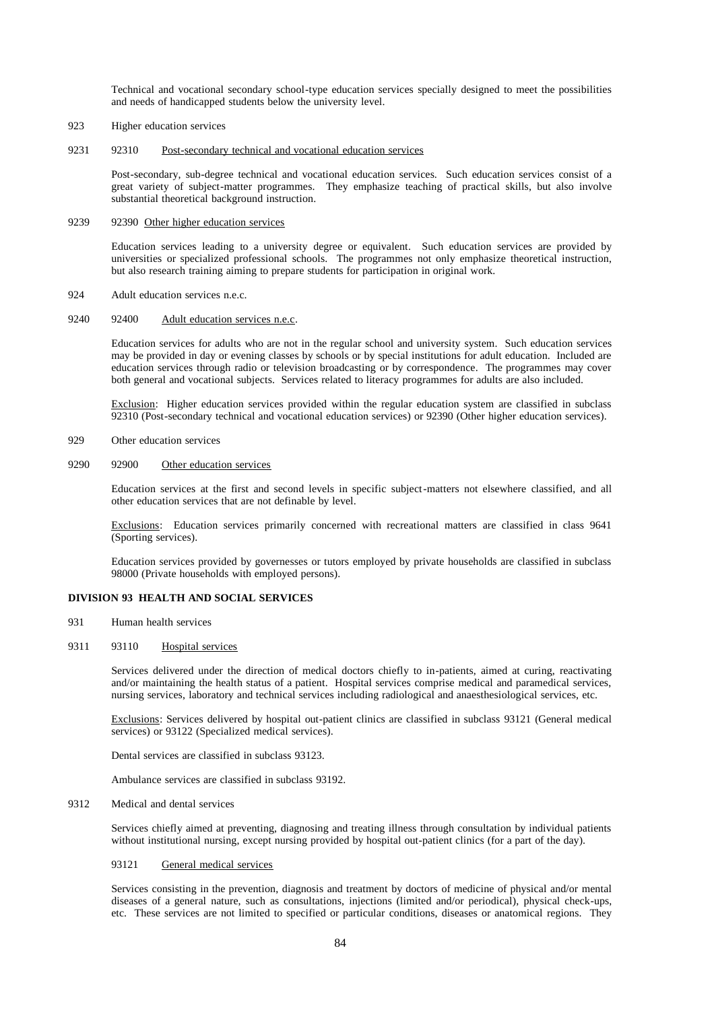Technical and vocational secondary school-type education services specially designed to meet the possibilities and needs of handicapped students below the university level.

- 923 Higher education services
- 9231 92310 Post-secondary technical and vocational education services

Post-secondary, sub-degree technical and vocational education services. Such education services consist of a great variety of subject-matter programmes. They emphasize teaching of practical skills, but also involve substantial theoretical background instruction.

#### 9239 92390 Other higher education services

Education services leading to a university degree or equivalent. Such education services are provided by universities or specialized professional schools. The programmes not only emphasize theoretical instruction, but also research training aiming to prepare students for participation in original work.

- 924 Adult education services n.e.c.
- 9240 92400 Adult education services n.e.c.

Education services for adults who are not in the regular school and university system. Such education services may be provided in day or evening classes by schools or by special institutions for adult education. Included are education services through radio or television broadcasting or by correspondence. The programmes may cover both general and vocational subjects. Services related to literacy programmes for adults are also included.

Exclusion: Higher education services provided within the regular education system are classified in subclass 92310 (Post-secondary technical and vocational education services) or 92390 (Other higher education services).

929 Other education services

### 9290 92900 Other education services

Education services at the first and second levels in specific subject-matters not elsewhere classified, and all other education services that are not definable by level.

Exclusions: Education services primarily concerned with recreational matters are classified in class 9641 (Sporting services).

Education services provided by governesses or tutors employed by private households are classified in subclass 98000 (Private households with employed persons).

## **DIVISION 93 HEALTH AND SOCIAL SERVICES**

931 Human health services

#### 9311 93110 Hospital services

Services delivered under the direction of medical doctors chiefly to in-patients, aimed at curing, reactivating and/or maintaining the health status of a patient. Hospital services comprise medical and paramedical services, nursing services, laboratory and technical services including radiological and anaesthesiological services, etc.

Exclusions: Services delivered by hospital out-patient clinics are classified in subclass 93121 (General medical services) or 93122 (Specialized medical services).

Dental services are classified in subclass 93123.

Ambulance services are classified in subclass 93192.

#### 9312 Medical and dental services

Services chiefly aimed at preventing, diagnosing and treating illness through consultation by individual patients without institutional nursing, except nursing provided by hospital out-patient clinics (for a part of the day).

#### 93121 General medical services

Services consisting in the prevention, diagnosis and treatment by doctors of medicine of physical and/or mental diseases of a general nature, such as consultations, injections (limited and/or periodical), physical check-ups, etc. These services are not limited to specified or particular conditions, diseases or anatomical regions. They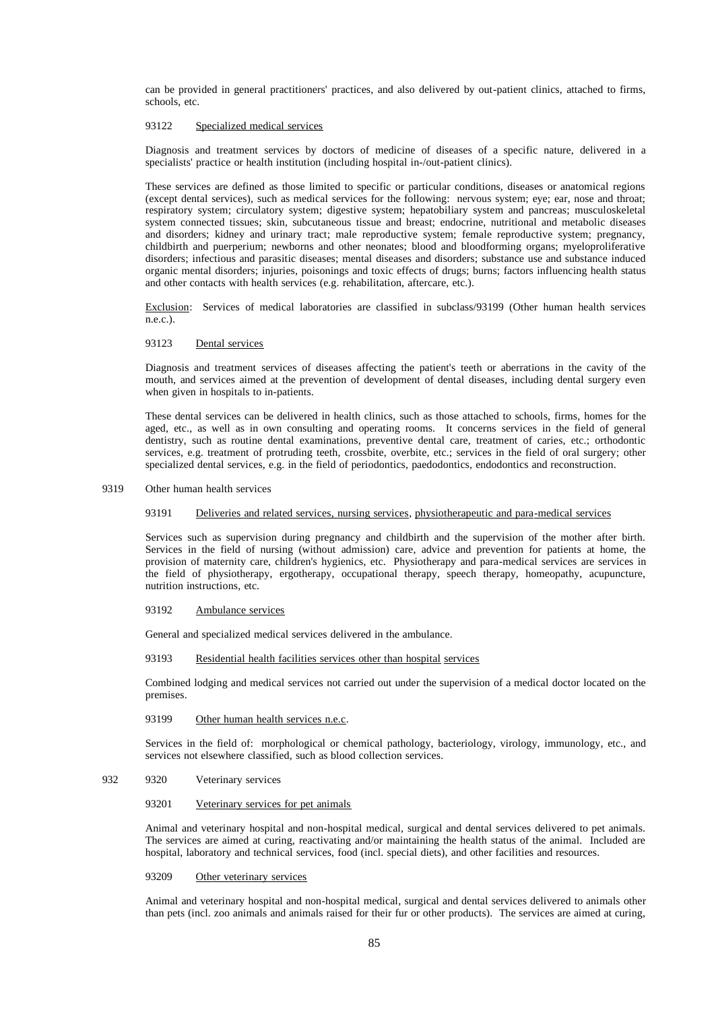can be provided in general practitioners' practices, and also delivered by out-patient clinics, attached to firms, schools, etc.

# 93122 Specialized medical services

Diagnosis and treatment services by doctors of medicine of diseases of a specific nature, delivered in a specialists' practice or health institution (including hospital in-/out-patient clinics).

These services are defined as those limited to specific or particular conditions, diseases or anatomical regions (except dental services), such as medical services for the following: nervous system; eye; ear, nose and throat; respiratory system; circulatory system; digestive system; hepatobiliary system and pancreas; musculoskeletal system connected tissues; skin, subcutaneous tissue and breast; endocrine, nutritional and metabolic diseases and disorders; kidney and urinary tract; male reproductive system; female reproductive system; pregnancy, childbirth and puerperium; newborns and other neonates; blood and bloodforming organs; myeloproliferative disorders; infectious and parasitic diseases; mental diseases and disorders; substance use and substance induced organic mental disorders; injuries, poisonings and toxic effects of drugs; burns; factors influencing health status and other contacts with health services (e.g. rehabilitation, aftercare, etc.).

Exclusion: Services of medical laboratories are classified in subclass/93199 (Other human health services n.e.c.).

### 93123 Dental services

Diagnosis and treatment services of diseases affecting the patient's teeth or aberrations in the cavity of the mouth, and services aimed at the prevention of development of dental diseases, including dental surgery even when given in hospitals to in-patients.

These dental services can be delivered in health clinics, such as those attached to schools, firms, homes for the aged, etc., as well as in own consulting and operating rooms. It concerns services in the field of general dentistry, such as routine dental examinations, preventive dental care, treatment of caries, etc.; orthodontic services, e.g. treatment of protruding teeth, crossbite, overbite, etc.; services in the field of oral surgery; other specialized dental services, e.g. in the field of periodontics, paedodontics, endodontics and reconstruction.

### 9319 Other human health services

### 93191 Deliveries and related services, nursing services, physiotherapeutic and para-medical services

Services such as supervision during pregnancy and childbirth and the supervision of the mother after birth. Services in the field of nursing (without admission) care, advice and prevention for patients at home, the provision of maternity care, children's hygienics, etc. Physiotherapy and para-medical services are services in the field of physiotherapy, ergotherapy, occupational therapy, speech therapy, homeopathy, acupuncture, nutrition instructions, etc.

### 93192 Ambulance services

General and specialized medical services delivered in the ambulance.

#### 93193 Residential health facilities services other than hospital services

Combined lodging and medical services not carried out under the supervision of a medical doctor located on the premises.

#### 93199 Other human health services n.e.c.

Services in the field of: morphological or chemical pathology, bacteriology, virology, immunology, etc., and services not elsewhere classified, such as blood collection services.

# 932 9320 Veterinary services

#### 93201 Veterinary services for pet animals

Animal and veterinary hospital and non-hospital medical, surgical and dental services delivered to pet animals. The services are aimed at curing, reactivating and/or maintaining the health status of the animal. Included are hospital, laboratory and technical services, food (incl. special diets), and other facilities and resources.

### 93209 Other veterinary services

Animal and veterinary hospital and non-hospital medical, surgical and dental services delivered to animals other than pets (incl. zoo animals and animals raised for their fur or other products). The services are aimed at curing,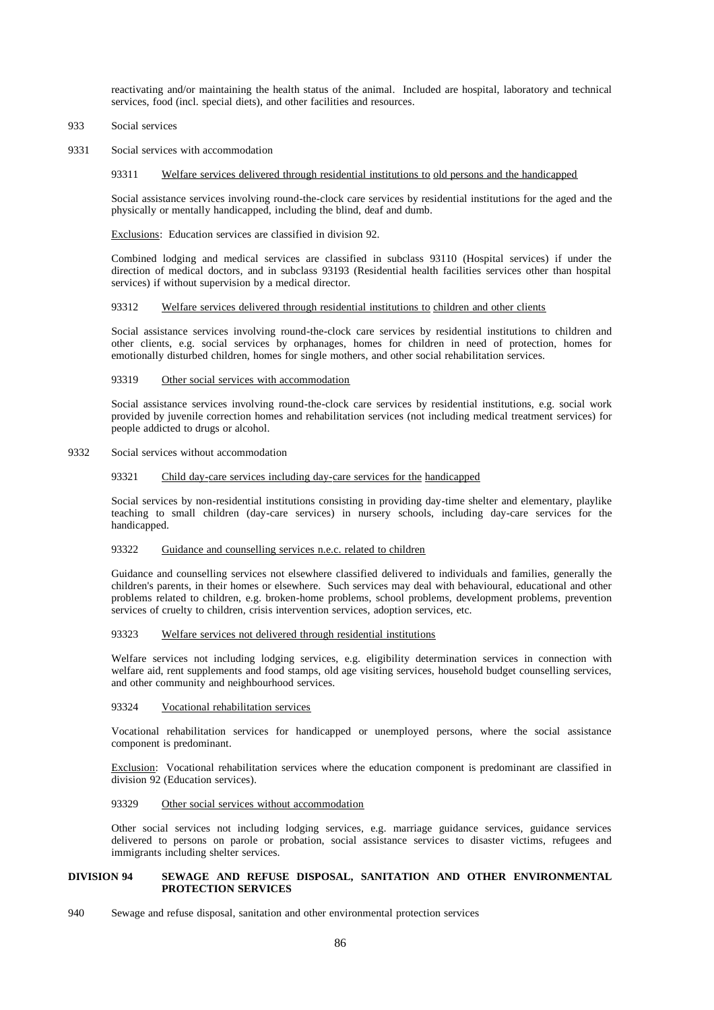reactivating and/or maintaining the health status of the animal. Included are hospital, laboratory and technical services, food (incl. special diets), and other facilities and resources.

# 933 Social services

9331 Social services with accommodation

#### 93311 Welfare services delivered through residential institutions to old persons and the handicapped

Social assistance services involving round-the-clock care services by residential institutions for the aged and the physically or mentally handicapped, including the blind, deaf and dumb.

Exclusions: Education services are classified in division 92.

Combined lodging and medical services are classified in subclass 93110 (Hospital services) if under the direction of medical doctors, and in subclass 93193 (Residential health facilities services other than hospital services) if without supervision by a medical director.

# 93312 Welfare services delivered through residential institutions to children and other clients

Social assistance services involving round-the-clock care services by residential institutions to children and other clients, e.g. social services by orphanages, homes for children in need of protection, homes for emotionally disturbed children, homes for single mothers, and other social rehabilitation services.

### 93319 Other social services with accommodation

Social assistance services involving round-the-clock care services by residential institutions, e.g. social work provided by juvenile correction homes and rehabilitation services (not including medical treatment services) for people addicted to drugs or alcohol.

# 9332 Social services without accommodation

#### 93321 Child day-care services including day-care services for the handicapped

Social services by non-residential institutions consisting in providing day-time shelter and elementary, playlike teaching to small children (day-care services) in nursery schools, including day-care services for the handicapped.

#### 93322 Guidance and counselling services n.e.c. related to children

Guidance and counselling services not elsewhere classified delivered to individuals and families, generally the children's parents, in their homes or elsewhere. Such services may deal with behavioural, educational and other problems related to children, e.g. broken-home problems, school problems, development problems, prevention services of cruelty to children, crisis intervention services, adoption services, etc.

#### 93323 Welfare services not delivered through residential institutions

Welfare services not including lodging services, e.g. eligibility determination services in connection with welfare aid, rent supplements and food stamps, old age visiting services, household budget counselling services, and other community and neighbourhood services.

### 93324 Vocational rehabilitation services

Vocational rehabilitation services for handicapped or unemployed persons, where the social assistance component is predominant.

Exclusion: Vocational rehabilitation services where the education component is predominant are classified in division 92 (Education services).

#### 93329 Other social services without accommodation

Other social services not including lodging services, e.g. marriage guidance services, guidance services delivered to persons on parole or probation, social assistance services to disaster victims, refugees and immigrants including shelter services.

# **DIVISION 94 SEWAGE AND REFUSE DISPOSAL, SANITATION AND OTHER ENVIRONMENTAL PROTECTION SERVICES**

940 Sewage and refuse disposal, sanitation and other environmental protection services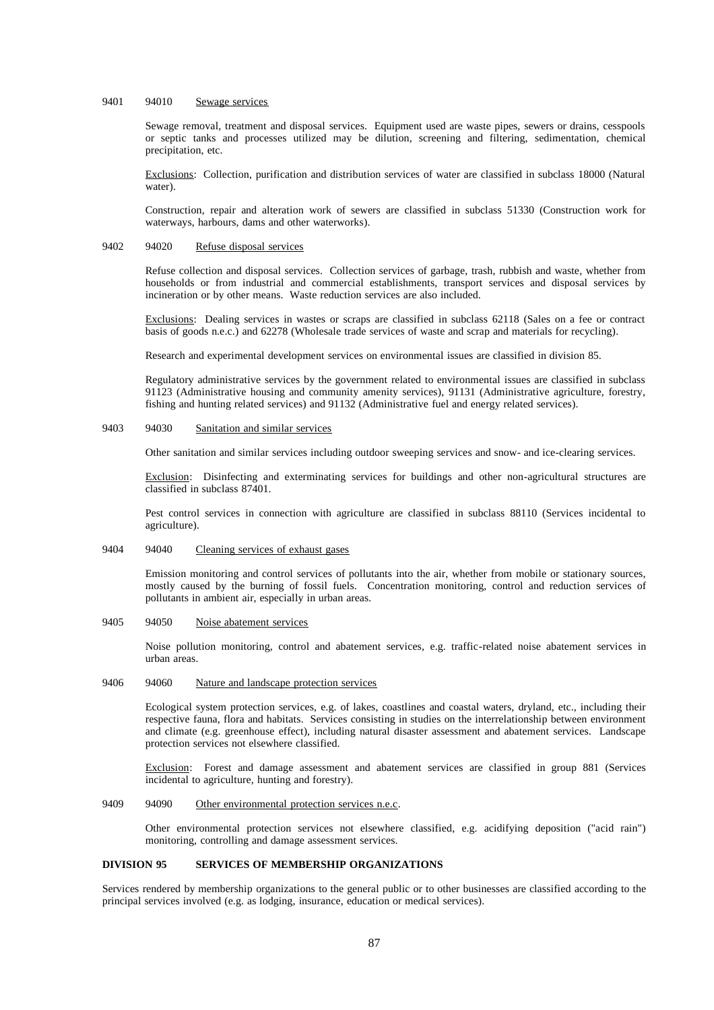# 9401 94010 Sewage services

Sewage removal, treatment and disposal services. Equipment used are waste pipes, sewers or drains, cesspools or septic tanks and processes utilized may be dilution, screening and filtering, sedimentation, chemical precipitation, etc.

Exclusions: Collection, purification and distribution services of water are classified in subclass 18000 (Natural water).

Construction, repair and alteration work of sewers are classified in subclass 51330 (Construction work for waterways, harbours, dams and other waterworks).

# 9402 94020 Refuse disposal services

Refuse collection and disposal services. Collection services of garbage, trash, rubbish and waste, whether from households or from industrial and commercial establishments, transport services and disposal services by incineration or by other means. Waste reduction services are also included.

Exclusions: Dealing services in wastes or scraps are classified in subclass 62118 (Sales on a fee or contract basis of goods n.e.c.) and 62278 (Wholesale trade services of waste and scrap and materials for recycling).

Research and experimental development services on environmental issues are classified in division 85.

Regulatory administrative services by the government related to environmental issues are classified in subclass 91123 (Administrative housing and community amenity services), 91131 (Administrative agriculture, forestry, fishing and hunting related services) and 91132 (Administrative fuel and energy related services).

# 9403 94030 Sanitation and similar services

Other sanitation and similar services including outdoor sweeping services and snow- and ice-clearing services.

Exclusion: Disinfecting and exterminating services for buildings and other non-agricultural structures are classified in subclass 87401.

Pest control services in connection with agriculture are classified in subclass 88110 (Services incidental to agriculture).

# 9404 94040 Cleaning services of exhaust gases

Emission monitoring and control services of pollutants into the air, whether from mobile or stationary sources, mostly caused by the burning of fossil fuels. Concentration monitoring, control and reduction services of pollutants in ambient air, especially in urban areas.

#### 9405 94050 Noise abatement services

Noise pollution monitoring, control and abatement services, e.g. traffic-related noise abatement services in urban areas.

#### 9406 94060 Nature and landscape protection services

Ecological system protection services, e.g. of lakes, coastlines and coastal waters, dryland, etc., including their respective fauna, flora and habitats. Services consisting in studies on the interrelationship between environment and climate (e.g. greenhouse effect), including natural disaster assessment and abatement services. Landscape protection services not elsewhere classified.

Exclusion: Forest and damage assessment and abatement services are classified in group 881 (Services incidental to agriculture, hunting and forestry).

### 9409 94090 Other environmental protection services n.e.c.

Other environmental protection services not elsewhere classified, e.g. acidifying deposition ("acid rain") monitoring, controlling and damage assessment services.

#### **DIVISION 95 SERVICES OF MEMBERSHIP ORGANIZATIONS**

Services rendered by membership organizations to the general public or to other businesses are classified according to the principal services involved (e.g. as lodging, insurance, education or medical services).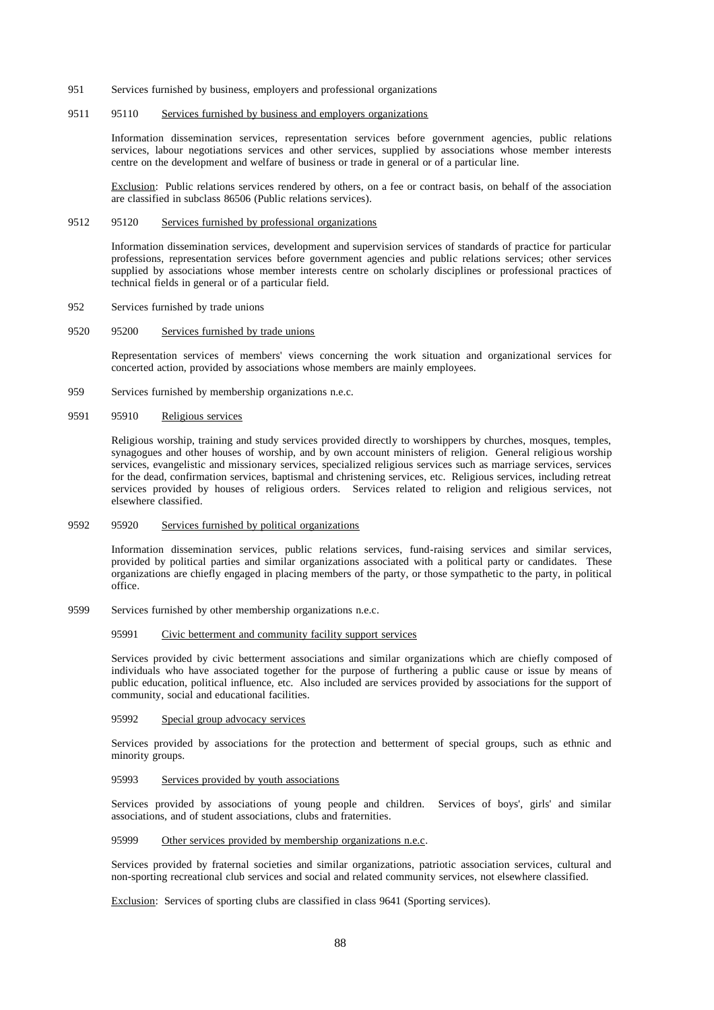951 Services furnished by business, employers and professional organizations

# 9511 95110 Services furnished by business and employers organizations

Information dissemination services, representation services before government agencies, public relations services, labour negotiations services and other services, supplied by associations whose member interests centre on the development and welfare of business or trade in general or of a particular line.

Exclusion: Public relations services rendered by others, on a fee or contract basis, on behalf of the association are classified in subclass 86506 (Public relations services).

#### 9512 95120 Services furnished by professional organizations

Information dissemination services, development and supervision services of standards of practice for particular professions, representation services before government agencies and public relations services; other services supplied by associations whose member interests centre on scholarly disciplines or professional practices of technical fields in general or of a particular field.

#### 952 Services furnished by trade unions

#### 9520 95200 Services furnished by trade unions

Representation services of members' views concerning the work situation and organizational services for concerted action, provided by associations whose members are mainly employees.

959 Services furnished by membership organizations n.e.c.

#### 9591 95910 Religious services

Religious worship, training and study services provided directly to worshippers by churches, mosques, temples, synagogues and other houses of worship, and by own account ministers of religion. General religious worship services, evangelistic and missionary services, specialized religious services such as marriage services, services for the dead, confirmation services, baptismal and christening services, etc. Religious services, including retreat services provided by houses of religious orders. Services related to religion and religious services, not elsewhere classified.

# 9592 95920 Services furnished by political organizations

Information dissemination services, public relations services, fund-raising services and similar services, provided by political parties and similar organizations associated with a political party or candidates. These organizations are chiefly engaged in placing members of the party, or those sympathetic to the party, in political office.

9599 Services furnished by other membership organizations n.e.c.

#### 95991 Civic betterment and community facility support services

Services provided by civic betterment associations and similar organizations which are chiefly composed of individuals who have associated together for the purpose of furthering a public cause or issue by means of public education, political influence, etc. Also included are services provided by associations for the support of community, social and educational facilities.

### 95992 Special group advocacy services

Services provided by associations for the protection and betterment of special groups, such as ethnic and minority groups.

### 95993 Services provided by youth associations

Services provided by associations of young people and children. Services of boys', girls' and similar associations, and of student associations, clubs and fraternities.

#### 95999 Other services provided by membership organizations n.e.c.

Services provided by fraternal societies and similar organizations, patriotic association services, cultural and non-sporting recreational club services and social and related community services, not elsewhere classified.

Exclusion: Services of sporting clubs are classified in class 9641 (Sporting services).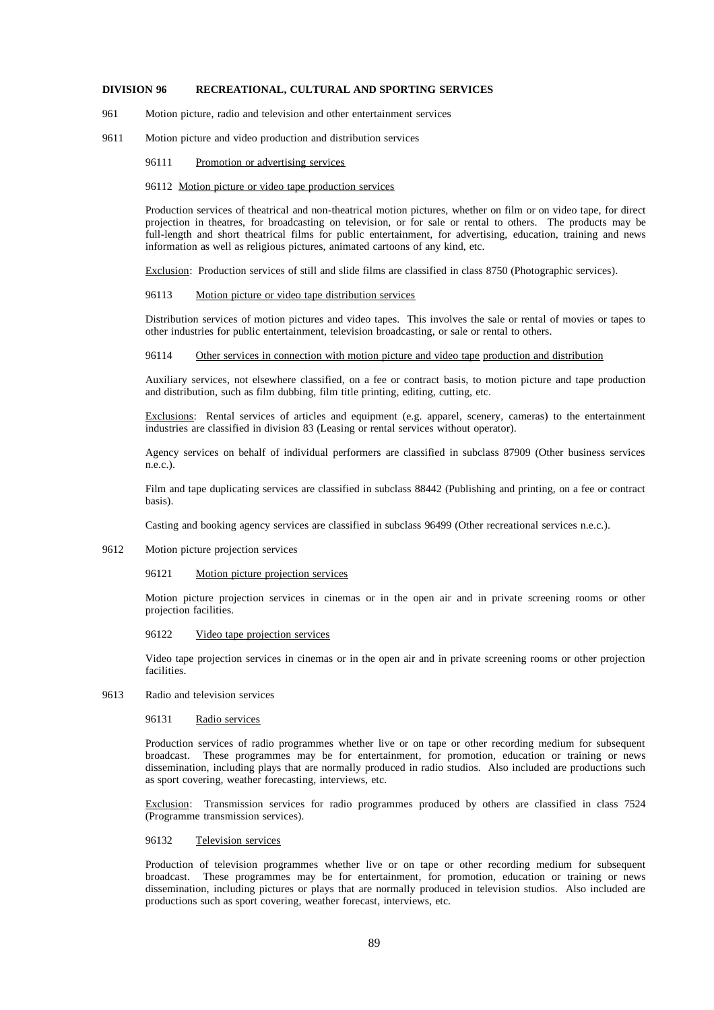# **DIVISION 96 RECREATIONAL, CULTURAL AND SPORTING SERVICES**

- 961 Motion picture, radio and television and other entertainment services
- 9611 Motion picture and video production and distribution services
	- 96111 Promotion or advertising services

#### 96112 Motion picture or video tape production services

Production services of theatrical and non-theatrical motion pictures, whether on film or on video tape, for direct projection in theatres, for broadcasting on television, or for sale or rental to others. The products may be full-length and short theatrical films for public entertainment, for advertising, education, training and news information as well as religious pictures, animated cartoons of any kind, etc.

Exclusion: Production services of still and slide films are classified in class 8750 (Photographic services).

#### 96113 Motion picture or video tape distribution services

Distribution services of motion pictures and video tapes. This involves the sale or rental of movies or tapes to other industries for public entertainment, television broadcasting, or sale or rental to others.

### 96114 Other services in connection with motion picture and video tape production and distribution

Auxiliary services, not elsewhere classified, on a fee or contract basis, to motion picture and tape production and distribution, such as film dubbing, film title printing, editing, cutting, etc.

Exclusions: Rental services of articles and equipment (e.g. apparel, scenery, cameras) to the entertainment industries are classified in division 83 (Leasing or rental services without operator).

Agency services on behalf of individual performers are classified in subclass 87909 (Other business services n.e.c.).

Film and tape duplicating services are classified in subclass 88442 (Publishing and printing, on a fee or contract basis).

Casting and booking agency services are classified in subclass 96499 (Other recreational services n.e.c.).

9612 Motion picture projection services

### 96121 Motion picture projection services

Motion picture projection services in cinemas or in the open air and in private screening rooms or other projection facilities.

# 96122 Video tape projection services

Video tape projection services in cinemas or in the open air and in private screening rooms or other projection facilities.

9613 Radio and television services

# 96131 Radio services

Production services of radio programmes whether live or on tape or other recording medium for subsequent broadcast. These programmes may be for entertainment, for promotion, education or training or news dissemination, including plays that are normally produced in radio studios. Also included are productions such as sport covering, weather forecasting, interviews, etc.

Exclusion: Transmission services for radio programmes produced by others are classified in class 7524 (Programme transmission services).

#### 96132 Television services

Production of television programmes whether live or on tape or other recording medium for subsequent broadcast. These programmes may be for entertainment, for promotion, education or training or news dissemination, including pictures or plays that are normally produced in television studios. Also included are productions such as sport covering, weather forecast, interviews, etc.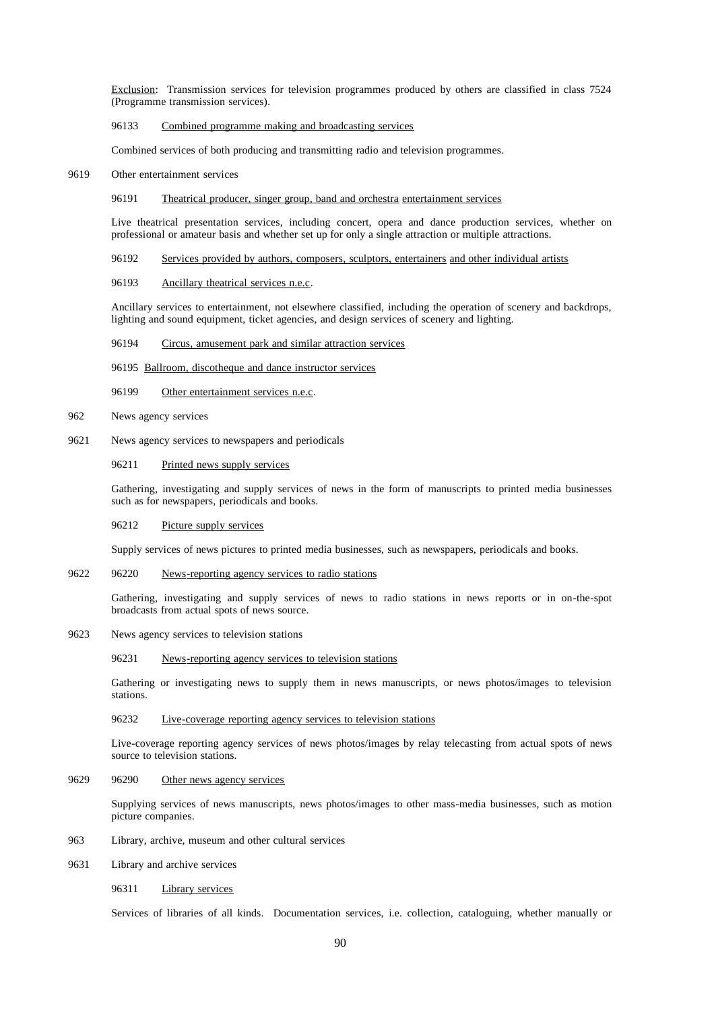Exclusion: Transmission services for television programmes produced by others are classified in class 7524 (Programme transmission services).

### 96133 Combined programme making and broadcasting services

Combined services of both producing and transmitting radio and television programmes.

9619 Other entertainment services

#### 96191 Theatrical producer, singer group, band and orchestra entertainment services

Live theatrical presentation services, including concert, opera and dance production services, whether on professional or amateur basis and whether set up for only a single attraction or multiple attractions.

96192 Services provided by authors, composers, sculptors, entertainers and other individual artists

96193 Ancillary theatrical services n.e.c.

Ancillary services to entertainment, not elsewhere classified, including the operation of scenery and backdrops, lighting and sound equipment, ticket agencies, and design services of scenery and lighting.

96194 Circus, amusement park and similar attraction services

96195 Ballroom, discotheque and dance instructor services

- 96199 Other entertainment services n.e.c.
- 962 News agency services
- 9621 News agency services to newspapers and periodicals

# 96211 Printed news supply services

Gathering, investigating and supply services of news in the form of manuscripts to printed media businesses such as for newspapers, periodicals and books.

#### 96212 Picture supply services

Supply services of news pictures to printed media businesses, such as newspapers, periodicals and books.

9622 96220 News-reporting agency services to radio stations

Gathering, investigating and supply services of news to radio stations in news reports or in on-the-spot broadcasts from actual spots of news source.

9623 News agency services to television stations

#### 96231 News-reporting agency services to television stations

Gathering or investigating news to supply them in news manuscripts, or news photos/images to television stations.

### 96232 Live-coverage reporting agency services to television stations

Live-coverage reporting agency services of news photos/images by relay telecasting from actual spots of news source to television stations.

# 9629 96290 Other news agency services

Supplying services of news manuscripts, news photos/images to other mass-media businesses, such as motion picture companies.

- 963 Library, archive, museum and other cultural services
- 9631 Library and archive services

### 96311 Library services

Services of libraries of all kinds. Documentation services, i.e. collection, cataloguing, whether manually or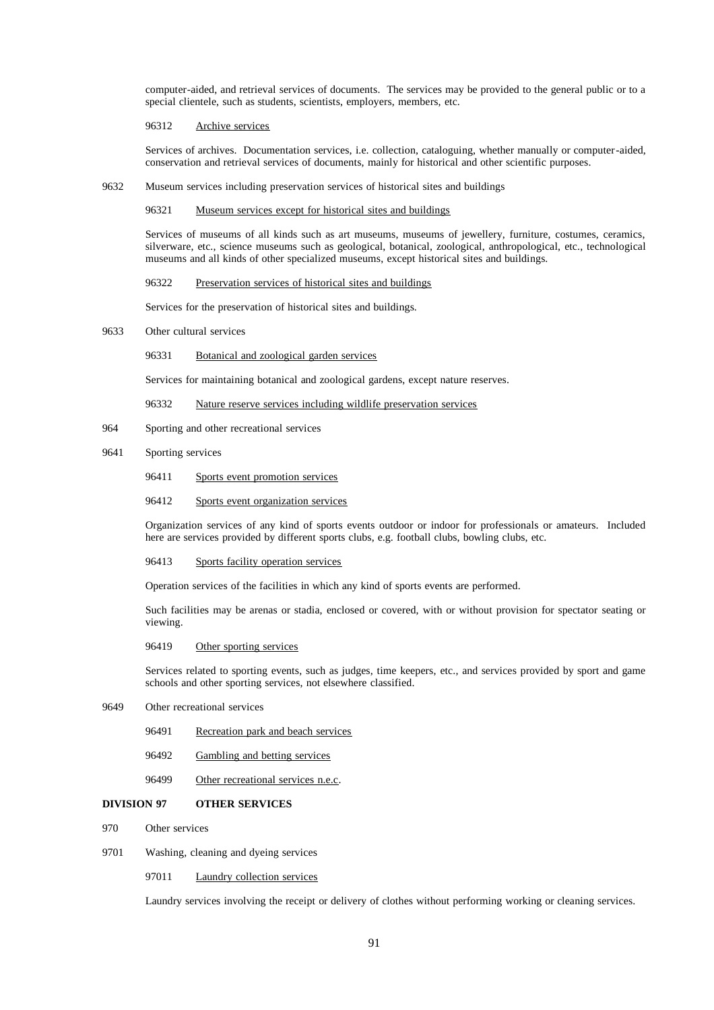computer-aided, and retrieval services of documents. The services may be provided to the general public or to a special clientele, such as students, scientists, employers, members, etc.

# 96312 Archive services

Services of archives. Documentation services, i.e. collection, cataloguing, whether manually or computer-aided, conservation and retrieval services of documents, mainly for historical and other scientific purposes.

9632 Museum services including preservation services of historical sites and buildings

#### 96321 Museum services except for historical sites and buildings

Services of museums of all kinds such as art museums, museums of jewellery, furniture, costumes, ceramics, silverware, etc., science museums such as geological, botanical, zoological, anthropological, etc., technological museums and all kinds of other specialized museums, except historical sites and buildings.

### 96322 Preservation services of historical sites and buildings

Services for the preservation of historical sites and buildings.

- 9633 Other cultural services
	- 96331 Botanical and zoological garden services

Services for maintaining botanical and zoological gardens, except nature reserves.

96332 Nature reserve services including wildlife preservation services

- 964 Sporting and other recreational services
- 9641 Sporting services
	- 96411 Sports event promotion services
	- 96412 Sports event organization services

Organization services of any kind of sports events outdoor or indoor for professionals or amateurs. Included here are services provided by different sports clubs, e.g. football clubs, bowling clubs, etc.

96413 Sports facility operation services

Operation services of the facilities in which any kind of sports events are performed.

Such facilities may be arenas or stadia, enclosed or covered, with or without provision for spectator seating or viewing.

96419 Other sporting services

Services related to sporting events, such as judges, time keepers, etc., and services provided by sport and game schools and other sporting services, not elsewhere classified.

- 9649 Other recreational services
	- 96491 Recreation park and beach services
	- 96492 Gambling and betting services
	- 96499 Other recreational services n.e.c.

#### **DIVISION 97 OTHER SERVICES**

- 970 Other services
- 9701 Washing, cleaning and dyeing services
	- 97011 Laundry collection services

Laundry services involving the receipt or delivery of clothes without performing working or cleaning services.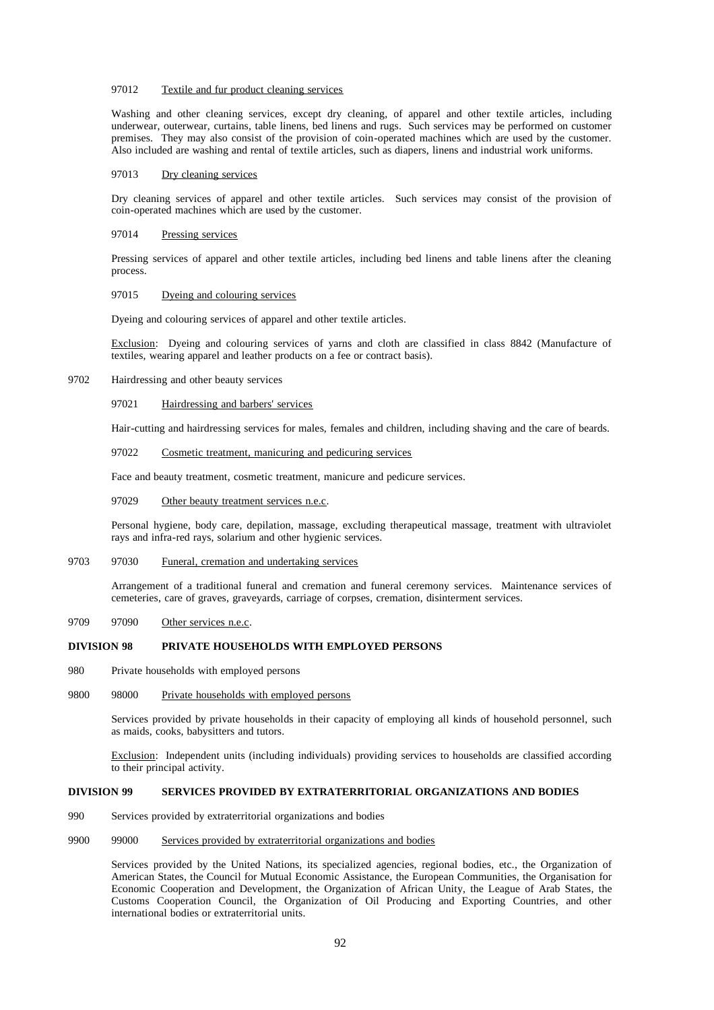# 97012 Textile and fur product cleaning services

Washing and other cleaning services, except dry cleaning, of apparel and other textile articles, including underwear, outerwear, curtains, table linens, bed linens and rugs. Such services may be performed on customer premises. They may also consist of the provision of coin-operated machines which are used by the customer. Also included are washing and rental of textile articles, such as diapers, linens and industrial work uniforms.

#### 97013 Dry cleaning services

Dry cleaning services of apparel and other textile articles. Such services may consist of the provision of coin-operated machines which are used by the customer.

## 97014 Pressing services

Pressing services of apparel and other textile articles, including bed linens and table linens after the cleaning process.

# 97015 Dyeing and colouring services

Dyeing and colouring services of apparel and other textile articles.

Exclusion: Dyeing and colouring services of yarns and cloth are classified in class 8842 (Manufacture of textiles, wearing apparel and leather products on a fee or contract basis).

### 9702 Hairdressing and other beauty services

### 97021 Hairdressing and barbers' services

Hair-cutting and hairdressing services for males, females and children, including shaving and the care of beards.

# 97022 Cosmetic treatment, manicuring and pedicuring services

Face and beauty treatment, cosmetic treatment, manicure and pedicure services.

#### 97029 Other beauty treatment services n.e.c.

Personal hygiene, body care, depilation, massage, excluding therapeutical massage, treatment with ultraviolet rays and infra-red rays, solarium and other hygienic services.

### 9703 97030 Funeral, cremation and undertaking services

Arrangement of a traditional funeral and cremation and funeral ceremony services. Maintenance services of cemeteries, care of graves, graveyards, carriage of corpses, cremation, disinterment services.

#### 9709 97090 Other services n.e.c.

### **DIVISION 98 PRIVATE HOUSEHOLDS WITH EMPLOYED PERSONS**

- 980 Private households with employed persons
- 9800 98000 Private households with employed persons

Services provided by private households in their capacity of employing all kinds of household personnel, such as maids, cooks, babysitters and tutors.

Exclusion: Independent units (including individuals) providing services to households are classified according to their principal activity.

#### **DIVISION 99 SERVICES PROVIDED BY EXTRATERRITORIAL ORGANIZATIONS AND BODIES**

- 990 Services provided by extraterritorial organizations and bodies
- 9900 99000 Services provided by extraterritorial organizations and bodies

Services provided by the United Nations, its specialized agencies, regional bodies, etc., the Organization of American States, the Council for Mutual Economic Assistance, the European Communities, the Organisation for Economic Cooperation and Development, the Organization of African Unity, the League of Arab States, the Customs Cooperation Council, the Organization of Oil Producing and Exporting Countries, and other international bodies or extraterritorial units.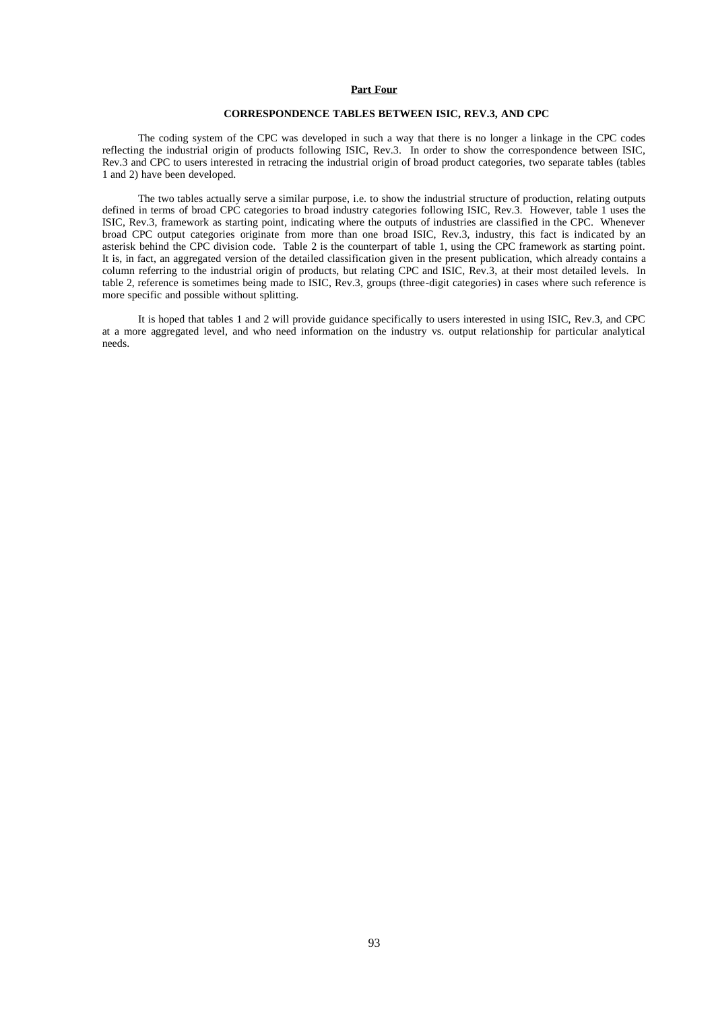# **Part Four**

# **CORRESPONDENCE TABLES BETWEEN ISIC, REV.3, AND CPC**

The coding system of the CPC was developed in such a way that there is no longer a linkage in the CPC codes reflecting the industrial origin of products following ISIC, Rev.3. In order to show the correspondence between ISIC, Rev.3 and CPC to users interested in retracing the industrial origin of broad product categories, two separate tables (tables 1 and 2) have been developed.

The two tables actually serve a similar purpose, i.e. to show the industrial structure of production, relating outputs defined in terms of broad CPC categories to broad industry categories following ISIC, Rev.3. However, table 1 uses the ISIC, Rev.3, framework as starting point, indicating where the outputs of industries are classified in the CPC. Whenever broad CPC output categories originate from more than one broad ISIC, Rev.3, industry, this fact is indicated by an asterisk behind the CPC division code. Table 2 is the counterpart of table 1, using the CPC framework as starting point. It is, in fact, an aggregated version of the detailed classification given in the present publication, which already contains a column referring to the industrial origin of products, but relating CPC and ISIC, Rev.3, at their most detailed levels. In table 2, reference is sometimes being made to ISIC, Rev.3, groups (three-digit categories) in cases where such reference is more specific and possible without splitting.

It is hoped that tables 1 and 2 will provide guidance specifically to users interested in using ISIC, Rev.3, and CPC at a more aggregated level, and who need information on the industry vs. output relationship for particular analytical needs.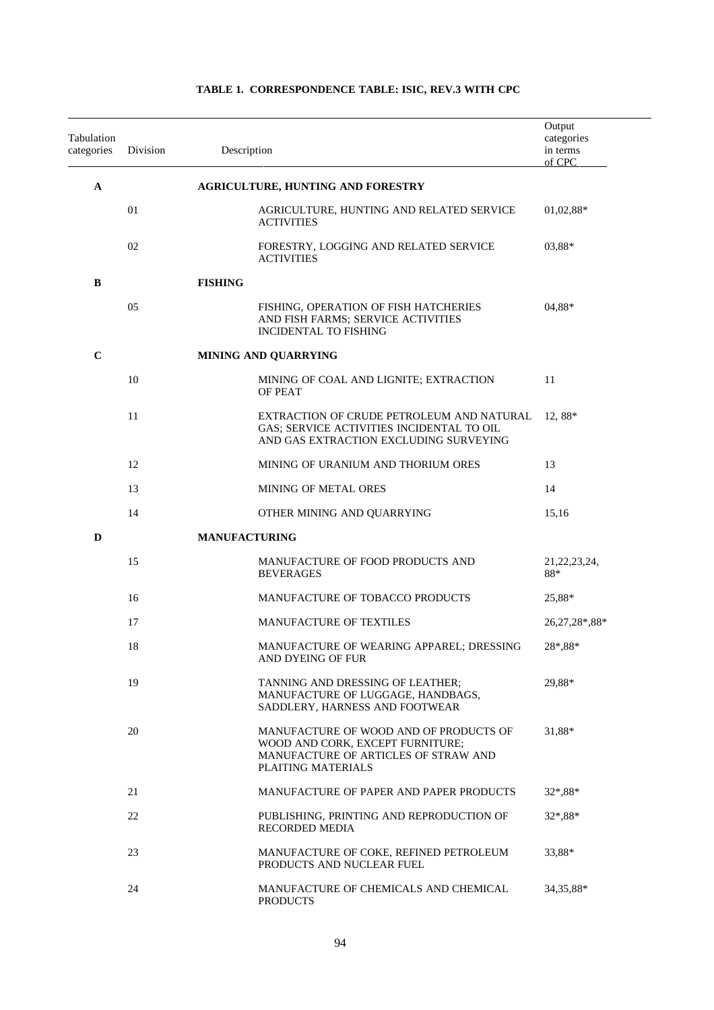| Tabulation<br>categories | Division                    | Description                                                                                                                              | Output<br>categories<br>in terms<br>of CPC |
|--------------------------|-----------------------------|------------------------------------------------------------------------------------------------------------------------------------------|--------------------------------------------|
| A                        |                             | <b>AGRICULTURE, HUNTING AND FORESTRY</b>                                                                                                 |                                            |
|                          | 01                          | AGRICULTURE, HUNTING AND RELATED SERVICE<br><b>ACTIVITIES</b>                                                                            | 01,02,88*                                  |
|                          | 02                          | FORESTRY, LOGGING AND RELATED SERVICE<br><b>ACTIVITIES</b>                                                                               | 03,88*                                     |
| B                        |                             | <b>FISHING</b>                                                                                                                           |                                            |
|                          | 05                          | FISHING, OPERATION OF FISH HATCHERIES<br>AND FISH FARMS; SERVICE ACTIVITIES<br><b>INCIDENTAL TO FISHING</b>                              | 04,88*                                     |
| $\mathbf C$              | <b>MINING AND QUARRYING</b> |                                                                                                                                          |                                            |
|                          | 10                          | MINING OF COAL AND LIGNITE; EXTRACTION<br>OF PEAT                                                                                        | 11                                         |
|                          | 11                          | EXTRACTION OF CRUDE PETROLEUM AND NATURAL<br>GAS; SERVICE ACTIVITIES INCIDENTAL TO OIL<br>AND GAS EXTRACTION EXCLUDING SURVEYING         | 12, 88*                                    |
|                          | 12                          | MINING OF URANIUM AND THORIUM ORES                                                                                                       | 13                                         |
|                          | 13                          | MINING OF METAL ORES                                                                                                                     | 14                                         |
|                          | 14                          | OTHER MINING AND QUARRYING                                                                                                               | 15,16                                      |
| D                        |                             | <b>MANUFACTURING</b>                                                                                                                     |                                            |
|                          | 15                          | MANUFACTURE OF FOOD PRODUCTS AND<br><b>BEVERAGES</b>                                                                                     | 21, 22, 23, 24,<br>88*                     |
|                          | 16                          | MANUFACTURE OF TOBACCO PRODUCTS                                                                                                          | 25,88*                                     |
|                          | 17                          | <b>MANUFACTURE OF TEXTILES</b>                                                                                                           | 26,27,28*,88*                              |
|                          | 18                          | MANUFACTURE OF WEARING APPAREL; DRESSING<br>AND DYEING OF FUR                                                                            | 28*,88*                                    |
|                          | 19                          | TANNING AND DRESSING OF LEATHER;<br>MANUFACTURE OF LUGGAGE, HANDBAGS,<br>SADDLERY, HARNESS AND FOOTWEAR                                  | 29,88*                                     |
|                          | 20                          | MANUFACTURE OF WOOD AND OF PRODUCTS OF<br>WOOD AND CORK, EXCEPT FURNITURE;<br>MANUFACTURE OF ARTICLES OF STRAW AND<br>PLAITING MATERIALS | 31,88*                                     |
|                          | 21                          | MANUFACTURE OF PAPER AND PAPER PRODUCTS                                                                                                  | 32*,88*                                    |
|                          | 22                          | PUBLISHING, PRINTING AND REPRODUCTION OF<br>RECORDED MEDIA                                                                               | 32*,88*                                    |
|                          | 23                          | MANUFACTURE OF COKE, REFINED PETROLEUM<br>PRODUCTS AND NUCLEAR FUEL                                                                      | 33,88*                                     |
|                          | 24                          | MANUFACTURE OF CHEMICALS AND CHEMICAL<br><b>PRODUCTS</b>                                                                                 | 34, 35, 88*                                |

# **TABLE 1. CORRESPONDENCE TABLE: ISIC, REV.3 WITH CPC**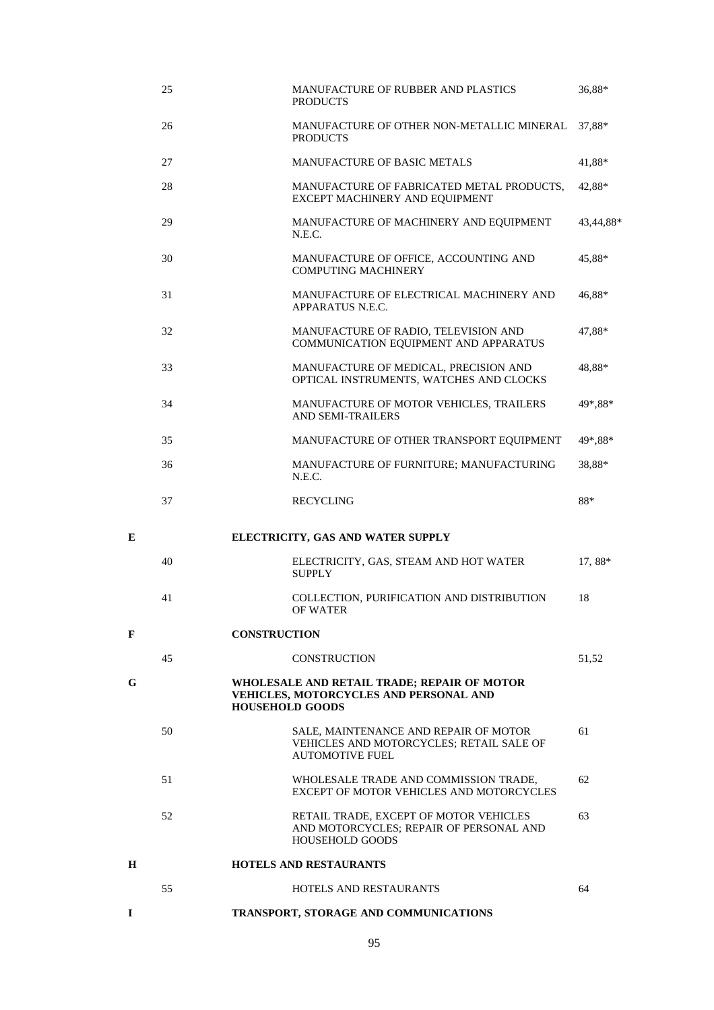| I |    | TRANSPORT, STORAGE AND COMMUNICATIONS                                                                           |           |
|---|----|-----------------------------------------------------------------------------------------------------------------|-----------|
|   | 55 | <b>HOTELS AND RESTAURANTS</b>                                                                                   | 64        |
| Н |    | <b>HOTELS AND RESTAURANTS</b>                                                                                   |           |
|   | 52 | RETAIL TRADE, EXCEPT OF MOTOR VEHICLES<br>AND MOTORCYCLES; REPAIR OF PERSONAL AND<br>HOUSEHOLD GOODS            | 63        |
|   | 51 | WHOLESALE TRADE AND COMMISSION TRADE,<br>EXCEPT OF MOTOR VEHICLES AND MOTORCYCLES                               | 62        |
|   | 50 | SALE, MAINTENANCE AND REPAIR OF MOTOR<br>VEHICLES AND MOTORCYCLES; RETAIL SALE OF<br><b>AUTOMOTIVE FUEL</b>     | 61        |
| G |    | WHOLESALE AND RETAIL TRADE; REPAIR OF MOTOR<br>VEHICLES, MOTORCYCLES AND PERSONAL AND<br><b>HOUSEHOLD GOODS</b> |           |
|   | 45 | CONSTRUCTION                                                                                                    | 51,52     |
| F |    | <b>CONSTRUCTION</b>                                                                                             |           |
|   | 41 | COLLECTION, PURIFICATION AND DISTRIBUTION<br><b>OF WATER</b>                                                    | 18        |
|   | 40 | ELECTRICITY, GAS, STEAM AND HOT WATER<br><b>SUPPLY</b>                                                          | 17, 88*   |
| Е |    | ELECTRICITY, GAS AND WATER SUPPLY                                                                               |           |
|   | 37 | <b>RECYCLING</b>                                                                                                | 88*       |
|   | 36 | MANUFACTURE OF FURNITURE; MANUFACTURING<br>N.E.C.                                                               | 38,88*    |
|   | 35 | MANUFACTURE OF OTHER TRANSPORT EQUIPMENT                                                                        | 49*,88*   |
|   | 34 | MANUFACTURE OF MOTOR VEHICLES, TRAILERS<br><b>AND SEMI-TRAILERS</b>                                             | 49*,88*   |
|   | 33 | MANUFACTURE OF MEDICAL, PRECISION AND<br>OPTICAL INSTRUMENTS, WATCHES AND CLOCKS                                | 48,88*    |
|   | 32 | MANUFACTURE OF RADIO, TELEVISION AND<br>COMMUNICATION EQUIPMENT AND APPARATUS                                   | 47,88*    |
|   | 31 | MANUFACTURE OF ELECTRICAL MACHINERY AND<br>APPARATUS N.E.C.                                                     | 46,88*    |
|   | 30 | MANUFACTURE OF OFFICE, ACCOUNTING AND<br><b>COMPUTING MACHINERY</b>                                             | 45,88*    |
|   | 29 | MANUFACTURE OF MACHINERY AND EQUIPMENT<br>N.E.C.                                                                | 43,44,88* |
|   | 28 | MANUFACTURE OF FABRICATED METAL PRODUCTS,<br>EXCEPT MACHINERY AND EQUIPMENT                                     | 42,88*    |
|   | 27 | MANUFACTURE OF BASIC METALS                                                                                     | 41,88*    |
|   | 26 | MANUFACTURE OF OTHER NON-METALLIC MINERAL<br><b>PRODUCTS</b>                                                    | 37,88*    |
|   | 25 | MANUFACTURE OF RUBBER AND PLASTICS<br><b>PRODUCTS</b>                                                           | 36,88*    |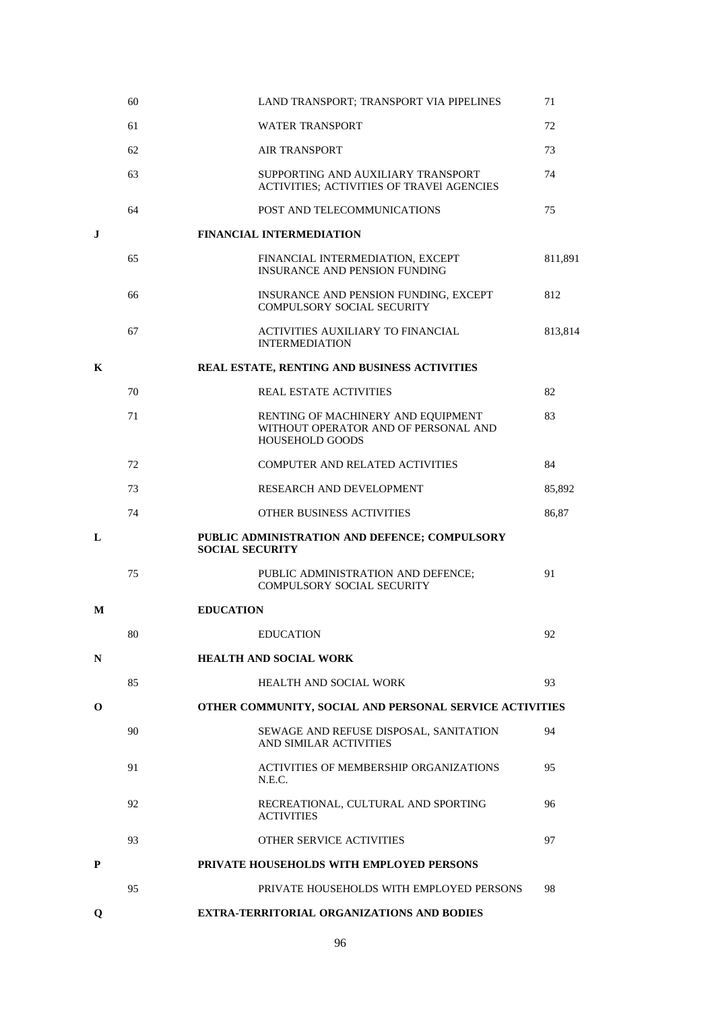|   | 60 | LAND TRANSPORT; TRANSPORT VIA PIPELINES                                                       | 71      |
|---|----|-----------------------------------------------------------------------------------------------|---------|
|   | 61 | <b>WATER TRANSPORT</b>                                                                        | 72      |
|   | 62 | <b>AIR TRANSPORT</b>                                                                          | 73      |
|   | 63 | SUPPORTING AND AUXILIARY TRANSPORT<br>ACTIVITIES; ACTIVITIES OF TRAVEL AGENCIES               | 74      |
|   | 64 | POST AND TELECOMMUNICATIONS                                                                   | 75      |
| J |    | <b>FINANCIAL INTERMEDIATION</b>                                                               |         |
|   | 65 | FINANCIAL INTERMEDIATION, EXCEPT<br><b>INSURANCE AND PENSION FUNDING</b>                      | 811,891 |
|   | 66 | INSURANCE AND PENSION FUNDING, EXCEPT<br>COMPULSORY SOCIAL SECURITY                           | 812     |
|   | 67 | ACTIVITIES AUXILIARY TO FINANCIAL<br><b>INTERMEDIATION</b>                                    | 813,814 |
| K |    | REAL ESTATE, RENTING AND BUSINESS ACTIVITIES                                                  |         |
|   | 70 | REAL ESTATE ACTIVITIES                                                                        | 82      |
|   | 71 | RENTING OF MACHINERY AND EQUIPMENT<br>WITHOUT OPERATOR AND OF PERSONAL AND<br>HOUSEHOLD GOODS | 83      |
|   | 72 | <b>COMPUTER AND RELATED ACTIVITIES</b>                                                        | 84      |
|   | 73 | RESEARCH AND DEVELOPMENT                                                                      | 85,892  |
|   | 74 | OTHER BUSINESS ACTIVITIES                                                                     | 86,87   |
| L |    | PUBLIC ADMINISTRATION AND DEFENCE; COMPULSORY<br><b>SOCIAL SECURITY</b>                       |         |
|   | 75 | PUBLIC ADMINISTRATION AND DEFENCE;<br>COMPULSORY SOCIAL SECURITY                              | 91      |
| М |    | <b>EDUCATION</b>                                                                              |         |
|   | 80 | <b>EDUCATION</b>                                                                              | 92      |
| N |    | <b>HEALTH AND SOCIAL WORK</b>                                                                 |         |
|   | 85 | <b>HEALTH AND SOCIAL WORK</b>                                                                 | 93      |
| O |    | OTHER COMMUNITY, SOCIAL AND PERSONAL SERVICE ACTIVITIES                                       |         |
|   | 90 | SEWAGE AND REFUSE DISPOSAL, SANITATION<br>AND SIMILAR ACTIVITIES                              | 94      |
|   | 91 | <b>ACTIVITIES OF MEMBERSHIP ORGANIZATIONS</b><br>N.E.C.                                       | 95      |
|   | 92 | RECREATIONAL, CULTURAL AND SPORTING<br><b>ACTIVITIES</b>                                      | 96      |
|   | 93 | OTHER SERVICE ACTIVITIES                                                                      | 97      |
| P |    | PRIVATE HOUSEHOLDS WITH EMPLOYED PERSONS                                                      |         |
|   | 95 | PRIVATE HOUSEHOLDS WITH EMPLOYED PERSONS                                                      | 98      |
| Q |    | <b>EXTRA-TERRITORIAL ORGANIZATIONS AND BODIES</b>                                             |         |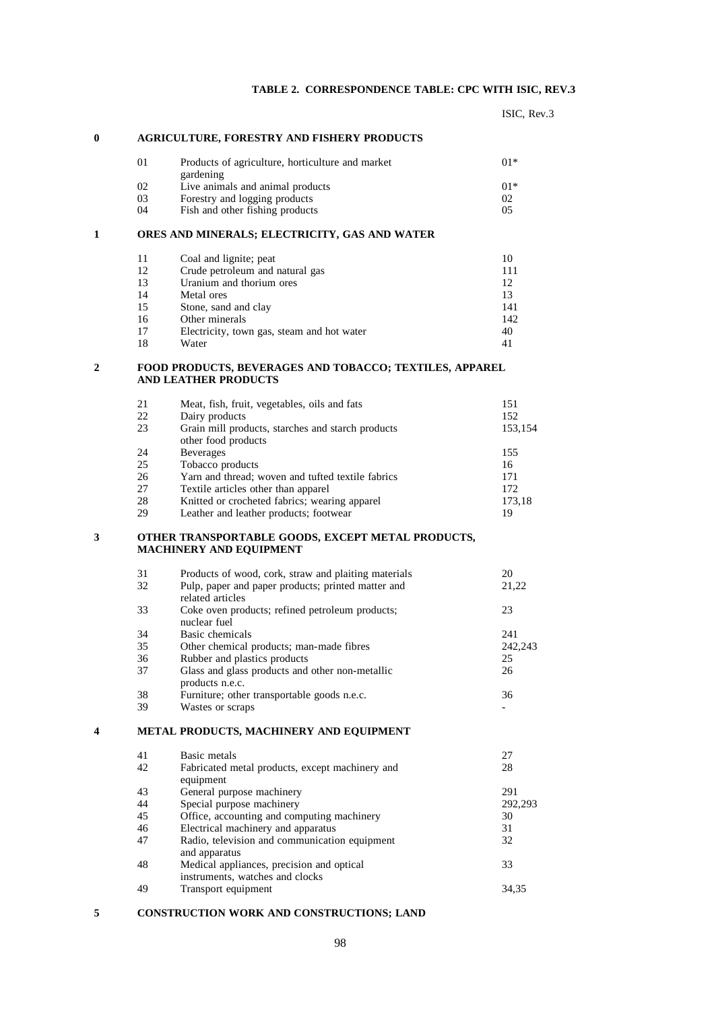# **TABLE 2. CORRESPONDENCE TABLE: CPC WITH ISIC, REV.3**

|                |          |                                                                                        | ISIC, Rev.3 |
|----------------|----------|----------------------------------------------------------------------------------------|-------------|
| $\bf{0}$       |          | <b>AGRICULTURE, FORESTRY AND FISHERY PRODUCTS</b>                                      |             |
|                | 01       | Products of agriculture, horticulture and market<br>gardening                          | $01*$       |
|                | 02       | Live animals and animal products                                                       | $01*$       |
|                | 03       | Forestry and logging products                                                          | 02          |
|                | 04       | Fish and other fishing products                                                        | 05          |
| 1              |          | ORES AND MINERALS; ELECTRICITY, GAS AND WATER                                          |             |
|                | 11       | Coal and lignite; peat                                                                 | 10          |
|                | 12       | Crude petroleum and natural gas                                                        | 111         |
|                | 13       | Uranium and thorium ores                                                               | 12          |
|                | 14       | Metal ores                                                                             | 13          |
|                | 15       | Stone, sand and clay                                                                   | 141         |
|                | 16       | Other minerals                                                                         | 142         |
|                | 17<br>18 | Electricity, town gas, steam and hot water<br>Water                                    | 40<br>41    |
|                |          |                                                                                        |             |
| $\overline{2}$ |          | FOOD PRODUCTS, BEVERAGES AND TOBACCO; TEXTILES, APPAREL<br><b>AND LEATHER PRODUCTS</b> |             |
|                | 21       | Meat, fish, fruit, vegetables, oils and fats                                           | 151         |
|                | 22       | Dairy products                                                                         | 152         |
|                | 23       | Grain mill products, starches and starch products                                      | 153,154     |
|                |          | other food products                                                                    |             |
|                | 24       | <b>Beverages</b>                                                                       | 155         |
|                | 25       | Tobacco products                                                                       | 16          |
|                | 26       | Yarn and thread; woven and tufted textile fabrics                                      | 171         |
|                | 27       | Textile articles other than apparel                                                    | 172         |
|                | 28       | Knitted or crocheted fabrics; wearing apparel                                          | 173,18      |
|                | 29       | Leather and leather products; footwear                                                 | 19          |
| 3              |          | OTHER TRANSPORTABLE GOODS, EXCEPT METAL PRODUCTS,<br>MACHINERY AND EQUIPMENT           |             |
|                |          |                                                                                        |             |
|                | 31<br>32 | Products of wood, cork, straw and plaiting materials                                   | 20          |
|                |          | Pulp, paper and paper products; printed matter and<br>related articles                 | 21,22       |
|                | 33       | Coke oven products; refined petroleum products;                                        | 23          |
|                |          | nuclear fuel                                                                           |             |
|                | 34       | Basic chemicals                                                                        | 241         |
|                | 35       | Other chemical products; man-made fibres                                               | 242,243     |
|                | 36       | Rubber and plastics products                                                           | 25          |
|                | 37       | Glass and glass products and other non-metallic                                        | 26          |
|                |          | products n.e.c.                                                                        |             |
|                | 38       | Furniture; other transportable goods n.e.c.                                            | 36          |
|                | 39       | Wastes or scraps                                                                       |             |
| 4              |          | METAL PRODUCTS, MACHINERY AND EQUIPMENT                                                |             |
|                | 41       | Basic metals                                                                           | 27          |
|                | 42       | Fabricated metal products, except machinery and                                        | 28          |
|                |          | equipment                                                                              |             |
|                | 43       | General purpose machinery                                                              | 291         |
|                | 44       | Special purpose machinery                                                              | 292,293     |
|                | 45       | Office, accounting and computing machinery                                             | 30          |
|                | 46       | Electrical machinery and apparatus                                                     | 31          |
|                | 47       | Radio, television and communication equipment<br>and apparatus                         | 32          |
|                | 48       | Medical appliances, precision and optical                                              | 33          |
|                |          | instruments, watches and clocks                                                        |             |
|                | 49       | Transport equipment                                                                    | 34,35       |
|                |          |                                                                                        |             |

# **5 CONSTRUCTION WORK AND CONSTRUCTIONS; LAND**